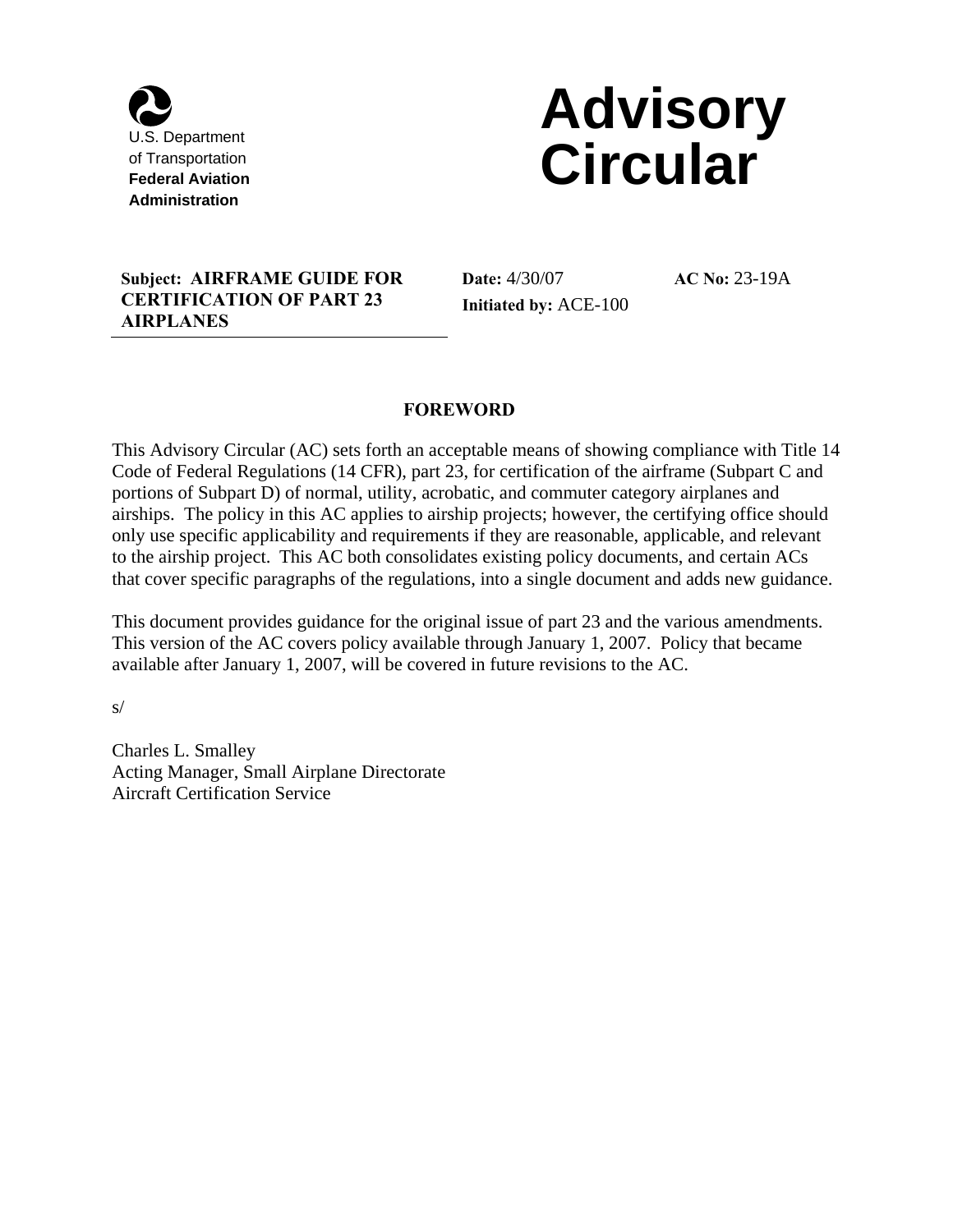

# **Advisory Federal Aviation**<br>Federal Aviation

#### **Subject: AIRFRAME GUIDE FOR Date:** 4/30/07 **AC No:** 23-19A **CERTIFICATION OF PART 23 AIRPLANES**

**Initiated by:** ACE-100

**AC No: 23-19A** 

#### **FOREWORD**

 to the airship project. This AC both consolidates existing policy documents, and certain ACs This Advisory Circular (AC) sets forth an acceptable means of showing compliance with Title 14 Code of Federal Regulations (14 CFR), part 23, for certification of the airframe (Subpart C and portions of Subpart D) of normal, utility, acrobatic, and commuter category airplanes and airships. The policy in this AC applies to airship projects; however, the certifying office should only use specific applicability and requirements if they are reasonable, applicable, and relevant that cover specific paragraphs of the regulations, into a single document and adds new guidance.

This document provides guidance for the original issue of part 23 and the various amendments. This version of the AC covers policy available through January 1, 2007. Policy that became available after January 1, 2007, will be covered in future revisions to the AC.

s/

Charles L. Smalley Acting Manager, Small Airplane Directorate Aircraft Certification Service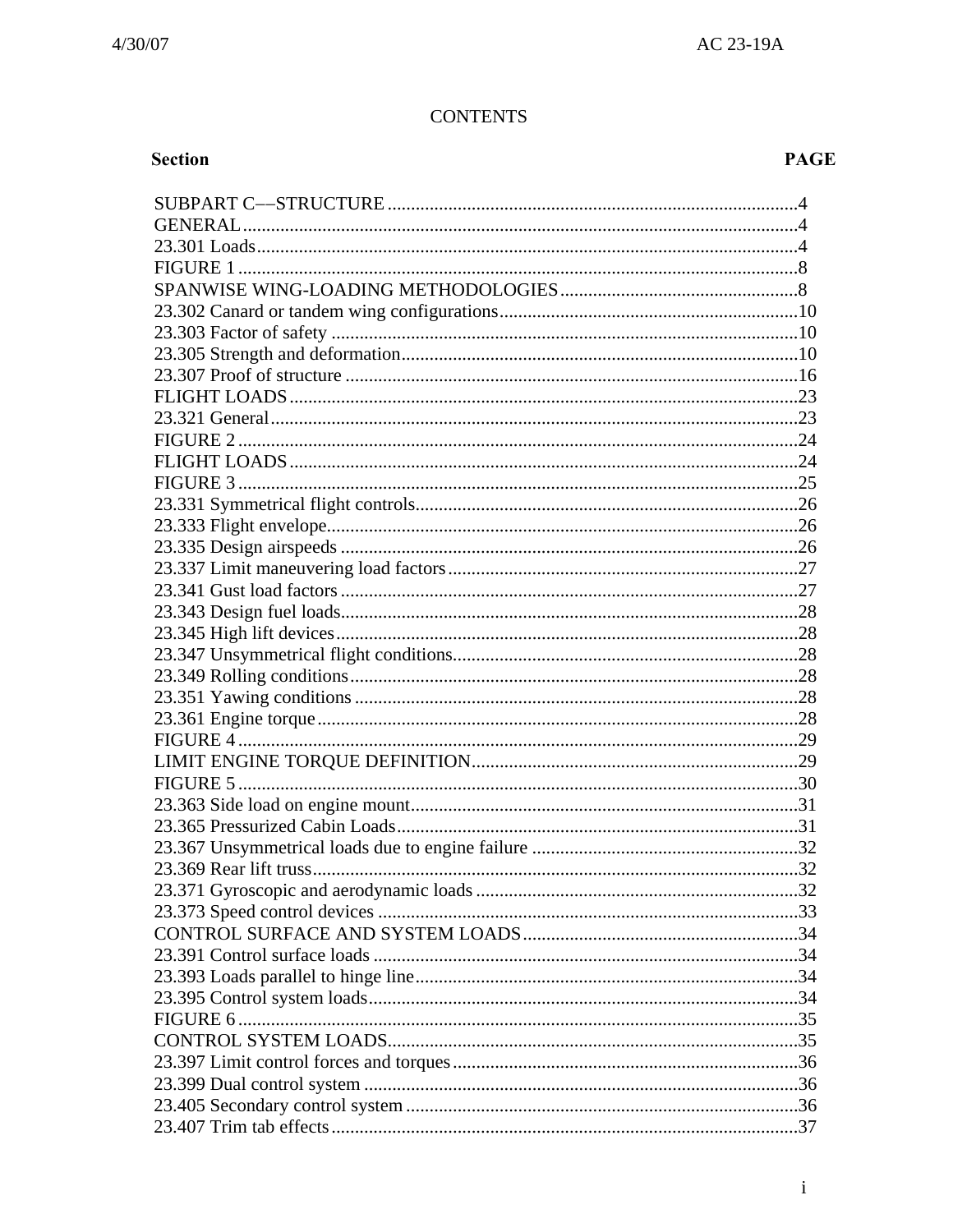## **CONTENTS**

# Section

# **PAGE**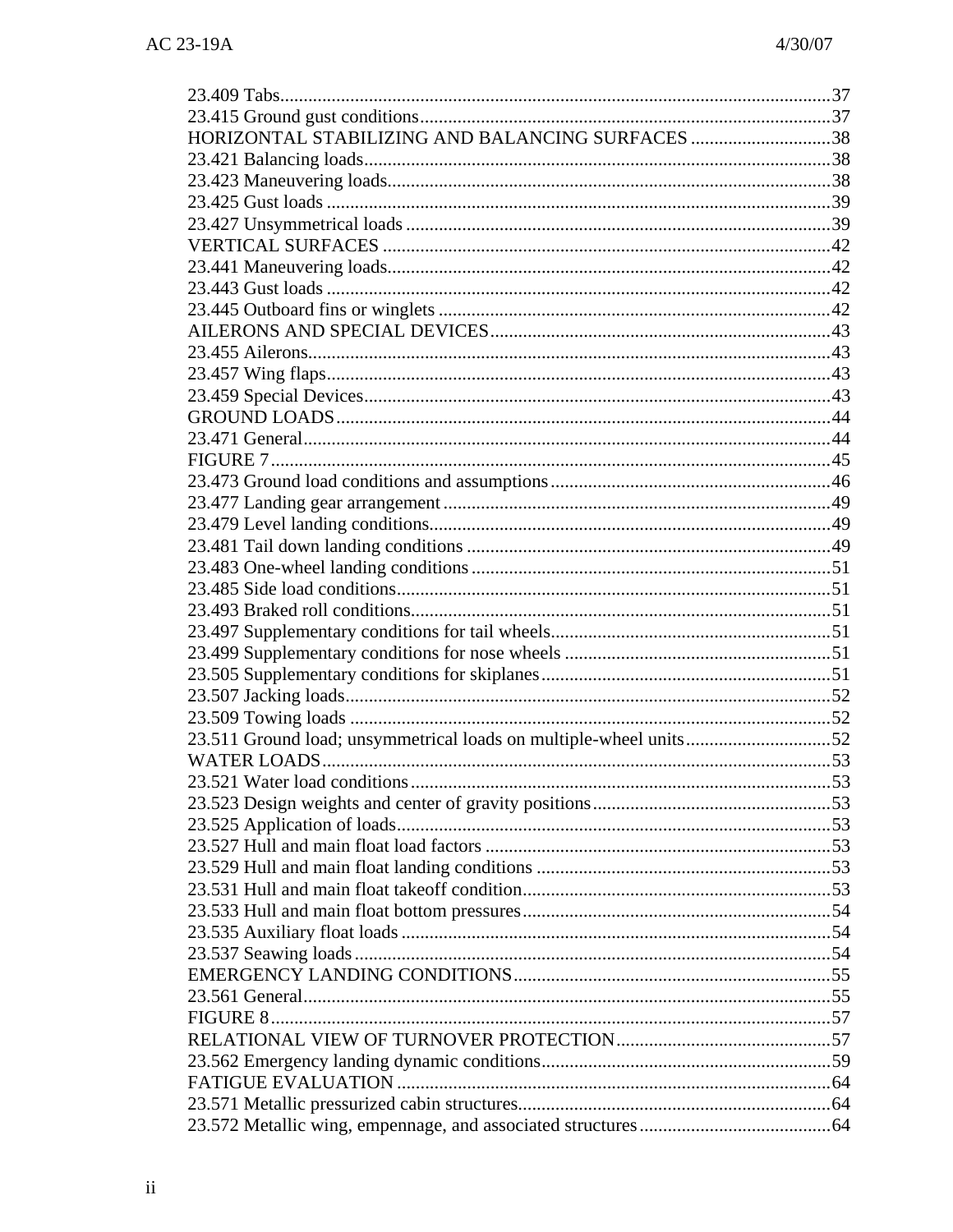| HORIZONTAL STABILIZING AND BALANCING SURFACES 38 |  |
|--------------------------------------------------|--|
|                                                  |  |
|                                                  |  |
|                                                  |  |
|                                                  |  |
|                                                  |  |
|                                                  |  |
|                                                  |  |
|                                                  |  |
|                                                  |  |
|                                                  |  |
|                                                  |  |
|                                                  |  |
|                                                  |  |
|                                                  |  |
|                                                  |  |
|                                                  |  |
|                                                  |  |
|                                                  |  |
|                                                  |  |
|                                                  |  |
|                                                  |  |
|                                                  |  |
|                                                  |  |
|                                                  |  |
|                                                  |  |
|                                                  |  |
|                                                  |  |
|                                                  |  |
|                                                  |  |
|                                                  |  |
|                                                  |  |
|                                                  |  |
|                                                  |  |
|                                                  |  |
|                                                  |  |
|                                                  |  |
|                                                  |  |
|                                                  |  |
|                                                  |  |
|                                                  |  |
|                                                  |  |
|                                                  |  |
|                                                  |  |
|                                                  |  |
|                                                  |  |
|                                                  |  |
|                                                  |  |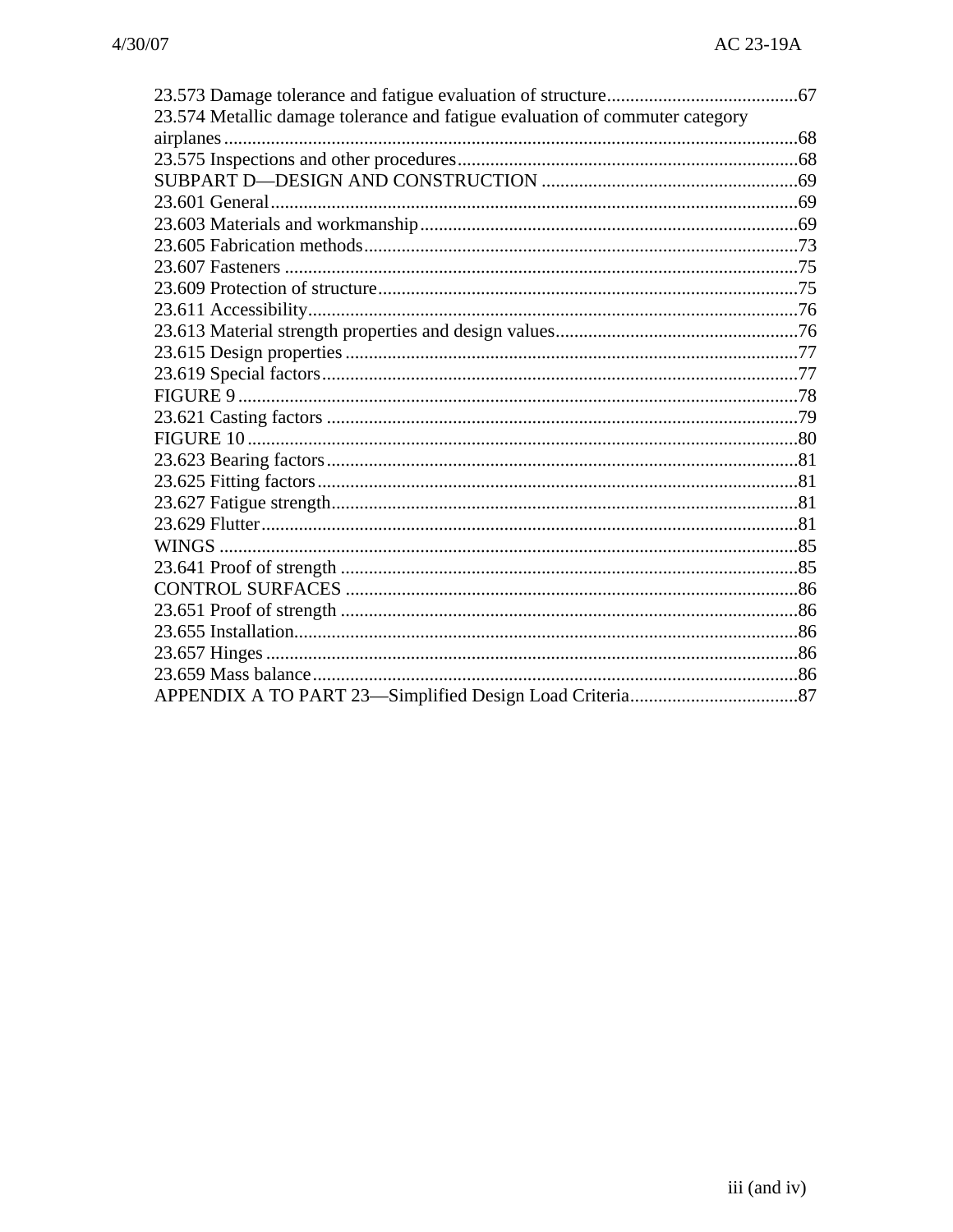| 23.574 Metallic damage tolerance and fatigue evaluation of commuter category |  |
|------------------------------------------------------------------------------|--|
|                                                                              |  |
|                                                                              |  |
|                                                                              |  |
|                                                                              |  |
|                                                                              |  |
|                                                                              |  |
|                                                                              |  |
|                                                                              |  |
|                                                                              |  |
|                                                                              |  |
|                                                                              |  |
|                                                                              |  |
|                                                                              |  |
|                                                                              |  |
|                                                                              |  |
|                                                                              |  |
|                                                                              |  |
|                                                                              |  |
|                                                                              |  |
|                                                                              |  |
|                                                                              |  |
|                                                                              |  |
|                                                                              |  |
|                                                                              |  |
|                                                                              |  |
|                                                                              |  |
|                                                                              |  |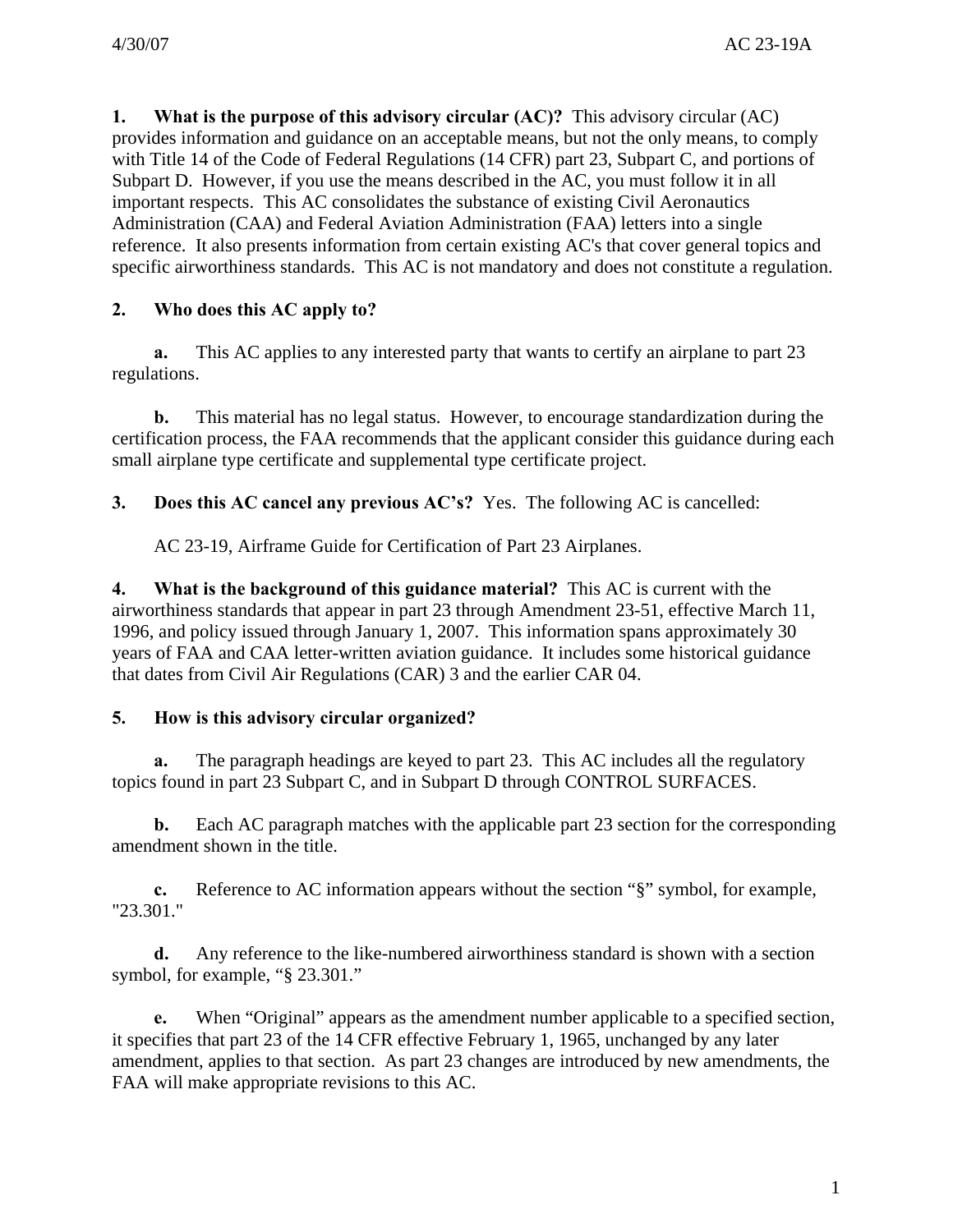**1. What is the purpose of this advisory circular (AC)?** This advisory circular (AC) provides information and guidance on an acceptable means, but not the only means, to comply with Title 14 of the Code of Federal Regulations (14 CFR) part 23, Subpart C, and portions of Subpart D. However, if you use the means described in the AC, you must follow it in all important respects. This AC consolidates the substance of existing Civil Aeronautics Administration (CAA) and Federal Aviation Administration (FAA) letters into a single reference. It also presents information from certain existing AC's that cover general topics and specific airworthiness standards. This AC is not mandatory and does not constitute a regulation.

## **2. Who does this AC apply to?**

**a.** This AC applies to any interested party that wants to certify an airplane to part 23 regulations.

**b.** This material has no legal status. However, to encourage standardization during the certification process, the FAA recommends that the applicant consider this guidance during each small airplane type certificate and supplemental type certificate project.

**3. Does this AC cancel any previous AC's?** Yes. The following AC is cancelled:

AC 23-19, Airframe Guide for Certification of Part 23 Airplanes.

**4. What is the background of this guidance material?** This AC is current with the airworthiness standards that appear in part 23 through Amendment 23-51, effective March 11, 1996, and policy issued through January 1, 2007. This information spans approximately 30 years of FAA and CAA letter-written aviation guidance. It includes some historical guidance that dates from Civil Air Regulations (CAR) 3 and the earlier CAR 04.

#### **5. How is this advisory circular organized?**

**a.** The paragraph headings are keyed to part 23. This AC includes all the regulatory topics found in part 23 Subpart C, and in Subpart D through CONTROL SURFACES.

**b.** Each AC paragraph matches with the applicable part 23 section for the corresponding amendment shown in the title.

**c.** Reference to AC information appears without the section "§" symbol, for example, "23.301."

**d.** Any reference to the like-numbered airworthiness standard is shown with a section symbol, for example, "§ 23.301."

**e.** When "Original" appears as the amendment number applicable to a specified section, it specifies that part 23 of the 14 CFR effective February 1, 1965, unchanged by any later amendment, applies to that section. As part 23 changes are introduced by new amendments, the FAA will make appropriate revisions to this AC.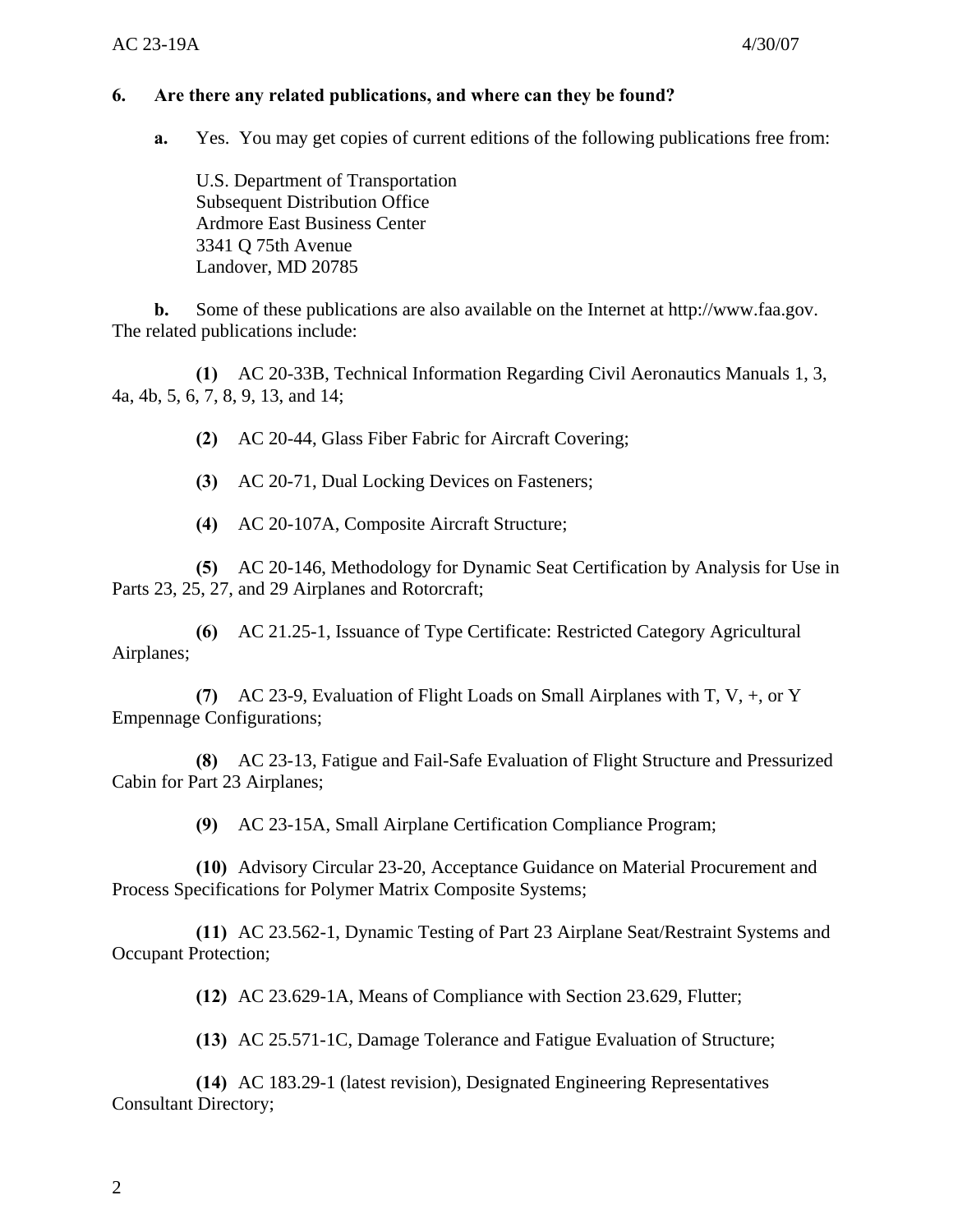#### **6. Are there any related publications, and where can they be found?**

**a.** Yes. You may get copies of current editions of the following publications free from:

U.S. Department of Transportation Subsequent Distribution Office Ardmore East Business Center 3341 Q 75th Avenue Landover, MD 20785

**b.** Some of these publications are also available on the Internet at http://www.faa.gov. The related publications include:

**(1)** AC 20-33B, Technical Information Regarding Civil Aeronautics Manuals 1, 3, 4a, 4b, 5, 6, 7, 8, 9, 13, and 14;

**(2)** AC 20-44, Glass Fiber Fabric for Aircraft Covering;

**(3)** AC 20-71, Dual Locking Devices on Fasteners;

**(4)** AC 20-107A, Composite Aircraft Structure;

**(5)** AC 20-146, Methodology for Dynamic Seat Certification by Analysis for Use in Parts 23, 25, 27, and 29 Airplanes and Rotorcraft;

**(6)** AC 21.25-1, Issuance of Type Certificate: Restricted Category Agricultural Airplanes;

**(7)** AC 23-9, Evaluation of Flight Loads on Small Airplanes with T, V, +, or Y Empennage Configurations;

**(8)** AC 23-13, Fatigue and Fail-Safe Evaluation of Flight Structure and Pressurized Cabin for Part 23 Airplanes;

**(9)** AC 23-15A, Small Airplane Certification Compliance Program;

**(10)** Advisory Circular 23-20, Acceptance Guidance on Material Procurement and Process Specifications for Polymer Matrix Composite Systems;

**(11)** AC 23.562-1, Dynamic Testing of Part 23 Airplane Seat/Restraint Systems and Occupant Protection;

**(12)** AC 23.629-1A, Means of Compliance with Section 23.629, Flutter;

**(13)** AC 25.571-1C, Damage Tolerance and Fatigue Evaluation of Structure;

**(14)** AC 183.29-1 (latest revision), Designated Engineering Representatives Consultant Directory;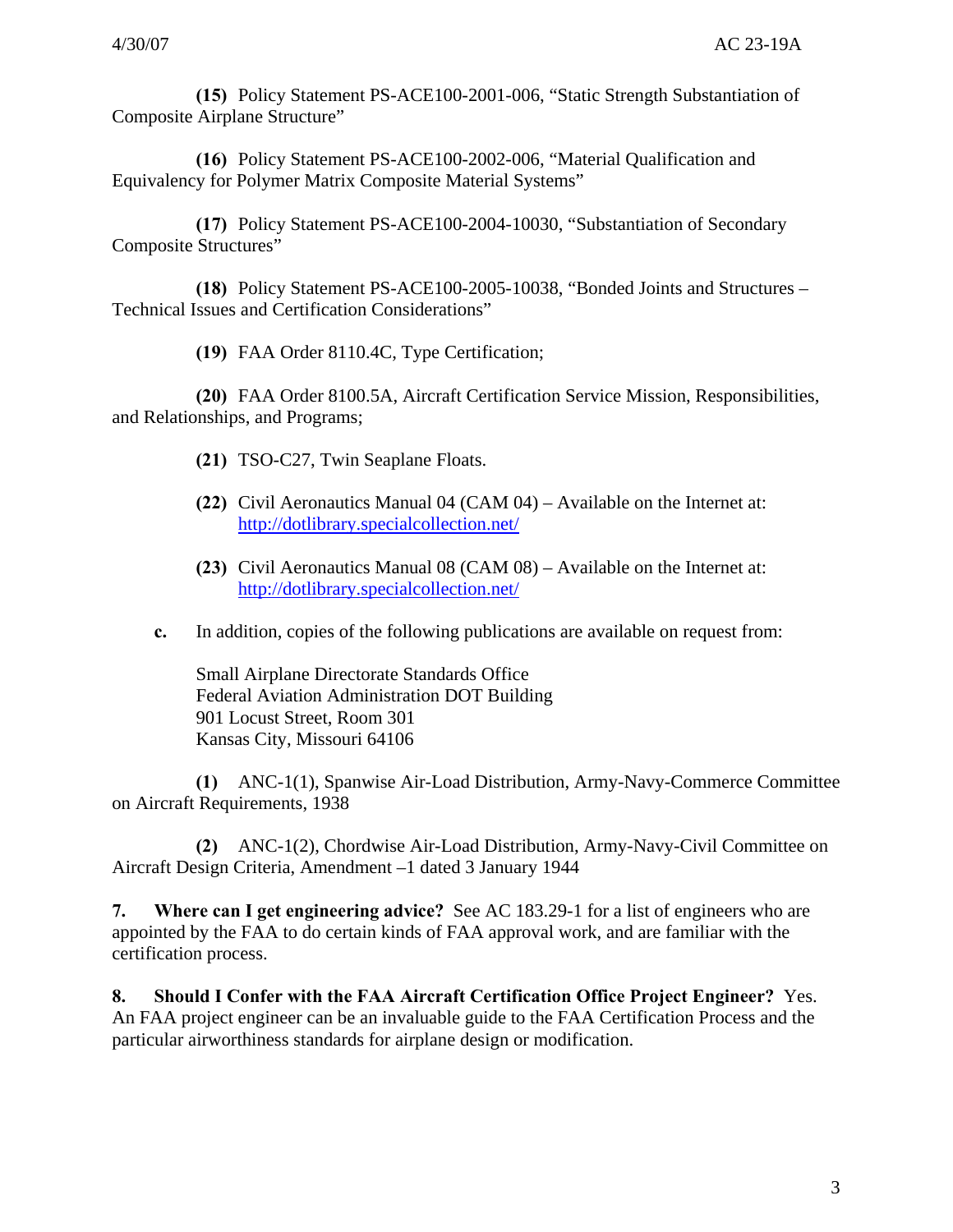**(15)** Policy Statement PS-ACE100-2001-006, "Static Strength Substantiation of Composite Airplane Structure"

**(16)** Policy Statement PS-ACE100-2002-006, "Material Qualification and Equivalency for Polymer Matrix Composite Material Systems"

**(17)** Policy Statement PS-ACE100-2004-10030, "Substantiation of Secondary Composite Structures"

**(18)** Policy Statement PS-ACE100-2005-10038, "Bonded Joints and Structures – Technical Issues and Certification Considerations"

**(19)** FAA Order 8110.4C, Type Certification;

**(20)** FAA Order 8100.5A, Aircraft Certification Service Mission, Responsibilities, and Relationships, and Programs;

- **(21)** TSO-C27, Twin Seaplane Floats.
- **(22)** Civil Aeronautics Manual 04 (CAM 04) Available on the Internet at: http://dotlibrary.specialcollection.net/
- **(23)** Civil Aeronautics Manual 08 (CAM 08) Available on the Internet at: http://dotlibrary.specialcollection.net/
- **c.** In addition, copies of the following publications are available on request from:

Small Airplane Directorate Standards Office Federal Aviation Administration DOT Building 901 Locust Street, Room 301 Kansas City, Missouri 64106

**(1)** ANC-1(1), Spanwise Air-Load Distribution, Army-Navy-Commerce Committee on Aircraft Requirements, 1938

**(2)** ANC-1(2), Chordwise Air-Load Distribution, Army-Navy-Civil Committee on Aircraft Design Criteria, Amendment –1 dated 3 January 1944

**7. Where can I get engineering advice?** See AC 183.29-1 for a list of engineers who are appointed by the FAA to do certain kinds of FAA approval work, and are familiar with the certification process.

**8. Should I Confer with the FAA Aircraft Certification Office Project Engineer?** Yes. An FAA project engineer can be an invaluable guide to the FAA Certification Process and the particular airworthiness standards for airplane design or modification.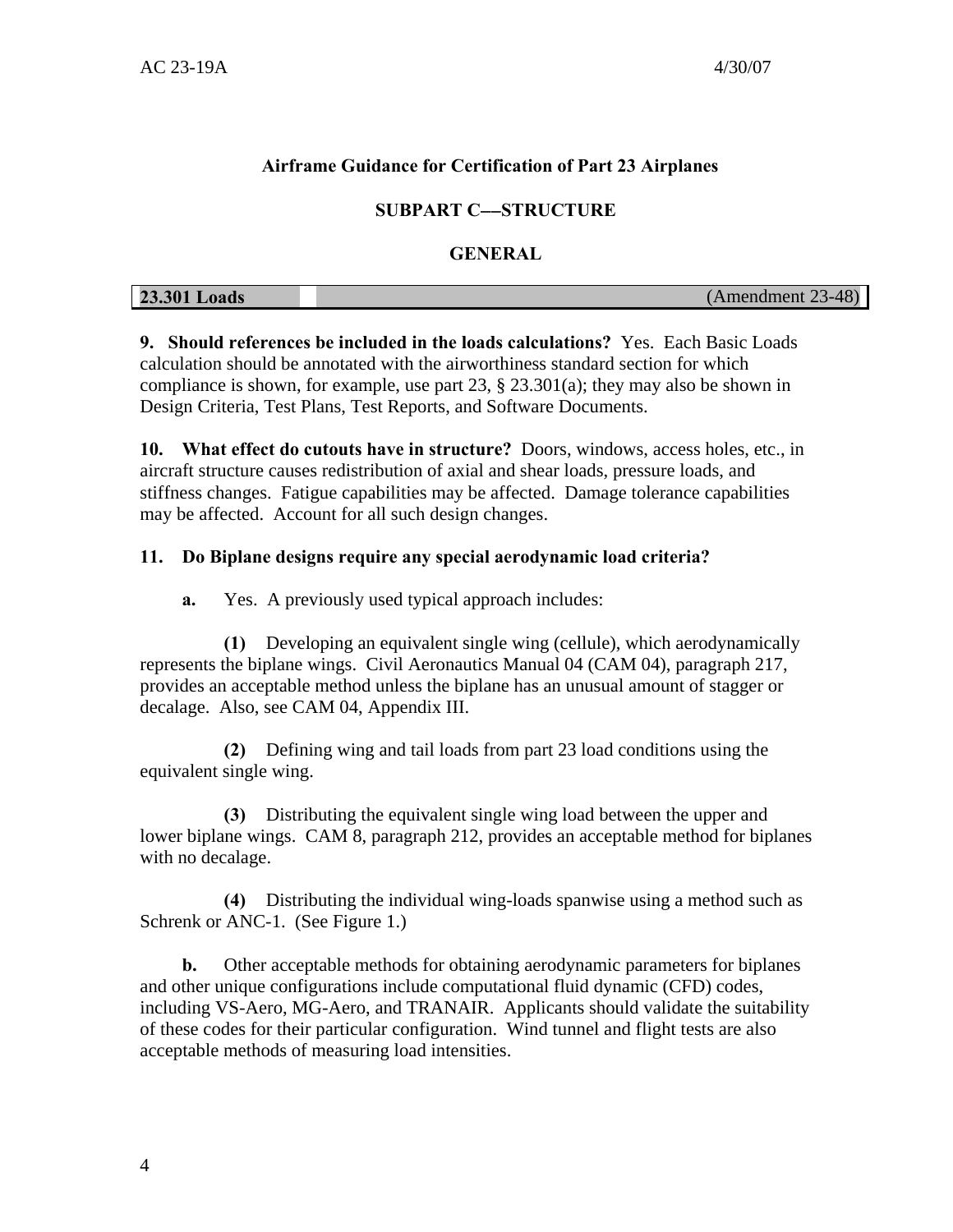## **Airframe Guidance for Certification of Part 23 Airplanes**

## **SUBPART C**−−**STRUCTURE**

#### **GENERAL**

| <b>23.301 Loads</b> | (Amendment 23-48) |
|---------------------|-------------------|

**9. Should references be included in the loads calculations?** Yes. Each Basic Loads calculation should be annotated with the airworthiness standard section for which compliance is shown, for example, use part 23, § 23.301(a); they may also be shown in Design Criteria, Test Plans, Test Reports, and Software Documents.

**10. What effect do cutouts have in structure?** Doors, windows, access holes, etc., in aircraft structure causes redistribution of axial and shear loads, pressure loads, and stiffness changes. Fatigue capabilities may be affected. Damage tolerance capabilities may be affected. Account for all such design changes.

#### **11. Do Biplane designs require any special aerodynamic load criteria?**

**a.** Yes. A previously used typical approach includes:

**(1)** Developing an equivalent single wing (cellule), which aerodynamically represents the biplane wings. Civil Aeronautics Manual 04 (CAM 04), paragraph 217, provides an acceptable method unless the biplane has an unusual amount of stagger or decalage. Also, see CAM 04, Appendix III.

**(2)** Defining wing and tail loads from part 23 load conditions using the equivalent single wing.

**(3)** Distributing the equivalent single wing load between the upper and lower biplane wings. CAM 8, paragraph 212, provides an acceptable method for biplanes with no decalage.

**(4)** Distributing the individual wing-loads spanwise using a method such as Schrenk or ANC-1. (See Figure 1.)

**b.** Other acceptable methods for obtaining aerodynamic parameters for biplanes and other unique configurations include computational fluid dynamic (CFD) codes, including VS-Aero, MG-Aero, and TRANAIR. Applicants should validate the suitability of these codes for their particular configuration. Wind tunnel and flight tests are also acceptable methods of measuring load intensities.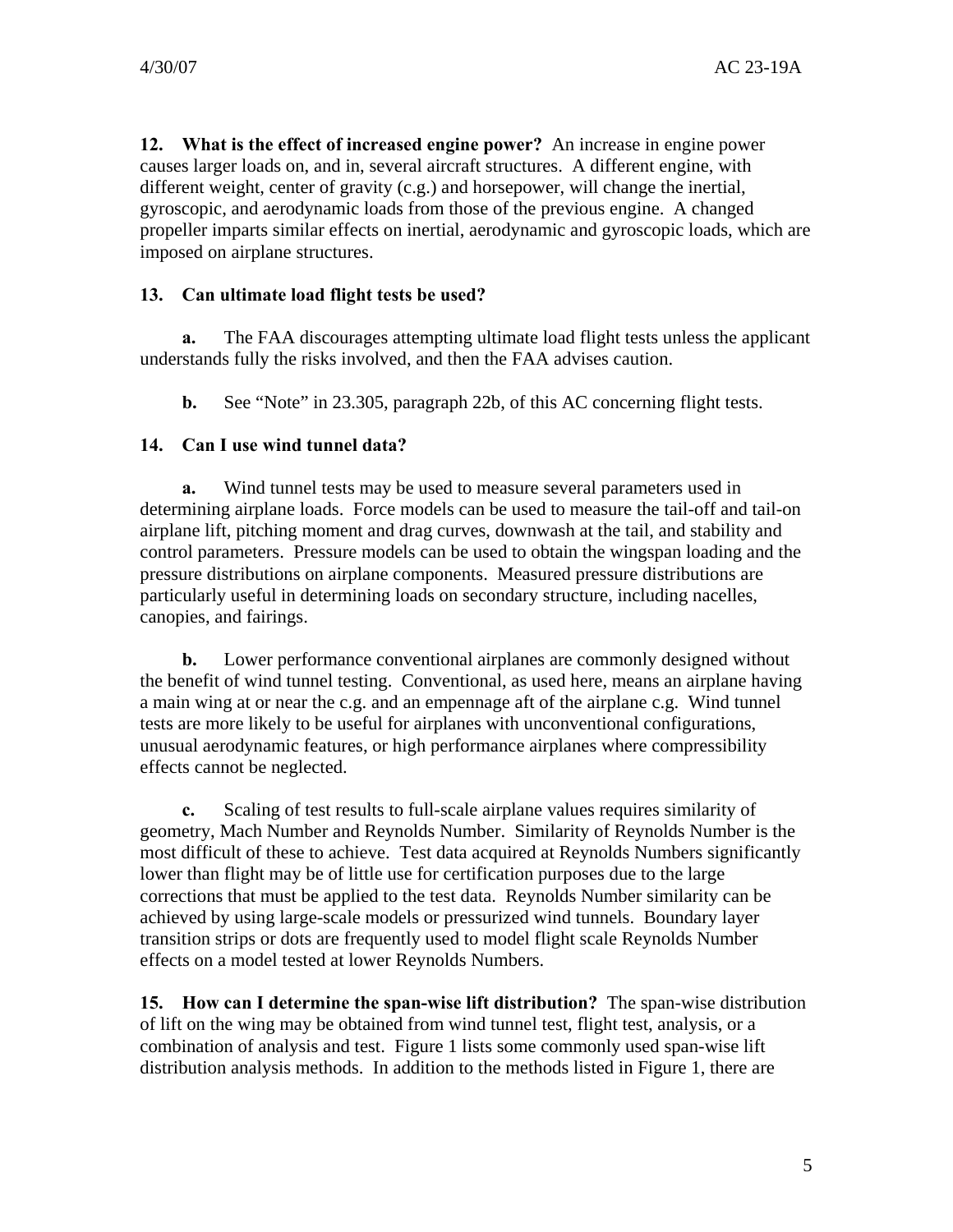**12. What is the effect of increased engine power?** An increase in engine power causes larger loads on, and in, several aircraft structures. A different engine, with different weight, center of gravity (c.g.) and horsepower, will change the inertial, gyroscopic, and aerodynamic loads from those of the previous engine. A changed propeller imparts similar effects on inertial, aerodynamic and gyroscopic loads, which are imposed on airplane structures.

#### **13. Can ultimate load flight tests be used?**

**a.** The FAA discourages attempting ultimate load flight tests unless the applicant understands fully the risks involved, and then the FAA advises caution.

**b.** See "Note" in 23.305, paragraph 22b, of this AC concerning flight tests.

## **14. Can I use wind tunnel data?**

**a.** Wind tunnel tests may be used to measure several parameters used in determining airplane loads. Force models can be used to measure the tail-off and tail-on airplane lift, pitching moment and drag curves, downwash at the tail, and stability and control parameters. Pressure models can be used to obtain the wingspan loading and the pressure distributions on airplane components. Measured pressure distributions are particularly useful in determining loads on secondary structure, including nacelles, canopies, and fairings.

**b.** Lower performance conventional airplanes are commonly designed without the benefit of wind tunnel testing. Conventional, as used here, means an airplane having a main wing at or near the c.g. and an empennage aft of the airplane c.g. Wind tunnel tests are more likely to be useful for airplanes with unconventional configurations, unusual aerodynamic features, or high performance airplanes where compressibility effects cannot be neglected.

**c.** Scaling of test results to full-scale airplane values requires similarity of geometry, Mach Number and Reynolds Number. Similarity of Reynolds Number is the most difficult of these to achieve. Test data acquired at Reynolds Numbers significantly lower than flight may be of little use for certification purposes due to the large corrections that must be applied to the test data. Reynolds Number similarity can be achieved by using large-scale models or pressurized wind tunnels. Boundary layer transition strips or dots are frequently used to model flight scale Reynolds Number effects on a model tested at lower Reynolds Numbers.

**15. How can I determine the span-wise lift distribution?** The span-wise distribution of lift on the wing may be obtained from wind tunnel test, flight test, analysis, or a combination of analysis and test. Figure 1 lists some commonly used span-wise lift distribution analysis methods. In addition to the methods listed in Figure 1, there are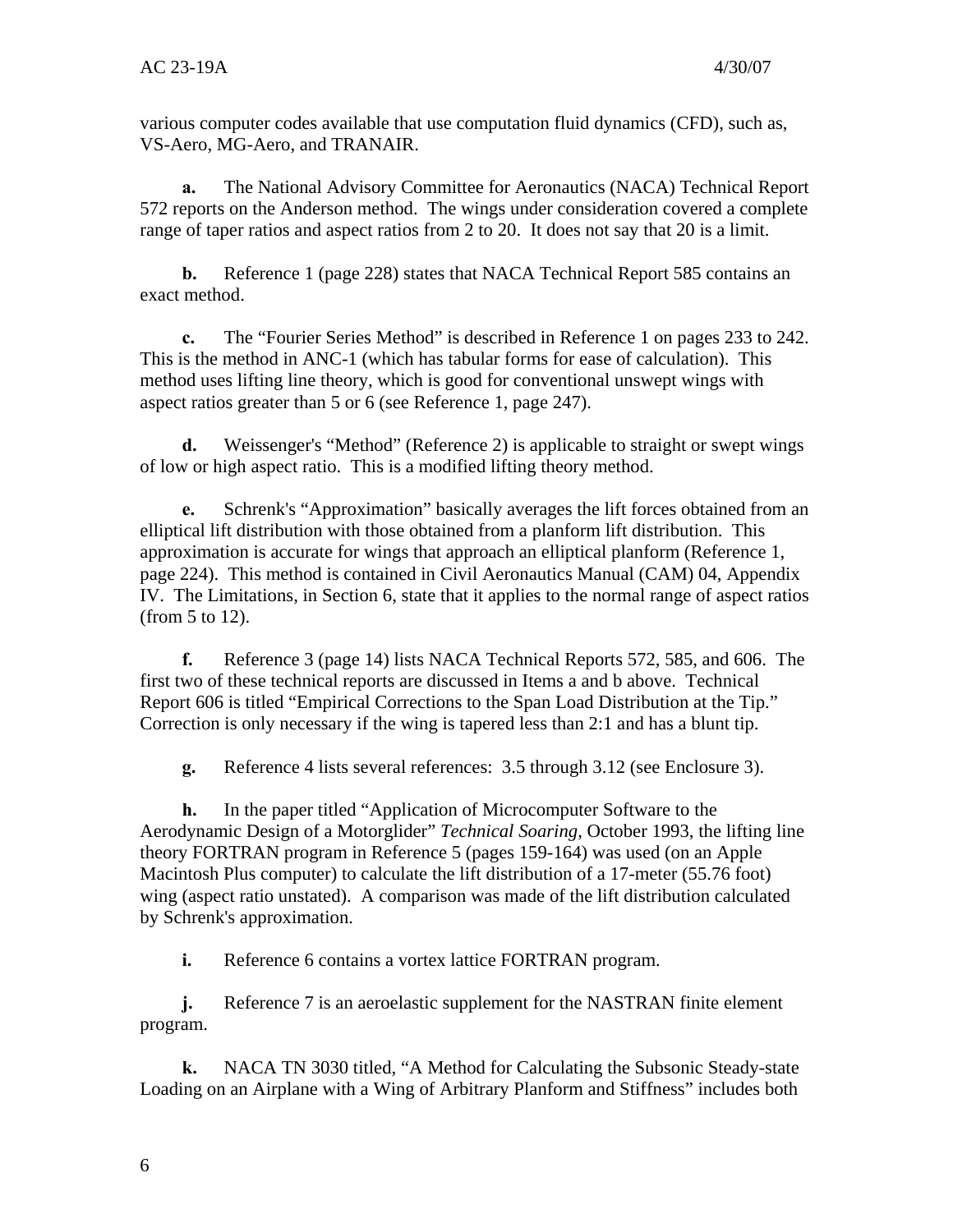various computer codes available that use computation fluid dynamics (CFD), such as, VS-Aero, MG-Aero, and TRANAIR.

**a.** The National Advisory Committee for Aeronautics (NACA) Technical Report 572 reports on the Anderson method. The wings under consideration covered a complete range of taper ratios and aspect ratios from 2 to 20. It does not say that 20 is a limit.

**b.** Reference 1 (page 228) states that NACA Technical Report 585 contains an exact method.

**c.** The "Fourier Series Method" is described in Reference 1 on pages 233 to 242. This is the method in ANC-1 (which has tabular forms for ease of calculation). This method uses lifting line theory, which is good for conventional unswept wings with aspect ratios greater than 5 or 6 (see Reference 1, page 247).

**d.** Weissenger's "Method" (Reference 2) is applicable to straight or swept wings of low or high aspect ratio. This is a modified lifting theory method.

**e.** Schrenk's "Approximation" basically averages the lift forces obtained from an elliptical lift distribution with those obtained from a planform lift distribution. This approximation is accurate for wings that approach an elliptical planform (Reference 1, page 224). This method is contained in Civil Aeronautics Manual (CAM) 04, Appendix IV. The Limitations, in Section 6, state that it applies to the normal range of aspect ratios (from 5 to 12).

**f.** Reference 3 (page 14) lists NACA Technical Reports 572, 585, and 606. The first two of these technical reports are discussed in Items a and b above. Technical Report 606 is titled "Empirical Corrections to the Span Load Distribution at the Tip." Correction is only necessary if the wing is tapered less than 2:1 and has a blunt tip.

**g.** Reference 4 lists several references: 3.5 through 3.12 (see Enclosure 3).

**h.** In the paper titled "Application of Microcomputer Software to the Aerodynamic Design of a Motorglider" *Technical Soaring*, October 1993, the lifting line theory FORTRAN program in Reference 5 (pages 159-164) was used (on an Apple Macintosh Plus computer) to calculate the lift distribution of a 17-meter (55.76 foot) wing (aspect ratio unstated). A comparison was made of the lift distribution calculated by Schrenk's approximation.

**i.** Reference 6 contains a vortex lattice FORTRAN program.

**j.** Reference 7 is an aeroelastic supplement for the NASTRAN finite element program.

**k.** NACA TN 3030 titled, "A Method for Calculating the Subsonic Steady-state Loading on an Airplane with a Wing of Arbitrary Planform and Stiffness" includes both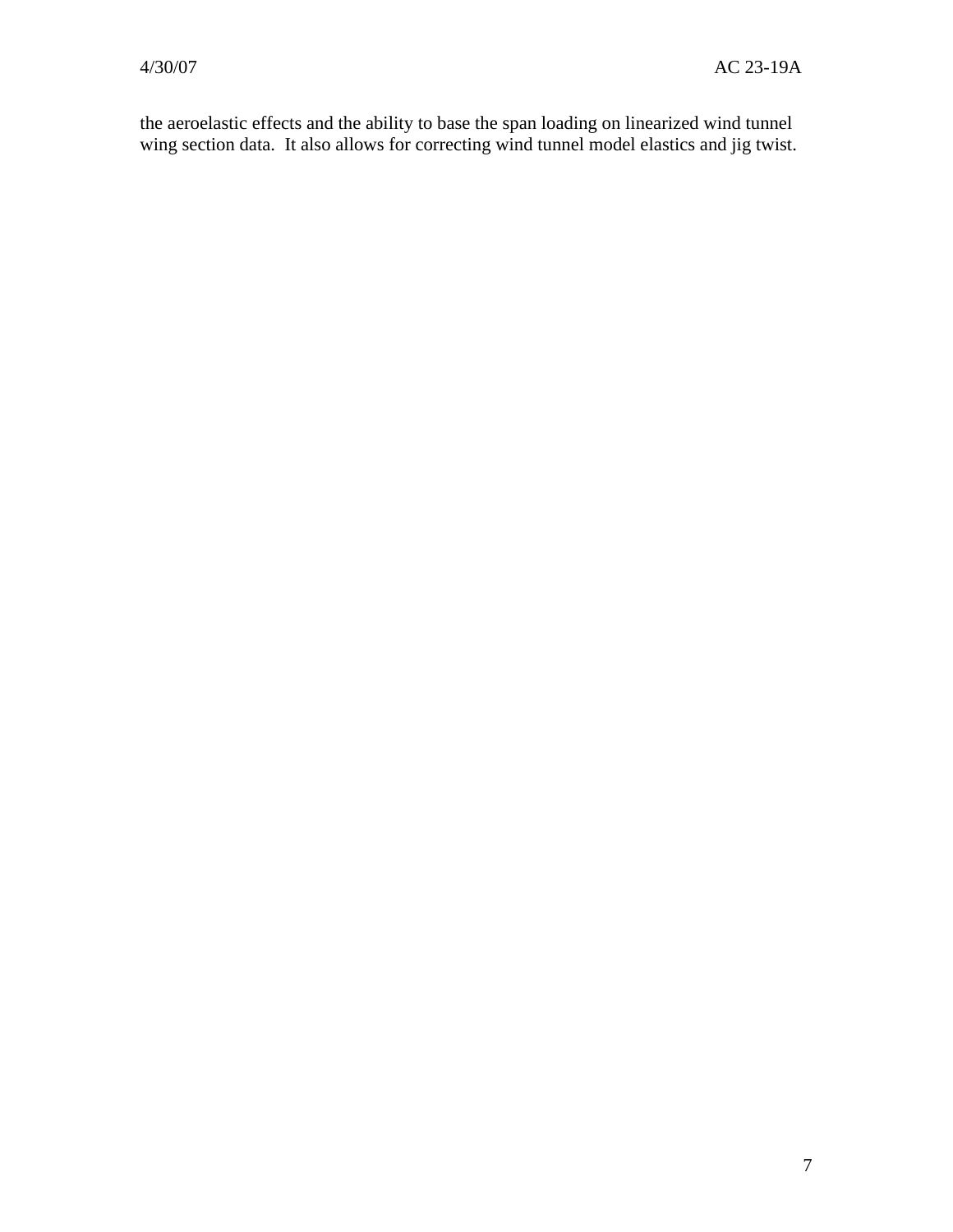the aeroelastic effects and the ability to base the span loading on linearized wind tunnel wing section data. It also allows for correcting wind tunnel model elastics and jig twist.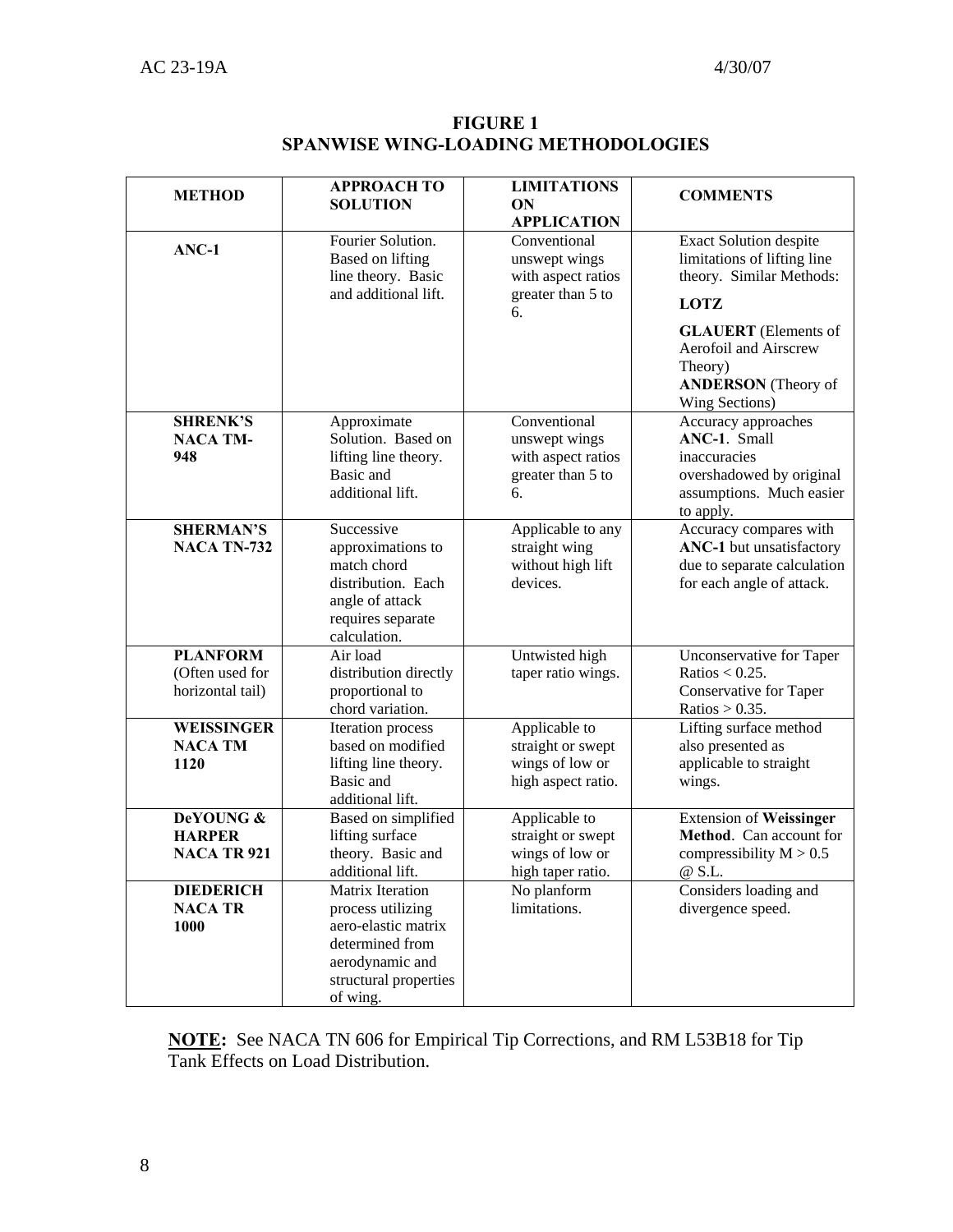| <b>METHOD</b>                                          | <b>APPROACH TO</b><br><b>SOLUTION</b>                                                                                                   | <b>LIMITATIONS</b><br>ON<br><b>APPLICATION</b>                                 | <b>COMMENTS</b>                                                                                                          |
|--------------------------------------------------------|-----------------------------------------------------------------------------------------------------------------------------------------|--------------------------------------------------------------------------------|--------------------------------------------------------------------------------------------------------------------------|
| ANC-1                                                  | Fourier Solution.<br><b>Based on lifting</b><br>line theory. Basic                                                                      | Conventional<br>unswept wings<br>with aspect ratios                            | <b>Exact Solution despite</b><br>limitations of lifting line<br>theory. Similar Methods:                                 |
|                                                        | and additional lift.                                                                                                                    | greater than 5 to<br>6.                                                        | <b>LOTZ</b>                                                                                                              |
|                                                        |                                                                                                                                         |                                                                                | <b>GLAUERT</b> (Elements of<br><b>Aerofoil and Airscrew</b><br>Theory)<br><b>ANDERSON</b> (Theory of<br>Wing Sections)   |
| <b>SHRENK'S</b><br><b>NACA TM-</b><br>948              | Approximate<br>Solution. Based on<br>lifting line theory.<br>Basic and<br>additional lift.                                              | Conventional<br>unswept wings<br>with aspect ratios<br>greater than 5 to<br>6. | Accuracy approaches<br>ANC-1. Small<br>inaccuracies<br>overshadowed by original<br>assumptions. Much easier<br>to apply. |
| <b>SHERMAN'S</b><br><b>NACA TN-732</b>                 | Successive<br>approximations to<br>match chord<br>distribution. Each<br>angle of attack<br>requires separate<br>calculation.            | Applicable to any<br>straight wing<br>without high lift<br>devices.            | Accuracy compares with<br>ANC-1 but unsatisfactory<br>due to separate calculation<br>for each angle of attack.           |
| <b>PLANFORM</b><br>(Often used for<br>horizontal tail) | Air load<br>distribution directly<br>proportional to<br>chord variation.                                                                | Untwisted high<br>taper ratio wings.                                           | Unconservative for Taper<br>Ratios $< 0.25$ .<br>Conservative for Taper<br>Ratios $> 0.35$ .                             |
| <b>WEISSINGER</b><br><b>NACA TM</b><br>1120            | Iteration process<br>based on modified<br>lifting line theory.<br>Basic and<br>additional lift.                                         | Applicable to<br>straight or swept<br>wings of low or<br>high aspect ratio.    | Lifting surface method<br>also presented as<br>applicable to straight<br>wings.                                          |
| DeYOUNG &<br><b>HARPER</b><br><b>NACA TR 921</b>       | Based on simplified<br>lifting surface<br>theory. Basic and<br>additional lift.                                                         | Applicable to<br>straight or swept<br>wings of low or<br>high taper ratio.     | <b>Extension of Weissinger</b><br>Method. Can account for<br>compressibility $M > 0.5$<br>@ S.L.                         |
| <b>DIEDERICH</b><br><b>NACA TR</b><br>1000             | Matrix Iteration<br>process utilizing<br>aero-elastic matrix<br>determined from<br>aerodynamic and<br>structural properties<br>of wing. | No planform<br>limitations.                                                    | Considers loading and<br>divergence speed.                                                                               |

**FIGURE 1 SPANWISE WING-LOADING METHODOLOGIES** 

**NOTE:** See NACA TN 606 for Empirical Tip Corrections, and RM L53B18 for Tip Tank Effects on Load Distribution.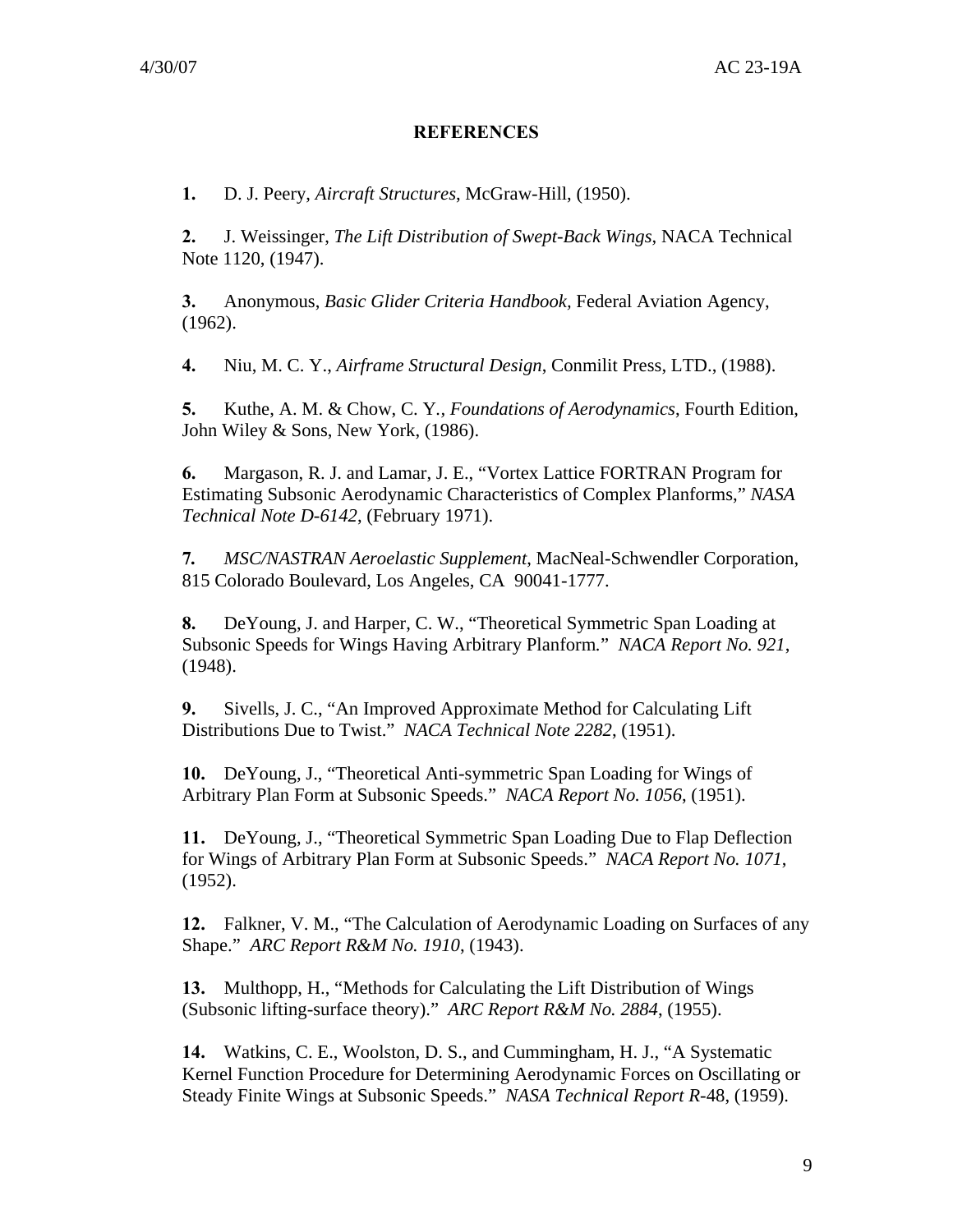#### **REFERENCES**

**1.** D. J. Peery, *Aircraft Structures*, McGraw-Hill, (1950).

**2.** J. Weissinger, *The Lift Distribution of Swept-Back Wings*, NACA Technical Note 1120, (1947).

**3.** Anonymous, *Basic Glider Criteria Handbook,* Federal Aviation Agency, (1962).

**4.** Niu, M. C. Y., *Airframe Structural Design*, Conmilit Press, LTD., (1988).

**5.** Kuthe, A. M. & Chow, C. Y*., Foundations of Aerodynamics*, Fourth Edition, John Wiley & Sons, New York, (1986).

**6.** Margason, R. J. and Lamar, J. E., "Vortex Lattice FORTRAN Program for Estimating Subsonic Aerodynamic Characteristics of Complex Planforms," *NASA Technical Note D-6142*, (February 1971).

**7***. MSC/NASTRAN Aeroelastic Supplement*, MacNeal-Schwendler Corporation, 815 Colorado Boulevard, Los Angeles, CA 90041-1777.

**8.** DeYoung, J. and Harper, C. W., "Theoretical Symmetric Span Loading at Subsonic Speeds for Wings Having Arbitrary Planform*.*" *NACA Report No. 921*, (1948).

**9.** Sivells, J. C., "An Improved Approximate Method for Calculating Lift Distributions Due to Twist." *NACA Technical Note 2282*, (1951).

**10.** DeYoung, J., "Theoretical Anti-symmetric Span Loading for Wings of Arbitrary Plan Form at Subsonic Speeds." *NACA Report No. 1056*, (1951).

**11.** DeYoung, J., "Theoretical Symmetric Span Loading Due to Flap Deflection for Wings of Arbitrary Plan Form at Subsonic Speeds." *NACA Report No. 1071*, (1952).

**12.** Falkner, V. M., "The Calculation of Aerodynamic Loading on Surfaces of any Shape." *ARC Report R&M No. 1910*, (1943).

**13.** Multhopp, H., "Methods for Calculating the Lift Distribution of Wings (Subsonic lifting-surface theory)." *ARC Report R&M No. 2884*, (1955).

**14.** Watkins, C. E., Woolston, D. S., and Cummingham, H. J., "A Systematic Kernel Function Procedure for Determining Aerodynamic Forces on Oscillating or Steady Finite Wings at Subsonic Speeds." *NASA Technical Report R-*48, (1959).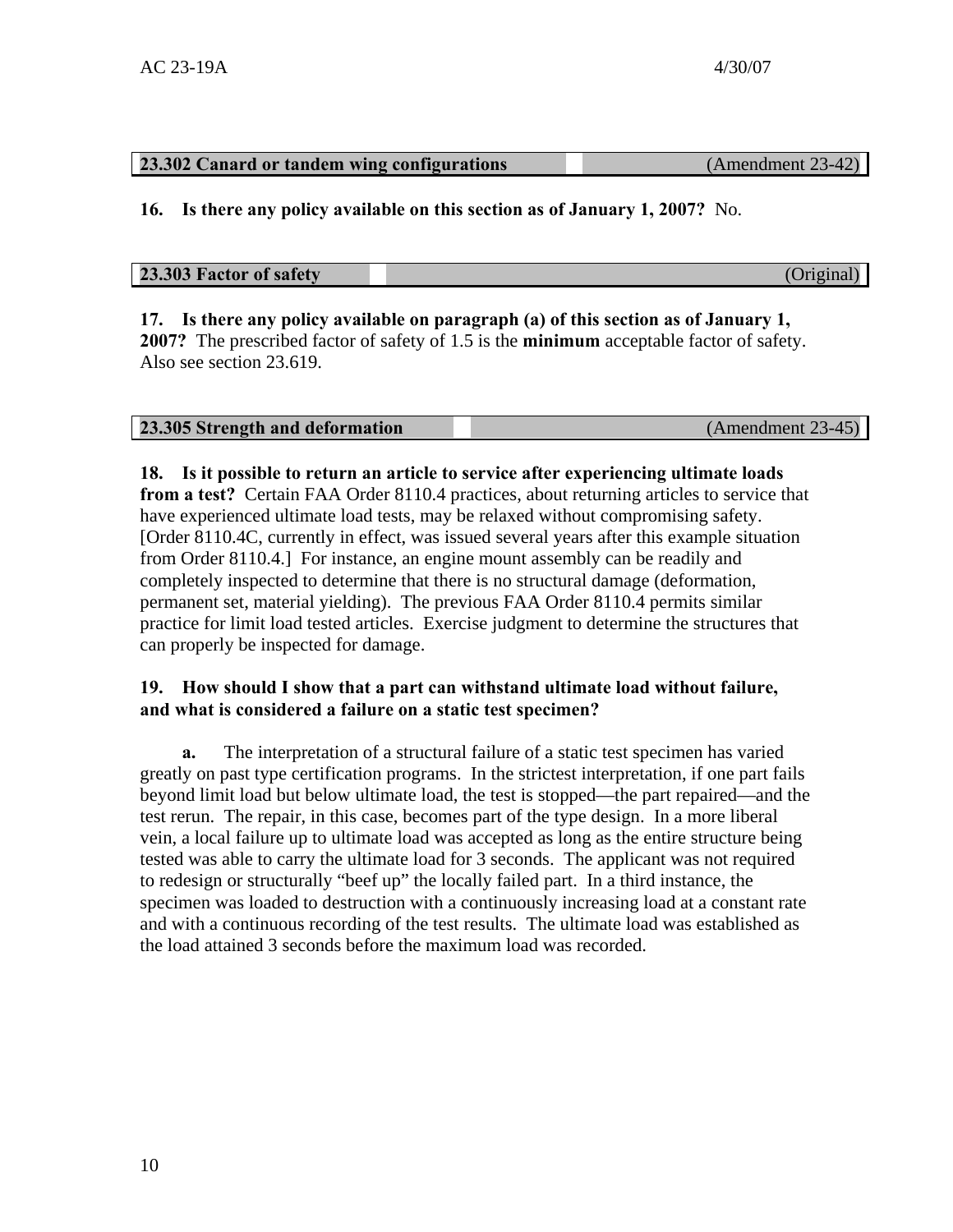## **23.302 Canard or tandem wing configurations** (Amendment 23-42)

**16. Is there any policy available on this section as of January 1, 2007?** No.

## **23.303 Factor of safety** (Original)

#### **17. Is there any policy available on paragraph (a) of this section as of January 1, 2007?** The prescribed factor of safety of 1.5 is the **minimum** acceptable factor of safety. Also see section 23.619.

| 23.305 Strength and deformation | (Amendment 23-45) |
|---------------------------------|-------------------|
|---------------------------------|-------------------|

#### **18. Is it possible to return an article to service after experiencing ultimate loads**

**from a test?** Certain FAA Order 8110.4 practices, about returning articles to service that have experienced ultimate load tests, may be relaxed without compromising safety. [Order 8110.4C, currently in effect, was issued several years after this example situation from Order 8110.4.] For instance, an engine mount assembly can be readily and completely inspected to determine that there is no structural damage (deformation, permanent set, material yielding). The previous FAA Order 8110.4 permits similar practice for limit load tested articles. Exercise judgment to determine the structures that can properly be inspected for damage.

#### **19. How should I show that a part can withstand ultimate load without failure, and what is considered a failure on a static test specimen?**

**a.** The interpretation of a structural failure of a static test specimen has varied greatly on past type certification programs. In the strictest interpretation, if one part fails beyond limit load but below ultimate load, the test is stopped—the part repaired—and the test rerun. The repair, in this case, becomes part of the type design. In a more liberal vein, a local failure up to ultimate load was accepted as long as the entire structure being tested was able to carry the ultimate load for 3 seconds. The applicant was not required to redesign or structurally "beef up" the locally failed part. In a third instance, the specimen was loaded to destruction with a continuously increasing load at a constant rate and with a continuous recording of the test results. The ultimate load was established as the load attained 3 seconds before the maximum load was recorded.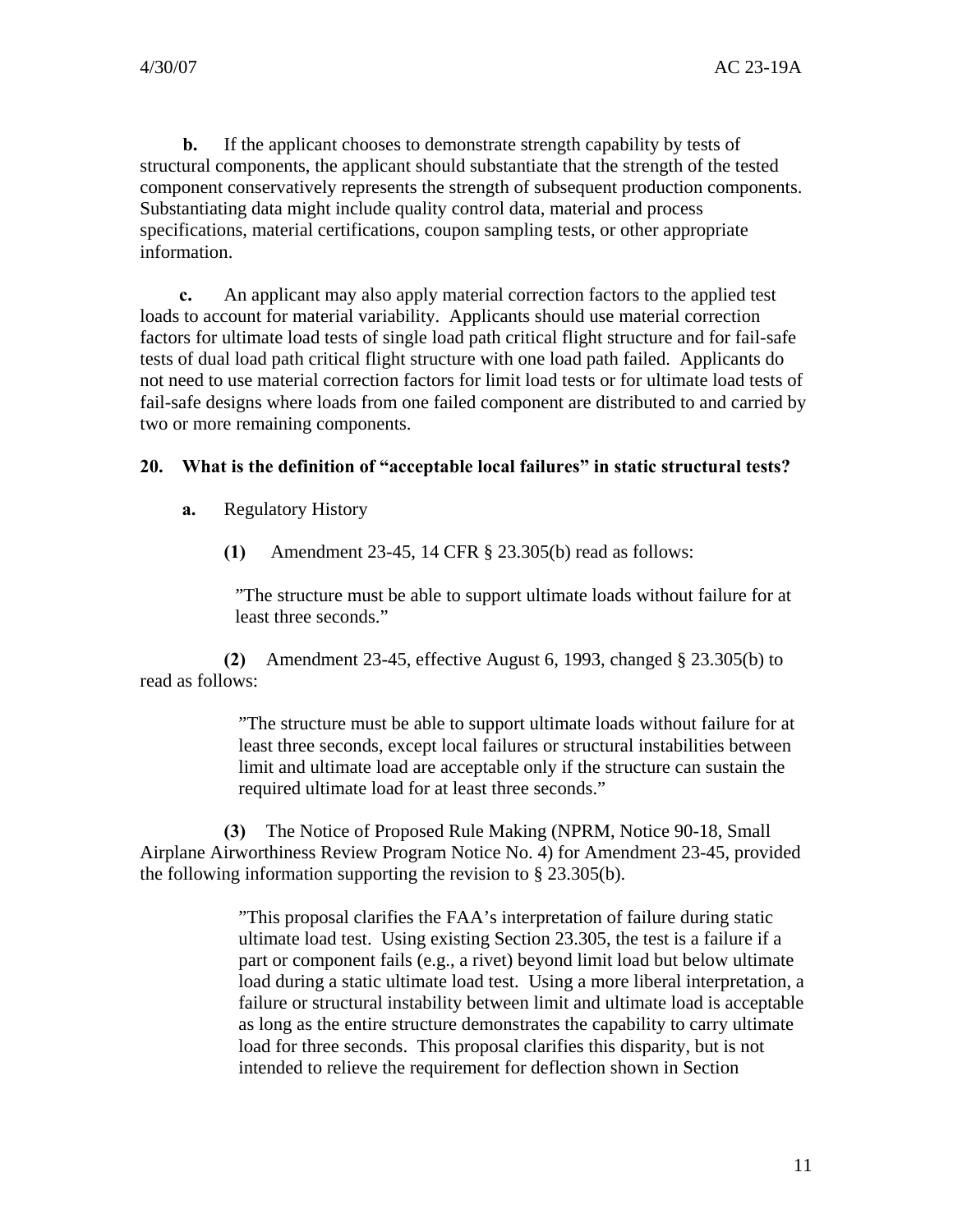**b.** If the applicant chooses to demonstrate strength capability by tests of structural components, the applicant should substantiate that the strength of the tested component conservatively represents the strength of subsequent production components. Substantiating data might include quality control data, material and process specifications, material certifications, coupon sampling tests, or other appropriate information.

**c.** An applicant may also apply material correction factors to the applied test loads to account for material variability. Applicants should use material correction factors for ultimate load tests of single load path critical flight structure and for fail-safe tests of dual load path critical flight structure with one load path failed. Applicants do not need to use material correction factors for limit load tests or for ultimate load tests of fail-safe designs where loads from one failed component are distributed to and carried by two or more remaining components.

#### **20. What is the definition of "acceptable local failures" in static structural tests?**

**a.** Regulatory History

**(1)** Amendment 23-45, 14 CFR § 23.305(b) read as follows:

"The structure must be able to support ultimate loads without failure for at least three seconds."

**(2)** Amendment 23-45, effective August 6, 1993, changed § 23.305(b) to read as follows:

> "The structure must be able to support ultimate loads without failure for at least three seconds, except local failures or structural instabilities between limit and ultimate load are acceptable only if the structure can sustain the required ultimate load for at least three seconds."

**(3)** The Notice of Proposed Rule Making (NPRM, Notice 90-18, Small Airplane Airworthiness Review Program Notice No. 4) for Amendment 23-45, provided the following information supporting the revision to § 23.305(b).

> "This proposal clarifies the FAA's interpretation of failure during static ultimate load test. Using existing Section 23.305, the test is a failure if a part or component fails (e.g., a rivet) beyond limit load but below ultimate load during a static ultimate load test. Using a more liberal interpretation, a failure or structural instability between limit and ultimate load is acceptable as long as the entire structure demonstrates the capability to carry ultimate load for three seconds. This proposal clarifies this disparity, but is not intended to relieve the requirement for deflection shown in Section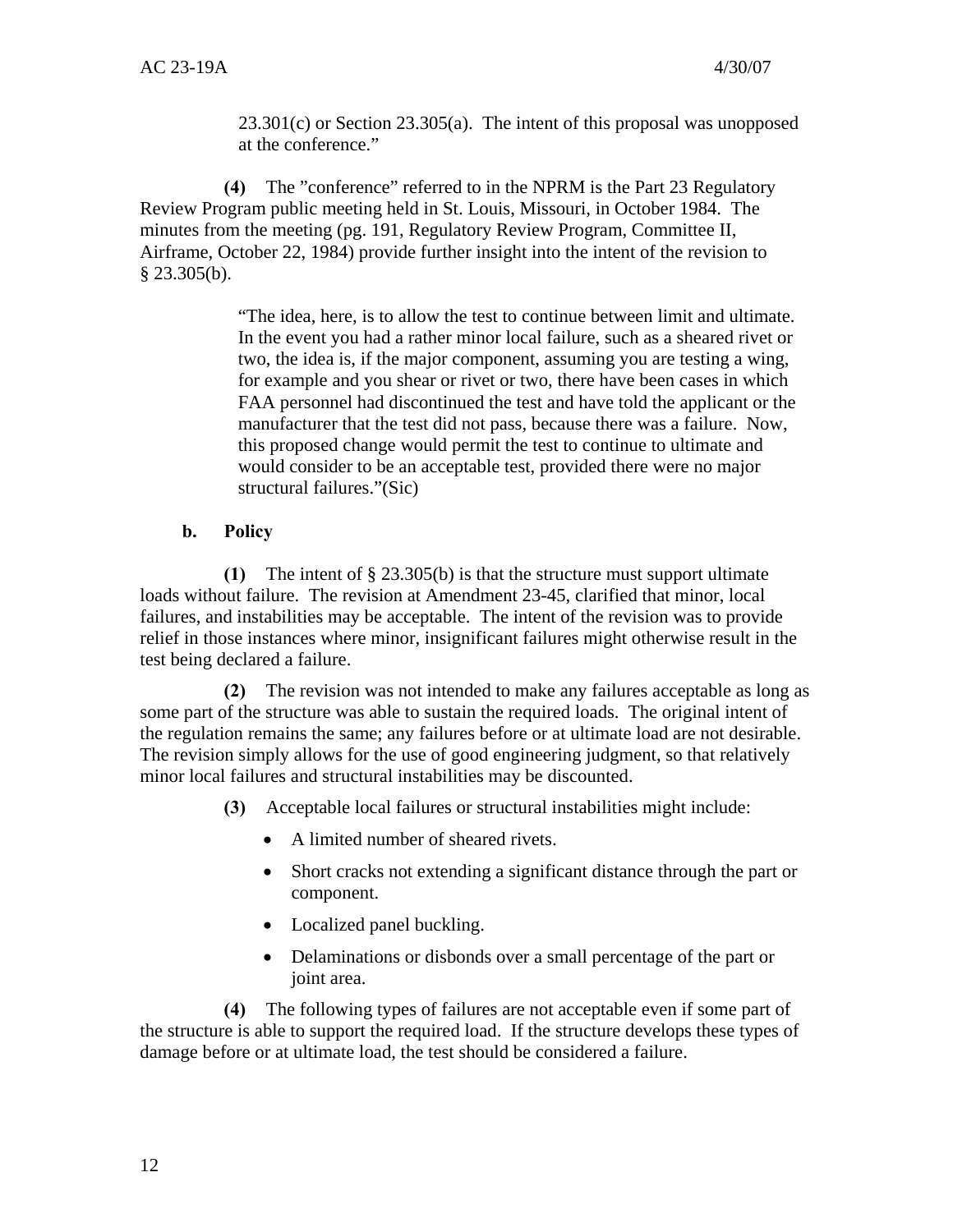23.301(c) or Section 23.305(a). The intent of this proposal was unopposed at the conference."

**(4)** The "conference" referred to in the NPRM is the Part 23 Regulatory Review Program public meeting held in St. Louis, Missouri, in October 1984. The minutes from the meeting (pg. 191, Regulatory Review Program, Committee II, Airframe, October 22, 1984) provide further insight into the intent of the revision to  $§$  23.305(b).

> "The idea, here, is to allow the test to continue between limit and ultimate. In the event you had a rather minor local failure, such as a sheared rivet or two, the idea is, if the major component, assuming you are testing a wing, for example and you shear or rivet or two, there have been cases in which FAA personnel had discontinued the test and have told the applicant or the manufacturer that the test did not pass, because there was a failure. Now, this proposed change would permit the test to continue to ultimate and would consider to be an acceptable test, provided there were no major structural failures."(Sic)

#### **b. Policy**

**(1)** The intent of § 23.305(b) is that the structure must support ultimate loads without failure. The revision at Amendment 23-45, clarified that minor, local failures, and instabilities may be acceptable. The intent of the revision was to provide relief in those instances where minor, insignificant failures might otherwise result in the test being declared a failure.

**(2)** The revision was not intended to make any failures acceptable as long as some part of the structure was able to sustain the required loads. The original intent of the regulation remains the same; any failures before or at ultimate load are not desirable. The revision simply allows for the use of good engineering judgment, so that relatively minor local failures and structural instabilities may be discounted.

- **(3)** Acceptable local failures or structural instabilities might include:
	- A limited number of sheared rivets.
	- Short cracks not extending a significant distance through the part or component.
	- Localized panel buckling.
	- Delaminations or disbonds over a small percentage of the part or joint area.

**(4)** The following types of failures are not acceptable even if some part of the structure is able to support the required load. If the structure develops these types of damage before or at ultimate load, the test should be considered a failure.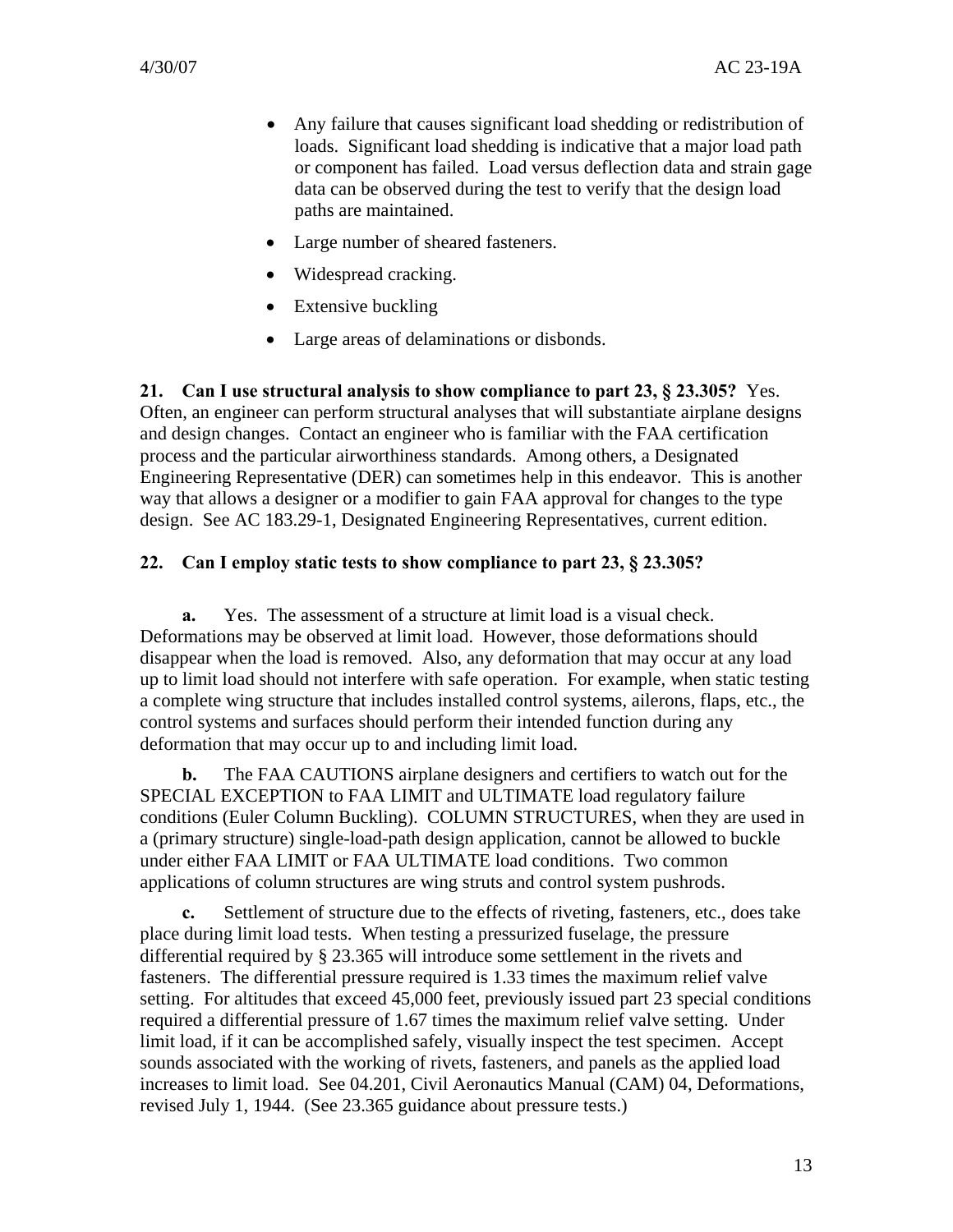- Any failure that causes significant load shedding or redistribution of loads. Significant load shedding is indicative that a major load path or component has failed. Load versus deflection data and strain gage data can be observed during the test to verify that the design load paths are maintained.
- Large number of sheared fasteners.
- Widespread cracking.
- Extensive buckling
- Large areas of delaminations or disbonds.

**21. Can I use structural analysis to show compliance to part 23, § 23.305?** Yes. Often, an engineer can perform structural analyses that will substantiate airplane designs and design changes. Contact an engineer who is familiar with the FAA certification process and the particular airworthiness standards. Among others, a Designated Engineering Representative (DER) can sometimes help in this endeavor. This is another way that allows a designer or a modifier to gain FAA approval for changes to the type design. See AC 183.29-1, Designated Engineering Representatives, current edition.

#### **22. Can I employ static tests to show compliance to part 23, § 23.305?**

**a.** Yes. The assessment of a structure at limit load is a visual check. Deformations may be observed at limit load. However, those deformations should disappear when the load is removed. Also, any deformation that may occur at any load up to limit load should not interfere with safe operation. For example, when static testing a complete wing structure that includes installed control systems, ailerons, flaps, etc., the control systems and surfaces should perform their intended function during any deformation that may occur up to and including limit load.

**b.** The FAA CAUTIONS airplane designers and certifiers to watch out for the SPECIAL EXCEPTION to FAA LIMIT and ULTIMATE load regulatory failure conditions (Euler Column Buckling). COLUMN STRUCTURES, when they are used in a (primary structure) single-load-path design application, cannot be allowed to buckle under either FAA LIMIT or FAA ULTIMATE load conditions. Two common applications of column structures are wing struts and control system pushrods.

**c.** Settlement of structure due to the effects of riveting, fasteners, etc., does take place during limit load tests. When testing a pressurized fuselage, the pressure differential required by § 23.365 will introduce some settlement in the rivets and fasteners. The differential pressure required is 1.33 times the maximum relief valve setting. For altitudes that exceed 45,000 feet, previously issued part 23 special conditions required a differential pressure of 1.67 times the maximum relief valve setting. Under limit load, if it can be accomplished safely, visually inspect the test specimen. Accept sounds associated with the working of rivets, fasteners, and panels as the applied load increases to limit load. See 04.201, Civil Aeronautics Manual (CAM) 04, Deformations, revised July 1, 1944. (See 23.365 guidance about pressure tests.)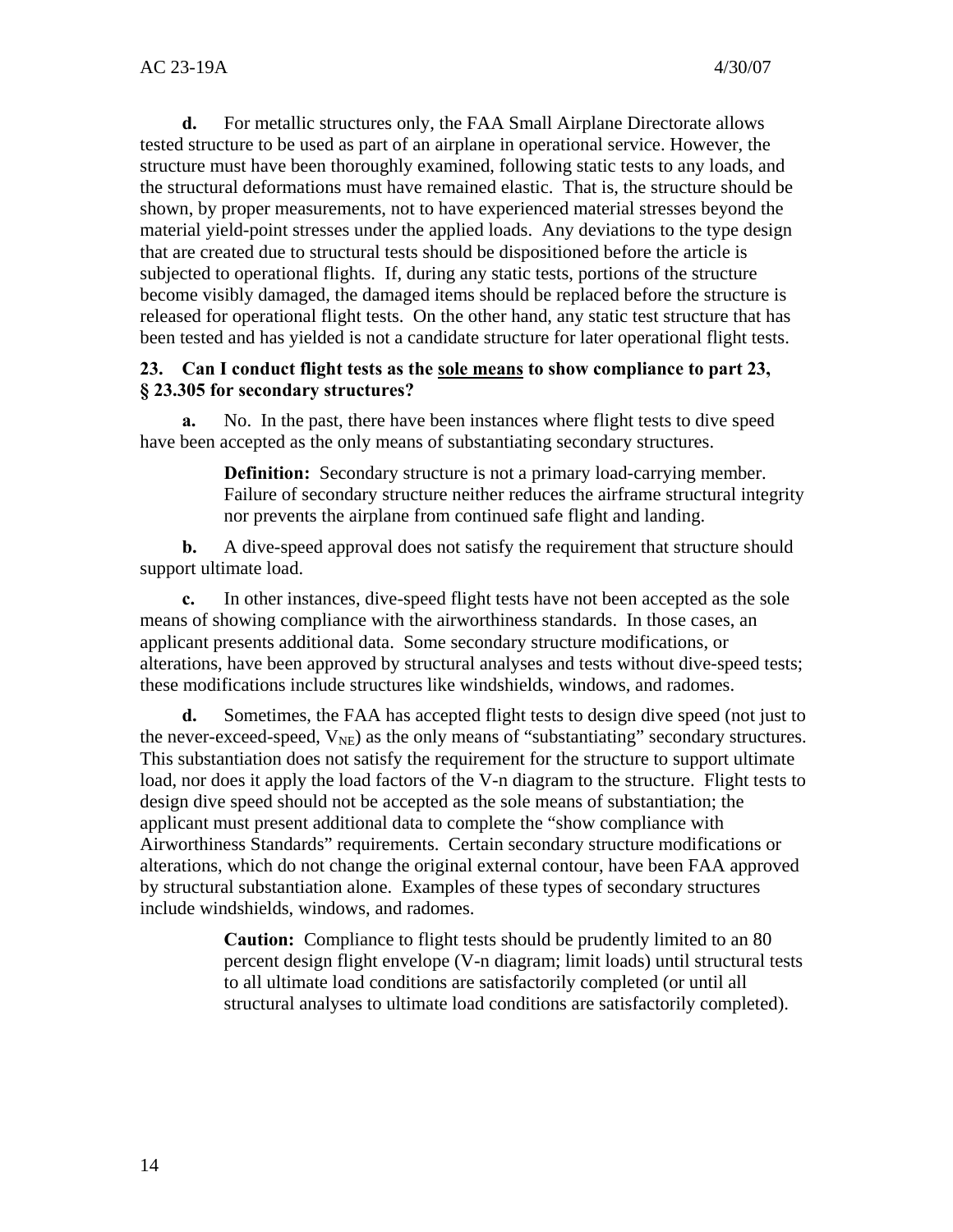**d.** For metallic structures only, the FAA Small Airplane Directorate allows tested structure to be used as part of an airplane in operational service. However, the structure must have been thoroughly examined, following static tests to any loads, and the structural deformations must have remained elastic. That is, the structure should be shown, by proper measurements, not to have experienced material stresses beyond the material yield-point stresses under the applied loads. Any deviations to the type design that are created due to structural tests should be dispositioned before the article is subjected to operational flights. If, during any static tests, portions of the structure become visibly damaged, the damaged items should be replaced before the structure is released for operational flight tests. On the other hand, any static test structure that has been tested and has yielded is not a candidate structure for later operational flight tests.

#### **23. Can I conduct flight tests as the sole means to show compliance to part 23, § 23.305 for secondary structures?**

**a.** No. In the past, there have been instances where flight tests to dive speed have been accepted as the only means of substantiating secondary structures.

> **Definition:** Secondary structure is not a primary load-carrying member. Failure of secondary structure neither reduces the airframe structural integrity nor prevents the airplane from continued safe flight and landing.

**b.** A dive-speed approval does not satisfy the requirement that structure should support ultimate load.

**c.** In other instances, dive-speed flight tests have not been accepted as the sole means of showing compliance with the airworthiness standards. In those cases, an applicant presents additional data. Some secondary structure modifications, or alterations, have been approved by structural analyses and tests without dive-speed tests; these modifications include structures like windshields, windows, and radomes.

**d.** Sometimes, the FAA has accepted flight tests to design dive speed (not just to the never-exceed-speed,  $V_{\text{NE}}$ ) as the only means of "substantiating" secondary structures. This substantiation does not satisfy the requirement for the structure to support ultimate load, nor does it apply the load factors of the V-n diagram to the structure. Flight tests to design dive speed should not be accepted as the sole means of substantiation; the applicant must present additional data to complete the "show compliance with Airworthiness Standards" requirements. Certain secondary structure modifications or alterations, which do not change the original external contour, have been FAA approved by structural substantiation alone. Examples of these types of secondary structures include windshields, windows, and radomes.

> **Caution:** Compliance to flight tests should be prudently limited to an 80 percent design flight envelope (V-n diagram; limit loads) until structural tests to all ultimate load conditions are satisfactorily completed (or until all structural analyses to ultimate load conditions are satisfactorily completed).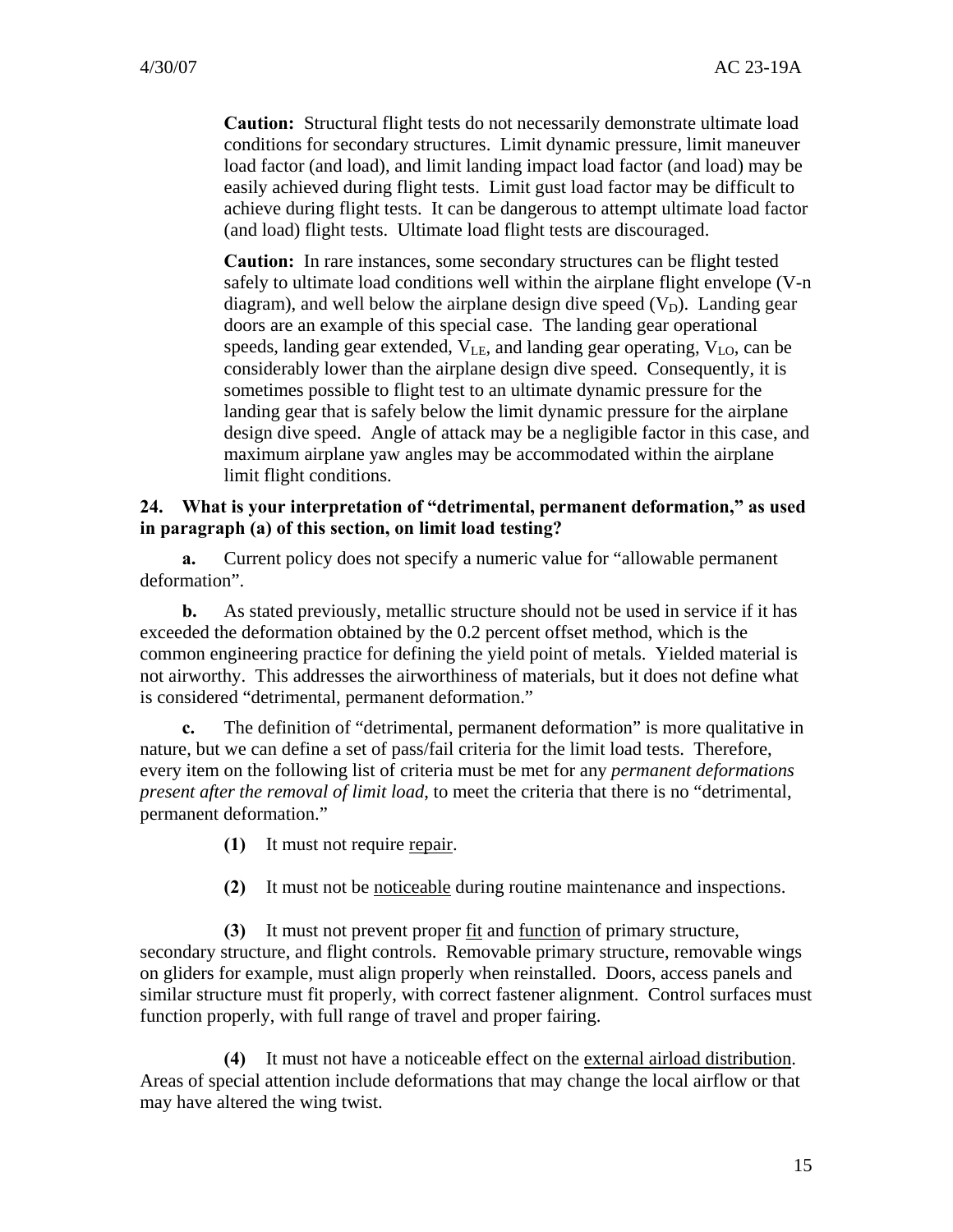**Caution:** Structural flight tests do not necessarily demonstrate ultimate load conditions for secondary structures. Limit dynamic pressure, limit maneuver load factor (and load), and limit landing impact load factor (and load) may be easily achieved during flight tests. Limit gust load factor may be difficult to achieve during flight tests. It can be dangerous to attempt ultimate load factor (and load) flight tests. Ultimate load flight tests are discouraged.

**Caution:** In rare instances, some secondary structures can be flight tested safely to ultimate load conditions well within the airplane flight envelope (V-n diagram), and well below the airplane design dive speed  $(V_D)$ . Landing gear doors are an example of this special case. The landing gear operational speeds, landing gear extended,  $V_{LE}$ , and landing gear operating,  $V_{LO}$ , can be considerably lower than the airplane design dive speed. Consequently, it is sometimes possible to flight test to an ultimate dynamic pressure for the landing gear that is safely below the limit dynamic pressure for the airplane design dive speed. Angle of attack may be a negligible factor in this case, and maximum airplane yaw angles may be accommodated within the airplane limit flight conditions.

#### **24. What is your interpretation of "detrimental, permanent deformation," as used in paragraph (a) of this section, on limit load testing?**

**a.** Current policy does not specify a numeric value for "allowable permanent deformation".

**b.** As stated previously, metallic structure should not be used in service if it has exceeded the deformation obtained by the 0.2 percent offset method, which is the common engineering practice for defining the yield point of metals. Yielded material is not airworthy. This addresses the airworthiness of materials, but it does not define what is considered "detrimental, permanent deformation."

**c.** The definition of "detrimental, permanent deformation" is more qualitative in nature, but we can define a set of pass/fail criteria for the limit load tests. Therefore, every item on the following list of criteria must be met for any *permanent deformations present after the removal of limit load*, to meet the criteria that there is no "detrimental, permanent deformation."

**(1)** It must not require repair.

**(2)** It must not be noticeable during routine maintenance and inspections.

**(3)** It must not prevent proper fit and function of primary structure, secondary structure, and flight controls. Removable primary structure, removable wings on gliders for example, must align properly when reinstalled. Doors, access panels and similar structure must fit properly, with correct fastener alignment. Control surfaces must function properly, with full range of travel and proper fairing.

**(4)** It must not have a noticeable effect on the external airload distribution. Areas of special attention include deformations that may change the local airflow or that may have altered the wing twist.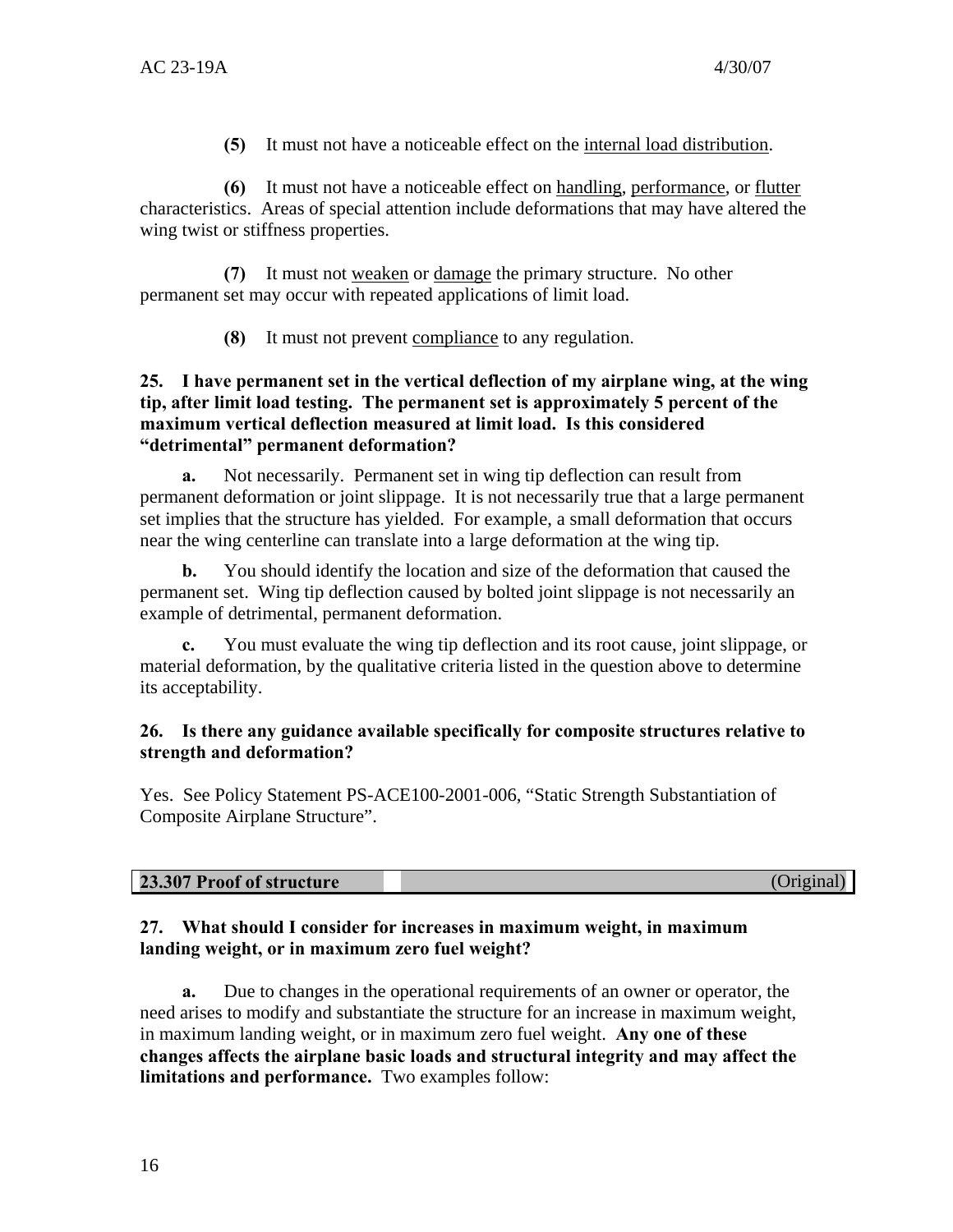**(5)** It must not have a noticeable effect on the internal load distribution.

**(6)** It must not have a noticeable effect on handling, performance, or flutter characteristics. Areas of special attention include deformations that may have altered the wing twist or stiffness properties.

**(7)** It must not weaken or damage the primary structure. No other permanent set may occur with repeated applications of limit load.

**(8)** It must not prevent compliance to any regulation.

#### **25. I have permanent set in the vertical deflection of my airplane wing, at the wing tip, after limit load testing. The permanent set is approximately 5 percent of the maximum vertical deflection measured at limit load. Is this considered "detrimental" permanent deformation?**

**a.** Not necessarily. Permanent set in wing tip deflection can result from permanent deformation or joint slippage. It is not necessarily true that a large permanent set implies that the structure has yielded. For example, a small deformation that occurs near the wing centerline can translate into a large deformation at the wing tip.

**b.** You should identify the location and size of the deformation that caused the permanent set. Wing tip deflection caused by bolted joint slippage is not necessarily an example of detrimental, permanent deformation.

**c.** You must evaluate the wing tip deflection and its root cause, joint slippage, or material deformation, by the qualitative criteria listed in the question above to determine its acceptability.

#### **26. Is there any guidance available specifically for composite structures relative to strength and deformation?**

Yes. See Policy Statement PS-ACE100-2001-006, "Static Strength Substantiation of Composite Airplane Structure".

| 23.307 Proof of structure | (Original) |
|---------------------------|------------|
|                           |            |

#### **27. What should I consider for increases in maximum weight, in maximum landing weight, or in maximum zero fuel weight?**

**a.** Due to changes in the operational requirements of an owner or operator, the need arises to modify and substantiate the structure for an increase in maximum weight, in maximum landing weight, or in maximum zero fuel weight. **Any one of these changes affects the airplane basic loads and structural integrity and may affect the limitations and performance.** Two examples follow: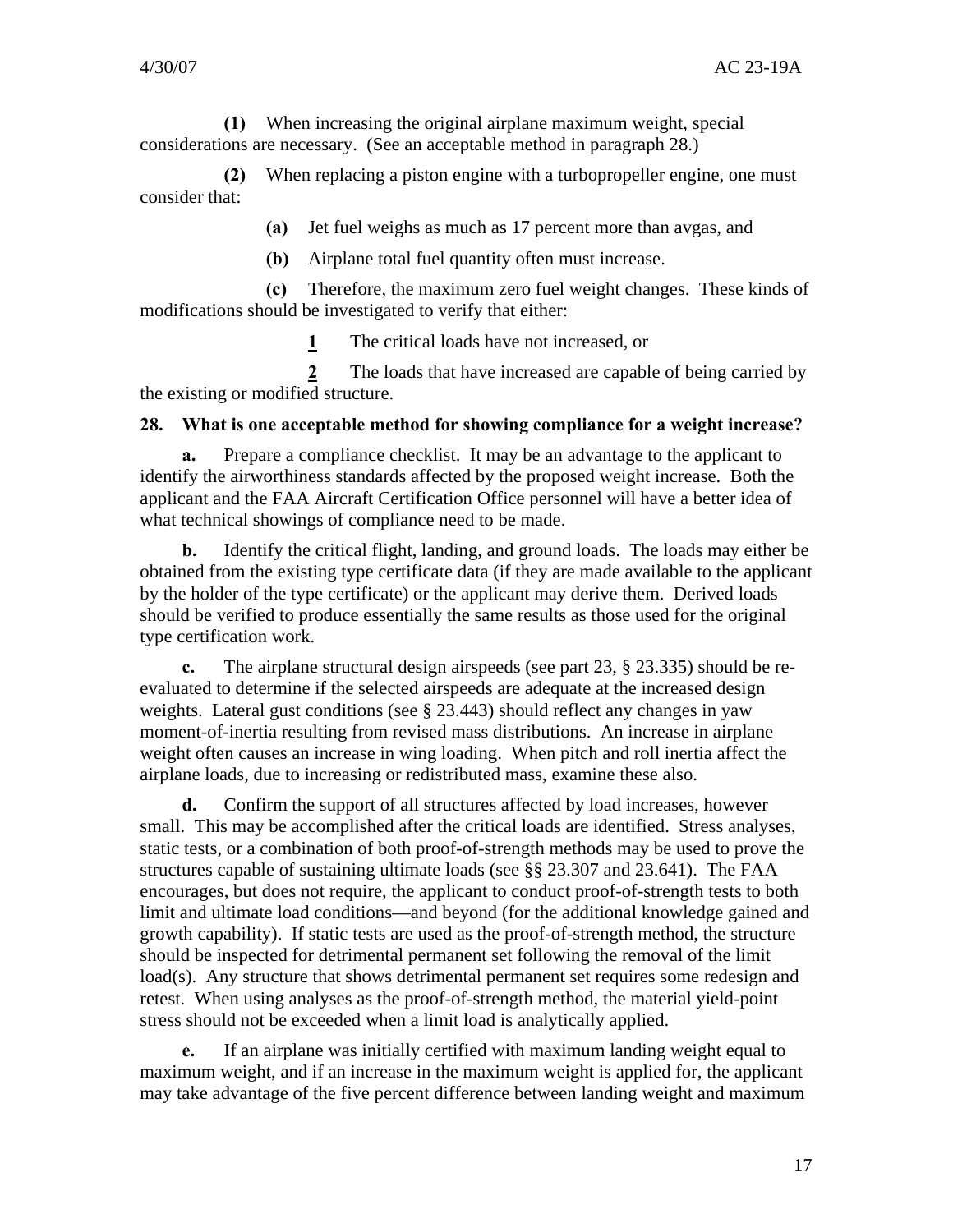**(1)** When increasing the original airplane maximum weight, special considerations are necessary. (See an acceptable method in paragraph 28.)

**(2)** When replacing a piston engine with a turbopropeller engine, one must consider that:

**(a)** Jet fuel weighs as much as 17 percent more than avgas, and

**(b)** Airplane total fuel quantity often must increase.

**(c)** Therefore, the maximum zero fuel weight changes. These kinds of modifications should be investigated to verify that either:

**1** The critical loads have not increased, or

**2** The loads that have increased are capable of being carried by the existing or modified structure.

#### **28. What is one acceptable method for showing compliance for a weight increase?**

**a.** Prepare a compliance checklist. It may be an advantage to the applicant to identify the airworthiness standards affected by the proposed weight increase. Both the applicant and the FAA Aircraft Certification Office personnel will have a better idea of what technical showings of compliance need to be made.

**b.** Identify the critical flight, landing, and ground loads. The loads may either be obtained from the existing type certificate data (if they are made available to the applicant by the holder of the type certificate) or the applicant may derive them. Derived loads should be verified to produce essentially the same results as those used for the original type certification work.

**c.** The airplane structural design airspeeds (see part 23, § 23.335) should be reevaluated to determine if the selected airspeeds are adequate at the increased design weights. Lateral gust conditions (see § 23.443) should reflect any changes in yaw moment-of-inertia resulting from revised mass distributions. An increase in airplane weight often causes an increase in wing loading. When pitch and roll inertia affect the airplane loads, due to increasing or redistributed mass, examine these also.

**d.** Confirm the support of all structures affected by load increases, however small. This may be accomplished after the critical loads are identified. Stress analyses, static tests, or a combination of both proof-of-strength methods may be used to prove the structures capable of sustaining ultimate loads (see §§ 23.307 and 23.641). The FAA encourages, but does not require, the applicant to conduct proof-of-strength tests to both limit and ultimate load conditions—and beyond (for the additional knowledge gained and growth capability). If static tests are used as the proof-of-strength method, the structure should be inspected for detrimental permanent set following the removal of the limit load(s). Any structure that shows detrimental permanent set requires some redesign and retest. When using analyses as the proof-of-strength method, the material yield-point stress should not be exceeded when a limit load is analytically applied.

**e.** If an airplane was initially certified with maximum landing weight equal to maximum weight, and if an increase in the maximum weight is applied for, the applicant may take advantage of the five percent difference between landing weight and maximum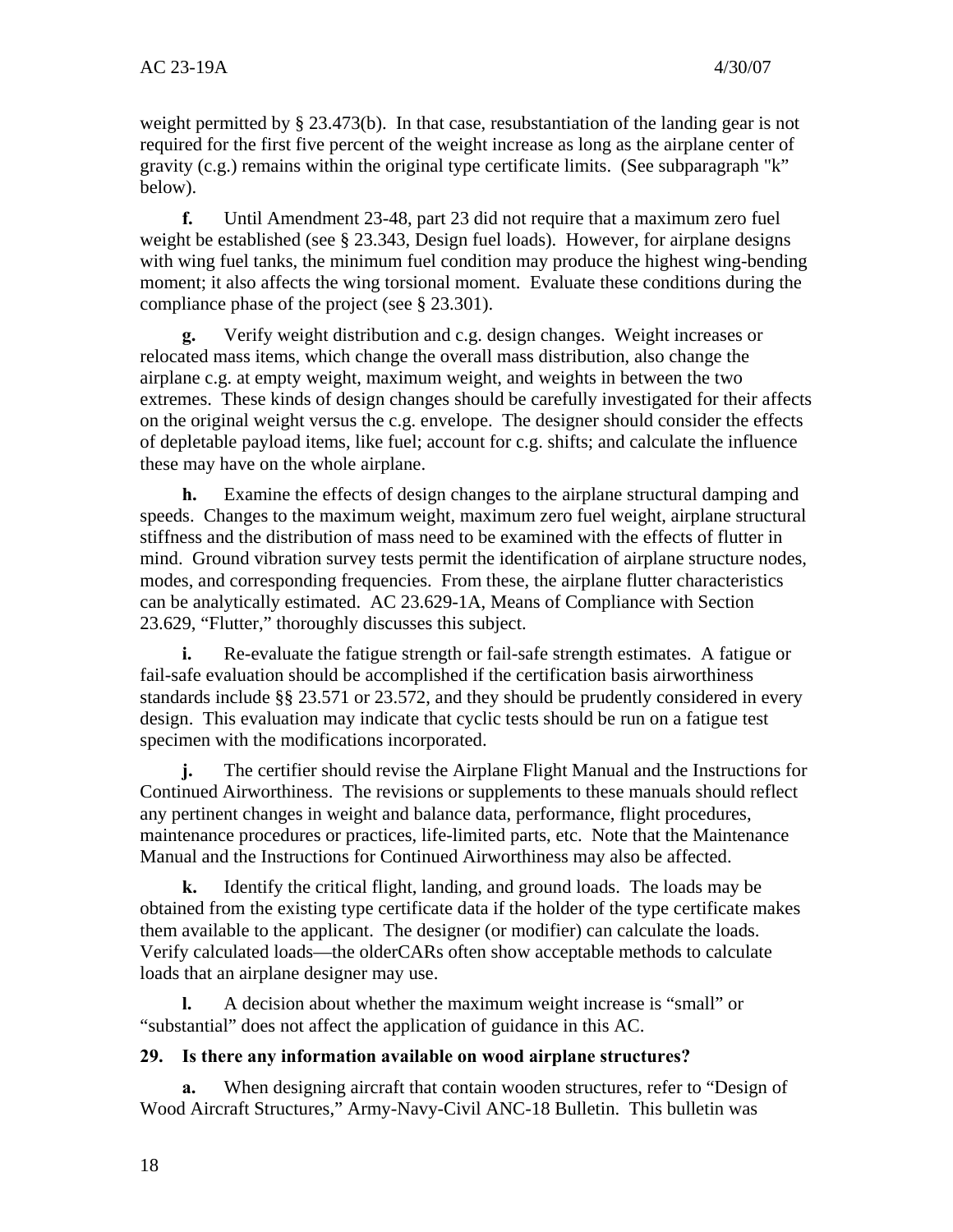weight permitted by § 23.473(b). In that case, resubstantiation of the landing gear is not required for the first five percent of the weight increase as long as the airplane center of gravity (c.g.) remains within the original type certificate limits. (See subparagraph "k" below).

**f.** Until Amendment 23-48, part 23 did not require that a maximum zero fuel weight be established (see § 23.343, Design fuel loads). However, for airplane designs with wing fuel tanks, the minimum fuel condition may produce the highest wing-bending moment; it also affects the wing torsional moment. Evaluate these conditions during the compliance phase of the project (see § 23.301).

**g.** Verify weight distribution and c.g. design changes. Weight increases or relocated mass items, which change the overall mass distribution, also change the airplane c.g. at empty weight, maximum weight, and weights in between the two extremes. These kinds of design changes should be carefully investigated for their affects on the original weight versus the c.g. envelope. The designer should consider the effects of depletable payload items, like fuel; account for c.g. shifts; and calculate the influence these may have on the whole airplane.

**h.** Examine the effects of design changes to the airplane structural damping and speeds. Changes to the maximum weight, maximum zero fuel weight, airplane structural stiffness and the distribution of mass need to be examined with the effects of flutter in mind. Ground vibration survey tests permit the identification of airplane structure nodes, modes, and corresponding frequencies. From these, the airplane flutter characteristics can be analytically estimated. AC 23.629-1A, Means of Compliance with Section 23.629, "Flutter," thoroughly discusses this subject.

**i.** Re-evaluate the fatigue strength or fail-safe strength estimates. A fatigue or fail-safe evaluation should be accomplished if the certification basis airworthiness standards include §§ 23.571 or 23.572, and they should be prudently considered in every design. This evaluation may indicate that cyclic tests should be run on a fatigue test specimen with the modifications incorporated.

**j.** The certifier should revise the Airplane Flight Manual and the Instructions for Continued Airworthiness. The revisions or supplements to these manuals should reflect any pertinent changes in weight and balance data, performance, flight procedures, maintenance procedures or practices, life-limited parts, etc. Note that the Maintenance Manual and the Instructions for Continued Airworthiness may also be affected.

**k.** Identify the critical flight, landing, and ground loads. The loads may be obtained from the existing type certificate data if the holder of the type certificate makes them available to the applicant. The designer (or modifier) can calculate the loads. Verify calculated loads—the olderCARs often show acceptable methods to calculate loads that an airplane designer may use.

**l.** A decision about whether the maximum weight increase is "small" or "substantial" does not affect the application of guidance in this AC.

## **29. Is there any information available on wood airplane structures?**

**a.** When designing aircraft that contain wooden structures, refer to "Design of Wood Aircraft Structures," Army-Navy-Civil ANC-18 Bulletin. This bulletin was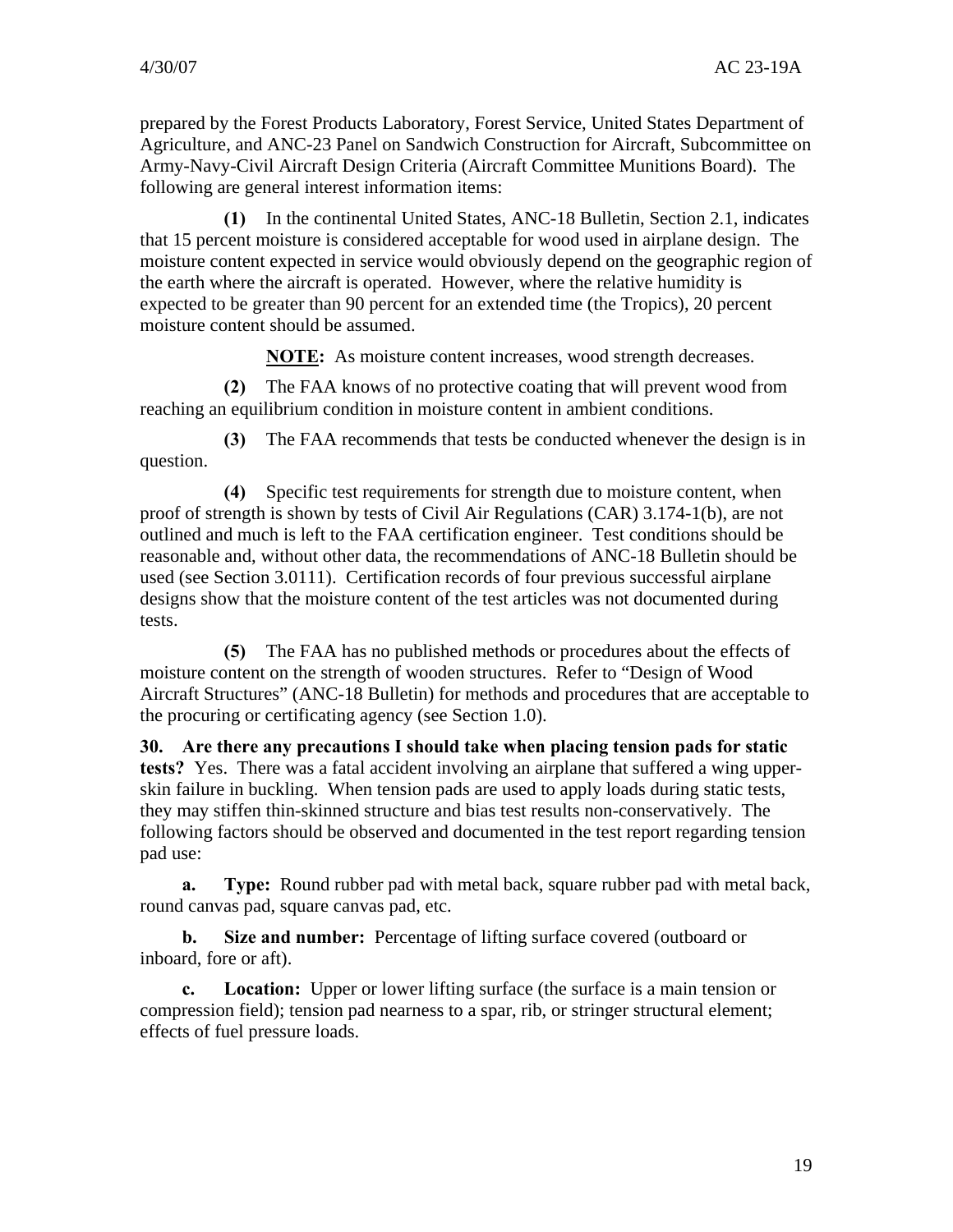prepared by the Forest Products Laboratory, Forest Service, United States Department of Agriculture, and ANC-23 Panel on Sandwich Construction for Aircraft, Subcommittee on Army-Navy-Civil Aircraft Design Criteria (Aircraft Committee Munitions Board). The following are general interest information items:

**(1)** In the continental United States, ANC-18 Bulletin, Section 2.1, indicates that 15 percent moisture is considered acceptable for wood used in airplane design. The moisture content expected in service would obviously depend on the geographic region of the earth where the aircraft is operated. However, where the relative humidity is expected to be greater than 90 percent for an extended time (the Tropics), 20 percent moisture content should be assumed.

**NOTE:** As moisture content increases, wood strength decreases.

**(2)** The FAA knows of no protective coating that will prevent wood from reaching an equilibrium condition in moisture content in ambient conditions.

**(3)** The FAA recommends that tests be conducted whenever the design is in question.

**(4)** Specific test requirements for strength due to moisture content, when proof of strength is shown by tests of Civil Air Regulations (CAR) 3.174-1(b), are not outlined and much is left to the FAA certification engineer. Test conditions should be reasonable and, without other data, the recommendations of ANC-18 Bulletin should be used (see Section 3.0111). Certification records of four previous successful airplane designs show that the moisture content of the test articles was not documented during tests.

**(5)** The FAA has no published methods or procedures about the effects of moisture content on the strength of wooden structures. Refer to "Design of Wood Aircraft Structures" (ANC-18 Bulletin) for methods and procedures that are acceptable to the procuring or certificating agency (see Section 1.0).

**30. Are there any precautions I should take when placing tension pads for static tests?** Yes. There was a fatal accident involving an airplane that suffered a wing upperskin failure in buckling. When tension pads are used to apply loads during static tests, they may stiffen thin-skinned structure and bias test results non-conservatively. The following factors should be observed and documented in the test report regarding tension pad use:

**a. Type:** Round rubber pad with metal back, square rubber pad with metal back, round canvas pad, square canvas pad, etc.

**b. Size and number:** Percentage of lifting surface covered (outboard or inboard, fore or aft).

**c. Location:** Upper or lower lifting surface (the surface is a main tension or compression field); tension pad nearness to a spar, rib, or stringer structural element; effects of fuel pressure loads.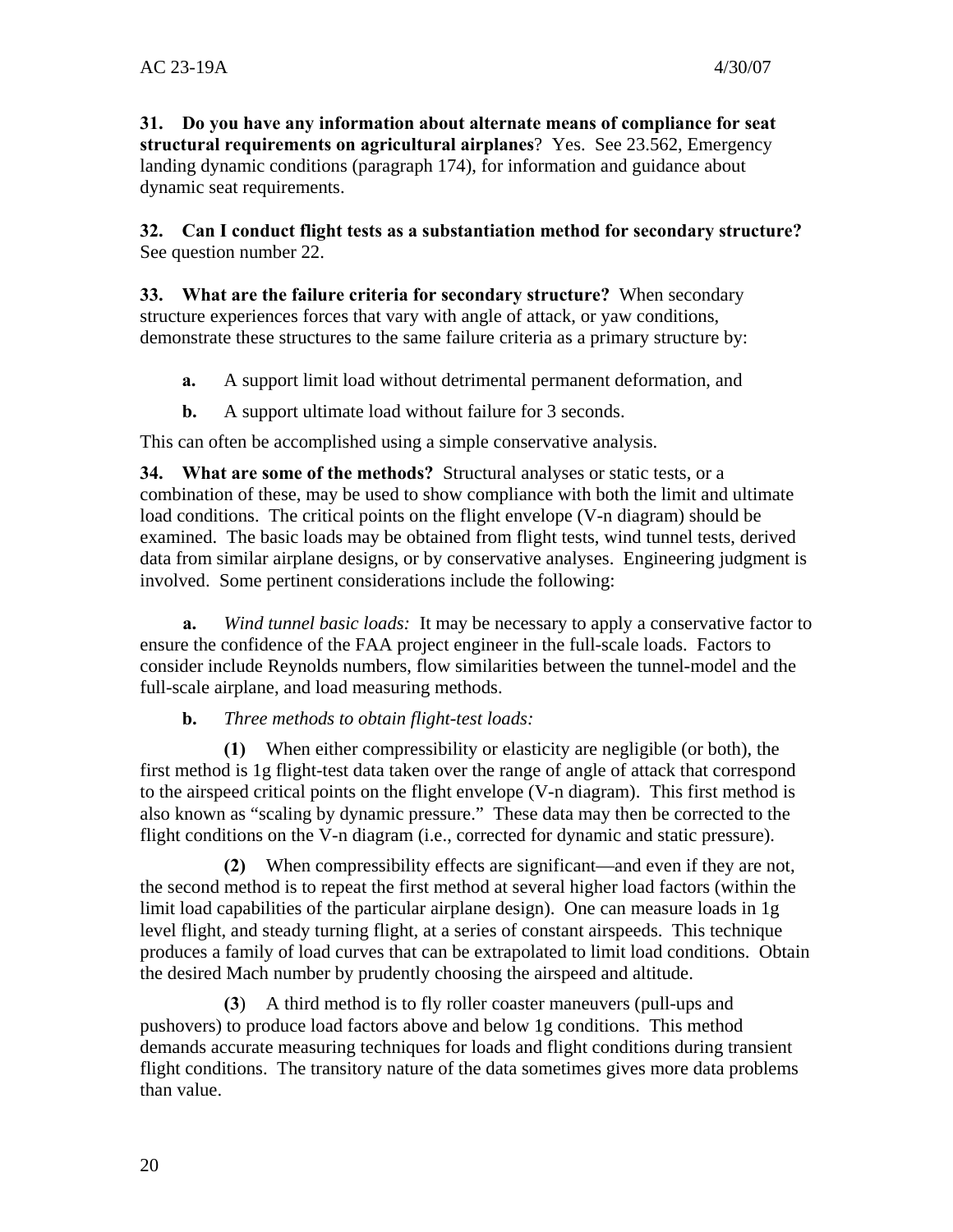**31. Do you have any information about alternate means of compliance for seat structural requirements on agricultural airplanes**? Yes. See 23.562, Emergency landing dynamic conditions (paragraph 174), for information and guidance about dynamic seat requirements.

**32. Can I conduct flight tests as a substantiation method for secondary structure?**  See question number 22.

**33. What are the failure criteria for secondary structure?** When secondary structure experiences forces that vary with angle of attack, or yaw conditions, demonstrate these structures to the same failure criteria as a primary structure by:

- **a.** A support limit load without detrimental permanent deformation, and
- **b.** A support ultimate load without failure for 3 seconds.

This can often be accomplished using a simple conservative analysis.

**34. What are some of the methods?** Structural analyses or static tests, or a combination of these, may be used to show compliance with both the limit and ultimate load conditions. The critical points on the flight envelope (V-n diagram) should be examined. The basic loads may be obtained from flight tests, wind tunnel tests, derived data from similar airplane designs, or by conservative analyses. Engineering judgment is involved. Some pertinent considerations include the following:

**a.** *Wind tunnel basic loads:* It may be necessary to apply a conservative factor to ensure the confidence of the FAA project engineer in the full-scale loads. Factors to consider include Reynolds numbers, flow similarities between the tunnel-model and the full-scale airplane, and load measuring methods.

#### **b.** *Three methods to obtain flight-test loads:*

**(1)** When either compressibility or elasticity are negligible (or both), the first method is 1g flight-test data taken over the range of angle of attack that correspond to the airspeed critical points on the flight envelope (V-n diagram). This first method is also known as "scaling by dynamic pressure." These data may then be corrected to the flight conditions on the V-n diagram (i.e., corrected for dynamic and static pressure).

**(2)** When compressibility effects are significant—and even if they are not, the second method is to repeat the first method at several higher load factors (within the limit load capabilities of the particular airplane design). One can measure loads in 1g level flight, and steady turning flight, at a series of constant airspeeds. This technique produces a family of load curves that can be extrapolated to limit load conditions. Obtain the desired Mach number by prudently choosing the airspeed and altitude.

**(3**) A third method is to fly roller coaster maneuvers (pull-ups and pushovers) to produce load factors above and below 1g conditions. This method demands accurate measuring techniques for loads and flight conditions during transient flight conditions. The transitory nature of the data sometimes gives more data problems than value.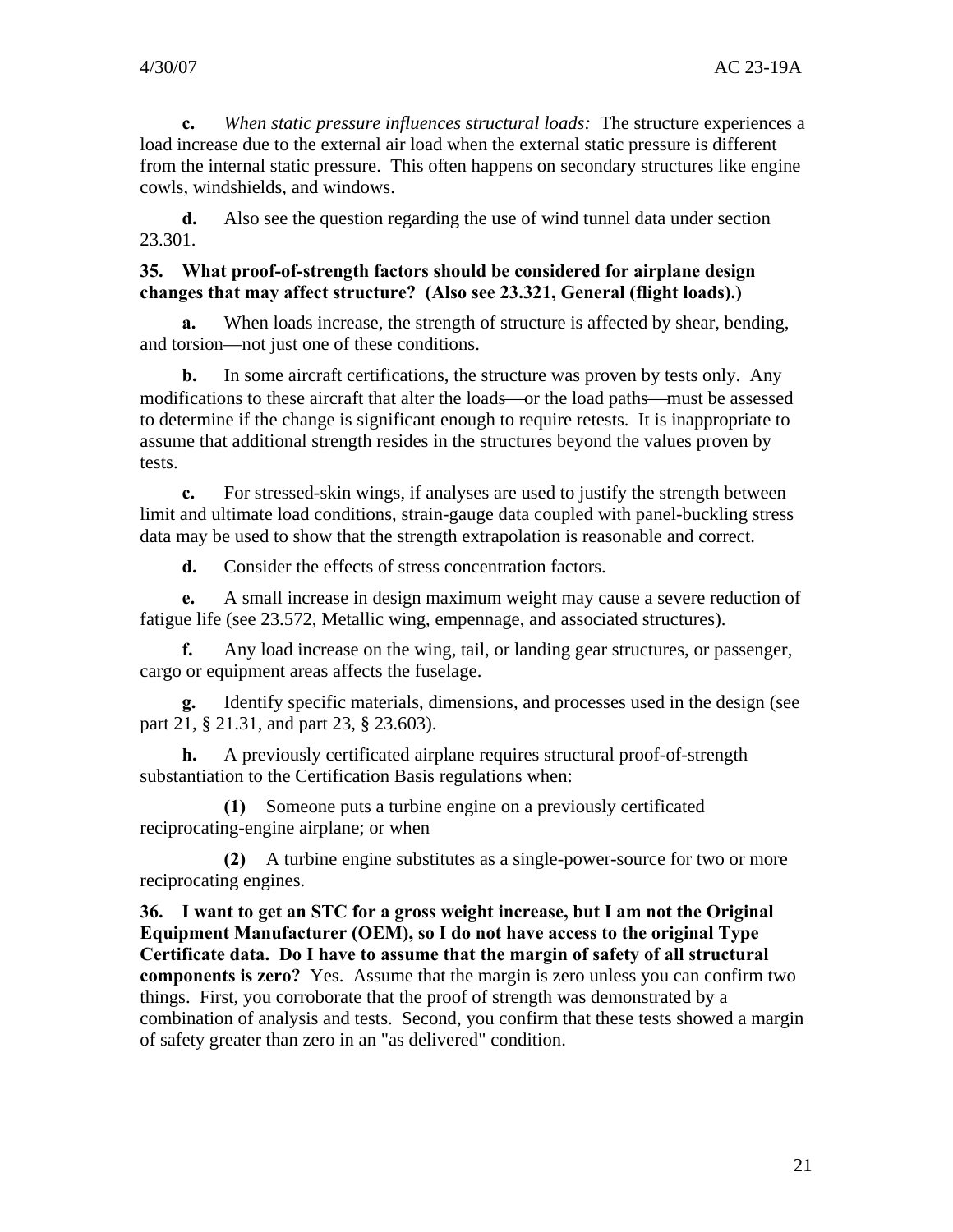**c.** *When static pressure influences structural loads:* The structure experiences a load increase due to the external air load when the external static pressure is different from the internal static pressure. This often happens on secondary structures like engine cowls, windshields, and windows.

**d.** Also see the question regarding the use of wind tunnel data under section 23.301.

#### **35. What proof-of-strength factors should be considered for airplane design changes that may affect structure? (Also see 23.321, General (flight loads).)**

**a.** When loads increase, the strength of structure is affected by shear, bending, and torsion—not just one of these conditions.

**b.** In some aircraft certifications, the structure was proven by tests only. Any modifications to these aircraft that alter the loads—or the load paths—must be assessed to determine if the change is significant enough to require retests. It is inappropriate to assume that additional strength resides in the structures beyond the values proven by tests.

**c.** For stressed-skin wings, if analyses are used to justify the strength between limit and ultimate load conditions, strain-gauge data coupled with panel-buckling stress data may be used to show that the strength extrapolation is reasonable and correct.

**d.** Consider the effects of stress concentration factors.

**e.** A small increase in design maximum weight may cause a severe reduction of fatigue life (see 23.572, Metallic wing, empennage, and associated structures).

**f.** Any load increase on the wing, tail, or landing gear structures, or passenger, cargo or equipment areas affects the fuselage.

**g.** Identify specific materials, dimensions, and processes used in the design (see part 21, § 21.31, and part 23, § 23.603).

**h.** A previously certificated airplane requires structural proof-of-strength substantiation to the Certification Basis regulations when:

**(1)** Someone puts a turbine engine on a previously certificated reciprocating-engine airplane; or when

**(2)** A turbine engine substitutes as a single-power-source for two or more reciprocating engines.

**36. I want to get an STC for a gross weight increase, but I am not the Original Equipment Manufacturer (OEM), so I do not have access to the original Type Certificate data. Do I have to assume that the margin of safety of all structural components is zero?** Yes. Assume that the margin is zero unless you can confirm two things. First, you corroborate that the proof of strength was demonstrated by a combination of analysis and tests. Second, you confirm that these tests showed a margin of safety greater than zero in an "as delivered" condition.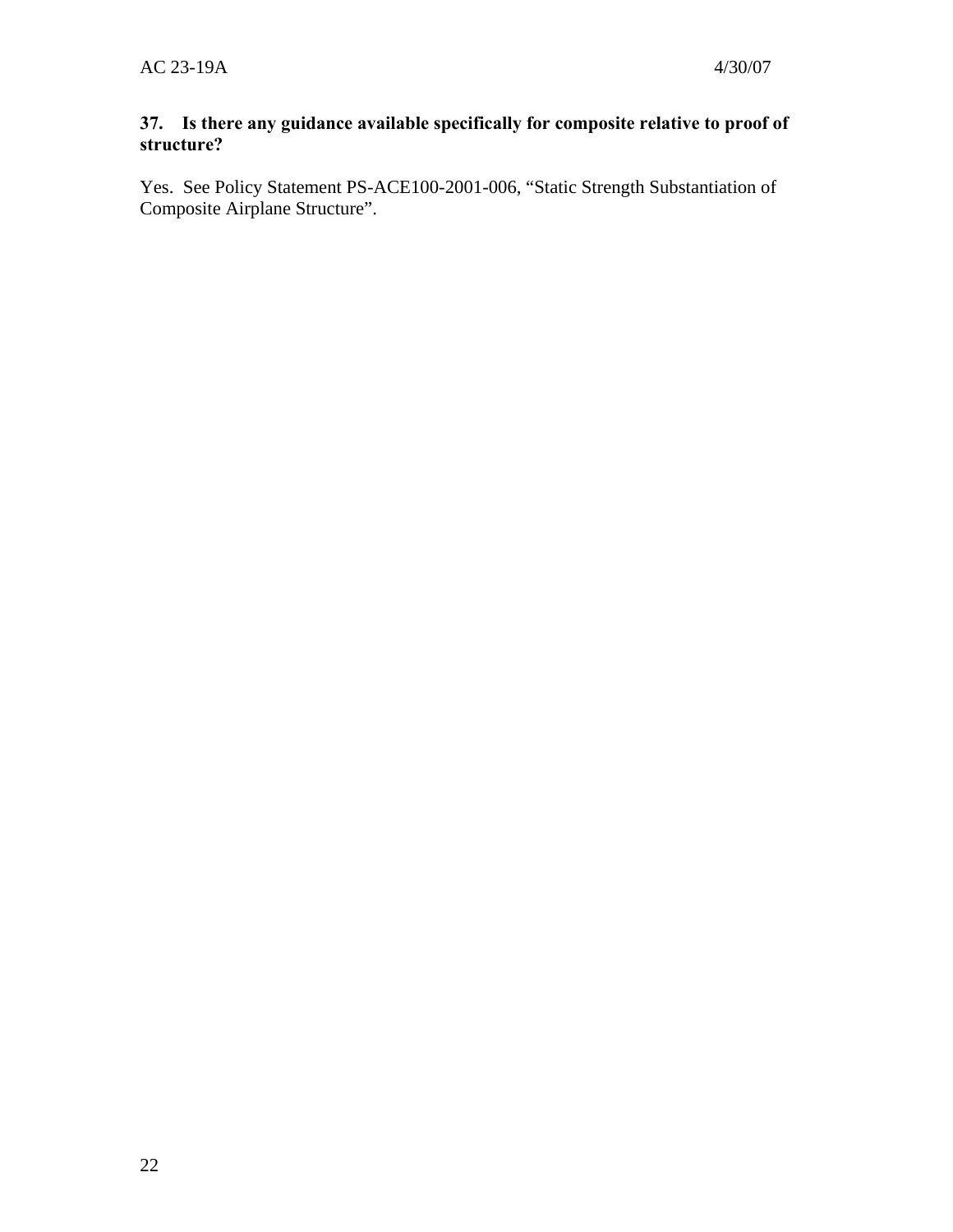## **37. Is there any guidance available specifically for composite relative to proof of structure?**

Yes. See Policy Statement PS-ACE100-2001-006, "Static Strength Substantiation of Composite Airplane Structure".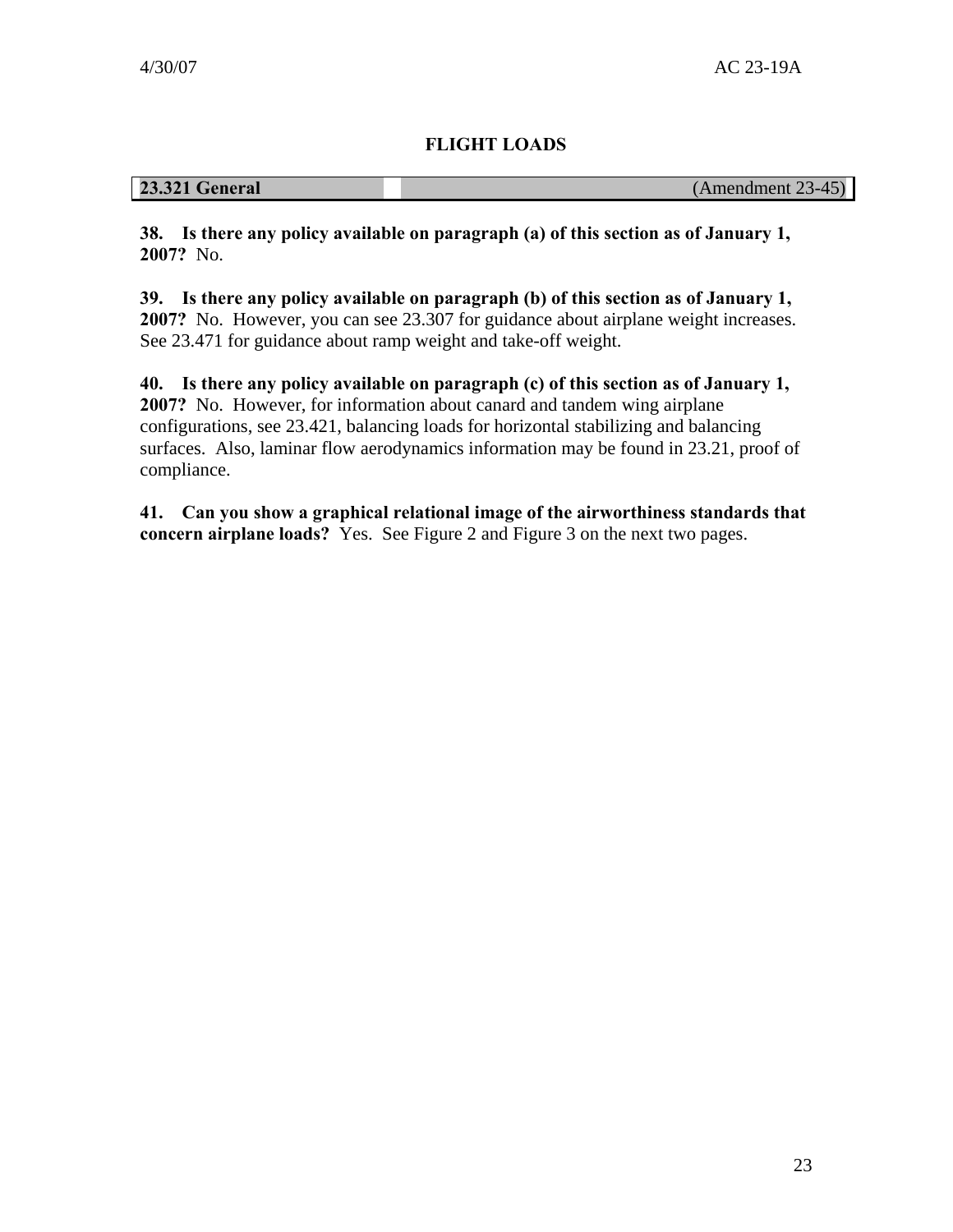## **FLIGHT LOADS**

## <span id="page-26-0"></span>**23.321 General** (Amendment 23-45)

**38. Is there any policy available on paragraph (a) of this section as of January 1, 2007?** No.

**39. Is there any policy available on paragraph (b) of this section as of January 1, 2007?** No. However, you can see 23.307 for guidance about airplane weight increases. See 23.471 for guidance about ramp weight and take-off weight.

**40. Is there any policy available on paragraph (c) of this section as of January 1, 2007?** No. However, for information about canard and tandem wing airplane configurations, see 23.421, balancing loads for horizontal stabilizing and balancing surfaces. Also, laminar flow aerodynamics information may be found in 23.21, proof of compliance.

**41. Can you show a graphical relational image of the airworthiness standards that concern airplane loads?** Yes. See Figure 2 and Figure 3 on the next two pages.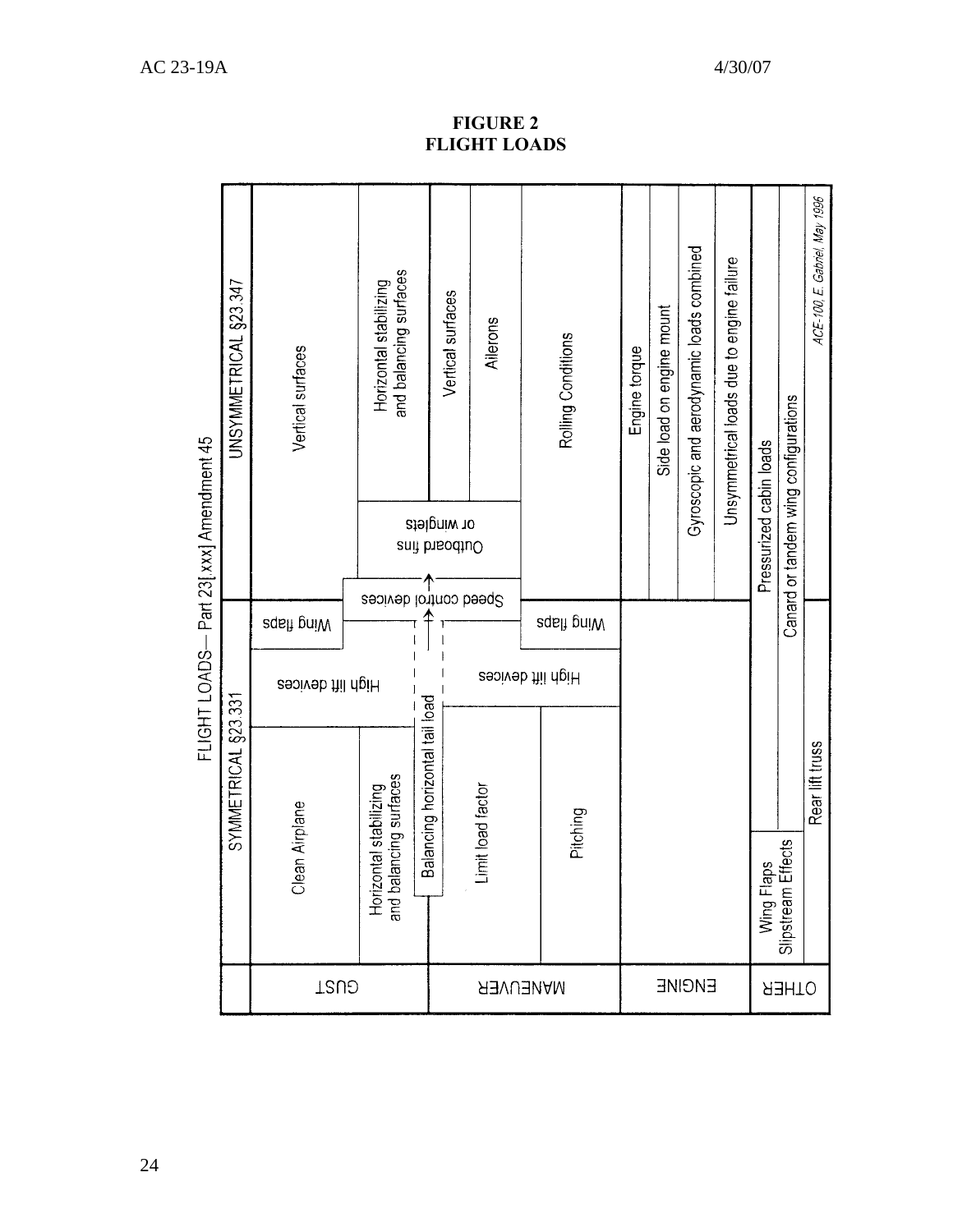|                 |                                                                    |                                |                   |                   | FLIGHT LOADS— Part 23[.xxx] Amendment 45 |                                                  |
|-----------------|--------------------------------------------------------------------|--------------------------------|-------------------|-------------------|------------------------------------------|--------------------------------------------------|
|                 |                                                                    | SYMMETRICAL §23.331            |                   |                   |                                          | UNSYMMETRICAL §23.347                            |
| <b>TSUS</b>     | Clean Airplane                                                     |                                | High lift devices | <b>sdeft pniW</b> |                                          | Vertical surfaces                                |
|                 | ancing surfaces<br>Horizontal stabilizing<br>and balancing surface |                                |                   |                   | Speed control devices                    | and balancing surfaces<br>Horizontal stabilizing |
|                 |                                                                    | Balancing horizontal tail load |                   |                   | or winglets<br>Outboard fins             | Vertical surfaces                                |
| <b>MANEUVER</b> | init load factor                                                   |                                | High lift devices |                   |                                          | Allerons                                         |
|                 |                                                                    |                                |                   |                   |                                          |                                                  |
|                 | Pitching                                                           |                                |                   | eqsh pniW         |                                          | Rolling Conditions                               |
|                 |                                                                    |                                |                   |                   |                                          | Engine torque                                    |
|                 |                                                                    |                                |                   |                   |                                          | Side load on engine mount                        |
| ENGINE          |                                                                    |                                |                   |                   |                                          | Gyroscopic and aerodynamic loads combined        |
|                 |                                                                    |                                |                   |                   |                                          | Unsymmetrical loads due to engine failure        |
|                 | Wing Flaps<br>Slipstream Effects                                   |                                |                   |                   | Pressurized cabin loads                  |                                                  |
| OTHER           |                                                                    |                                |                   |                   |                                          | Canard or tandem wing configurations             |
|                 |                                                                    | Rear lift truss                |                   |                   |                                          | ACE-100, E. Gabriel, May 1996                    |

**FIGURE 2 FLIGHT LOADS**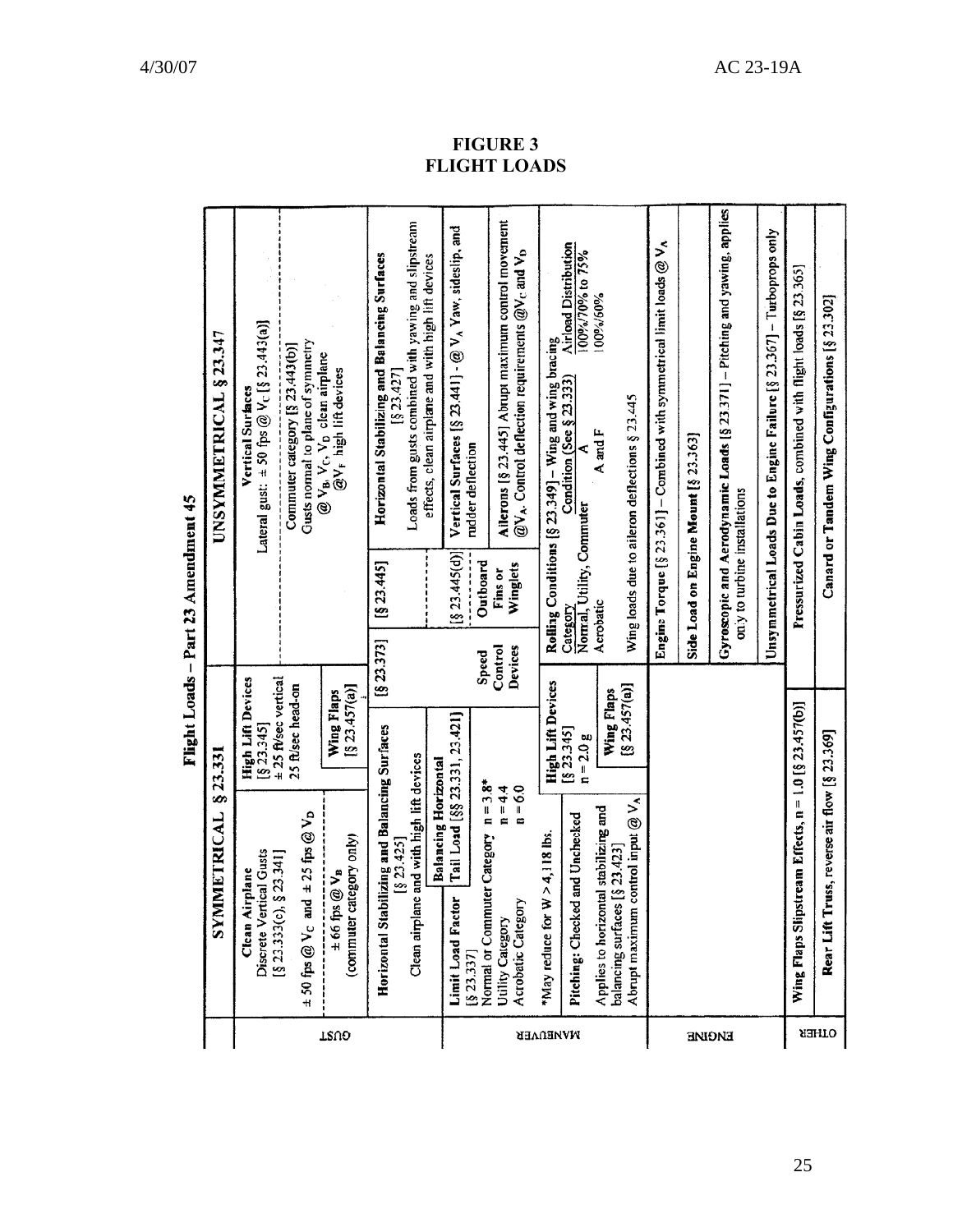<span id="page-28-0"></span>

|          |                                                                                                         | cnear ristin                              | $\frac{1}{2}$ and $\frac{1}{2}$ and $\frac{1}{2}$ and $\frac{1}{2}$ and $\frac{1}{2}$ and $\frac{1}{2}$ and $\frac{1}{2}$ |                                                                                                                    |
|----------|---------------------------------------------------------------------------------------------------------|-------------------------------------------|---------------------------------------------------------------------------------------------------------------------------|--------------------------------------------------------------------------------------------------------------------|
|          | SYMMETRICAL                                                                                             | §23.331                                   |                                                                                                                           | UNSYMMETRICAL § 23.347                                                                                             |
|          | Discrete Vertical Gusts<br>Clean Airplane                                                               | <b>High Lift Devices</b><br>[823.345]     |                                                                                                                           | Lateral gust: $\pm$ 50 fps @ V <sub>c</sub> [§ 23.443(a)]<br>Vertical Surfaces                                     |
|          | id $\pm 25$ fps $@V_D$<br>\$23.341]<br>[§ 23.333(c),<br>$\pm$ 50 fps @ $V_c$ an                         | ± 25 ft/sec vertical<br>25 ft/sec head-on |                                                                                                                           | Gusts normal to plane of symmetry<br>Commuter category [§ 23.443(b)]                                               |
| TRUO     | (commuter category only)<br>$\pm 66$ fps $@V_B$                                                         | [§ 23.457(a)]<br>Wing Flaps               |                                                                                                                           | @ V <sub>B</sub> , V <sub>C</sub> , V <sub>D</sub> clean airplane<br>@V <sub>F</sub> high lift devices             |
|          | Horizontal Stabilizing and Balancing Surfaces<br>Clean airplane and with high lift devices<br>[823.425] |                                           | [§ 23.445]<br>$[8\,23.373]$                                                                                               | Loads from gusts combined with yawing and slipstream<br>Horizontal Stabilizing and Balancing Surfaces<br>[523.427] |
|          | <b>Balancing Horizontal</b>                                                                             |                                           |                                                                                                                           | effects, clean airplane and with high lift devices                                                                 |
|          | Tail Load [§§ 23.331, 23.421]<br><b>Limit Load Factor</b><br>$[8\,23.337]$                              |                                           | [§ 23.445(d)]                                                                                                             | Vertical Surfaces $[§ 23.441] - @VA Yaw, sideslip, and$<br>rudder deflection                                       |
|          | $n = 3.8*$<br>Normal or Commuter Category                                                               |                                           | Outboard<br><b>Speed</b>                                                                                                  |                                                                                                                    |
|          | $n = 4.4$<br>$n = 6.0$<br>Acrobatic Category<br>Utility Category                                        |                                           | Winglets<br>Fins or<br>Control<br>Devices                                                                                 | Ailerons [§ 23.445] Abrupt maximum control movement<br>$@V_A$ . Control deflection requirements $@V_C$ and $V_D$   |
| MANEUVER | $W > 4,118$ lbs.<br>*May reduce for                                                                     | <b>High Lift Devices</b>                  |                                                                                                                           | Rolling Conditions [§ 23.349] - Wing and wing bracing                                                              |
|          | Pitching: Checked and Unchecked                                                                         | [823.345]<br>$n = 2.0 g$                  | Normal, Utility, Commuter<br>Category                                                                                     | <b>Airload Distribution</b><br>100%/70% to 75%<br>Condition (See § 23.333)                                         |
|          | Applies to horizontal stabilizing and                                                                   | Wing Flaps                                | Acrobatic                                                                                                                 | 100%/60%<br>A and F                                                                                                |
|          | Abrupt maximum control input @ VA<br>balancing surfaces [§ 23.423]                                      | [§ 23.457(a)]                             |                                                                                                                           | Wing loads due to aileron deflections § 23.445                                                                     |
|          |                                                                                                         |                                           |                                                                                                                           | Engine Torque [§ 23.361] - Combined with symmetrical limit loads $@V_A$                                            |
|          |                                                                                                         |                                           |                                                                                                                           | Side Load on Engine Mount [§ 23.363]                                                                               |
| ENGINE   |                                                                                                         |                                           | only to turbine installations                                                                                             | Gyroscopic and Aerodynamic Loads [§ 23.371] - Pitching and yawing, applies                                         |
|          |                                                                                                         |                                           |                                                                                                                           | Unsymmetrical Loads Due to Engine Failure [§ 23.367] - Turboprops only                                             |
|          | Wing Flaps Slipstream Effects, n = 1.0 [§ 23.457(b)]                                                    |                                           |                                                                                                                           | Pressurized Cabin Loads, combined with flight loads [§ 23.365]                                                     |
| OLHEK    | russ, reverse air flow [§ 23.369]<br>Rear Lift T                                                        |                                           |                                                                                                                           | Canard or Tandem Wing Configurations [§ 23.302]                                                                    |

Flight Loads - Part 23 Amendment 45

**FIGURE 3 FLIGHT LOADS**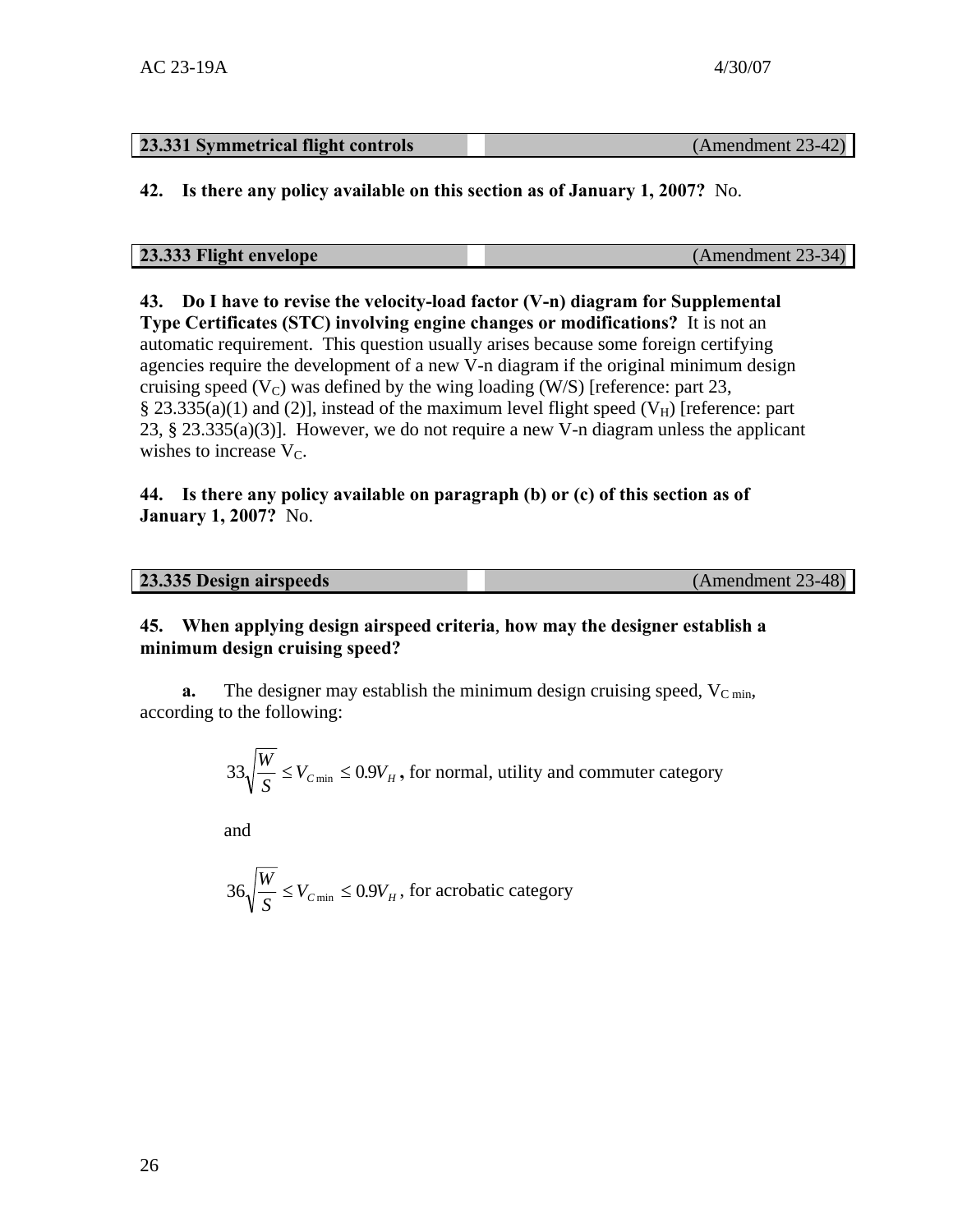## **23.331 Symmetrical flight controls** (Amendment 23-42)

**42. Is there any policy available on this section as of January 1, 2007?** No.

| 23.333 Flight envelope | (Amendment 23-34) |
|------------------------|-------------------|

**43. Do I have to revise the velocity-load factor (V-n) diagram for Supplemental Type Certificates (STC) involving engine changes or modifications?** It is not an automatic requirement. This question usually arises because some foreign certifying agencies require the development of a new V-n diagram if the original minimum design cruising speed  $(V_C)$  was defined by the wing loading (W/S) [reference: part 23, § 23.335(a)(1) and (2)], instead of the maximum level flight speed ( $V_H$ ) [reference: part 23, § 23.335(a)(3)]. However, we do not require a new V-n diagram unless the applicant wishes to increase  $V_C$ .

#### **44. Is there any policy available on paragraph (b) or (c) of this section as of January 1, 2007?** No.

| 23.335 Design airspeeds | (Amendment 23-48) |
|-------------------------|-------------------|

#### **45. When applying design airspeed criteria**, **how may the designer establish a minimum design cruising speed?**

**a.** The designer may establish the minimum design cruising speed,  $V_{C \text{ min}}$ , according to the following:

$$
33\sqrt{\frac{W}{S}} \le V_{C \text{min}} \le 0.9V_H
$$
, for normal, utility and commute category

and

$$
36\sqrt{\frac{W}{S}} \le V_{C \min} \le 0.9V_H
$$
, for acrobatic category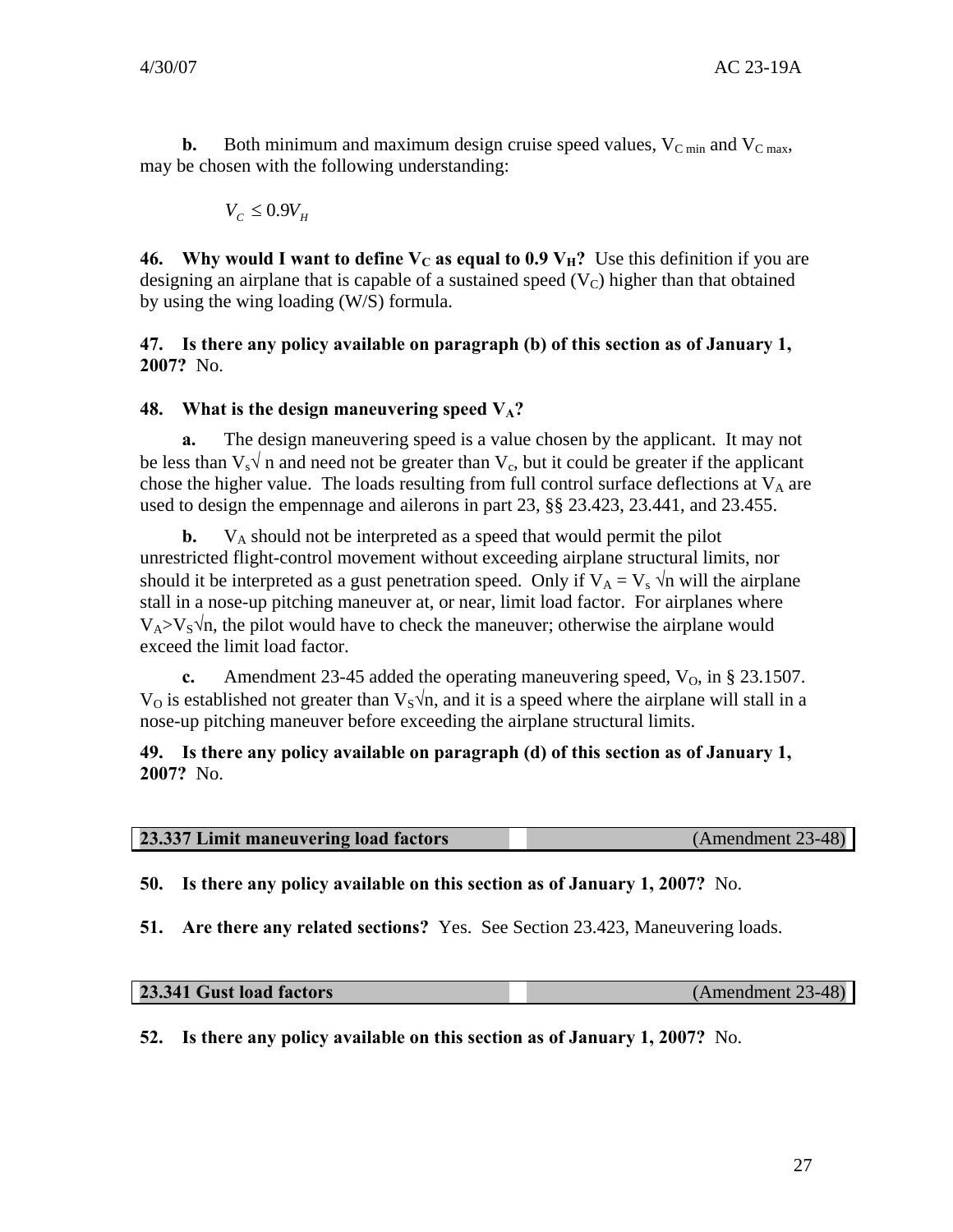<span id="page-30-0"></span>**b.** Both minimum and maximum design cruise speed values,  $V_{C \text{ min}}$  and  $V_{C \text{ max}}$ , may be chosen with the following understanding:

$$
V_{c} \leq 0.9V_{H}
$$

**46.** Why would I want to define  $V_C$  as equal to 0.9  $V_H$ ? Use this definition if you are designing an airplane that is capable of a sustained speed  $(V_C)$  higher than that obtained by using the wing loading (W/S) formula.

**47. Is there any policy available on paragraph (b) of this section as of January 1, 2007?** No.

#### **48.** What is the design maneuvering speed  $V_A$ ?

**a.** The design maneuvering speed is a value chosen by the applicant. It may not be less than  $V_s \hat{V}$  n and need not be greater than  $V_c$ , but it could be greater if the applicant chose the higher value. The loads resulting from full control surface deflections at  $V_A$  are used to design the empennage and ailerons in part 23, §§ 23.423, 23.441, and 23.455.

**b.**  $V_A$  should not be interpreted as a speed that would permit the pilot unrestricted flight-control movement without exceeding airplane structural limits, nor should it be interpreted as a gust penetration speed. Only if  $V_A = V_s \sqrt{n}$  will the airplane stall in a nose-up pitching maneuver at, or near, limit load factor. For airplanes where  $V_A > V_S \sqrt{n}$ , the pilot would have to check the maneuver; otherwise the airplane would exceed the limit load factor.

**c.** Amendment 23-45 added the operating maneuvering speed,  $V_0$ , in § 23.1507.  $V<sub>O</sub>$  is established not greater than  $V<sub>S</sub>$  \/n, and it is a speed where the airplane will stall in a nose-up pitching maneuver before exceeding the airplane structural limits.

#### **49. Is there any policy available on paragraph (d) of this section as of January 1, 2007?** No.

| 23.337 Limit maneuvering load factors | (Amendment 23-48) |
|---------------------------------------|-------------------|
|                                       |                   |

**50. Is there any policy available on this section as of January 1, 2007?** No.

**51. Are there any related sections?** Yes. See Section 23.423, Maneuvering loads.

| 23.341 Gust load factors | $(Amendment 23-48)$ |
|--------------------------|---------------------|
|--------------------------|---------------------|

**52. Is there any policy available on this section as of January 1, 2007?** No.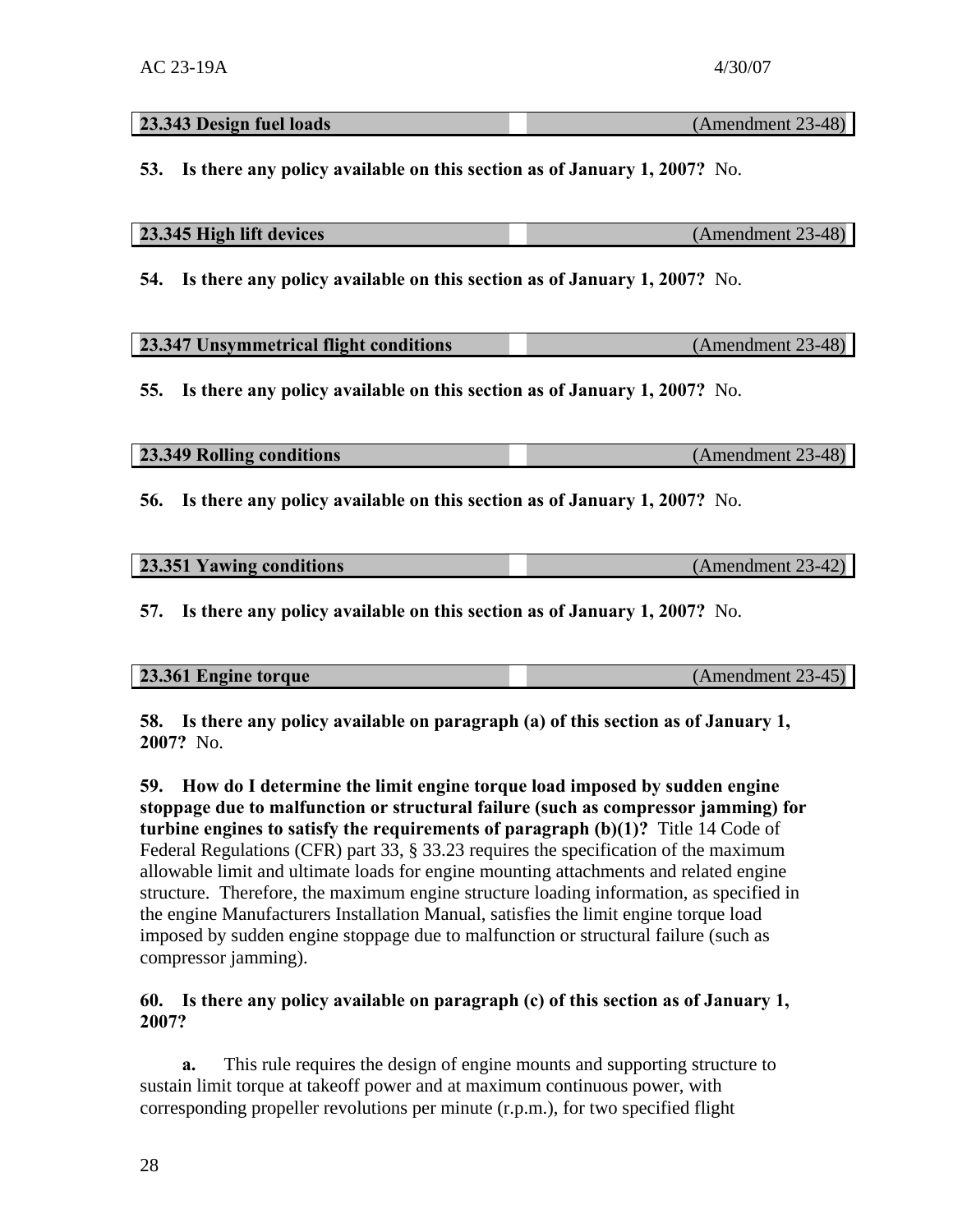| 23.343 Design fuel loads                                                               | (Amendment 23-48) |  |
|----------------------------------------------------------------------------------------|-------------------|--|
| Is there any policy available on this section as of January 1, 2007? No.<br><b>53.</b> |                   |  |
| 23.345 High lift devices                                                               | (Amendment 23-48) |  |
| Is there any policy available on this section as of January 1, 2007? No.<br>54.        |                   |  |
| 23.347 Unsymmetrical flight conditions                                                 | (Amendment 23-48) |  |
| Is there any policy available on this section as of January 1, 2007? No.<br>55.        |                   |  |

| 23.349 Rolling conditions | (Amendment 23-48) |
|---------------------------|-------------------|
|                           |                   |

**56. Is there any policy available on this section as of January 1, 2007?** No.

| 23.351 Yawing conditions | $(Amendment 23-42)$ |
|--------------------------|---------------------|
|                          |                     |

**57. Is there any policy available on this section as of January 1, 2007?** No.

| (Amendment 23-45)<br>23.361 Engine torque |
|-------------------------------------------|
|-------------------------------------------|

**58. Is there any policy available on paragraph (a) of this section as of January 1, 2007?** No.

**59. How do I determine the limit engine torque load imposed by sudden engine stoppage due to malfunction or structural failure (such as compressor jamming) for turbine engines to satisfy the requirements of paragraph (b)(1)?** Title 14 Code of Federal Regulations (CFR) part 33, § 33.23 requires the specification of the maximum allowable limit and ultimate loads for engine mounting attachments and related engine structure. Therefore, the maximum engine structure loading information, as specified in the engine Manufacturers Installation Manual, satisfies the limit engine torque load imposed by sudden engine stoppage due to malfunction or structural failure (such as compressor jamming).

#### **60. Is there any policy available on paragraph (c) of this section as of January 1, 2007?**

**a.** This rule requires the design of engine mounts and supporting structure to sustain limit torque at takeoff power and at maximum continuous power, with corresponding propeller revolutions per minute (r.p.m.), for two specified flight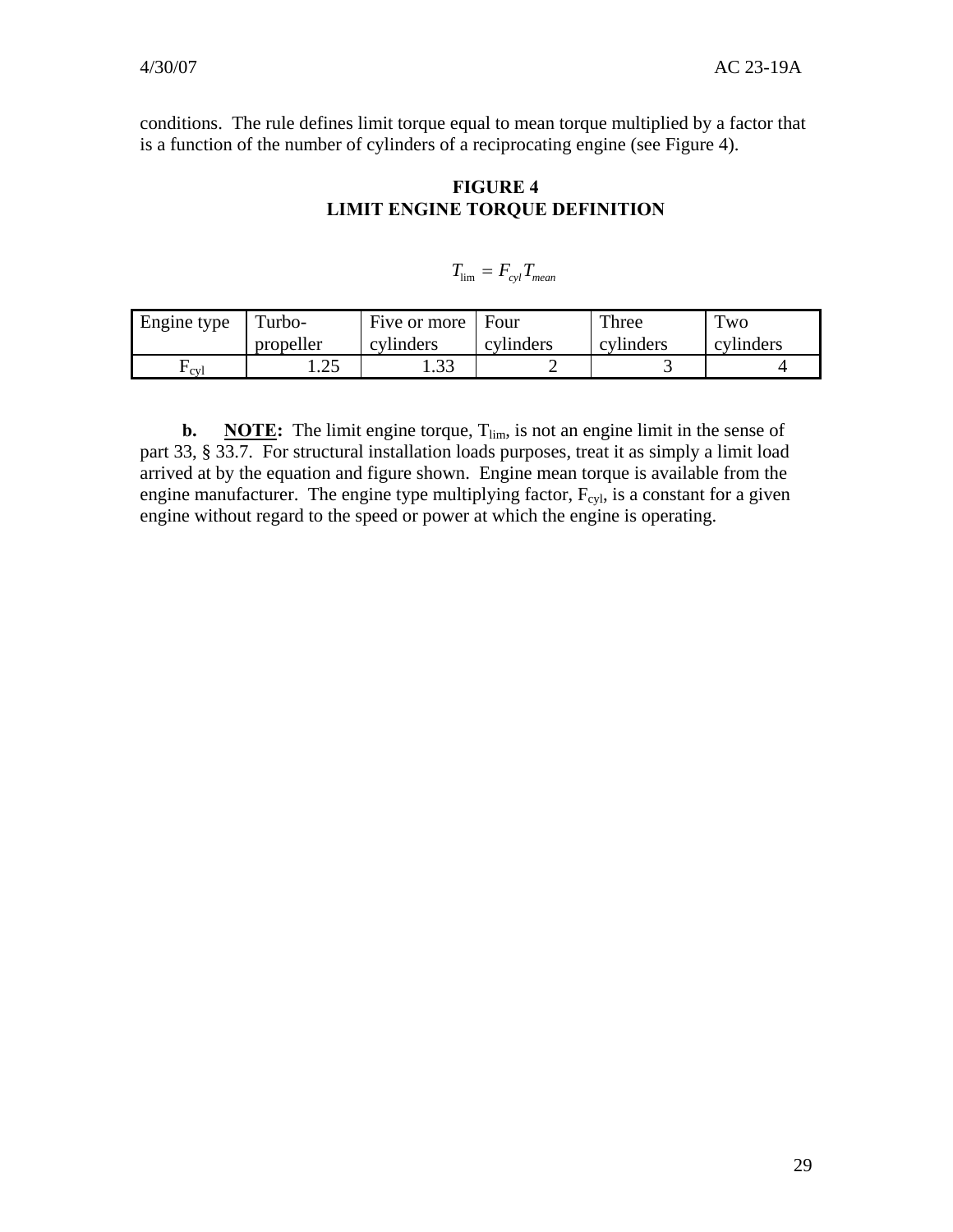conditions. The rule defines limit torque equal to mean torque multiplied by a factor that is a function of the number of cylinders of a reciprocating engine (see Figure 4).

## **FIGURE 4 LIMIT ENGINE TORQUE DEFINITION**

$$
T_{\rm lim} = F_{cyl} T_{mean}
$$

| Engine type | Turbo-         | Five or more | Four      | Three     | $T_{\rm WO}$ |
|-------------|----------------|--------------|-----------|-----------|--------------|
|             | propeller      | cylinders    | cylinders | cylinders | cylinders    |
| `cvl        | ົາ<<br>ن که با | ب            |           |           |              |

**b. NOTE:** The limit engine torque,  $T_{\text{lim}}$ , is not an engine limit in the sense of part 33, § 33.7. For structural installation loads purposes, treat it as simply a limit load arrived at by the equation and figure shown. Engine mean torque is available from the engine manufacturer. The engine type multiplying factor,  $F_{cyl}$ , is a constant for a given engine without regard to the speed or power at which the engine is operating.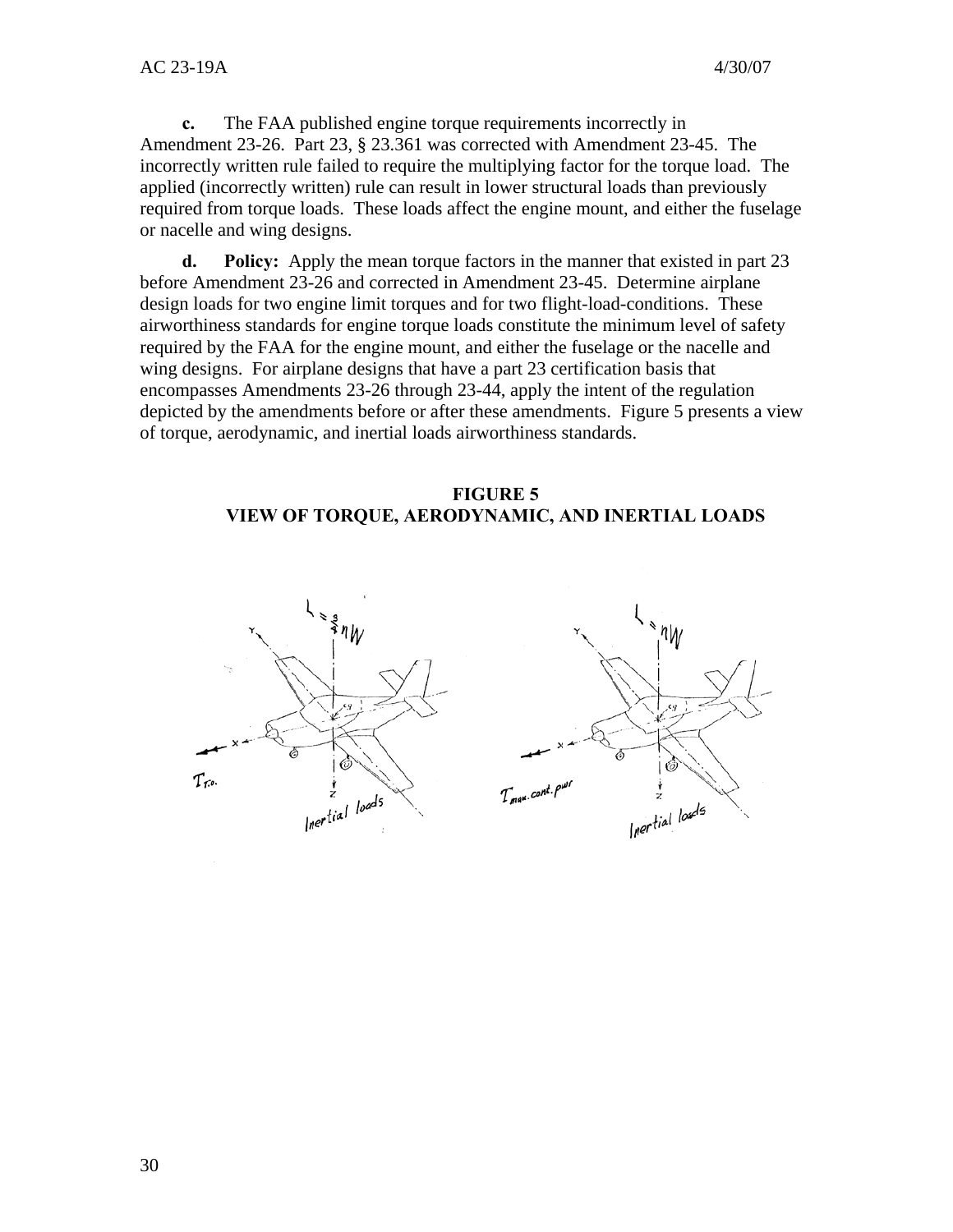**c.** The FAA published engine torque requirements incorrectly in Amendment 23-26. Part 23, § 23.361 was corrected with Amendment 23-45. The incorrectly written rule failed to require the multiplying factor for the torque load. The applied (incorrectly written) rule can result in lower structural loads than previously required from torque loads. These loads affect the engine mount, and either the fuselage or nacelle and wing designs.

**d. Policy:** Apply the mean torque factors in the manner that existed in part 23 before Amendment 23-26 and corrected in Amendment 23-45. Determine airplane design loads for two engine limit torques and for two flight-load-conditions. These airworthiness standards for engine torque loads constitute the minimum level of safety required by the FAA for the engine mount, and either the fuselage or the nacelle and wing designs. For airplane designs that have a part 23 certification basis that encompasses Amendments 23-26 through 23-44, apply the intent of the regulation depicted by the amendments before or after these amendments. Figure 5 presents a view of torque, aerodynamic, and inertial loads airworthiness standards.

#### **FIGURE 5 VIEW OF TORQUE, AERODYNAMIC, AND INERTIAL LOADS**

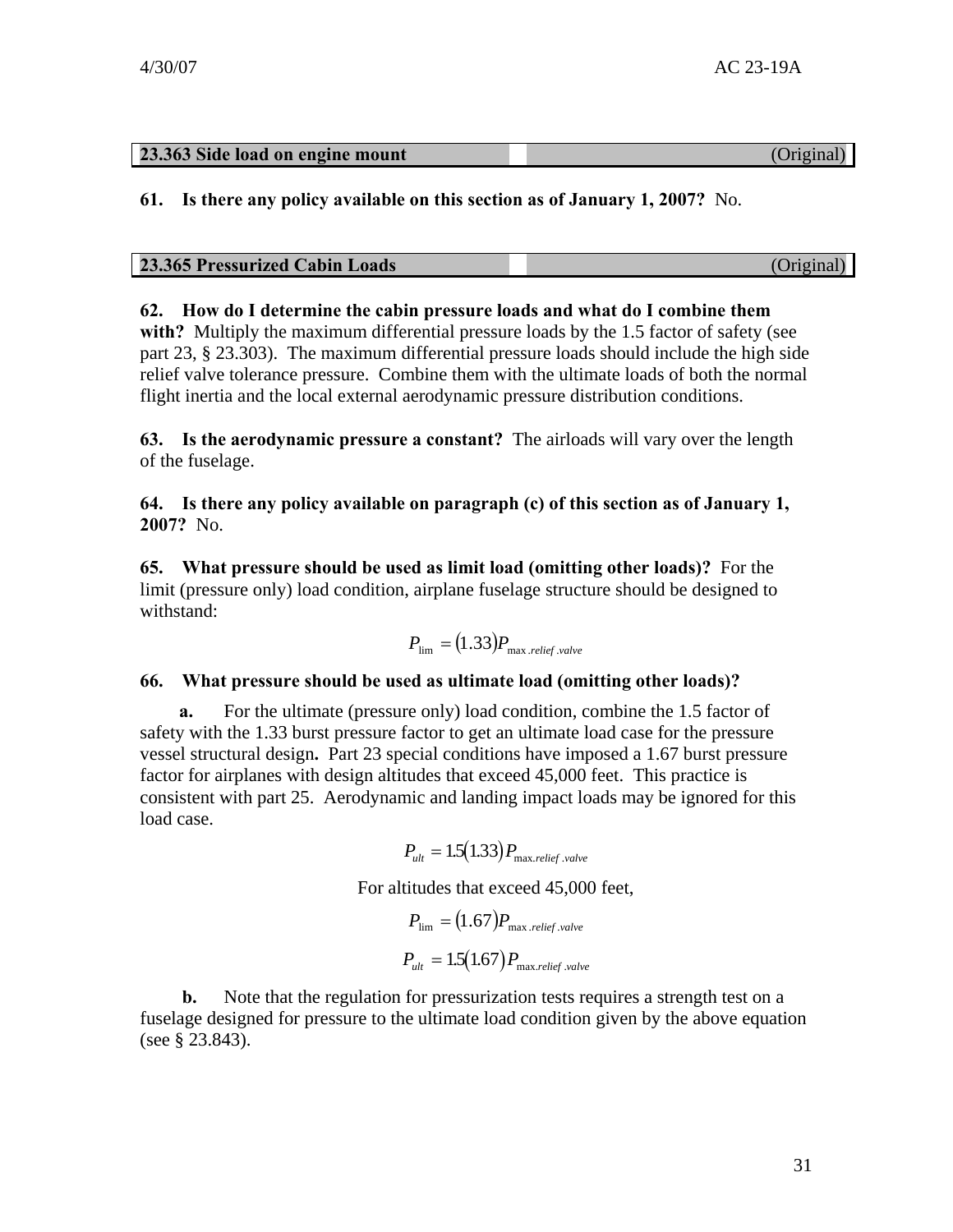| 23.363 Side load on engine mount | (Original) |
|----------------------------------|------------|

#### **61. Is there any policy available on this section as of January 1, 2007?** No.

# **62. How do I determine the cabin pressure loads and what do I combine them**

**with?** Multiply the maximum differential pressure loads by the 1.5 factor of safety (see part 23, § 23.303). The maximum differential pressure loads should include the high side relief valve tolerance pressure. Combine them with the ultimate loads of both the normal flight inertia and the local external aerodynamic pressure distribution conditions.

**63. Is the aerodynamic pressure a constant?** The airloads will vary over the length of the fuselage.

**64. Is there any policy available on paragraph (c) of this section as of January 1, 2007?** No.

**65. What pressure should be used as limit load (omitting other loads)?** For the limit (pressure only) load condition, airplane fuselage structure should be designed to withstand:

$$
P_{\text{lim}} = (1.33) P_{\text{max.} relief.value}
$$

#### **66. What pressure should be used as ultimate load (omitting other loads)?**

**a.** For the ultimate (pressure only) load condition, combine the 1.5 factor of safety with the 1.33 burst pressure factor to get an ultimate load case for the pressure vessel structural design**.** Part 23 special conditions have imposed a 1.67 burst pressure factor for airplanes with design altitudes that exceed 45,000 feet. This practice is consistent with part 25. Aerodynamic and landing impact loads may be ignored for this load case.

$$
P_{ult} = 1.5(1.33) P_{\text{max.} relief.value}
$$

For altitudes that exceed 45,000 feet,

$$
P_{\text{lim}} = (1.67) P_{\text{max.relief.} \text{value}}
$$

$$
P_{\text{ult}} = 1.5(1.67) P_{\text{max.relief.} \text{value}}
$$

**b.** Note that the regulation for pressurization tests requires a strength test on a fuselage designed for pressure to the ultimate load condition given by the above equation (see § 23.843).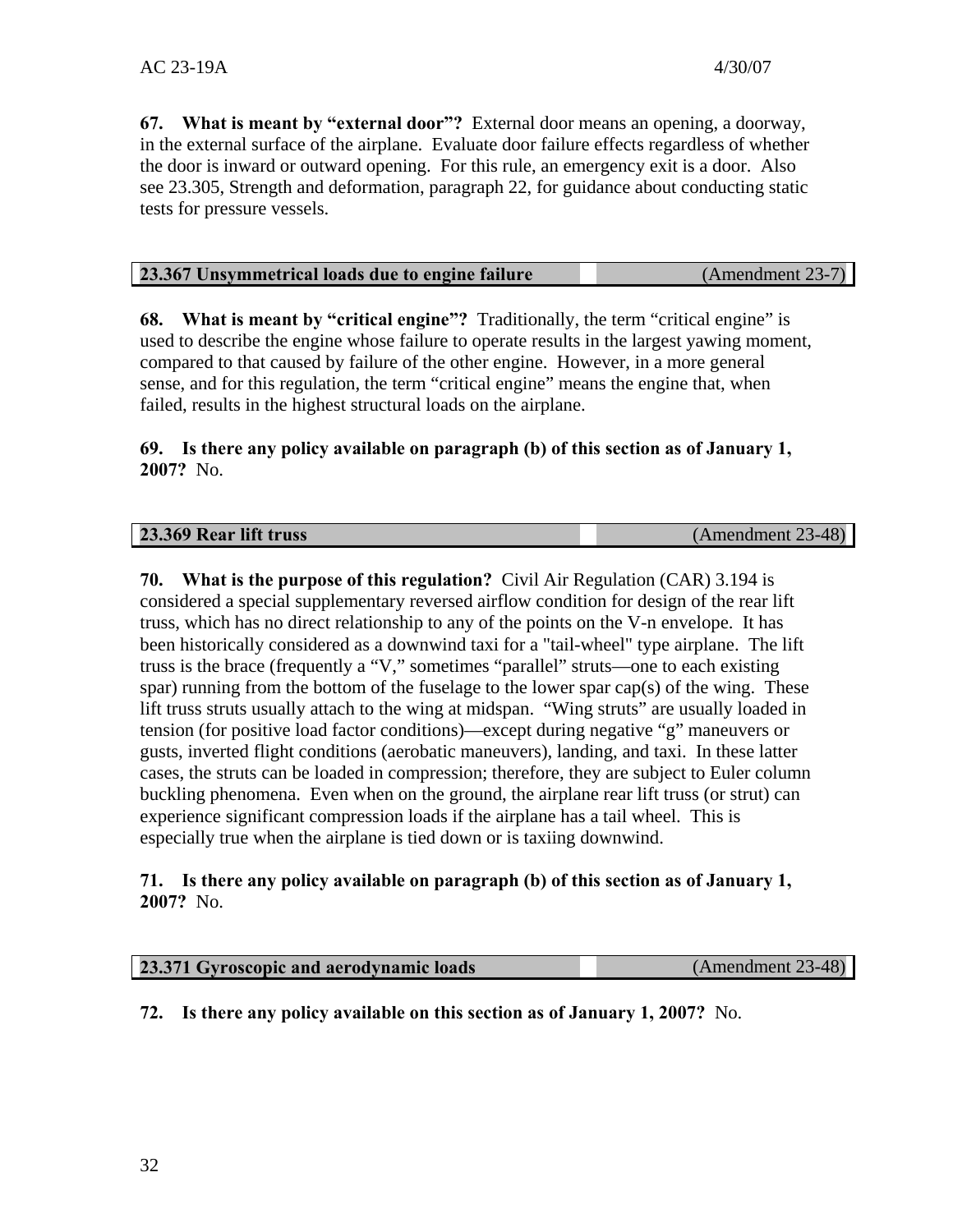**67. What is meant by "external door"?** External door means an opening, a doorway, in the external surface of the airplane. Evaluate door failure effects regardless of whether the door is inward or outward opening. For this rule, an emergency exit is a door. Also see 23.305, Strength and deformation, paragraph 22, for guidance about conducting static tests for pressure vessels.

**68. What is meant by "critical engine"?** Traditionally, the term "critical engine" is used to describe the engine whose failure to operate results in the largest yawing moment, compared to that caused by failure of the other engine. However, in a more general sense, and for this regulation, the term "critical engine" means the engine that, when failed, results in the highest structural loads on the airplane.

#### **69. Is there any policy available on paragraph (b) of this section as of January 1, 2007?** No.

**70. What is the purpose of this regulation?** Civil Air Regulation (CAR) 3.194 is considered a special supplementary reversed airflow condition for design of the rear lift truss, which has no direct relationship to any of the points on the V-n envelope. It has been historically considered as a downwind taxi for a "tail-wheel" type airplane. The lift truss is the brace (frequently a "V," sometimes "parallel" struts—one to each existing spar) running from the bottom of the fuselage to the lower spar cap(s) of the wing. These lift truss struts usually attach to the wing at midspan. "Wing struts" are usually loaded in tension (for positive load factor conditions)—except during negative "g" maneuvers or gusts, inverted flight conditions (aerobatic maneuvers), landing, and taxi. In these latter cases, the struts can be loaded in compression; therefore, they are subject to Euler column buckling phenomena. Even when on the ground, the airplane rear lift truss (or strut) can experience significant compression loads if the airplane has a tail wheel. This is especially true when the airplane is tied down or is taxiing downwind.

#### **71. Is there any policy available on paragraph (b) of this section as of January 1, 2007?** No.

| 23.371 Gyroscopic and aerodynamic loads | (Amendment 23-48) |
|-----------------------------------------|-------------------|
|                                         |                   |

**72. Is there any policy available on this section as of January 1, 2007?** No.

**23.369 Rear lift truss** (Amendment 23-48)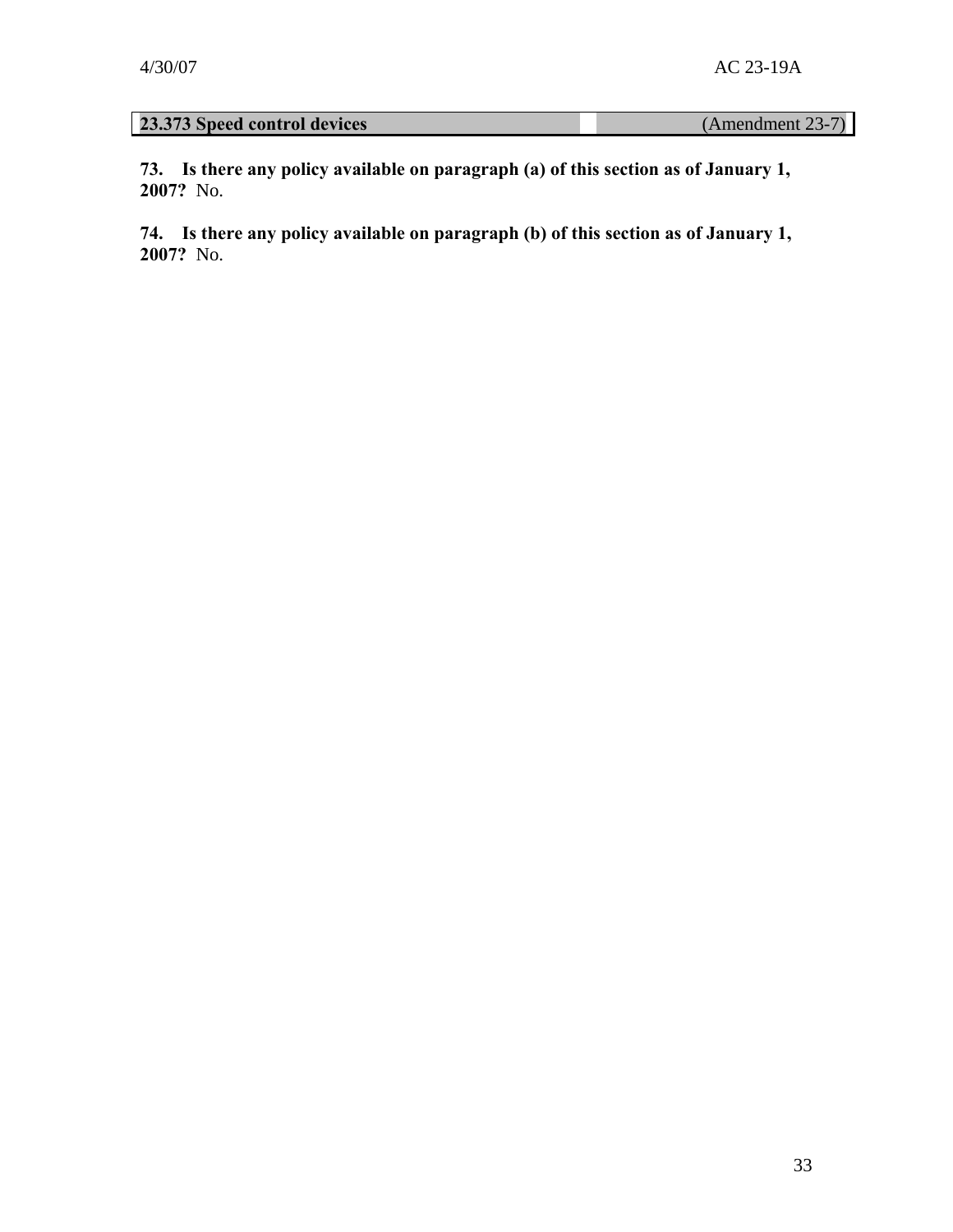# **23.373 Speed control devices** (Amendment 23-7)

**73. Is there any policy available on paragraph (a) of this section as of January 1, 2007?** No.

**74. Is there any policy available on paragraph (b) of this section as of January 1, 2007?** No.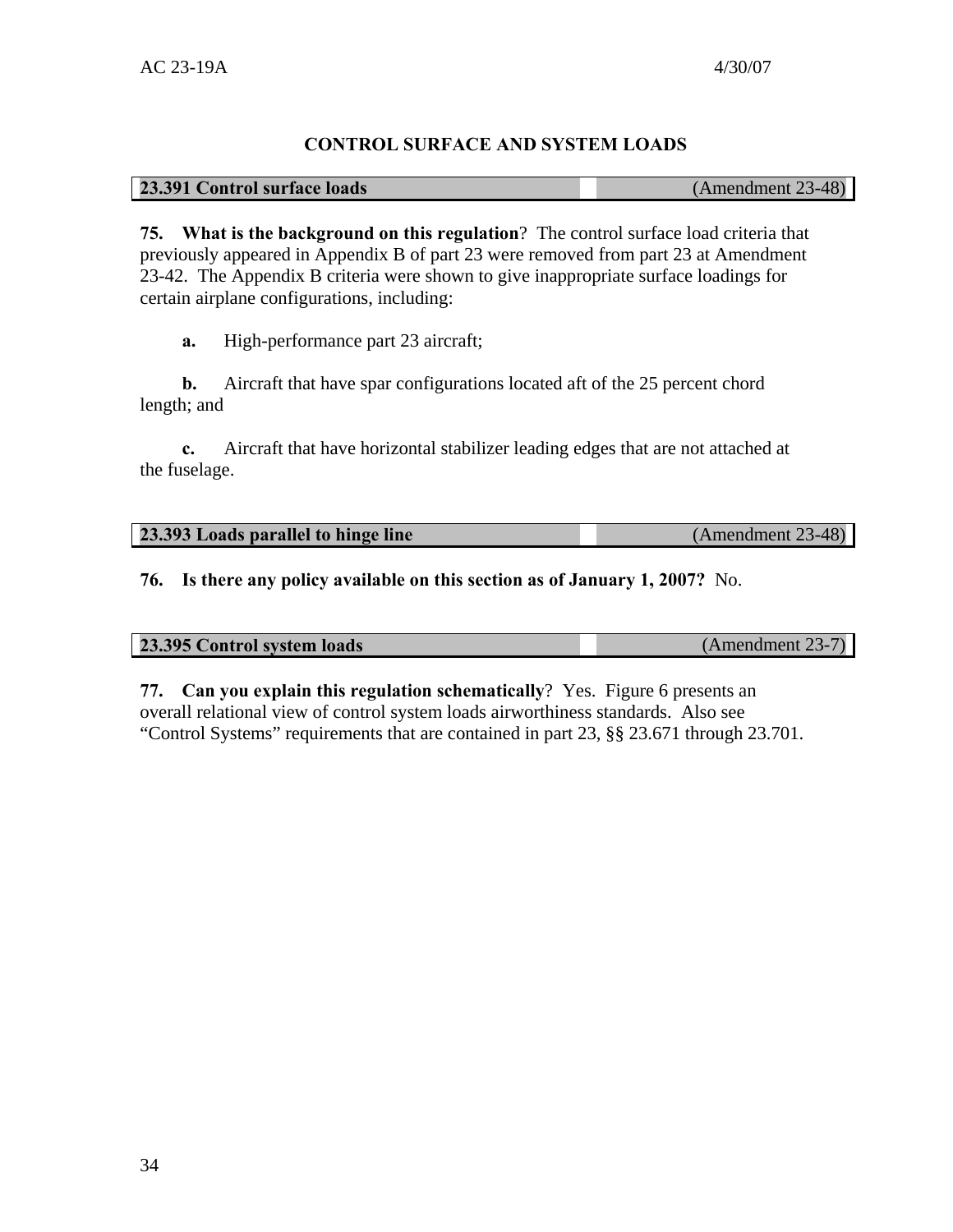# **CONTROL SURFACE AND SYSTEM LOADS**

#### **23.391 Control surface loads** (Amendment 23-48)

**75. What is the background on this regulation**? The control surface load criteria that previously appeared in Appendix B of part 23 were removed from part 23 at Amendment 23-42. The Appendix B criteria were shown to give inappropriate surface loadings for certain airplane configurations, including:

**a.** High-performance part 23 aircraft;

**b.** Aircraft that have spar configurations located aft of the 25 percent chord length; and

**c.** Aircraft that have horizontal stabilizer leading edges that are not attached at the fuselage.

| 23.393 Loads parallel to hinge line | $(Amendment 23-48)$ |
|-------------------------------------|---------------------|
|                                     |                     |

**76. Is there any policy available on this section as of January 1, 2007?** No.

| 23.395 Control system loads | (Amendment 23-7) |
|-----------------------------|------------------|

**77. Can you explain this regulation schematically**? Yes. Figure 6 presents an overall relational view of control system loads airworthiness standards. Also see "Control Systems" requirements that are contained in part 23, §§ 23.671 through 23.701.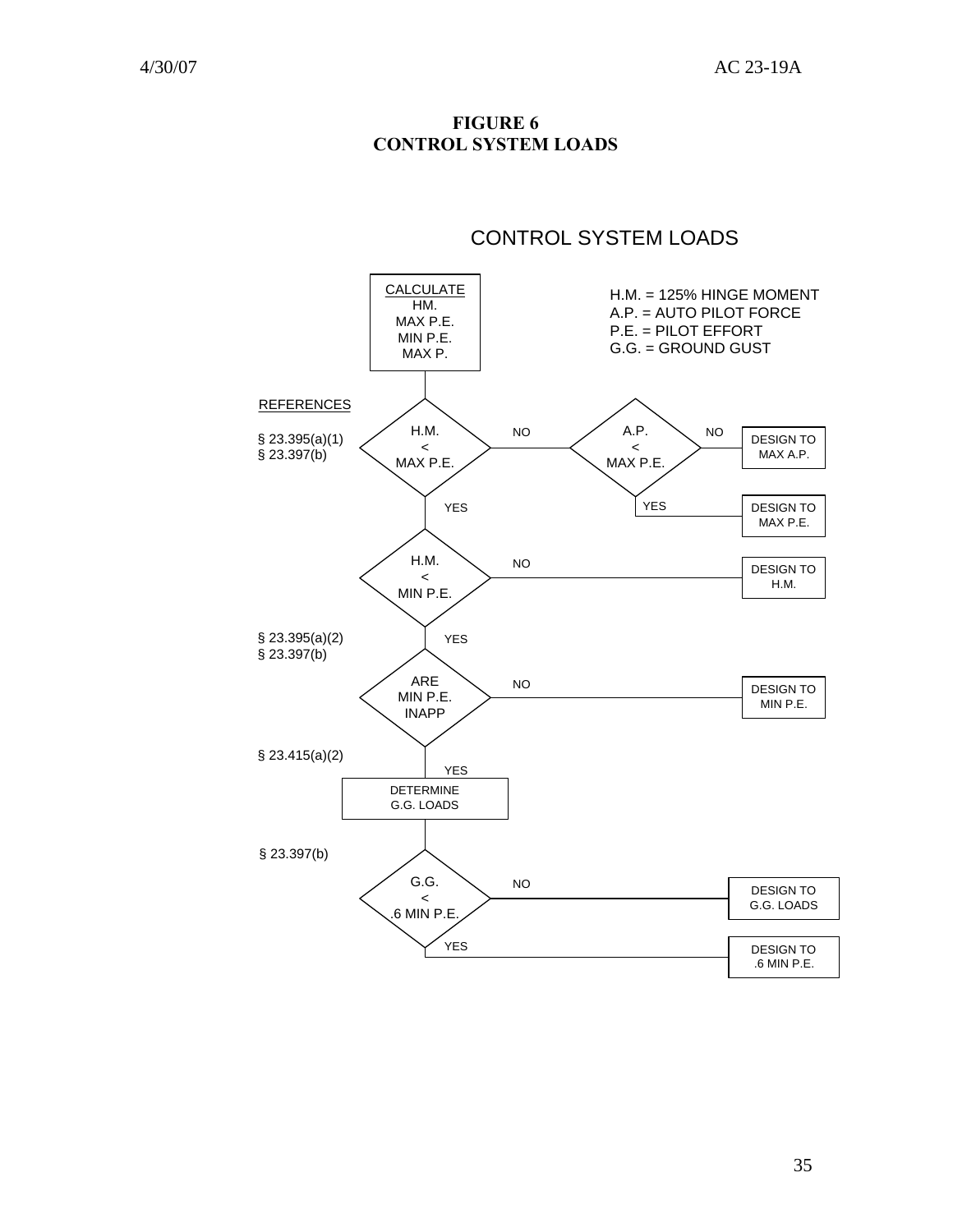**FIGURE 6 CONTROL SYSTEM LOADS** 

# CONTROL SYSTEM LOADS

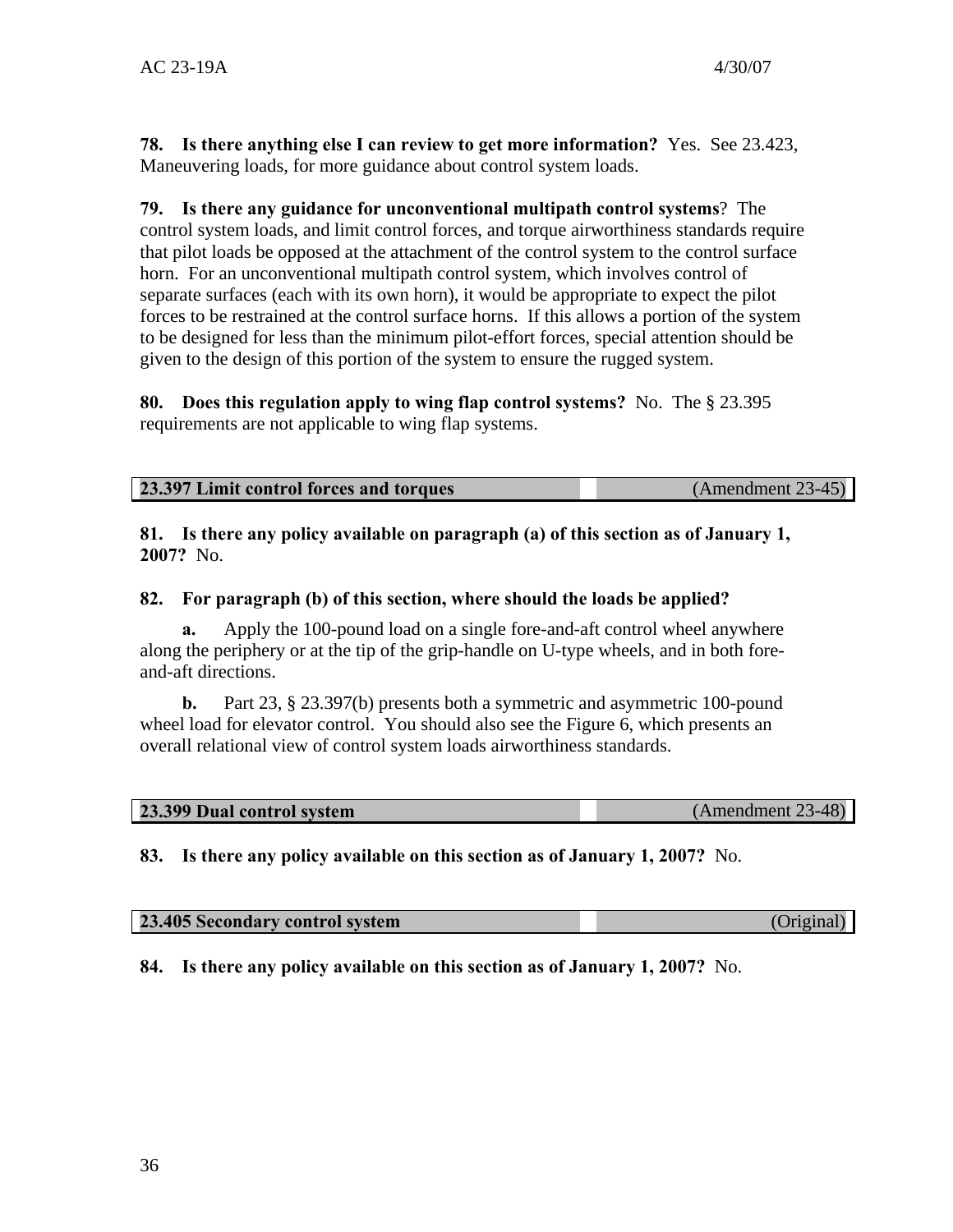**78. Is there anything else I can review to get more information?** Yes. See 23.423, Maneuvering loads, for more guidance about control system loads.

**79. Is there any guidance for unconventional multipath control systems**? The control system loads, and limit control forces, and torque airworthiness standards require that pilot loads be opposed at the attachment of the control system to the control surface horn. For an unconventional multipath control system, which involves control of separate surfaces (each with its own horn), it would be appropriate to expect the pilot forces to be restrained at the control surface horns. If this allows a portion of the system to be designed for less than the minimum pilot-effort forces, special attention should be given to the design of this portion of the system to ensure the rugged system.

**80. Does this regulation apply to wing flap control systems?** No. The § 23.395 requirements are not applicable to wing flap systems.

| <b>23.397 Limit control forces and torques</b> | $(Amendment 23-45)$ |  |
|------------------------------------------------|---------------------|--|
|                                                |                     |  |

**81. Is there any policy available on paragraph (a) of this section as of January 1, 2007?** No.

# **82. For paragraph (b) of this section, where should the loads be applied?**

**a.** Apply the 100-pound load on a single fore-and-aft control wheel anywhere along the periphery or at the tip of the grip-handle on U-type wheels, and in both foreand-aft directions.

**b.** Part 23, § 23.397(b) presents both a symmetric and asymmetric 100-pound wheel load for elevator control. You should also see the Figure 6, which presents an overall relational view of control system loads airworthiness standards.

|--|

**83. Is there any policy available on this section as of January 1, 2007?** No.

| 23.405 Secondary control system | (Original) |
|---------------------------------|------------|
|                                 |            |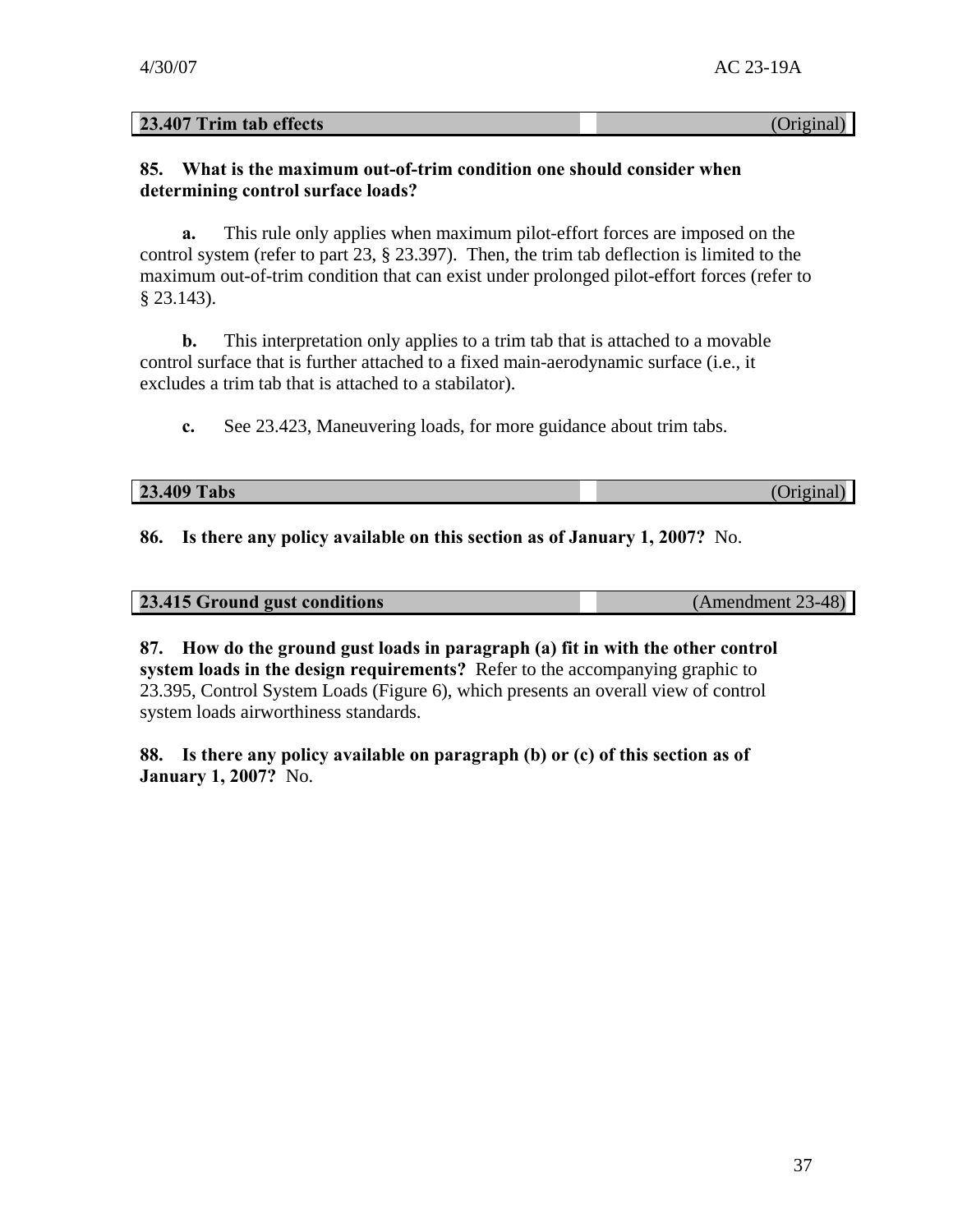**23.407 Trim tab effects** (Original)

#### **85. What is the maximum out-of-trim condition one should consider when determining control surface loads?**

**a.** This rule only applies when maximum pilot-effort forces are imposed on the control system (refer to part 23, § 23.397). Then, the trim tab deflection is limited to the maximum out-of-trim condition that can exist under prolonged pilot-effort forces (refer to § 23.143).

**b.** This interpretation only applies to a trim tab that is attached to a movable control surface that is further attached to a fixed main-aerodynamic surface (i.e., it excludes a trim tab that is attached to a stabilator).

**c.** See 23.423, Maneuvering loads, for more guidance about trim tabs.

| 23.409 Tabs | Original) |
|-------------|-----------|

**86. Is there any policy available on this section as of January 1, 2007?** No.

| 23.415 Ground gust conditions | (Amendment 23-48) |
|-------------------------------|-------------------|
|                               |                   |

**87. How do the ground gust loads in paragraph (a) fit in with the other control system loads in the design requirements?** Refer to the accompanying graphic to 23.395, Control System Loads (Figure 6), which presents an overall view of control system loads airworthiness standards.

**88. Is there any policy available on paragraph (b) or (c) of this section as of January 1, 2007?** No.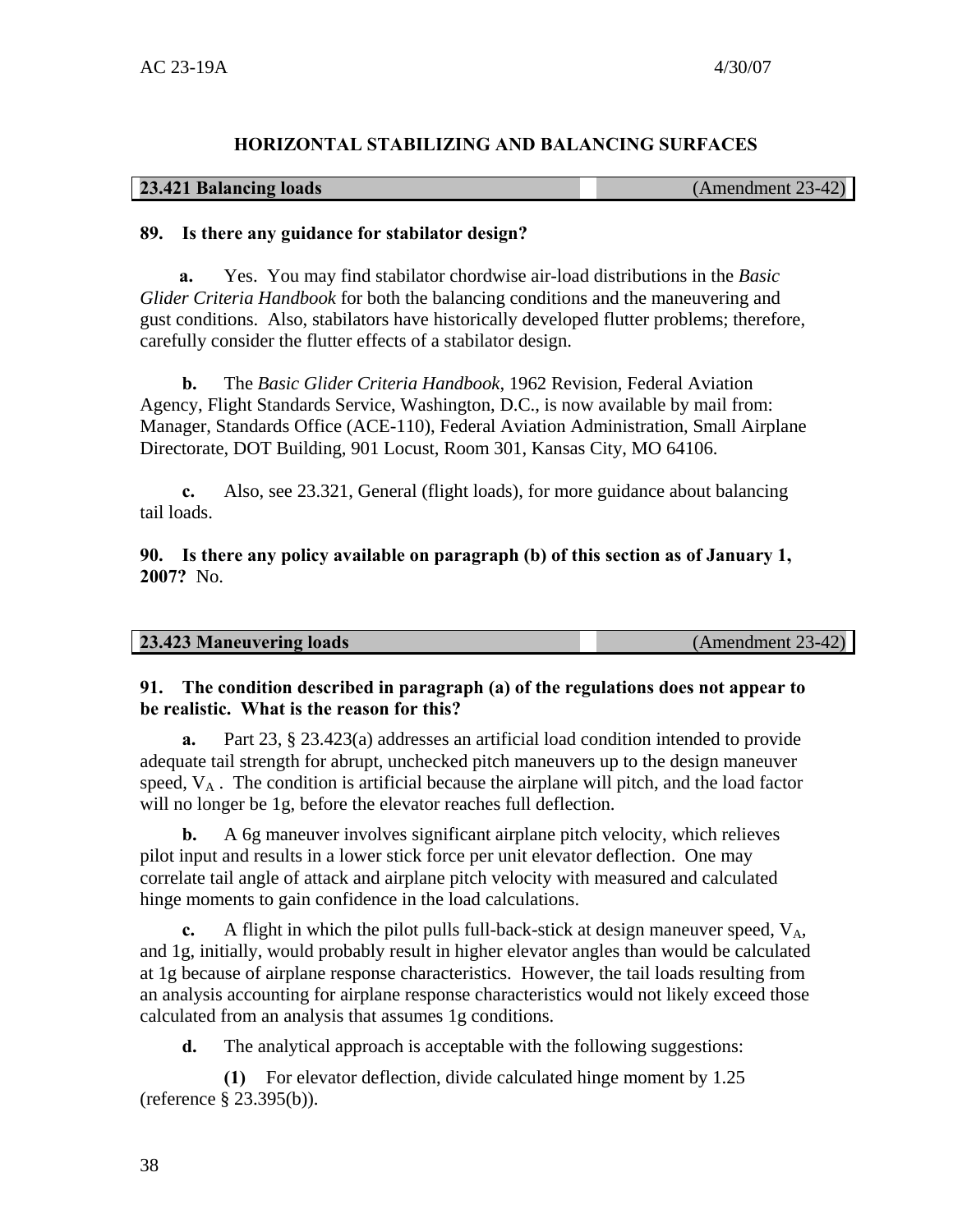#### **HORIZONTAL STABILIZING AND BALANCING SURFACES**

#### **23.421 Balancing loads** (Amendment 23-42)

#### **89. Is there any guidance for stabilator design?**

**a.** Yes. You may find stabilator chordwise air-load distributions in the *Basic Glider Criteria Handbook* for both the balancing conditions and the maneuvering and gust conditions. Also, stabilators have historically developed flutter problems; therefore, carefully consider the flutter effects of a stabilator design.

**b.** The *Basic Glider Criteria Handbook*, 1962 Revision, Federal Aviation Agency, Flight Standards Service, Washington, D.C., is now available by mail from: Manager, Standards Office (ACE-110), Federal Aviation Administration, Small Airplane Directorate, DOT Building, 901 Locust, Room 301, Kansas City, MO 64106.

**c.** Also, see 23.321, General (flight loads), for more guidance about balancing tail loads.

**90. Is there any policy available on paragraph (b) of this section as of January 1, 2007?** No.

| 23.423 Maneuvering loads | $(Amendment 23-42)$ |
|--------------------------|---------------------|
|                          |                     |

#### **91. The condition described in paragraph (a) of the regulations does not appear to be realistic. What is the reason for this?**

**a.** Part 23, § 23.423(a) addresses an artificial load condition intended to provide adequate tail strength for abrupt, unchecked pitch maneuvers up to the design maneuver speed,  $V_A$ . The condition is artificial because the airplane will pitch, and the load factor will no longer be 1g, before the elevator reaches full deflection.

**b.** A 6g maneuver involves significant airplane pitch velocity, which relieves pilot input and results in a lower stick force per unit elevator deflection. One may correlate tail angle of attack and airplane pitch velocity with measured and calculated hinge moments to gain confidence in the load calculations.

**c.** A flight in which the pilot pulls full-back-stick at design maneuver speed,  $V_A$ , and 1g, initially, would probably result in higher elevator angles than would be calculated at 1g because of airplane response characteristics. However, the tail loads resulting from an analysis accounting for airplane response characteristics would not likely exceed those calculated from an analysis that assumes 1g conditions.

**d.** The analytical approach is acceptable with the following suggestions:

**(1)** For elevator deflection, divide calculated hinge moment by 1.25 (reference § 23.395(b)).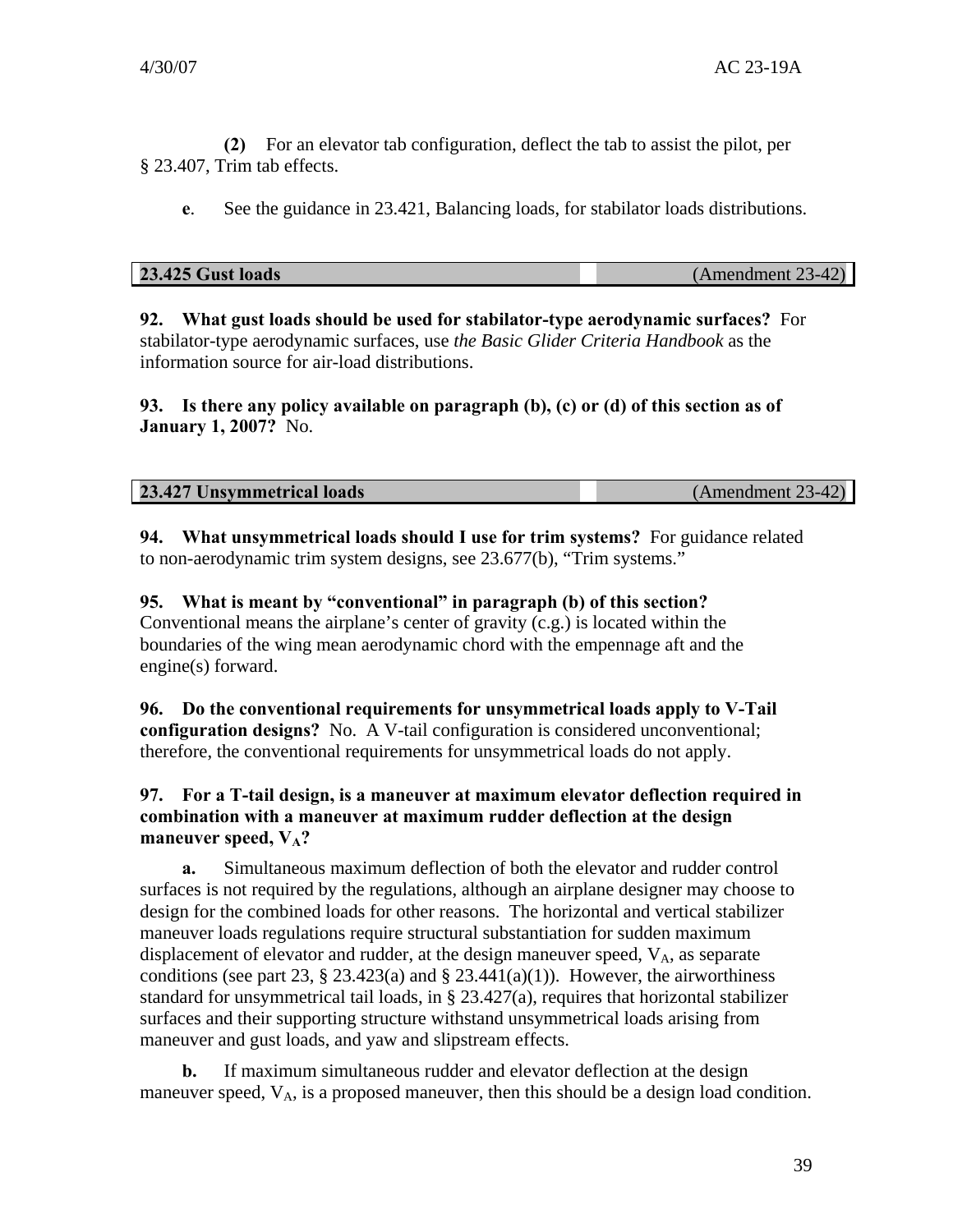**(2)** For an elevator tab configuration, deflect the tab to assist the pilot, per § 23.407, Trim tab effects.

**e**. See the guidance in 23.421, Balancing loads, for stabilator loads distributions.

|  | 23.425 Gust loads |  |
|--|-------------------|--|
|  |                   |  |

**23.425 Gust loads** (Amendment 23-42)

**92. What gust loads should be used for stabilator-type aerodynamic surfaces?** For stabilator-type aerodynamic surfaces, use *the Basic Glider Criteria Handbook* as the information source for air-load distributions.

**93. Is there any policy available on paragraph (b), (c) or (d) of this section as of January 1, 2007?** No.

| <b>23.427 Unsymmetrical loads</b> | (Amendment 23-42) |
|-----------------------------------|-------------------|
|                                   |                   |

**94. What unsymmetrical loads should I use for trim systems?** For guidance related to non-aerodynamic trim system designs, see 23.677(b), "Trim systems."

**95. What is meant by "conventional" in paragraph (b) of this section?** 

Conventional means the airplane's center of gravity (c.g.) is located within the boundaries of the wing mean aerodynamic chord with the empennage aft and the engine(s) forward.

**96. Do the conventional requirements for unsymmetrical loads apply to V-Tail configuration designs?** No. A V-tail configuration is considered unconventional; therefore, the conventional requirements for unsymmetrical loads do not apply.

# **97. For a T-tail design, is a maneuver at maximum elevator deflection required in combination with a maneuver at maximum rudder deflection at the design**  maneuver speed,  $V_A$ ?

**a.** Simultaneous maximum deflection of both the elevator and rudder control surfaces is not required by the regulations, although an airplane designer may choose to design for the combined loads for other reasons. The horizontal and vertical stabilizer maneuver loads regulations require structural substantiation for sudden maximum displacement of elevator and rudder, at the design maneuver speed,  $V_A$ , as separate conditions (see part 23,  $\S$  23.423(a) and  $\S$  23.441(a)(1)). However, the airworthiness standard for unsymmetrical tail loads, in  $\S 23.427(a)$ , requires that horizontal stabilizer surfaces and their supporting structure withstand unsymmetrical loads arising from maneuver and gust loads, and yaw and slipstream effects.

**b.** If maximum simultaneous rudder and elevator deflection at the design maneuver speed,  $V_A$ , is a proposed maneuver, then this should be a design load condition.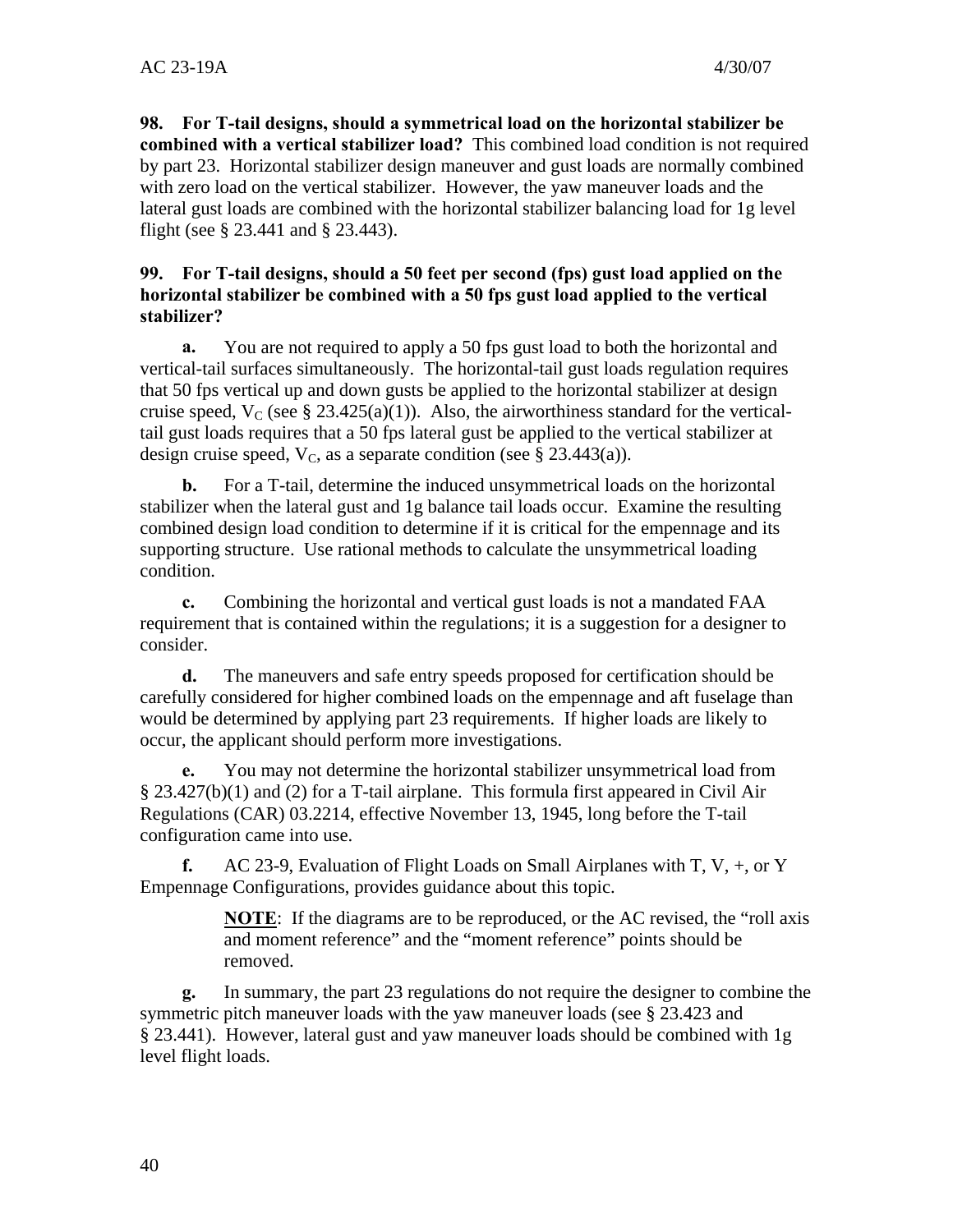**98. For T-tail designs, should a symmetrical load on the horizontal stabilizer be combined with a vertical stabilizer load?** This combined load condition is not required by part 23. Horizontal stabilizer design maneuver and gust loads are normally combined with zero load on the vertical stabilizer. However, the yaw maneuver loads and the lateral gust loads are combined with the horizontal stabilizer balancing load for 1g level flight (see § 23.441 and § 23.443).

#### **99. For T-tail designs, should a 50 feet per second (fps) gust load applied on the horizontal stabilizer be combined with a 50 fps gust load applied to the vertical stabilizer?**

**a.** You are not required to apply a 50 fps gust load to both the horizontal and vertical-tail surfaces simultaneously. The horizontal-tail gust loads regulation requires that 50 fps vertical up and down gusts be applied to the horizontal stabilizer at design cruise speed,  $V_C$  (see § 23.425(a)(1)). Also, the airworthiness standard for the verticaltail gust loads requires that a 50 fps lateral gust be applied to the vertical stabilizer at design cruise speed,  $V_c$ , as a separate condition (see § 23.443(a)).

**b.** For a T-tail, determine the induced unsymmetrical loads on the horizontal stabilizer when the lateral gust and 1g balance tail loads occur. Examine the resulting combined design load condition to determine if it is critical for the empennage and its supporting structure. Use rational methods to calculate the unsymmetrical loading condition.

**c.** Combining the horizontal and vertical gust loads is not a mandated FAA requirement that is contained within the regulations; it is a suggestion for a designer to consider.

**d.** The maneuvers and safe entry speeds proposed for certification should be carefully considered for higher combined loads on the empennage and aft fuselage than would be determined by applying part 23 requirements. If higher loads are likely to occur, the applicant should perform more investigations.

**e.** You may not determine the horizontal stabilizer unsymmetrical load from § 23.427(b)(1) and (2) for a T-tail airplane. This formula first appeared in Civil Air Regulations (CAR) 03.2214, effective November 13, 1945, long before the T-tail configuration came into use.

**f.** AC 23-9, Evaluation of Flight Loads on Small Airplanes with T, V, +, or Y Empennage Configurations, provides guidance about this topic.

> **NOTE**: If the diagrams are to be reproduced, or the AC revised, the "roll axis" and moment reference" and the "moment reference" points should be removed.

**g.** In summary, the part 23 regulations do not require the designer to combine the symmetric pitch maneuver loads with the yaw maneuver loads (see § 23.423 and § 23.441). However, lateral gust and yaw maneuver loads should be combined with 1g level flight loads.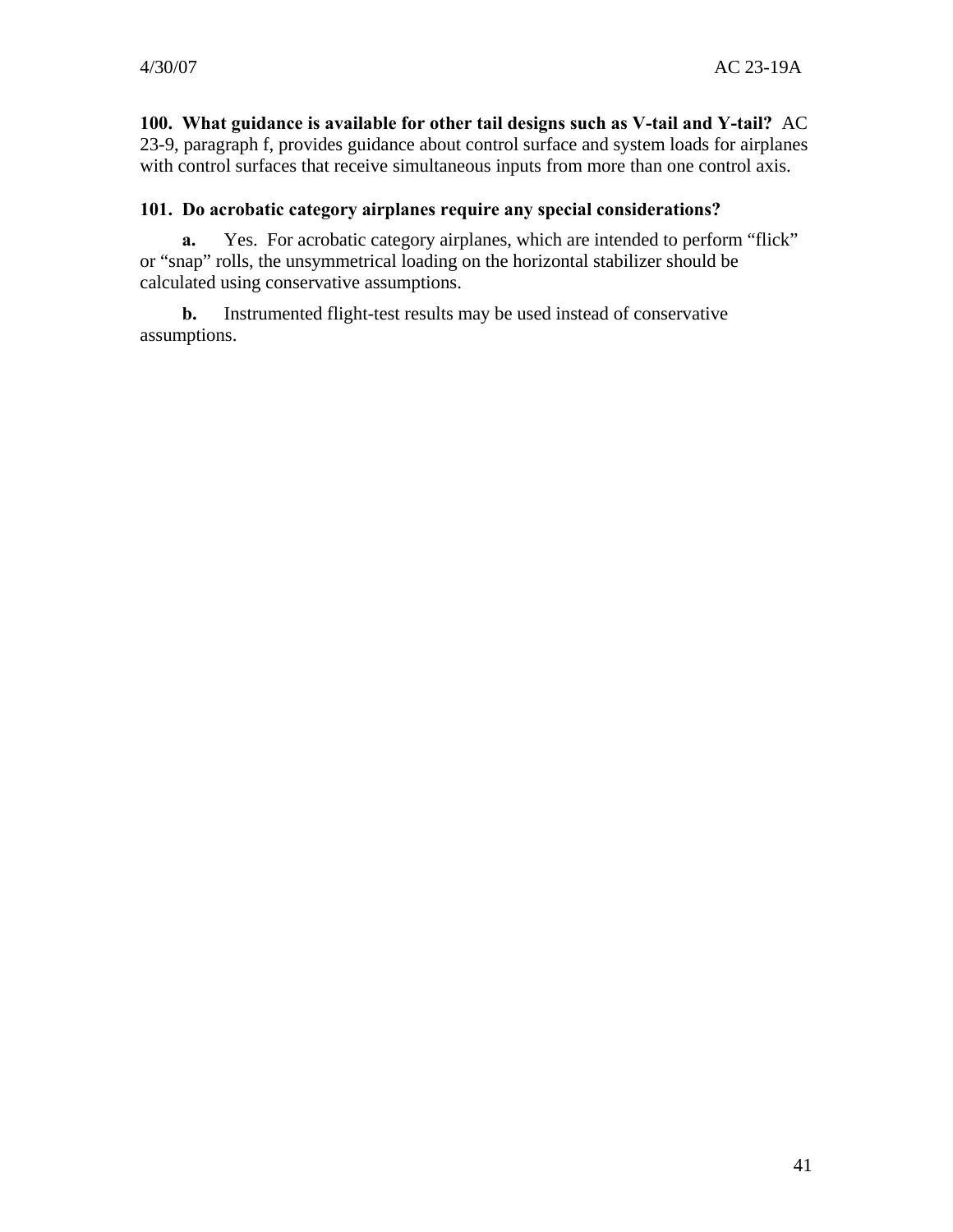**100. What guidance is available for other tail designs such as V-tail and Y-tail?** AC 23-9, paragraph f, provides guidance about control surface and system loads for airplanes with control surfaces that receive simultaneous inputs from more than one control axis.

#### **101. Do acrobatic category airplanes require any special considerations?**

**a.** Yes. For acrobatic category airplanes, which are intended to perform "flick" or "snap" rolls, the unsymmetrical loading on the horizontal stabilizer should be calculated using conservative assumptions.

**b.** Instrumented flight-test results may be used instead of conservative assumptions.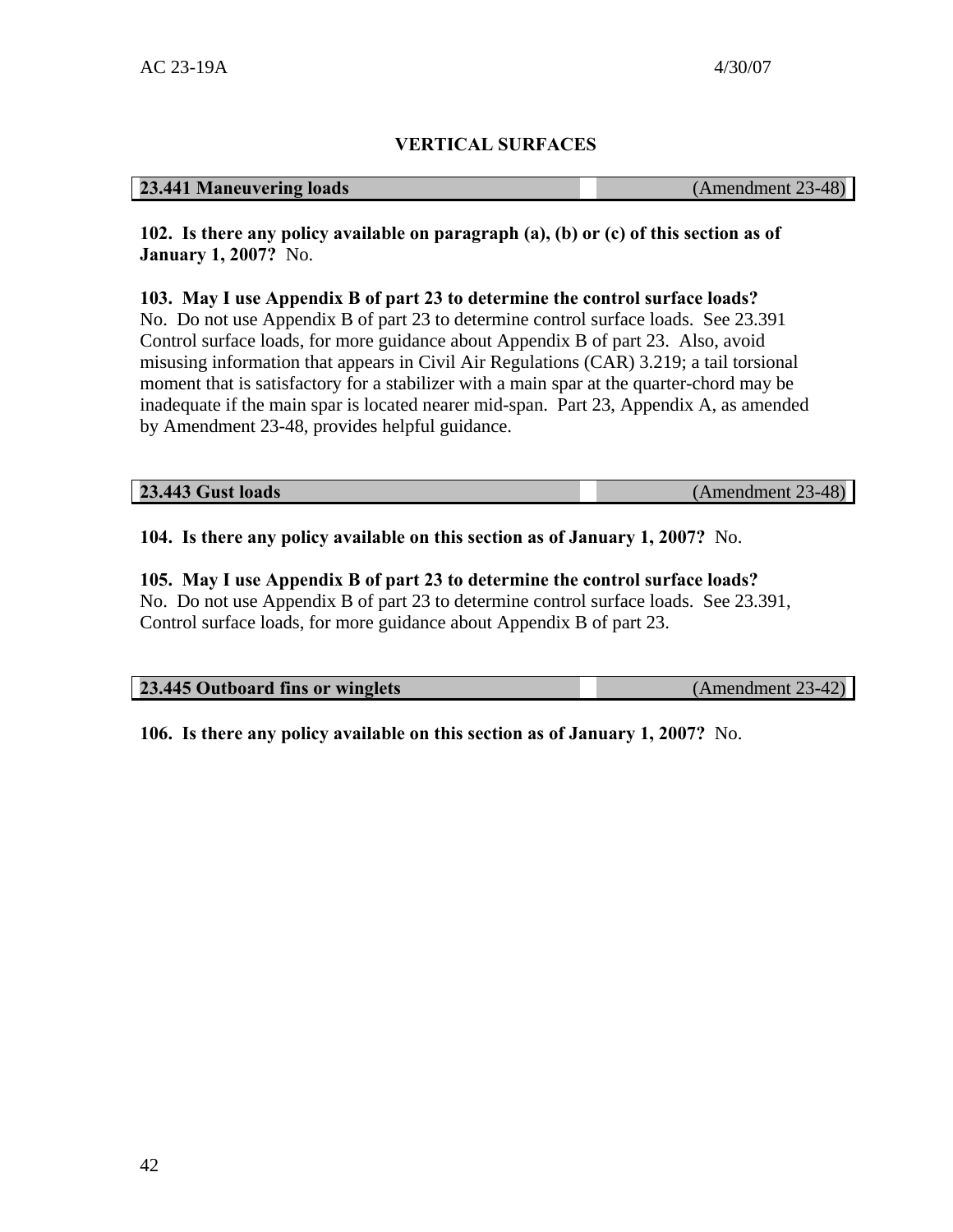# **VERTICAL SURFACES**

#### **23.441 Maneuvering loads** (Amendment 23-48)

**102. Is there any policy available on paragraph (a), (b) or (c) of this section as of January 1, 2007?** No.

**103. May I use Appendix B of part 23 to determine the control surface loads?** 

No. Do not use Appendix B of part 23 to determine control surface loads. See 23.391 Control surface loads, for more guidance about Appendix B of part 23. Also, avoid misusing information that appears in Civil Air Regulations (CAR) 3.219; a tail torsional moment that is satisfactory for a stabilizer with a main spar at the quarter-chord may be inadequate if the main spar is located nearer mid-span. Part 23, Appendix A, as amended by Amendment 23-48, provides helpful guidance.

**23.443 Gust loads** (Amendment 23-48)

**104. Is there any policy available on this section as of January 1, 2007?** No.

# **105. May I use Appendix B of part 23 to determine the control surface loads?**

No. Do not use Appendix B of part 23 to determine control surface loads. See 23.391, Control surface loads, for more guidance about Appendix B of part 23.

| 23.445 Outboard fins or winglets | (Amendment 23-42) |
|----------------------------------|-------------------|
|                                  |                   |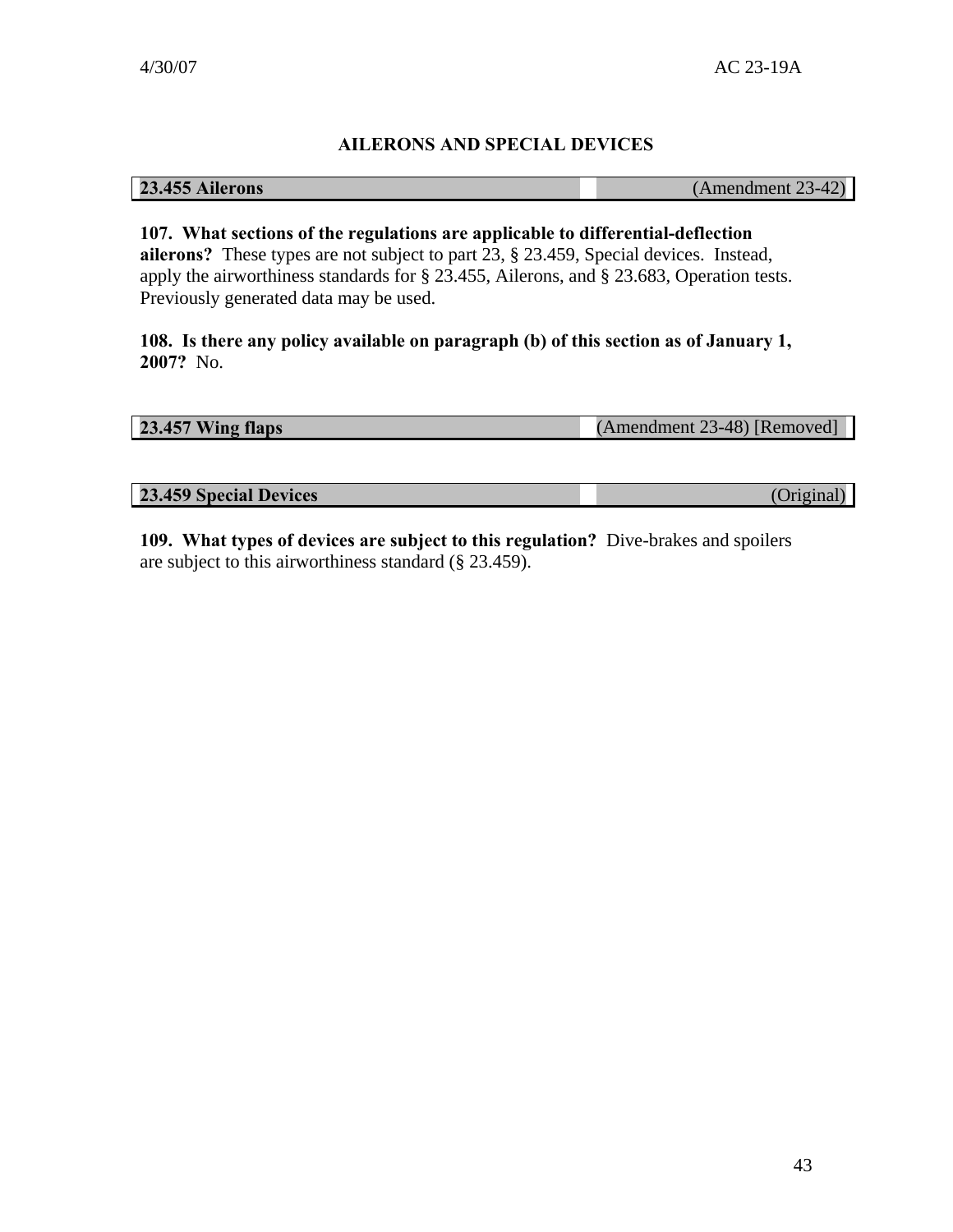# **AILERONS AND SPECIAL DEVICES**

**23.455 Ailerons** (Amendment 23-42)

**107. What sections of the regulations are applicable to differential-deflection ailerons?** These types are not subject to part 23, § 23.459, Special devices. Instead, apply the airworthiness standards for § 23.455, Ailerons, and § 23.683, Operation tests. Previously generated data may be used.

**108. Is there any policy available on paragraph (b) of this section as of January 1, 2007?** No.

**23.457 Wing flaps** (Amendment 23-48) [Removed]

**23.459 Special Devices** (Original)

**109. What types of devices are subject to this regulation?** Dive-brakes and spoilers are subject to this airworthiness standard (§ 23.459).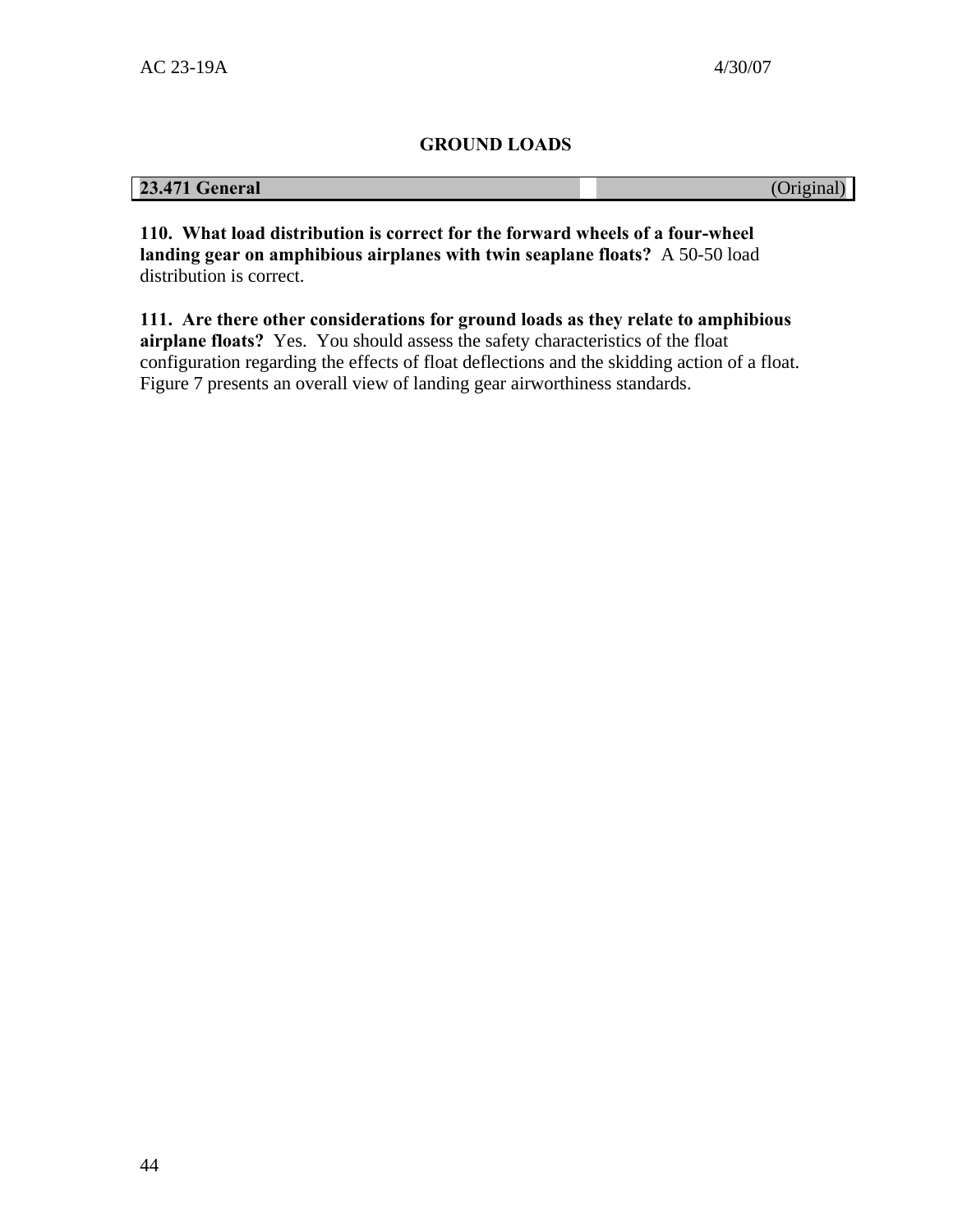# **GROUND LOADS**

# **23.471 General** (Original)

**110. What load distribution is correct for the forward wheels of a four-wheel landing gear on amphibious airplanes with twin seaplane floats?** A 50-50 load distribution is correct.

**111. Are there other considerations for ground loads as they relate to amphibious airplane floats?** Yes. You should assess the safety characteristics of the float configuration regarding the effects of float deflections and the skidding action of a float. Figure 7 presents an overall view of landing gear airworthiness standards.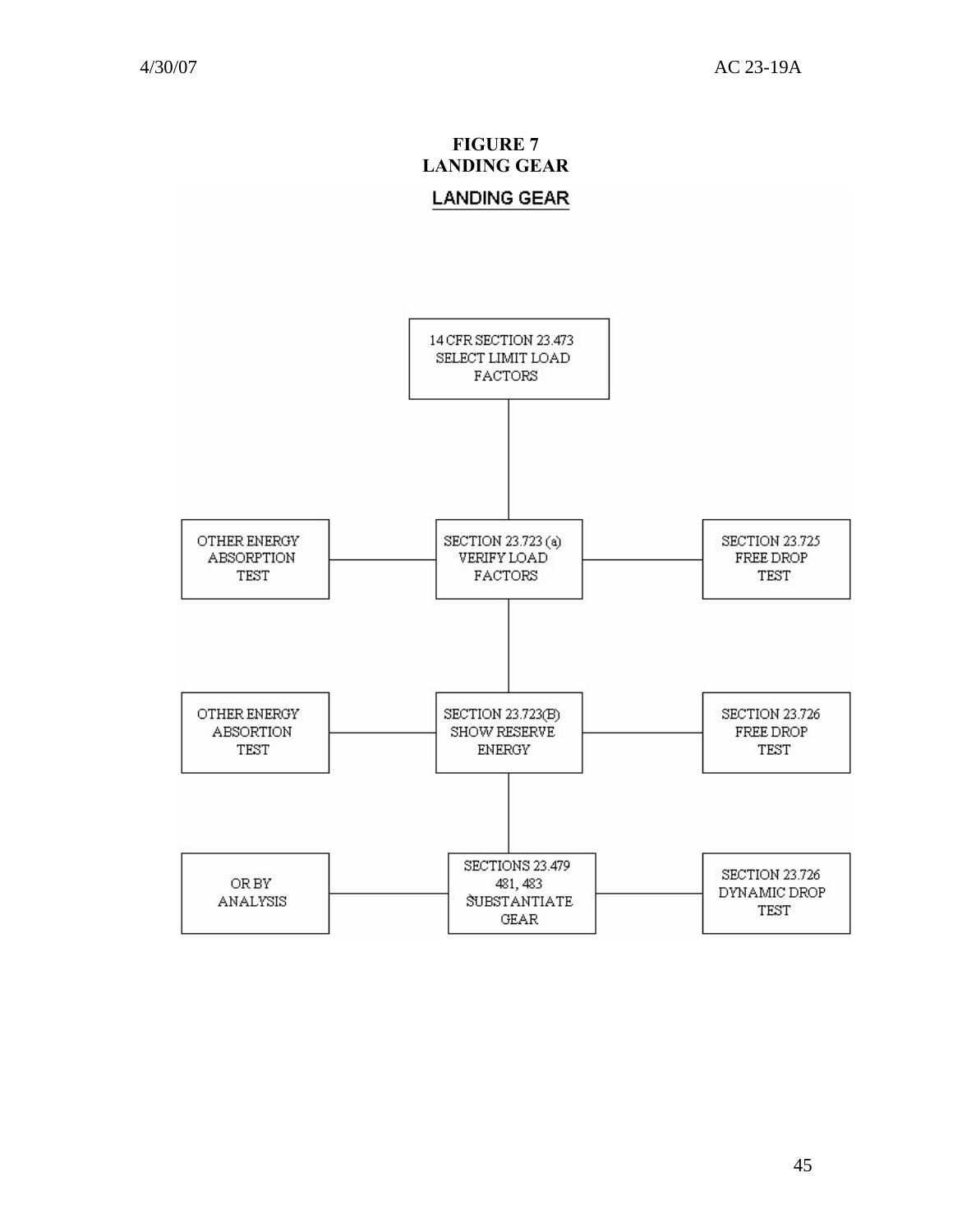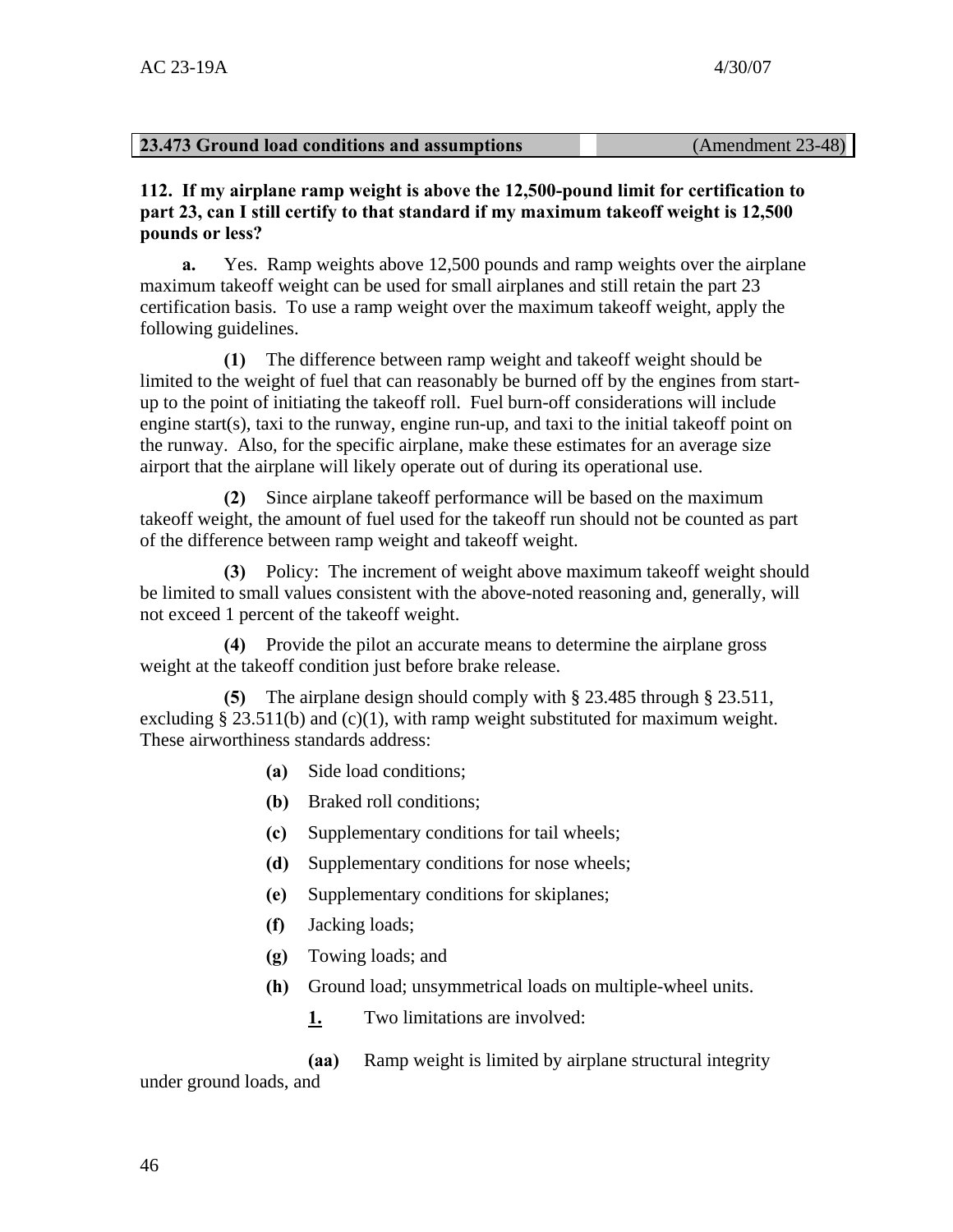#### **23.473 Ground load conditions and assumptions** (Amendment 23-48)

**112. If my airplane ramp weight is above the 12,500-pound limit for certification to part 23, can I still certify to that standard if my maximum takeoff weight is 12,500 pounds or less?** 

**a.** Yes. Ramp weights above 12,500 pounds and ramp weights over the airplane maximum takeoff weight can be used for small airplanes and still retain the part 23 certification basis. To use a ramp weight over the maximum takeoff weight, apply the following guidelines.

**(1)** The difference between ramp weight and takeoff weight should be limited to the weight of fuel that can reasonably be burned off by the engines from startup to the point of initiating the takeoff roll. Fuel burn-off considerations will include engine start(s), taxi to the runway, engine run-up, and taxi to the initial takeoff point on the runway. Also, for the specific airplane, make these estimates for an average size airport that the airplane will likely operate out of during its operational use.

**(2)** Since airplane takeoff performance will be based on the maximum takeoff weight, the amount of fuel used for the takeoff run should not be counted as part of the difference between ramp weight and takeoff weight.

**(3)** Policy: The increment of weight above maximum takeoff weight should be limited to small values consistent with the above-noted reasoning and, generally, will not exceed 1 percent of the takeoff weight.

**(4)** Provide the pilot an accurate means to determine the airplane gross weight at the takeoff condition just before brake release.

**(5)** The airplane design should comply with § 23.485 through § 23.511, excluding  $\S 23.511(b)$  and (c)(1), with ramp weight substituted for maximum weight. These airworthiness standards address:

- **(a)** Side load conditions;
- **(b)** Braked roll conditions;
- **(c)** Supplementary conditions for tail wheels;
- **(d)** Supplementary conditions for nose wheels;
- **(e)** Supplementary conditions for skiplanes;
- **(f)** Jacking loads;
- **(g)** Towing loads; and
- **(h)** Ground load; unsymmetrical loads on multiple-wheel units.
	- **1.** Two limitations are involved:

**(aa)** Ramp weight is limited by airplane structural integrity

under ground loads, and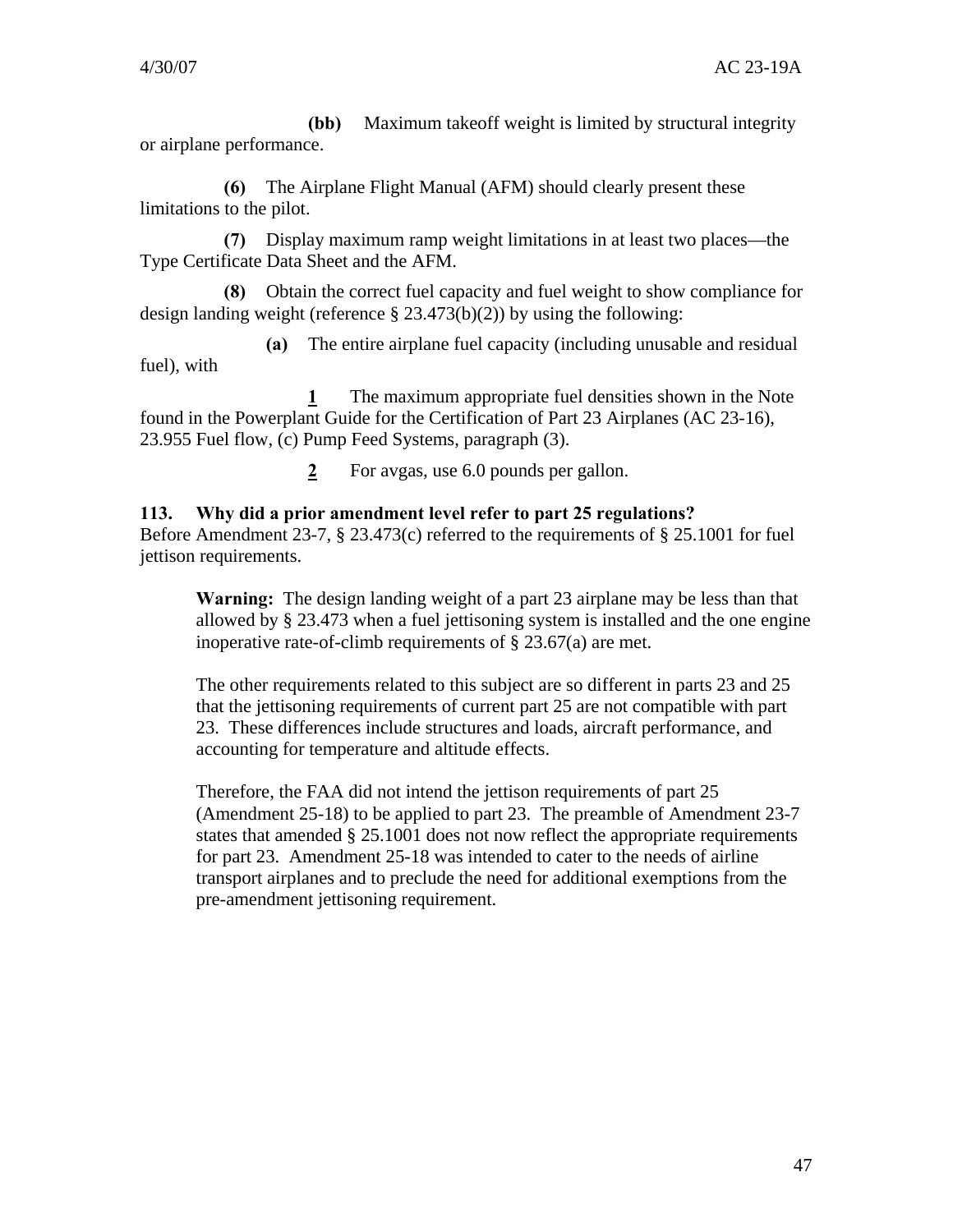**(bb)** Maximum takeoff weight is limited by structural integrity or airplane performance.

**(6)** The Airplane Flight Manual (AFM) should clearly present these limitations to the pilot.

**(7)** Display maximum ramp weight limitations in at least two places—the Type Certificate Data Sheet and the AFM.

**(8)** Obtain the correct fuel capacity and fuel weight to show compliance for design landing weight (reference § 23.473(b)(2)) by using the following:

**(a)** The entire airplane fuel capacity (including unusable and residual fuel), with

**1** The maximum appropriate fuel densities shown in the Note found in the Powerplant Guide for the Certification of Part 23 Airplanes (AC 23-16), 23.955 Fuel flow, (c) Pump Feed Systems, paragraph (3).

**2** For avgas, use 6.0 pounds per gallon.

# **113. Why did a prior amendment level refer to part 25 regulations?**

Before Amendment 23-7, § 23.473(c) referred to the requirements of § 25.1001 for fuel jettison requirements.

**Warning:** The design landing weight of a part 23 airplane may be less than that allowed by § 23.473 when a fuel jettisoning system is installed and the one engine inoperative rate-of-climb requirements of § 23.67(a) are met.

The other requirements related to this subject are so different in parts 23 and 25 that the jettisoning requirements of current part 25 are not compatible with part 23. These differences include structures and loads, aircraft performance, and accounting for temperature and altitude effects.

Therefore, the FAA did not intend the jettison requirements of part 25 (Amendment 25-18) to be applied to part 23. The preamble of Amendment 23-7 states that amended § 25.1001 does not now reflect the appropriate requirements for part 23. Amendment 25-18 was intended to cater to the needs of airline transport airplanes and to preclude the need for additional exemptions from the pre-amendment jettisoning requirement.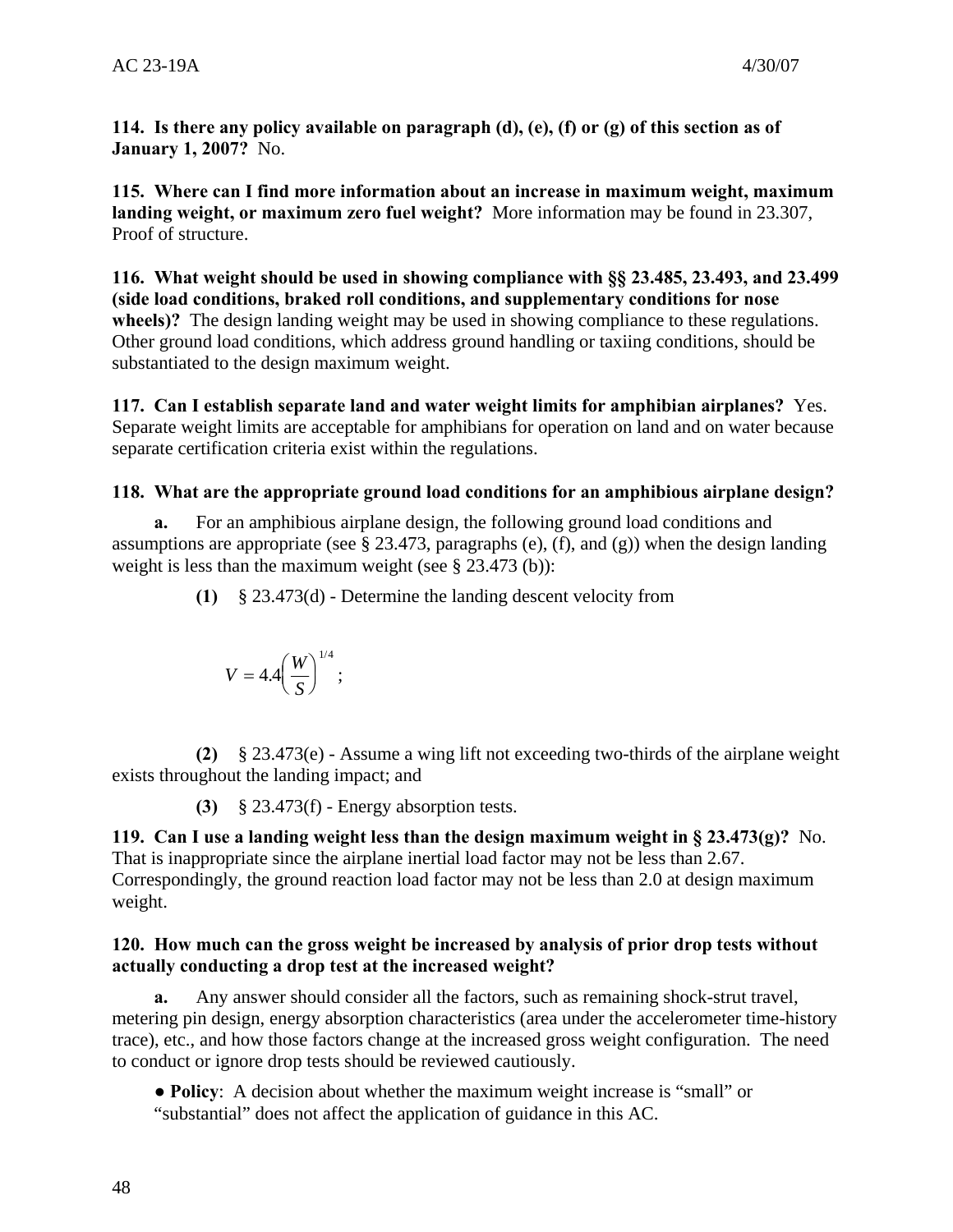**114. Is there any policy available on paragraph (d), (e), (f) or (g) of this section as of January 1, 2007?** No.

**115. Where can I find more information about an increase in maximum weight, maximum landing weight, or maximum zero fuel weight?** More information may be found in 23.307, Proof of structure.

**116. What weight should be used in showing compliance with §§ 23.485, 23.493, and 23.499 (side load conditions, braked roll conditions, and supplementary conditions for nose wheels)?** The design landing weight may be used in showing compliance to these regulations. Other ground load conditions, which address ground handling or taxiing conditions, should be substantiated to the design maximum weight.

**117. Can I establish separate land and water weight limits for amphibian airplanes?** Yes. Separate weight limits are acceptable for amphibians for operation on land and on water because separate certification criteria exist within the regulations.

# **118. What are the appropriate ground load conditions for an amphibious airplane design?**

**a.** For an amphibious airplane design, the following ground load conditions and assumptions are appropriate (see  $\S 23.473$ , paragraphs (e), (f), and (g)) when the design landing weight is less than the maximum weight (see § 23.473 (b)):

**(1)** § 23.473(d) - Determine the landing descent velocity from

$$
V=4.4\left(\frac{W}{S}\right)^{1/4};
$$

**(2)** § 23.473(e) - Assume a wing lift not exceeding two-thirds of the airplane weight exists throughout the landing impact; and

**(3)** § 23.473(f) - Energy absorption tests.

**119. Can I use a landing weight less than the design maximum weight in § 23.473(g)?** No. That is inappropriate since the airplane inertial load factor may not be less than 2.67. Correspondingly, the ground reaction load factor may not be less than 2.0 at design maximum weight.

# **120. How much can the gross weight be increased by analysis of prior drop tests without actually conducting a drop test at the increased weight?**

**a.** Any answer should consider all the factors, such as remaining shock-strut travel, metering pin design, energy absorption characteristics (area under the accelerometer time-history trace), etc., and how those factors change at the increased gross weight configuration. The need to conduct or ignore drop tests should be reviewed cautiously.

**● Policy**: A decision about whether the maximum weight increase is "small" or "substantial" does not affect the application of guidance in this AC.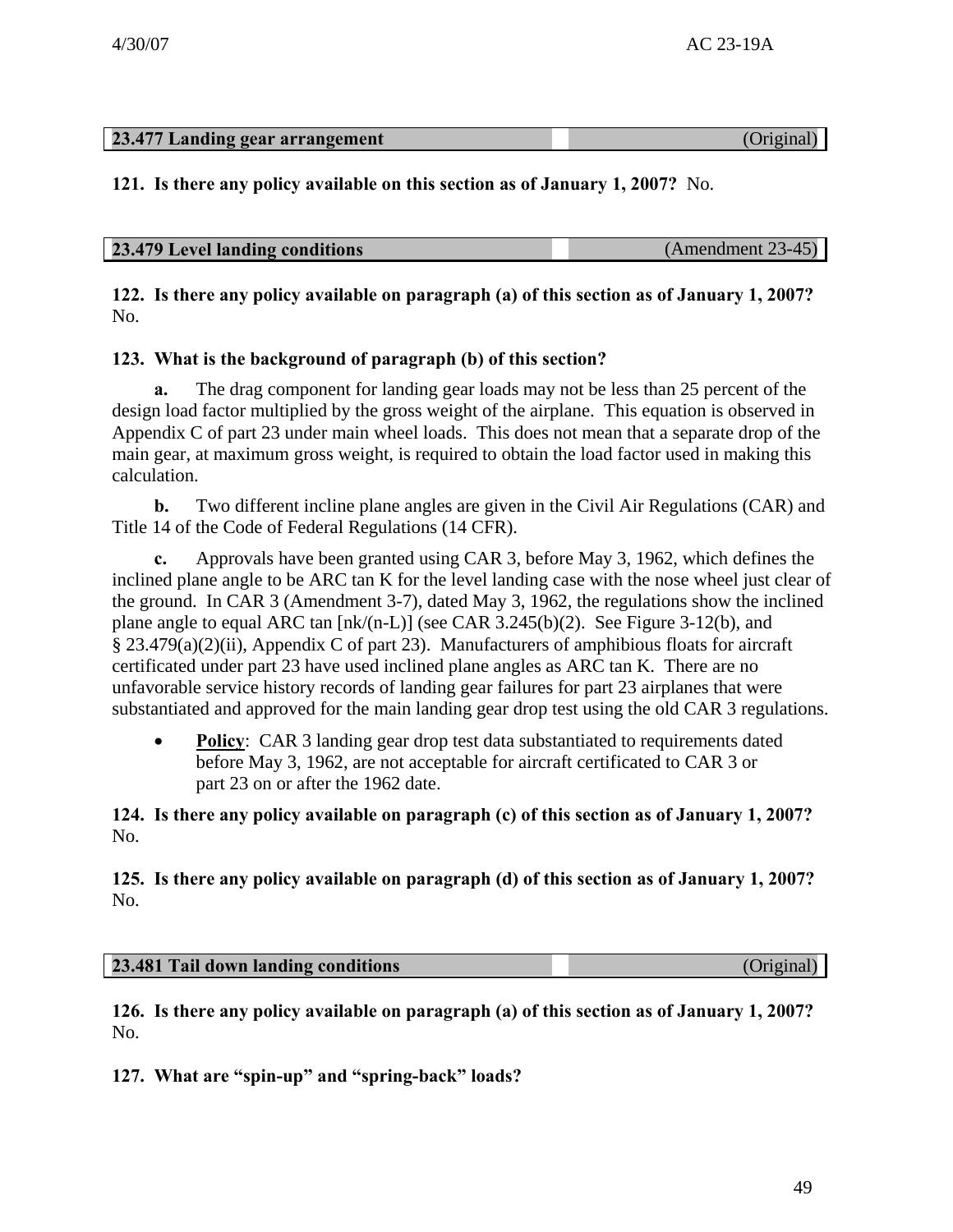# **23.477 Landing gear arrangement** (Original)

**121. Is there any policy available on this section as of January 1, 2007?** No.

| 23.479 Level landing conditions<br>(Amendment 23-45) |
|------------------------------------------------------|
|------------------------------------------------------|

**122. Is there any policy available on paragraph (a) of this section as of January 1, 2007?**  No.

# **123. What is the background of paragraph (b) of this section?**

The drag component for landing gear loads may not be less than 25 percent of the design load factor multiplied by the gross weight of the airplane. This equation is observed in Appendix C of part 23 under main wheel loads. This does not mean that a separate drop of the main gear, at maximum gross weight, is required to obtain the load factor used in making this calculation.

**b.** Two different incline plane angles are given in the Civil Air Regulations (CAR) and Title 14 of the Code of Federal Regulations (14 CFR).

**c.** Approvals have been granted using CAR 3, before May 3, 1962, which defines the inclined plane angle to be ARC tan K for the level landing case with the nose wheel just clear of the ground. In CAR 3 (Amendment 3-7), dated May 3, 1962, the regulations show the inclined plane angle to equal ARC tan [nk/(n-L)] (see CAR 3.245(b)(2). See Figure 3-12(b), and § 23.479(a)(2)(ii), Appendix C of part 23). Manufacturers of amphibious floats for aircraft certificated under part 23 have used inclined plane angles as ARC tan K. There are no unfavorable service history records of landing gear failures for part 23 airplanes that were substantiated and approved for the main landing gear drop test using the old CAR 3 regulations.

**Policy**: CAR 3 landing gear drop test data substantiated to requirements dated before May 3, 1962, are not acceptable for aircraft certificated to CAR 3 or part 23 on or after the 1962 date.

**124. Is there any policy available on paragraph (c) of this section as of January 1, 2007?**  No.

**125. Is there any policy available on paragraph (d) of this section as of January 1, 2007?**  No.

| 23.481 Tail down landing conditions |  |
|-------------------------------------|--|
|                                     |  |

**126. Is there any policy available on paragraph (a) of this section as of January 1, 2007?**  No.

**127. What are "spin-up" and "spring-back" loads?**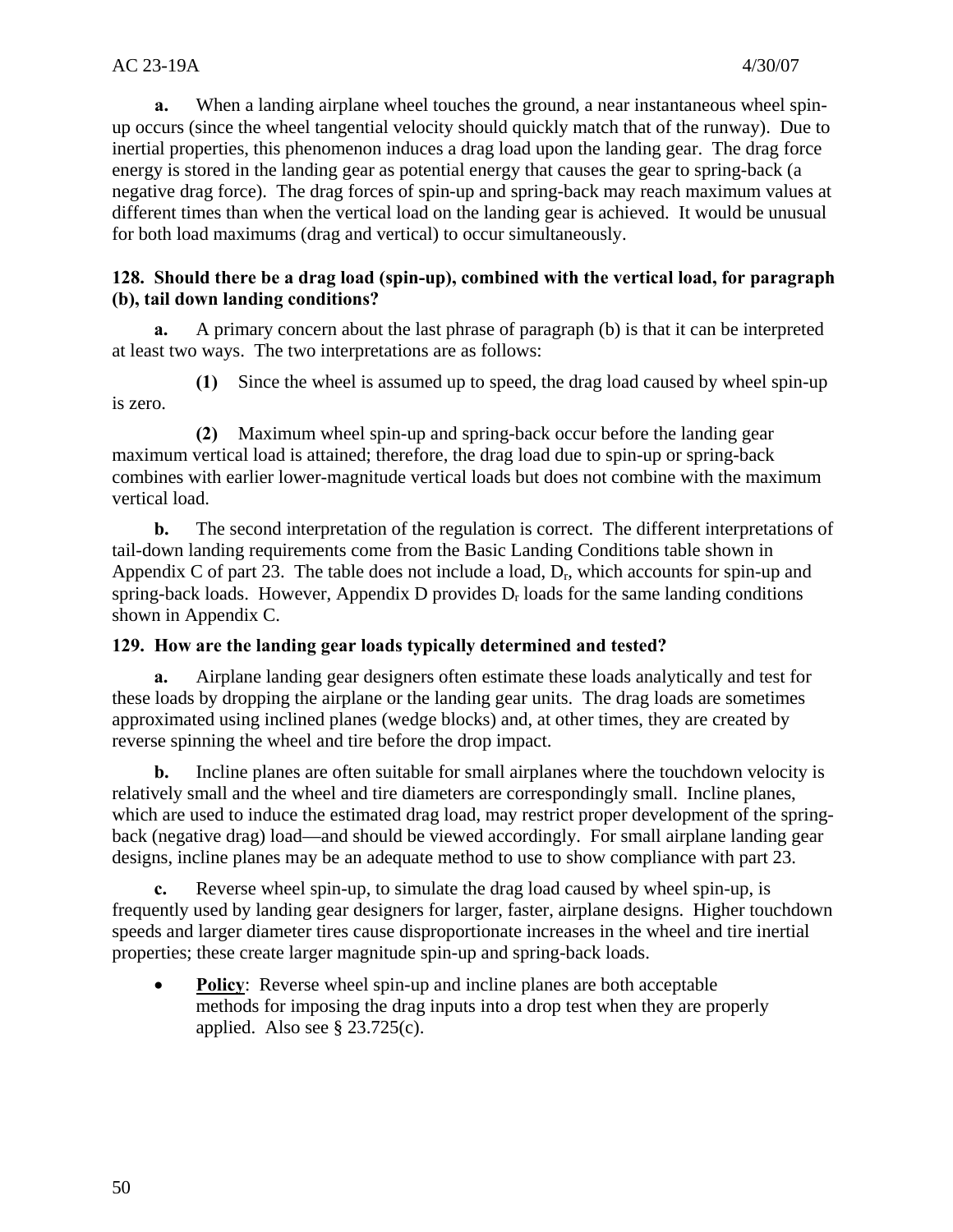**a.** When a landing airplane wheel touches the ground, a near instantaneous wheel spinup occurs (since the wheel tangential velocity should quickly match that of the runway). Due to inertial properties, this phenomenon induces a drag load upon the landing gear. The drag force energy is stored in the landing gear as potential energy that causes the gear to spring-back (a negative drag force). The drag forces of spin-up and spring-back may reach maximum values at different times than when the vertical load on the landing gear is achieved. It would be unusual for both load maximums (drag and vertical) to occur simultaneously.

#### **128. Should there be a drag load (spin-up), combined with the vertical load, for paragraph (b), tail down landing conditions?**

**a.** A primary concern about the last phrase of paragraph (b) is that it can be interpreted at least two ways. The two interpretations are as follows:

**(1)** Since the wheel is assumed up to speed, the drag load caused by wheel spin-up is zero.

**(2)** Maximum wheel spin-up and spring-back occur before the landing gear maximum vertical load is attained; therefore, the drag load due to spin-up or spring-back combines with earlier lower-magnitude vertical loads but does not combine with the maximum vertical load.

**b.** The second interpretation of the regulation is correct. The different interpretations of tail-down landing requirements come from the Basic Landing Conditions table shown in Appendix C of part 23. The table does not include a load,  $D_r$ , which accounts for spin-up and spring-back loads. However, Appendix D provides  $D_r$  loads for the same landing conditions shown in Appendix C.

# **129. How are the landing gear loads typically determined and tested?**

**a.** Airplane landing gear designers often estimate these loads analytically and test for these loads by dropping the airplane or the landing gear units. The drag loads are sometimes approximated using inclined planes (wedge blocks) and, at other times, they are created by reverse spinning the wheel and tire before the drop impact.

**b.** Incline planes are often suitable for small airplanes where the touchdown velocity is relatively small and the wheel and tire diameters are correspondingly small. Incline planes, which are used to induce the estimated drag load, may restrict proper development of the springback (negative drag) load—and should be viewed accordingly. For small airplane landing gear designs, incline planes may be an adequate method to use to show compliance with part 23.

**c.** Reverse wheel spin-up, to simulate the drag load caused by wheel spin-up, is frequently used by landing gear designers for larger, faster, airplane designs. Higher touchdown speeds and larger diameter tires cause disproportionate increases in the wheel and tire inertial properties; these create larger magnitude spin-up and spring-back loads.

• **Policy:** Reverse wheel spin-up and incline planes are both acceptable methods for imposing the drag inputs into a drop test when they are properly applied. Also see § 23.725(c).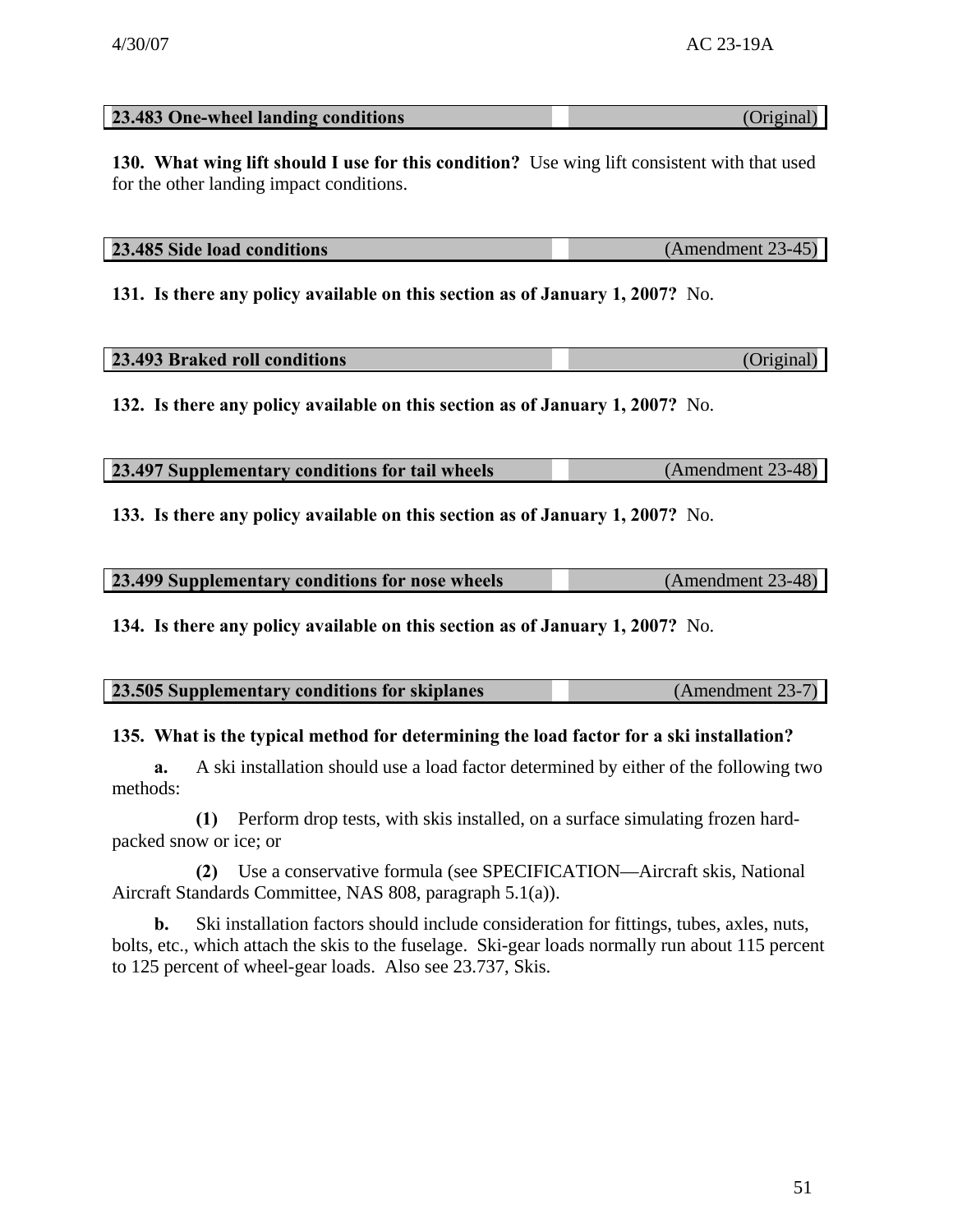| 23.483 One-wheel landing conditions |  |
|-------------------------------------|--|
|                                     |  |

**130. What wing lift should I use for this condition?** Use wing lift consistent with that used for the other landing impact conditions.

| 23.485 Side load conditions | $(Amendment 23-45)$ |
|-----------------------------|---------------------|
|                             |                     |

**131. Is there any policy available on this section as of January 1, 2007?** No.

| 23.493 Braked roll conditions | (Original) |
|-------------------------------|------------|

**132. Is there any policy available on this section as of January 1, 2007?** No.

| 23.497 Supplementary conditions for tail wheels | (Amendment 23-48) |
|-------------------------------------------------|-------------------|
|-------------------------------------------------|-------------------|

**133. Is there any policy available on this section as of January 1, 2007?** No.

| 23.499 Supplementary conditions for nose wheels | $(Amendment 23-48)$ |
|-------------------------------------------------|---------------------|

**134. Is there any policy available on this section as of January 1, 2007?** No.

| 23.505 Supplementary conditions for skiplanes | $(Amendment 23-7)$ |
|-----------------------------------------------|--------------------|
|                                               |                    |

# **135. What is the typical method for determining the load factor for a ski installation?**

**a.** A ski installation should use a load factor determined by either of the following two methods:

**(1)** Perform drop tests, with skis installed, on a surface simulating frozen hardpacked snow or ice; or

**(2)** Use a conservative formula (see SPECIFICATION—Aircraft skis, National Aircraft Standards Committee, NAS 808, paragraph 5.1(a)).

**b.** Ski installation factors should include consideration for fittings, tubes, axles, nuts, bolts, etc., which attach the skis to the fuselage. Ski-gear loads normally run about 115 percent to 125 percent of wheel-gear loads. Also see 23.737, Skis.

**23.483 One-wheel landing conditions** (Original)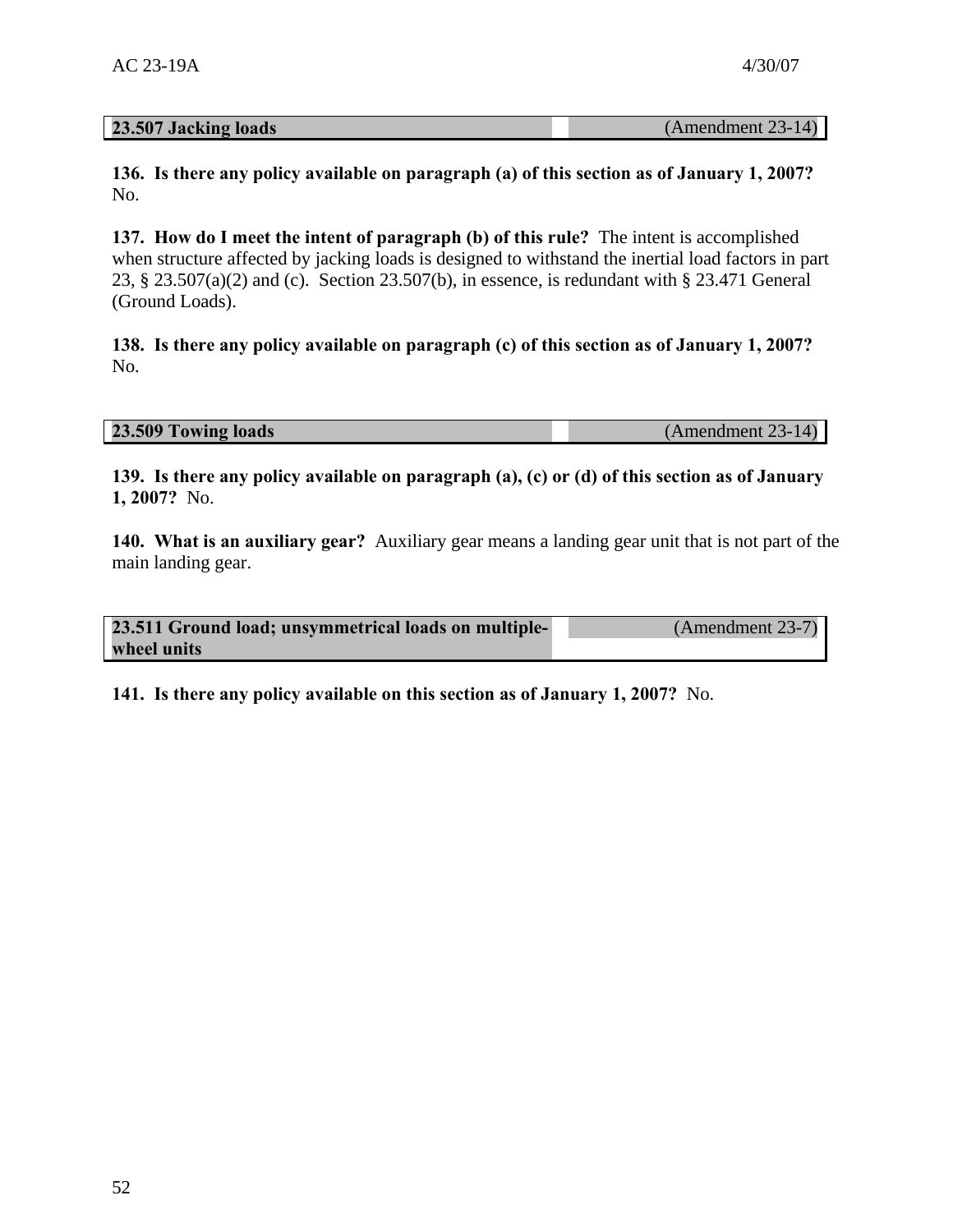**136. Is there any policy available on paragraph (a) of this section as of January 1, 2007?**  No.

**137. How do I meet the intent of paragraph (b) of this rule?** The intent is accomplished when structure affected by jacking loads is designed to withstand the inertial load factors in part 23, § 23.507(a)(2) and (c). Section 23.507(b), in essence, is redundant with § 23.471 General (Ground Loads).

**138. Is there any policy available on paragraph (c) of this section as of January 1, 2007?**  No.

**23.509 Towing loads** (Amendment 23-14)

**139. Is there any policy available on paragraph (a), (c) or (d) of this section as of January 1, 2007?** No.

**140. What is an auxiliary gear?** Auxiliary gear means a landing gear unit that is not part of the main landing gear.

**23.511 Ground load; unsymmetrical loads on multiplewheel units**  (Amendment 23-7)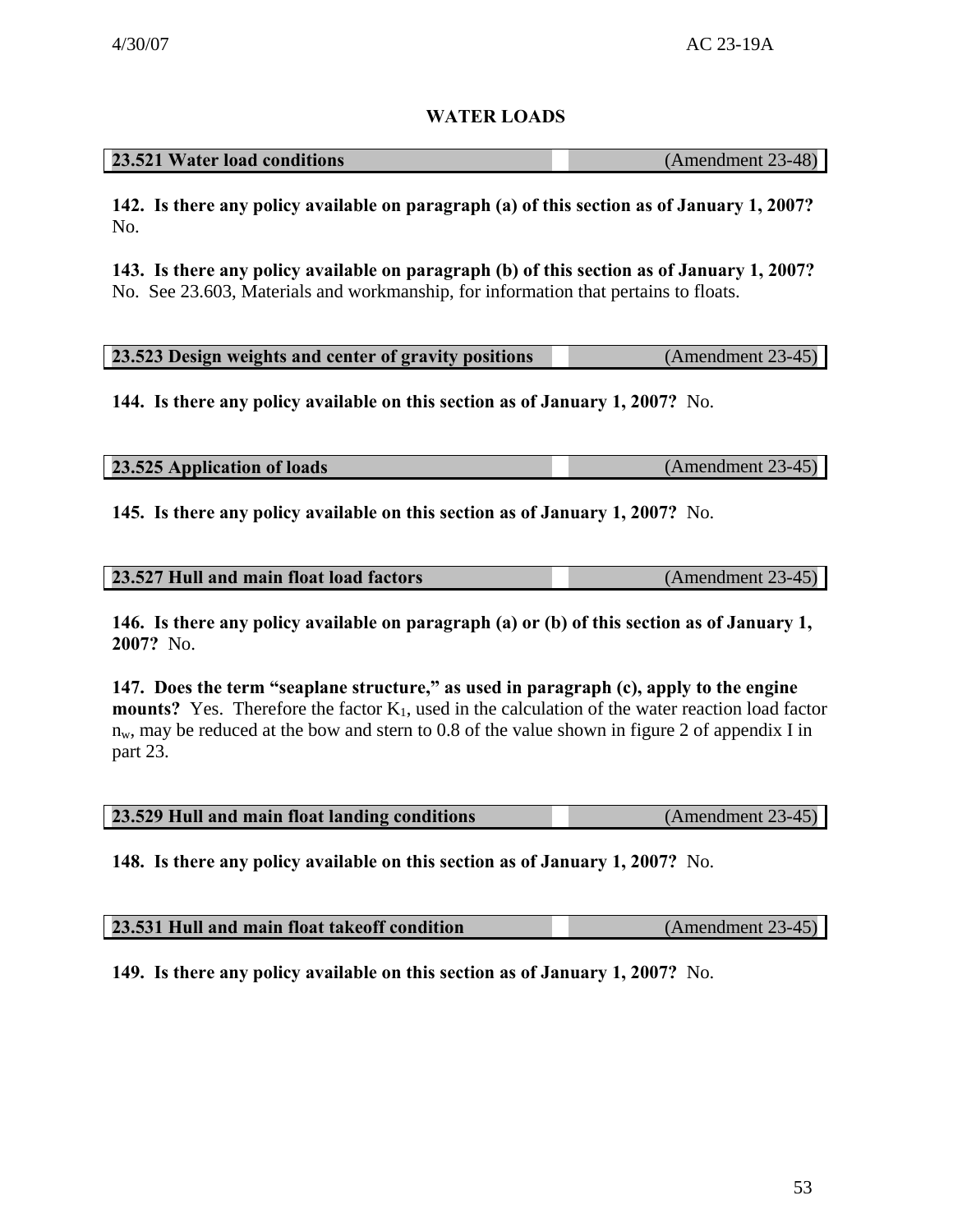# **WATER LOADS**

| 23.521 Water load conditions | (Amendment 23-48) |
|------------------------------|-------------------|
|------------------------------|-------------------|

**142. Is there any policy available on paragraph (a) of this section as of January 1, 2007?**  No.

 No. See 23.603, Materials and workmanship, for information that pertains to floats. **143. Is there any policy available on paragraph (b) of this section as of January 1, 2007?** 

| 23.523 Design weights and center of gravity positions | $(Amendment 23-45)$ |
|-------------------------------------------------------|---------------------|

**144. Is there any policy available on this section as of January 1, 2007?** No.

| 23.525 Application of loads | $(Amendment 23-45)$ |
|-----------------------------|---------------------|

**145. Is there any policy available on this section as of January 1, 2007?** No.

| 23.527 Hull and main float load factors | $(Amendment 23-45)$ |
|-----------------------------------------|---------------------|
|                                         |                     |

**146. Is there any policy available on paragraph (a) or (b) of this section as of January 1, 2007?** No.

**147. Does the term "seaplane structure," as used in paragraph (c), apply to the engine mounts?** Yes. Therefore the factor  $K_1$ , used in the calculation of the water reaction load factor  $n_w$ , may be reduced at the bow and stern to 0.8 of the value shown in figure 2 of appendix I in part 23.

| 23.529 Hull and main float landing conditions |  | $(Amendment 23-45)$ |
|-----------------------------------------------|--|---------------------|
|-----------------------------------------------|--|---------------------|

**148. Is there any policy available on this section as of January 1, 2007?** No.

| 23.531 Hull and main float takeoff condition | $(Amendment 23-45)$ |
|----------------------------------------------|---------------------|
|----------------------------------------------|---------------------|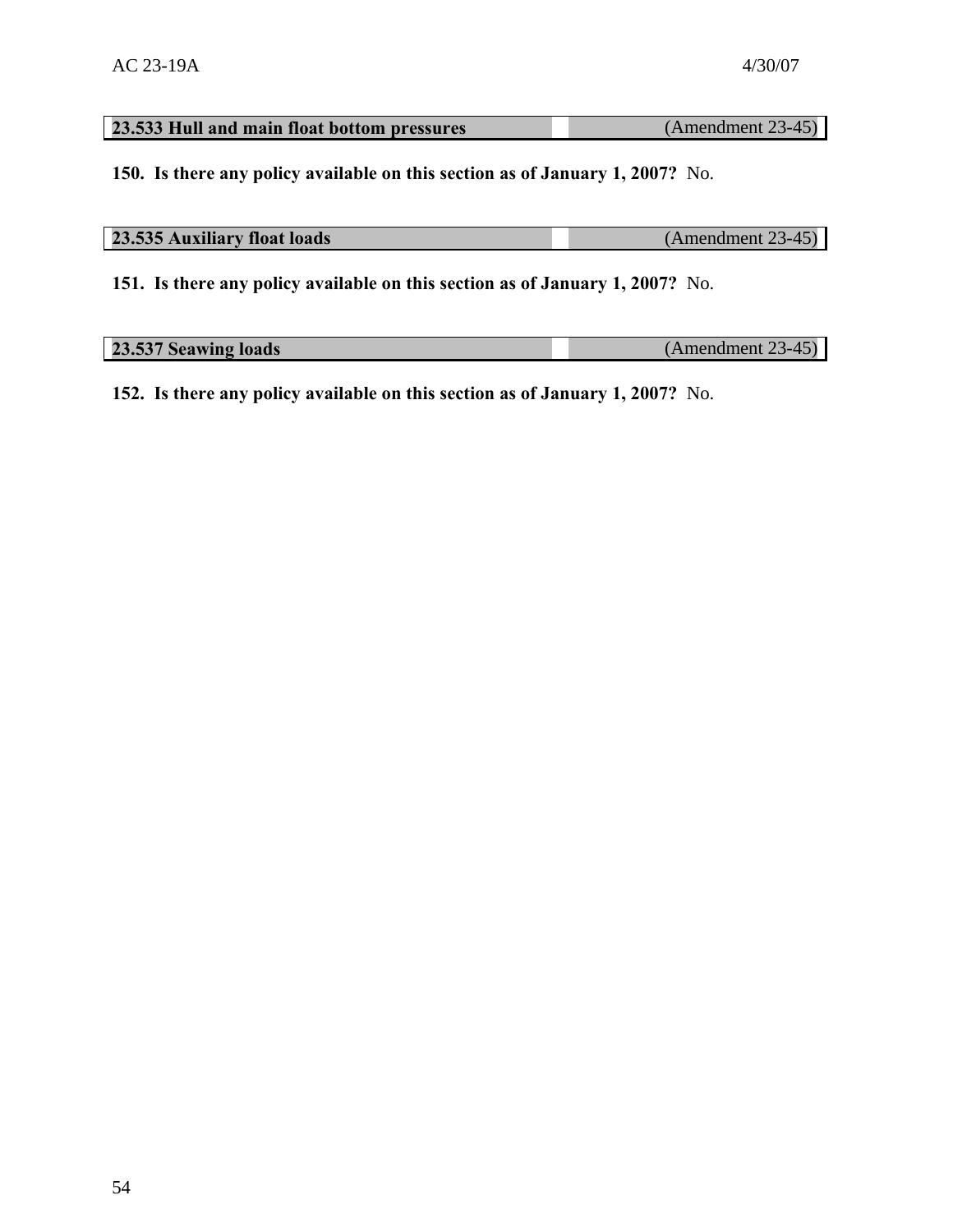# **23.533 Hull and main float bottom pressures** (Amendment 23-45)

**150. Is there any policy available on this section as of January 1, 2007?** No.

| 23.535 Auxiliary float loads | $(Amendment 23-45)$ |
|------------------------------|---------------------|
|                              |                     |

**151. Is there any policy available on this section as of January 1, 2007?** No.

| 23.537 Seawing loads | $(Amendment 23-45)$ |
|----------------------|---------------------|
|                      |                     |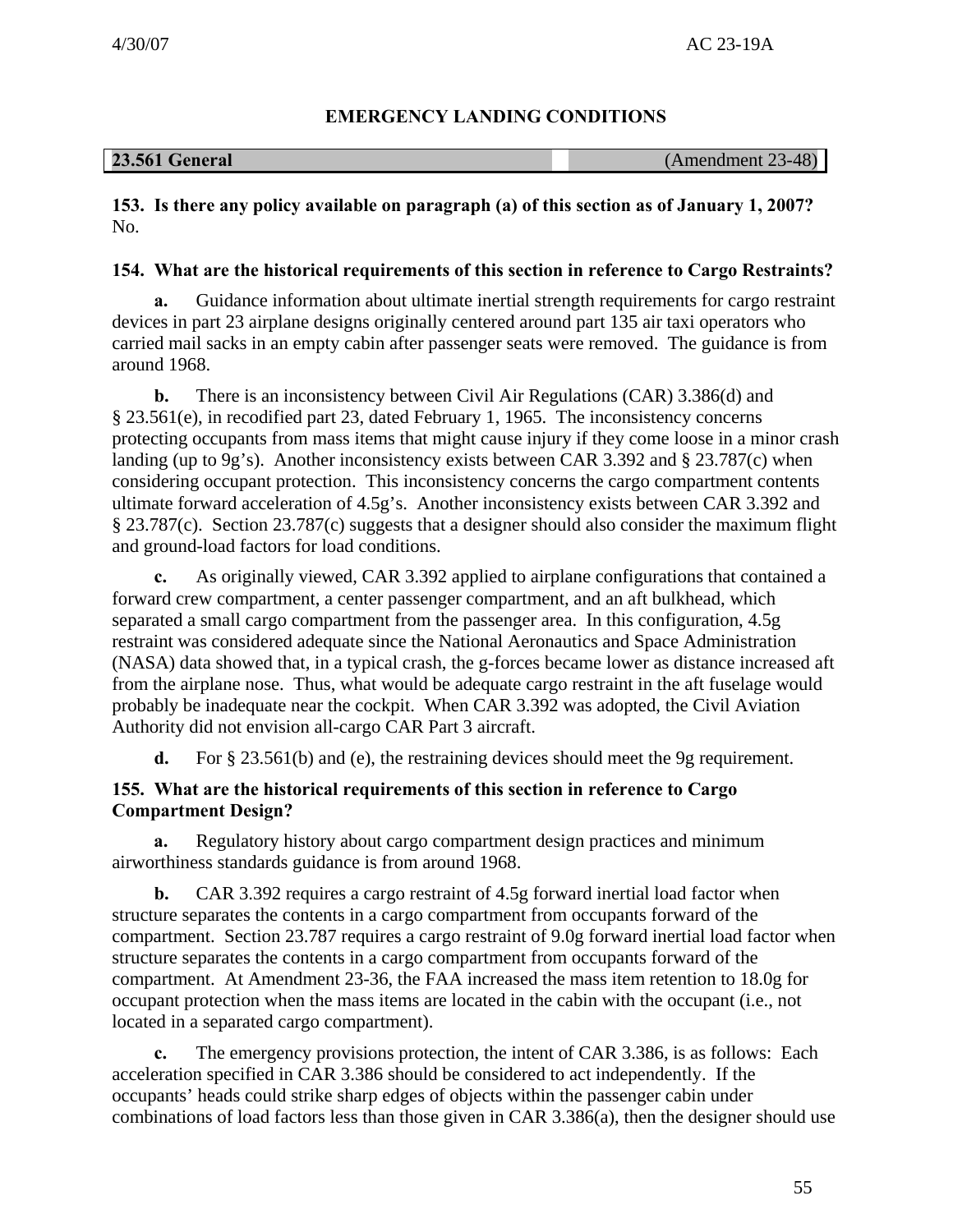# **EMERGENCY LANDING CONDITIONS**

| <b>23.561 General</b> | (Amendment 23-48) |
|-----------------------|-------------------|
|-----------------------|-------------------|

**153. Is there any policy available on paragraph (a) of this section as of January 1, 2007?**  No.

# **154. What are the historical requirements of this section in reference to Cargo Restraints?**

**a.** Guidance information about ultimate inertial strength requirements for cargo restraint devices in part 23 airplane designs originally centered around part 135 air taxi operators who carried mail sacks in an empty cabin after passenger seats were removed. The guidance is from around 1968.

**b.** There is an inconsistency between Civil Air Regulations (CAR) 3.386(d) and § 23.561(e), in recodified part 23, dated February 1, 1965. The inconsistency concerns protecting occupants from mass items that might cause injury if they come loose in a minor crash landing (up to 9g's). Another inconsistency exists between CAR 3.392 and § 23.787(c) when considering occupant protection. This inconsistency concerns the cargo compartment contents ultimate forward acceleration of 4.5g's. Another inconsistency exists between CAR 3.392 and § 23.787(c). Section 23.787(c) suggests that a designer should also consider the maximum flight and ground-load factors for load conditions.

**c.** As originally viewed, CAR 3.392 applied to airplane configurations that contained a forward crew compartment, a center passenger compartment, and an aft bulkhead, which separated a small cargo compartment from the passenger area. In this configuration, 4.5g restraint was considered adequate since the National Aeronautics and Space Administration (NASA) data showed that, in a typical crash, the g-forces became lower as distance increased aft from the airplane nose. Thus, what would be adequate cargo restraint in the aft fuselage would probably be inadequate near the cockpit. When CAR 3.392 was adopted, the Civil Aviation Authority did not envision all-cargo CAR Part 3 aircraft.

**d.** For § 23.561(b) and (e), the restraining devices should meet the 9g requirement.

# **155. What are the historical requirements of this section in reference to Cargo Compartment Design?**

**a.** Regulatory history about cargo compartment design practices and minimum airworthiness standards guidance is from around 1968.

**b.** CAR 3.392 requires a cargo restraint of 4.5g forward inertial load factor when structure separates the contents in a cargo compartment from occupants forward of the compartment. Section 23.787 requires a cargo restraint of 9.0g forward inertial load factor when structure separates the contents in a cargo compartment from occupants forward of the compartment. At Amendment 23-36, the FAA increased the mass item retention to 18.0g for occupant protection when the mass items are located in the cabin with the occupant (i.e., not located in a separated cargo compartment).

**c.** The emergency provisions protection, the intent of CAR 3.386, is as follows: Each acceleration specified in CAR 3.386 should be considered to act independently. If the occupants' heads could strike sharp edges of objects within the passenger cabin under combinations of load factors less than those given in CAR 3.386(a), then the designer should use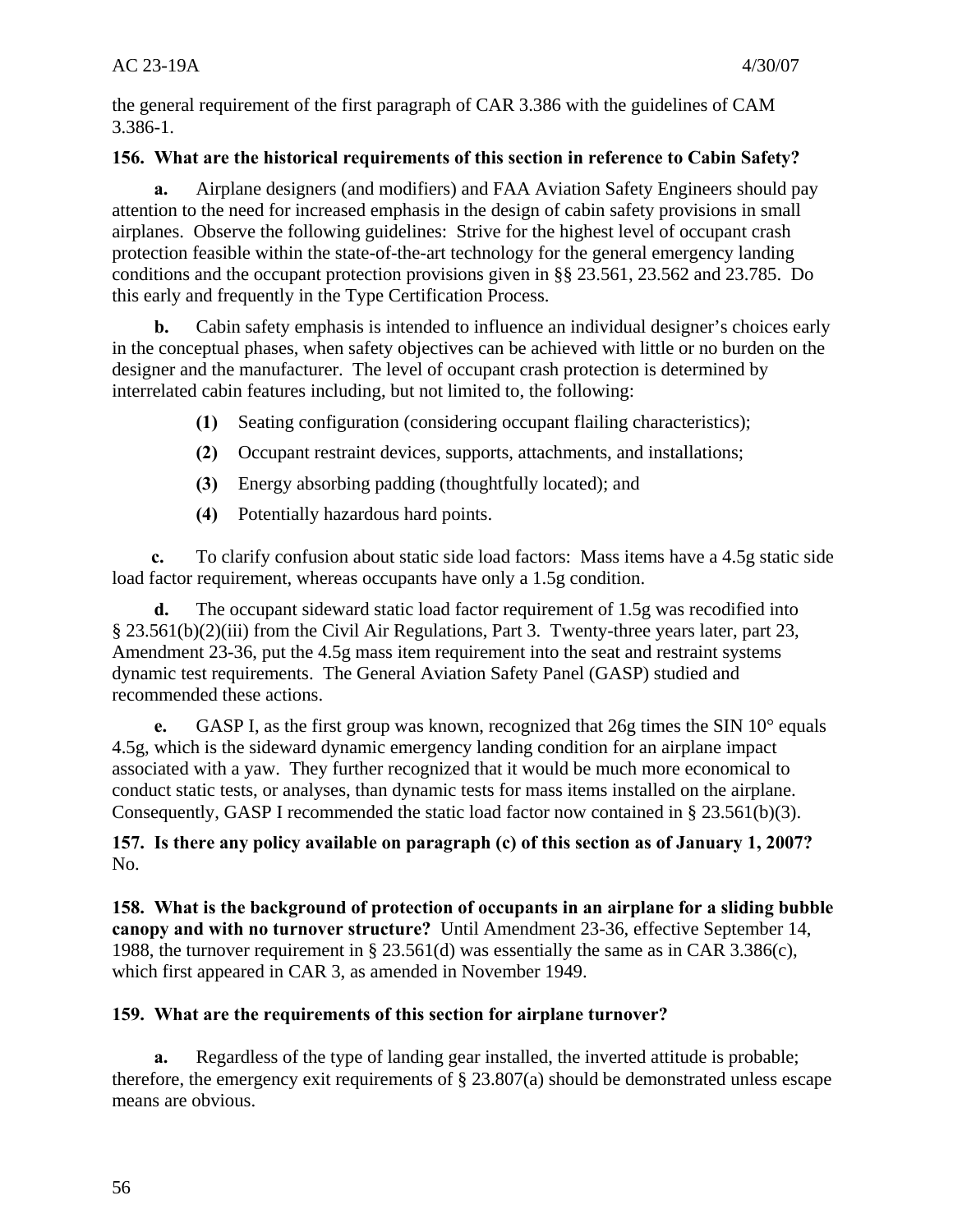the general requirement of the first paragraph of CAR 3.386 with the guidelines of CAM 3.386-1.

# **156. What are the historical requirements of this section in reference to Cabin Safety?**

**a.** Airplane designers (and modifiers) and FAA Aviation Safety Engineers should pay attention to the need for increased emphasis in the design of cabin safety provisions in small airplanes. Observe the following guidelines: Strive for the highest level of occupant crash protection feasible within the state-of-the-art technology for the general emergency landing conditions and the occupant protection provisions given in §§ 23.561, 23.562 and 23.785. Do this early and frequently in the Type Certification Process.

**b.** Cabin safety emphasis is intended to influence an individual designer's choices early in the conceptual phases, when safety objectives can be achieved with little or no burden on the designer and the manufacturer. The level of occupant crash protection is determined by interrelated cabin features including, but not limited to, the following:

- **(1)** Seating configuration (considering occupant flailing characteristics);
- **(2)** Occupant restraint devices, supports, attachments, and installations;
- **(3)** Energy absorbing padding (thoughtfully located); and
- **(4)** Potentially hazardous hard points.

**c.** To clarify confusion about static side load factors: Mass items have a 4.5g static side load factor requirement, whereas occupants have only a 1.5g condition.

**d.** The occupant sideward static load factor requirement of 1.5g was recodified into § 23.561(b)(2)(iii) from the Civil Air Regulations, Part 3. Twenty-three years later, part 23, Amendment 23-36, put the 4.5g mass item requirement into the seat and restraint systems dynamic test requirements. The General Aviation Safety Panel (GASP) studied and recommended these actions.

**e.** GASP I, as the first group was known, recognized that 26g times the SIN 10° equals 4.5g, which is the sideward dynamic emergency landing condition for an airplane impact associated with a yaw. They further recognized that it would be much more economical to conduct static tests, or analyses, than dynamic tests for mass items installed on the airplane. Consequently, GASP I recommended the static load factor now contained in § 23.561(b)(3).

**157. Is there any policy available on paragraph (c) of this section as of January 1, 2007?**  No.

**158. What is the background of protection of occupants in an airplane for a sliding bubble canopy and with no turnover structure?** Until Amendment 23-36, effective September 14, 1988, the turnover requirement in § 23.561(d) was essentially the same as in CAR 3.386(c), which first appeared in CAR 3, as amended in November 1949.

# **159. What are the requirements of this section for airplane turnover?**

**a.** Regardless of the type of landing gear installed, the inverted attitude is probable; therefore, the emergency exit requirements of § 23.807(a) should be demonstrated unless escape means are obvious.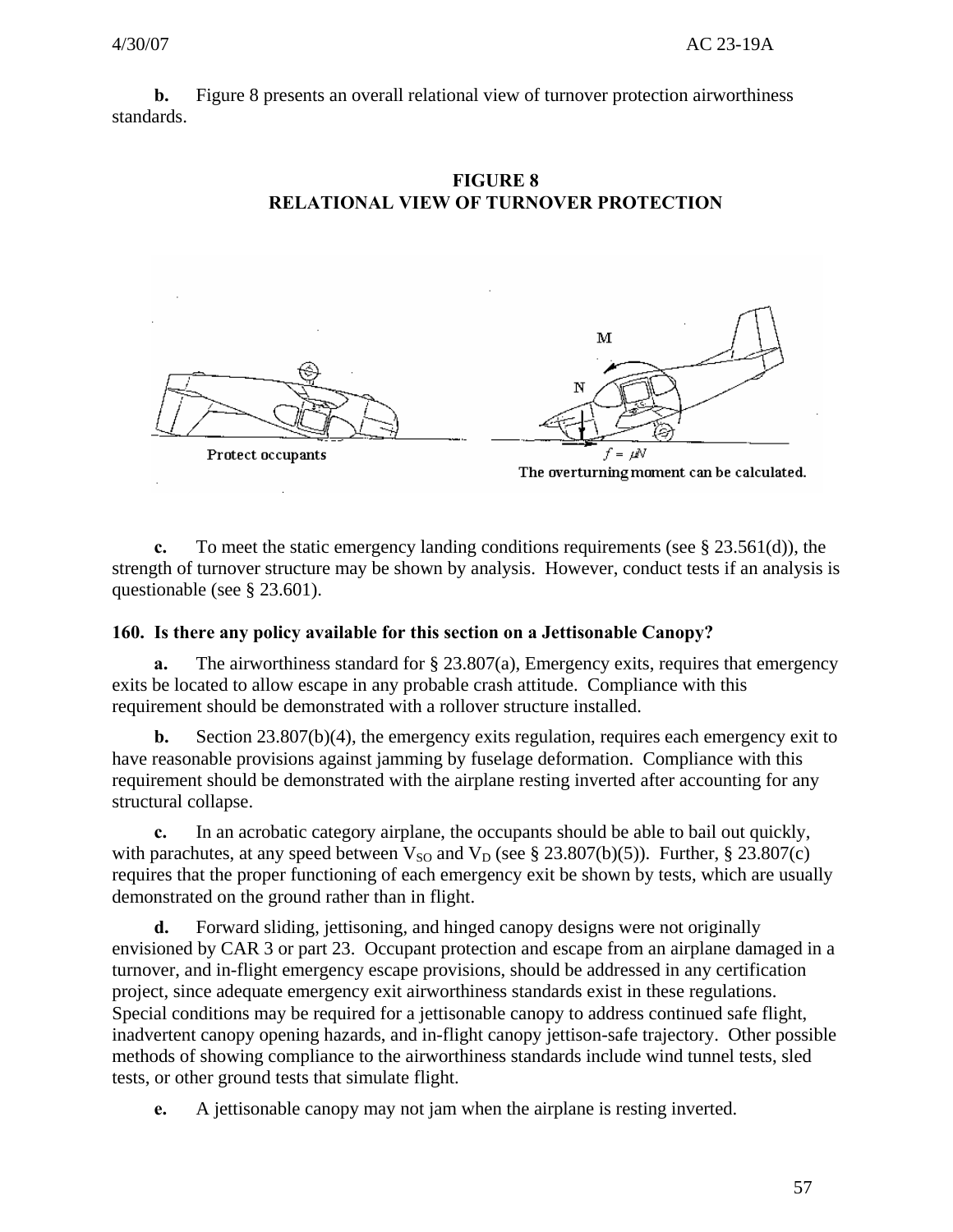**b.** Figure 8 presents an overall relational view of turnover protection airworthiness standards.



# **FIGURE 8 RELATIONAL VIEW OF TURNOVER PROTECTION**



The overturning moment can be calculated.

**c.** To meet the static emergency landing conditions requirements (see § 23.561(d)), the strength of turnover structure may be shown by analysis. However, conduct tests if an analysis is questionable (see § 23.601).

#### **160. Is there any policy available for this section on a Jettisonable Canopy?**

**a.** The airworthiness standard for § 23.807(a), Emergency exits, requires that emergency exits be located to allow escape in any probable crash attitude. Compliance with this requirement should be demonstrated with a rollover structure installed.

**b.** Section 23.807(b)(4), the emergency exits regulation, requires each emergency exit to have reasonable provisions against jamming by fuselage deformation. Compliance with this requirement should be demonstrated with the airplane resting inverted after accounting for any structural collapse.

**c.** In an acrobatic category airplane, the occupants should be able to bail out quickly, with parachutes, at any speed between  $V_{SO}$  and  $V_D$  (see § 23.807(b)(5)). Further, § 23.807(c) requires that the proper functioning of each emergency exit be shown by tests, which are usually demonstrated on the ground rather than in flight.

**d.** Forward sliding, jettisoning, and hinged canopy designs were not originally envisioned by CAR 3 or part 23. Occupant protection and escape from an airplane damaged in a turnover, and in-flight emergency escape provisions, should be addressed in any certification project, since adequate emergency exit airworthiness standards exist in these regulations. Special conditions may be required for a jettisonable canopy to address continued safe flight, inadvertent canopy opening hazards, and in-flight canopy jettison-safe trajectory. Other possible methods of showing compliance to the airworthiness standards include wind tunnel tests, sled tests, or other ground tests that simulate flight.

**e.** A jettisonable canopy may not jam when the airplane is resting inverted.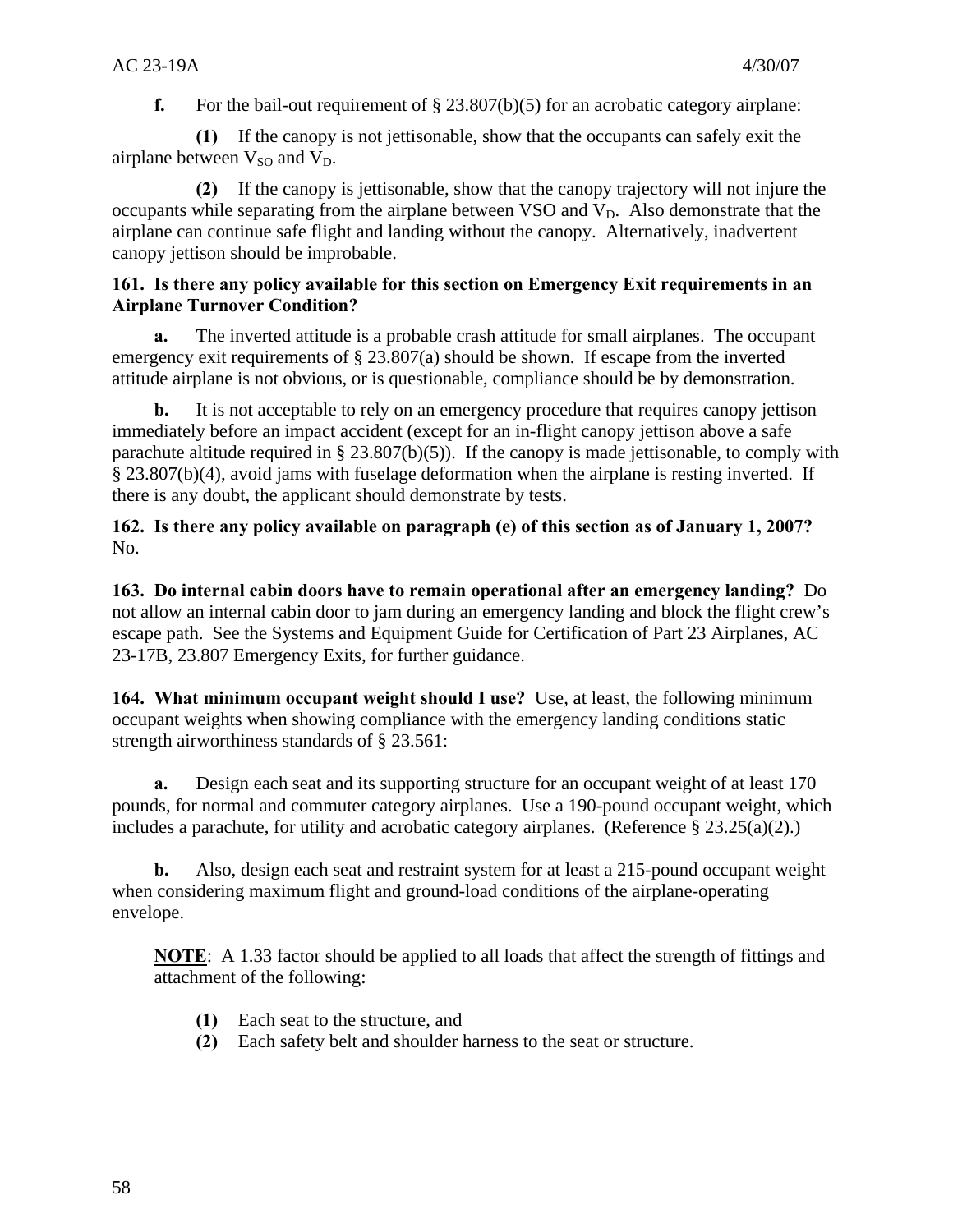**f.** For the bail-out requirement of § 23.807(b)(5) for an acrobatic category airplane:

**(1)** If the canopy is not jettisonable, show that the occupants can safely exit the airplane between  $V_{\rm SO}$  and  $V_{\rm D}$ .

**(2)** If the canopy is jettisonable, show that the canopy trajectory will not injure the occupants while separating from the airplane between VSO and  $V<sub>D</sub>$ . Also demonstrate that the airplane can continue safe flight and landing without the canopy. Alternatively, inadvertent canopy jettison should be improbable.

#### **161. Is there any policy available for this section on Emergency Exit requirements in an Airplane Turnover Condition?**

**a.** The inverted attitude is a probable crash attitude for small airplanes. The occupant emergency exit requirements of  $\S 23.807(a)$  should be shown. If escape from the inverted attitude airplane is not obvious, or is questionable, compliance should be by demonstration.

**b.** It is not acceptable to rely on an emergency procedure that requires canopy jettison immediately before an impact accident (except for an in-flight canopy jettison above a safe parachute altitude required in § 23.807(b)(5)). If the canopy is made jettisonable, to comply with § 23.807(b)(4), avoid jams with fuselage deformation when the airplane is resting inverted. If there is any doubt, the applicant should demonstrate by tests.

**162. Is there any policy available on paragraph (e) of this section as of January 1, 2007?**  No.

**163. Do internal cabin doors have to remain operational after an emergency landing?** Do not allow an internal cabin door to jam during an emergency landing and block the flight crew's escape path. See the Systems and Equipment Guide for Certification of Part 23 Airplanes, AC 23-17B, 23.807 Emergency Exits, for further guidance.

**164. What minimum occupant weight should I use?** Use, at least, the following minimum occupant weights when showing compliance with the emergency landing conditions static strength airworthiness standards of § 23.561:

**a.** Design each seat and its supporting structure for an occupant weight of at least 170 pounds, for normal and commuter category airplanes. Use a 190-pound occupant weight, which includes a parachute, for utility and acrobatic category airplanes. (Reference  $\S 23.25(a)(2)$ .)

**b.** Also, design each seat and restraint system for at least a 215-pound occupant weight when considering maximum flight and ground-load conditions of the airplane-operating envelope.

**NOTE**: A 1.33 factor should be applied to all loads that affect the strength of fittings and attachment of the following:

- **(1)** Each seat to the structure, and
- **(2)** Each safety belt and shoulder harness to the seat or structure.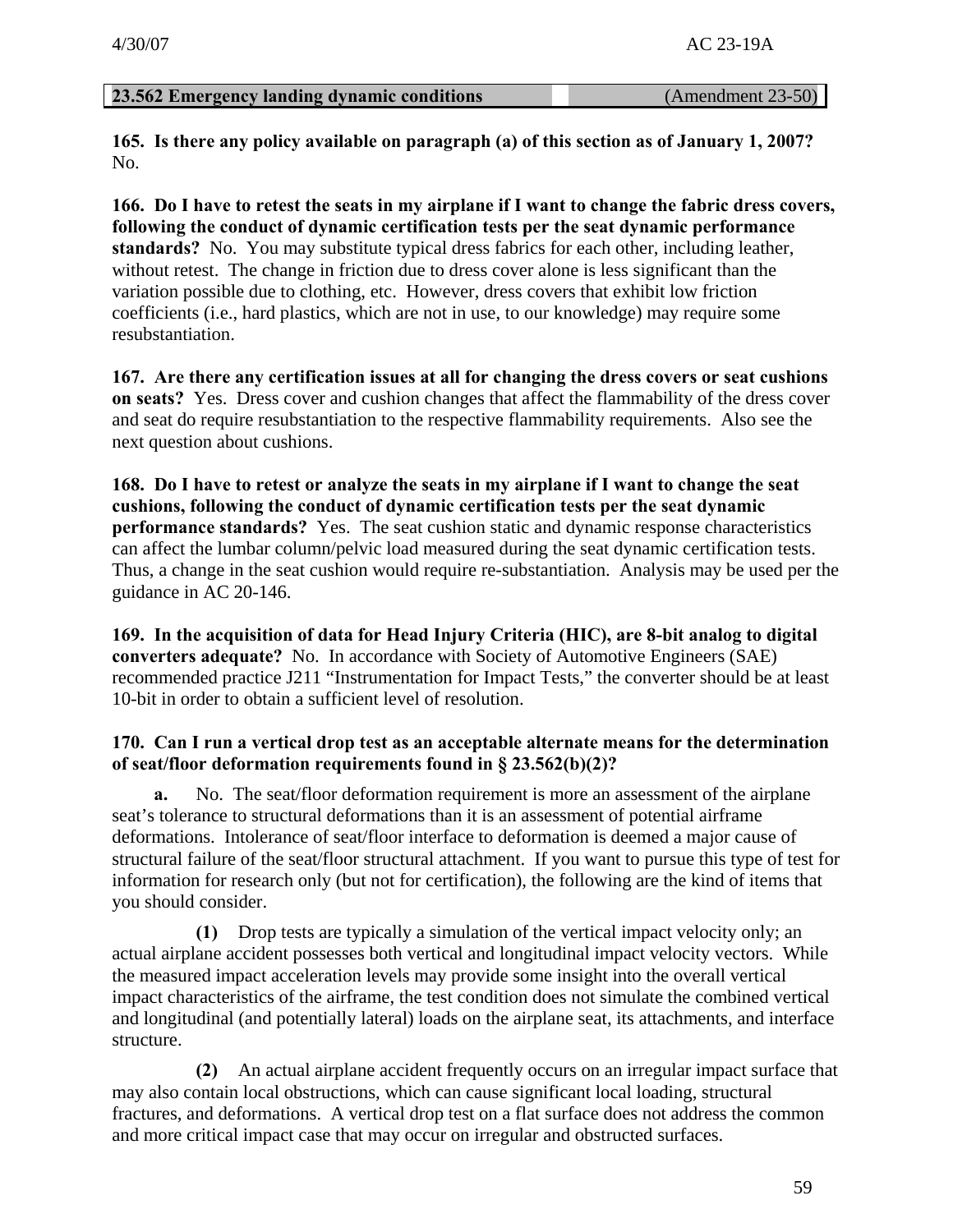#### **23.562 Emergency landing dynamic conditions** (Amendment 23-50)

**165. Is there any policy available on paragraph (a) of this section as of January 1, 2007?**  No.

**166. Do I have to retest the seats in my airplane if I want to change the fabric dress covers, following the conduct of dynamic certification tests per the seat dynamic performance standards?** No. You may substitute typical dress fabrics for each other, including leather, without retest. The change in friction due to dress cover alone is less significant than the variation possible due to clothing, etc. However, dress covers that exhibit low friction coefficients (i.e., hard plastics, which are not in use, to our knowledge) may require some resubstantiation.

**167. Are there any certification issues at all for changing the dress covers or seat cushions on seats?** Yes. Dress cover and cushion changes that affect the flammability of the dress cover and seat do require resubstantiation to the respective flammability requirements. Also see the next question about cushions.

**168. Do I have to retest or analyze the seats in my airplane if I want to change the seat cushions, following the conduct of dynamic certification tests per the seat dynamic performance standards?** Yes. The seat cushion static and dynamic response characteristics can affect the lumbar column/pelvic load measured during the seat dynamic certification tests. Thus, a change in the seat cushion would require re-substantiation. Analysis may be used per the guidance in AC 20-146.

**169. In the acquisition of data for Head Injury Criteria (HIC), are 8-bit analog to digital converters adequate?** No. In accordance with Society of Automotive Engineers (SAE) recommended practice J211 "Instrumentation for Impact Tests," the converter should be at least 10-bit in order to obtain a sufficient level of resolution.

#### **170. Can I run a vertical drop test as an acceptable alternate means for the determination of seat/floor deformation requirements found in § 23.562(b)(2)?**

**a.** No. The seat/floor deformation requirement is more an assessment of the airplane seat's tolerance to structural deformations than it is an assessment of potential airframe deformations. Intolerance of seat/floor interface to deformation is deemed a major cause of structural failure of the seat/floor structural attachment. If you want to pursue this type of test for information for research only (but not for certification), the following are the kind of items that you should consider.

**(1)** Drop tests are typically a simulation of the vertical impact velocity only; an actual airplane accident possesses both vertical and longitudinal impact velocity vectors. While the measured impact acceleration levels may provide some insight into the overall vertical impact characteristics of the airframe, the test condition does not simulate the combined vertical and longitudinal (and potentially lateral) loads on the airplane seat, its attachments, and interface structure.

**(2)** An actual airplane accident frequently occurs on an irregular impact surface that may also contain local obstructions, which can cause significant local loading, structural fractures, and deformations. A vertical drop test on a flat surface does not address the common and more critical impact case that may occur on irregular and obstructed surfaces.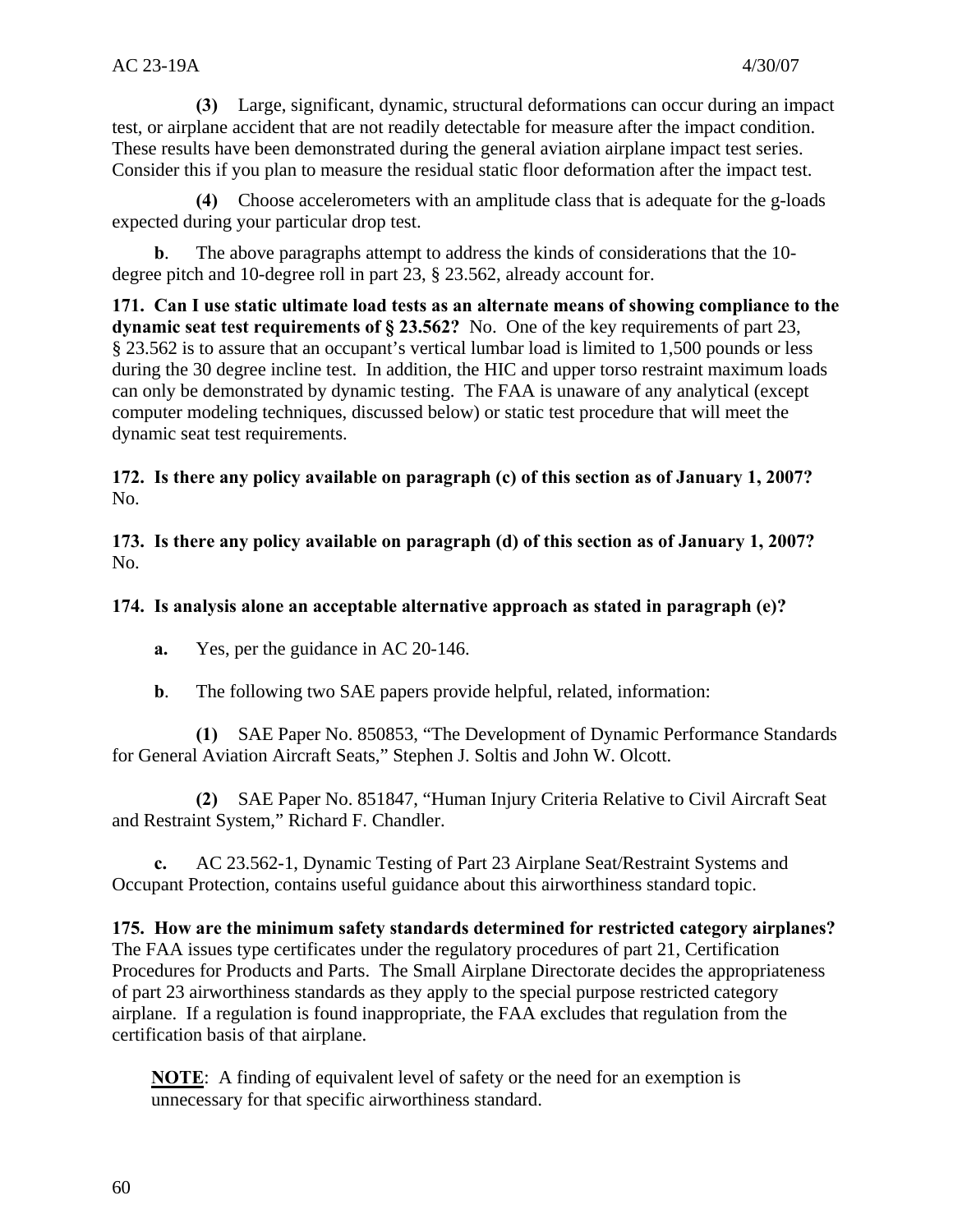**(3)** Large, significant, dynamic, structural deformations can occur during an impact test, or airplane accident that are not readily detectable for measure after the impact condition. These results have been demonstrated during the general aviation airplane impact test series. Consider this if you plan to measure the residual static floor deformation after the impact test.

**(4)** Choose accelerometers with an amplitude class that is adequate for the g-loads expected during your particular drop test.

The above paragraphs attempt to address the kinds of considerations that the 10degree pitch and 10-degree roll in part 23, § 23.562, already account for.

**171. Can I use static ultimate load tests as an alternate means of showing compliance to the dynamic seat test requirements of § 23.562?** No. One of the key requirements of part 23, § 23.562 is to assure that an occupant's vertical lumbar load is limited to 1,500 pounds or less during the 30 degree incline test. In addition, the HIC and upper torso restraint maximum loads can only be demonstrated by dynamic testing. The FAA is unaware of any analytical (except computer modeling techniques, discussed below) or static test procedure that will meet the dynamic seat test requirements.

**172. Is there any policy available on paragraph (c) of this section as of January 1, 2007?**  No.

 **173. Is there any policy available on paragraph (d) of this section as of January 1, 2007?** No.

# **174. Is analysis alone an acceptable alternative approach as stated in paragraph (e)?**

- **a.** Yes, per the guidance in AC 20-146.
- **b**. The following two SAE papers provide helpful, related, information:

**(1)** SAE Paper No. 850853, "The Development of Dynamic Performance Standards for General Aviation Aircraft Seats," Stephen J. Soltis and John W. Olcott.

**(2)** SAE Paper No. 851847, "Human Injury Criteria Relative to Civil Aircraft Seat and Restraint System," Richard F. Chandler.

**c.** AC 23.562-1, Dynamic Testing of Part 23 Airplane Seat/Restraint Systems and Occupant Protection, contains useful guidance about this airworthiness standard topic.

**175. How are the minimum safety standards determined for restricted category airplanes?**  The FAA issues type certificates under the regulatory procedures of part 21, Certification Procedures for Products and Parts. The Small Airplane Directorate decides the appropriateness of part 23 airworthiness standards as they apply to the special purpose restricted category airplane. If a regulation is found inappropriate, the FAA excludes that regulation from the certification basis of that airplane.

**NOTE**: A finding of equivalent level of safety or the need for an exemption is unnecessary for that specific airworthiness standard.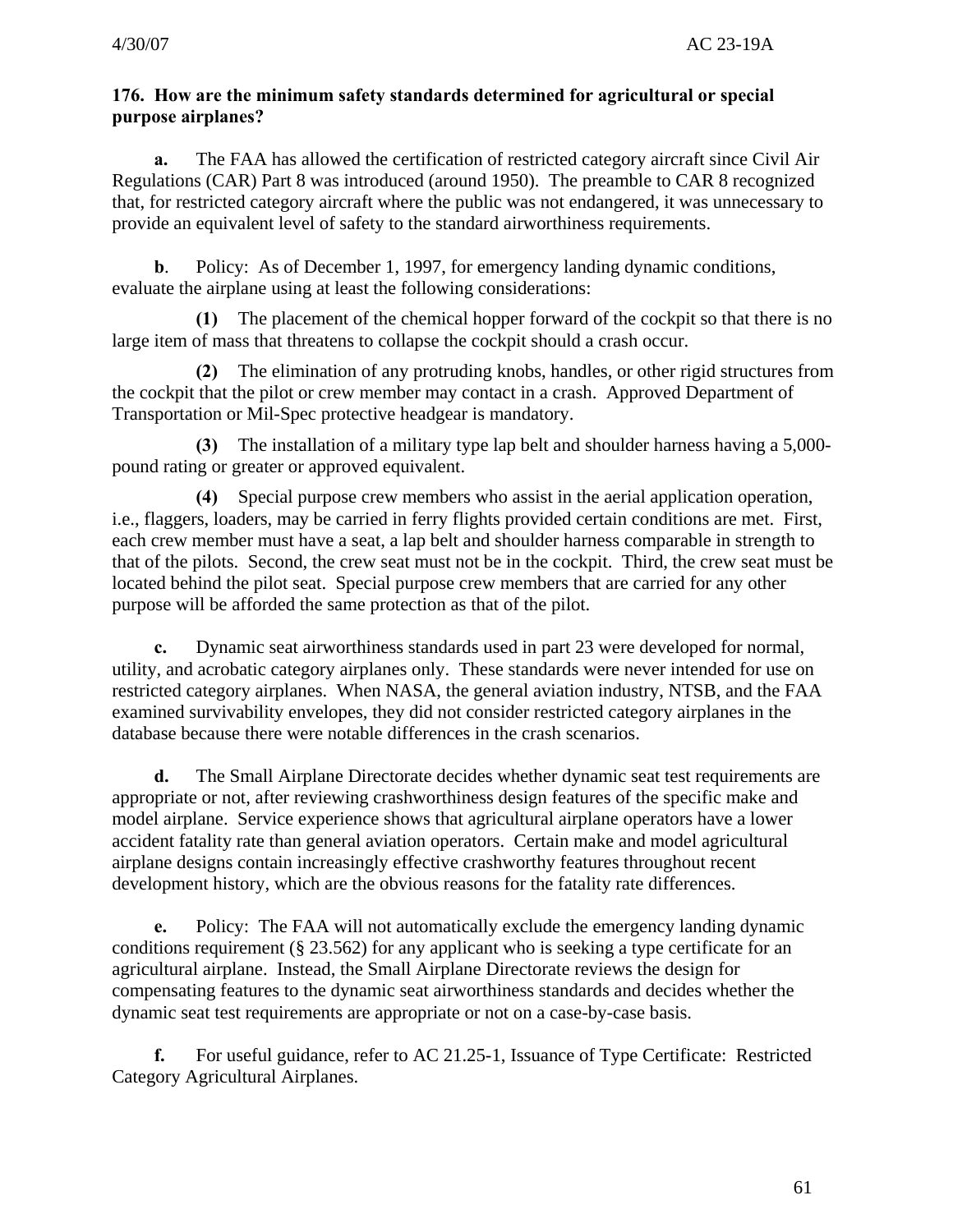# **176. How are the minimum safety standards determined for agricultural or special purpose airplanes?**

**a.** The FAA has allowed the certification of restricted category aircraft since Civil Air Regulations (CAR) Part 8 was introduced (around 1950). The preamble to CAR 8 recognized that, for restricted category aircraft where the public was not endangered, it was unnecessary to provide an equivalent level of safety to the standard airworthiness requirements.

**b**. Policy: As of December 1, 1997, for emergency landing dynamic conditions, evaluate the airplane using at least the following considerations:

**(1)** The placement of the chemical hopper forward of the cockpit so that there is no large item of mass that threatens to collapse the cockpit should a crash occur.

**(2)** The elimination of any protruding knobs, handles, or other rigid structures from the cockpit that the pilot or crew member may contact in a crash. Approved Department of Transportation or Mil-Spec protective headgear is mandatory.

**(3)** The installation of a military type lap belt and shoulder harness having a 5,000 pound rating or greater or approved equivalent.

**(4)** Special purpose crew members who assist in the aerial application operation, i.e., flaggers, loaders, may be carried in ferry flights provided certain conditions are met. First, each crew member must have a seat, a lap belt and shoulder harness comparable in strength to that of the pilots. Second, the crew seat must not be in the cockpit. Third, the crew seat must be located behind the pilot seat. Special purpose crew members that are carried for any other purpose will be afforded the same protection as that of the pilot.

**c.** Dynamic seat airworthiness standards used in part 23 were developed for normal, utility, and acrobatic category airplanes only. These standards were never intended for use on restricted category airplanes. When NASA, the general aviation industry, NTSB, and the FAA examined survivability envelopes, they did not consider restricted category airplanes in the database because there were notable differences in the crash scenarios.

**d.** The Small Airplane Directorate decides whether dynamic seat test requirements are appropriate or not, after reviewing crashworthiness design features of the specific make and model airplane. Service experience shows that agricultural airplane operators have a lower accident fatality rate than general aviation operators. Certain make and model agricultural airplane designs contain increasingly effective crashworthy features throughout recent development history, which are the obvious reasons for the fatality rate differences.

**e.** Policy: The FAA will not automatically exclude the emergency landing dynamic conditions requirement (§ 23.562) for any applicant who is seeking a type certificate for an agricultural airplane. Instead, the Small Airplane Directorate reviews the design for compensating features to the dynamic seat airworthiness standards and decides whether the dynamic seat test requirements are appropriate or not on a case-by-case basis.

**f.** For useful guidance, refer to AC 21.25-1, Issuance of Type Certificate: Restricted Category Agricultural Airplanes.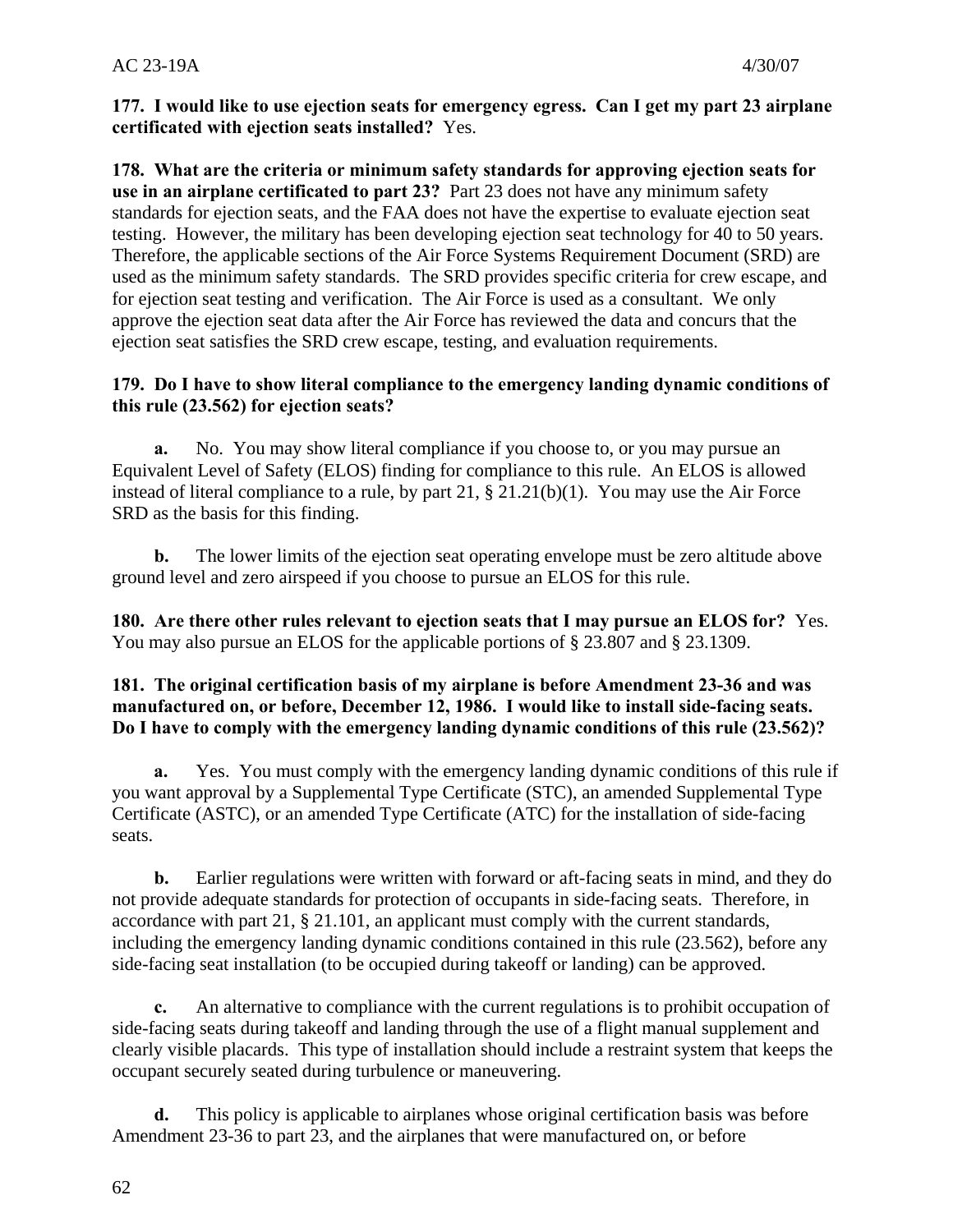#### **177. I would like to use ejection seats for emergency egress. Can I get my part 23 airplane certificated with ejection seats installed?** Yes.

testing. However, the military has been developing ejection seat technology for 40 to 50 years. **178. What are the criteria or minimum safety standards for approving ejection seats for use in an airplane certificated to part 23?** Part 23 does not have any minimum safety standards for ejection seats, and the FAA does not have the expertise to evaluate ejection seat Therefore, the applicable sections of the Air Force Systems Requirement Document (SRD) are used as the minimum safety standards. The SRD provides specific criteria for crew escape, and for ejection seat testing and verification. The Air Force is used as a consultant. We only approve the ejection seat data after the Air Force has reviewed the data and concurs that the ejection seat satisfies the SRD crew escape, testing, and evaluation requirements.

#### **179. Do I have to show literal compliance to the emergency landing dynamic conditions of this rule (23.562) for ejection seats?**

**a.** No. You may show literal compliance if you choose to, or you may pursue an Equivalent Level of Safety (ELOS) finding for compliance to this rule. An ELOS is allowed instead of literal compliance to a rule, by part 21, § 21.21(b)(1). You may use the Air Force SRD as the basis for this finding.

**b.** The lower limits of the ejection seat operating envelope must be zero altitude above ground level and zero airspeed if you choose to pursue an ELOS for this rule.

**180. Are there other rules relevant to ejection seats that I may pursue an ELOS for?** Yes. You may also pursue an ELOS for the applicable portions of § 23.807 and § 23.1309.

#### **181. The original certification basis of my airplane is before Amendment 23-36 and was manufactured on, or before, December 12, 1986. I would like to install side-facing seats. Do I have to comply with the emergency landing dynamic conditions of this rule (23.562)?**

**a.** Yes. You must comply with the emergency landing dynamic conditions of this rule if you want approval by a Supplemental Type Certificate (STC), an amended Supplemental Type Certificate (ASTC), or an amended Type Certificate (ATC) for the installation of side-facing seats.

**b.** Earlier regulations were written with forward or aft-facing seats in mind, and they do not provide adequate standards for protection of occupants in side-facing seats. Therefore, in accordance with part 21, § 21.101, an applicant must comply with the current standards, including the emergency landing dynamic conditions contained in this rule (23.562), before any side-facing seat installation (to be occupied during takeoff or landing) can be approved.

**c.** An alternative to compliance with the current regulations is to prohibit occupation of side-facing seats during takeoff and landing through the use of a flight manual supplement and clearly visible placards. This type of installation should include a restraint system that keeps the occupant securely seated during turbulence or maneuvering.

**d.** This policy is applicable to airplanes whose original certification basis was before Amendment 23-36 to part 23, and the airplanes that were manufactured on, or before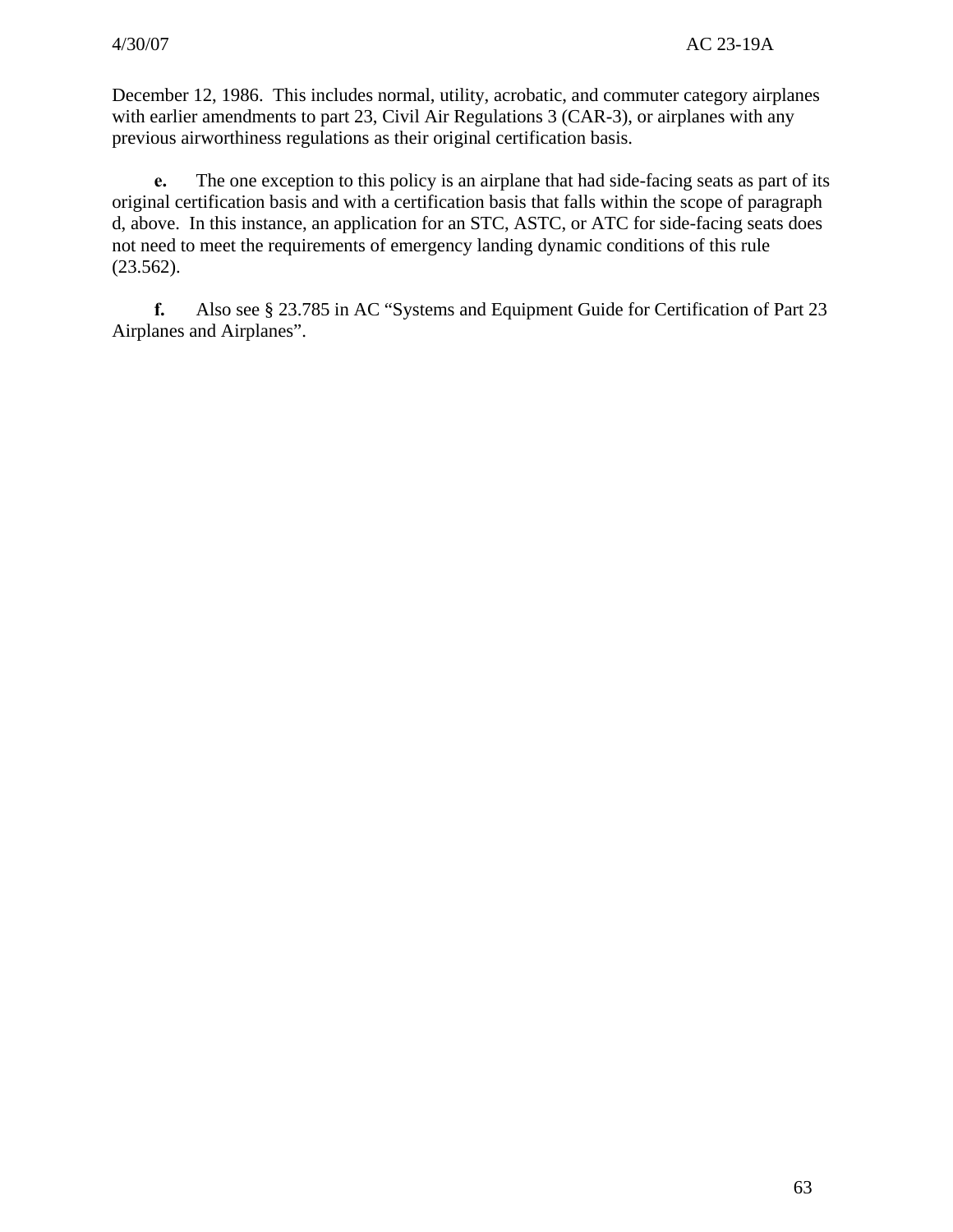December 12, 1986. This includes normal, utility, acrobatic, and commuter category airplanes with earlier amendments to part 23, Civil Air Regulations 3 (CAR-3), or airplanes with any previous airworthiness regulations as their original certification basis.

**e.** The one exception to this policy is an airplane that had side-facing seats as part of its original certification basis and with a certification basis that falls within the scope of paragraph d, above. In this instance, an application for an STC, ASTC, or ATC for side-facing seats does not need to meet the requirements of emergency landing dynamic conditions of this rule (23.562).

**f.** Also see § 23.785 in AC "Systems and Equipment Guide for Certification of Part 23 Airplanes and Airplanes".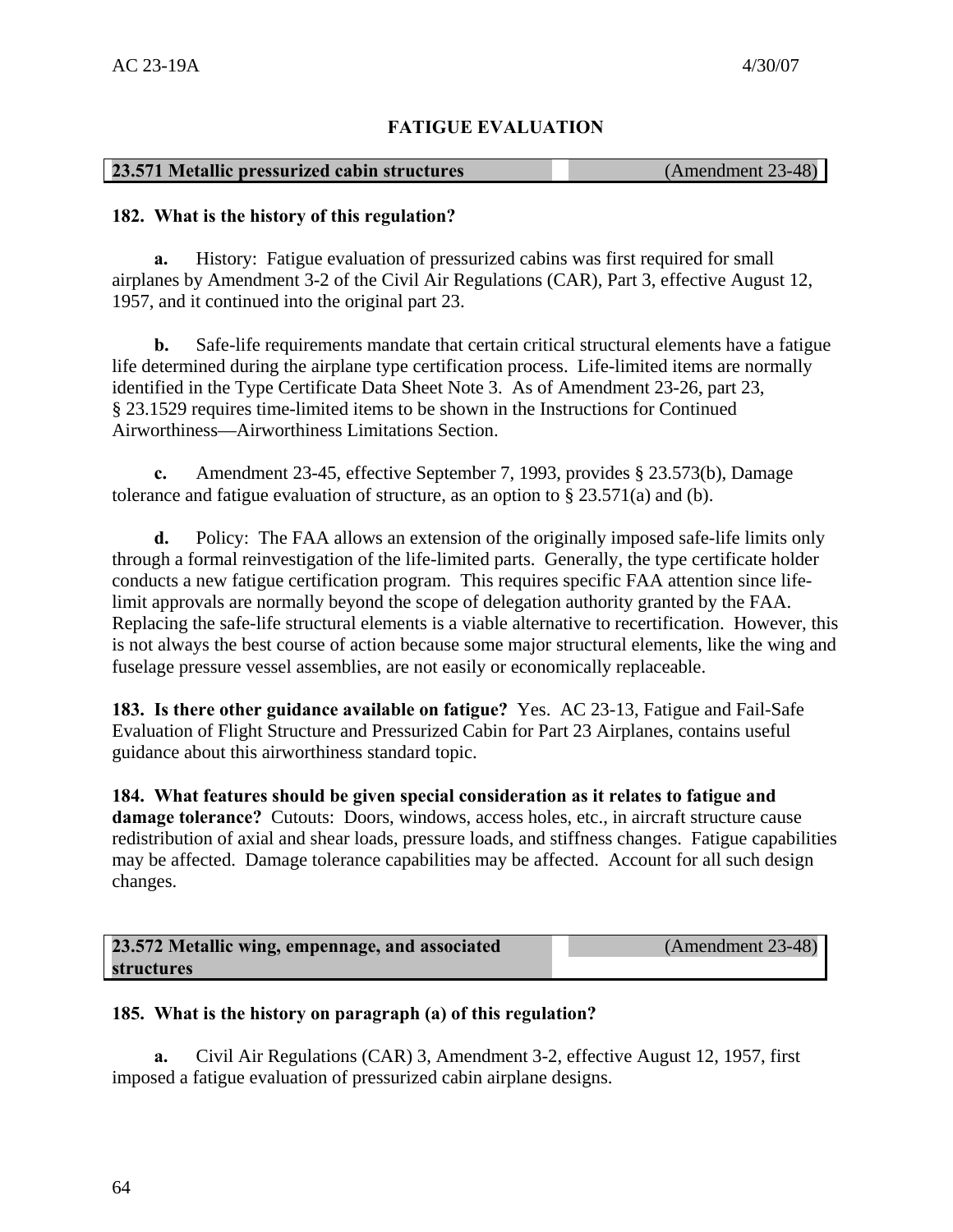# **FATIGUE EVALUATION**

#### **23.571 Metallic pressurized cabin structures** (Amendment 23-48)

#### **182. What is the history of this regulation?**

**a.** History: Fatigue evaluation of pressurized cabins was first required for small airplanes by Amendment 3-2 of the Civil Air Regulations (CAR), Part 3, effective August 12, 1957, and it continued into the original part 23.

**b.** Safe-life requirements mandate that certain critical structural elements have a fatigue life determined during the airplane type certification process. Life-limited items are normally identified in the Type Certificate Data Sheet Note 3. As of Amendment 23-26, part 23, § 23.1529 requires time-limited items to be shown in the Instructions for Continued Airworthiness—Airworthiness Limitations Section.

**c.** Amendment 23-45, effective September 7, 1993, provides § 23.573(b), Damage tolerance and fatigue evaluation of structure, as an option to  $\S 23.571(a)$  and (b).

**d.** Policy: The FAA allows an extension of the originally imposed safe-life limits only through a formal reinvestigation of the life-limited parts. Generally, the type certificate holder conducts a new fatigue certification program. This requires specific FAA attention since lifelimit approvals are normally beyond the scope of delegation authority granted by the FAA. Replacing the safe-life structural elements is a viable alternative to recertification. However, this is not always the best course of action because some major structural elements, like the wing and fuselage pressure vessel assemblies, are not easily or economically replaceable.

 guidance about this airworthiness standard topic. **183. Is there other guidance available on fatigue?** Yes. AC 23-13, Fatigue and Fail-Safe Evaluation of Flight Structure and Pressurized Cabin for Part 23 Airplanes, contains useful

**184. What features should be given special consideration as it relates to fatigue and damage tolerance?** Cutouts: Doors, windows, access holes, etc., in aircraft structure cause redistribution of axial and shear loads, pressure loads, and stiffness changes. Fatigue capabilities may be affected. Damage tolerance capabilities may be affected. Account for all such design changes.

| 23.572 Metallic wing, empennage, and associated | $(Amendment 23-48)$ |
|-------------------------------------------------|---------------------|
| structures                                      |                     |

# **185. What is the history on paragraph (a) of this regulation?**

**a.** Civil Air Regulations (CAR) 3, Amendment 3-2, effective August 12, 1957, first imposed a fatigue evaluation of pressurized cabin airplane designs.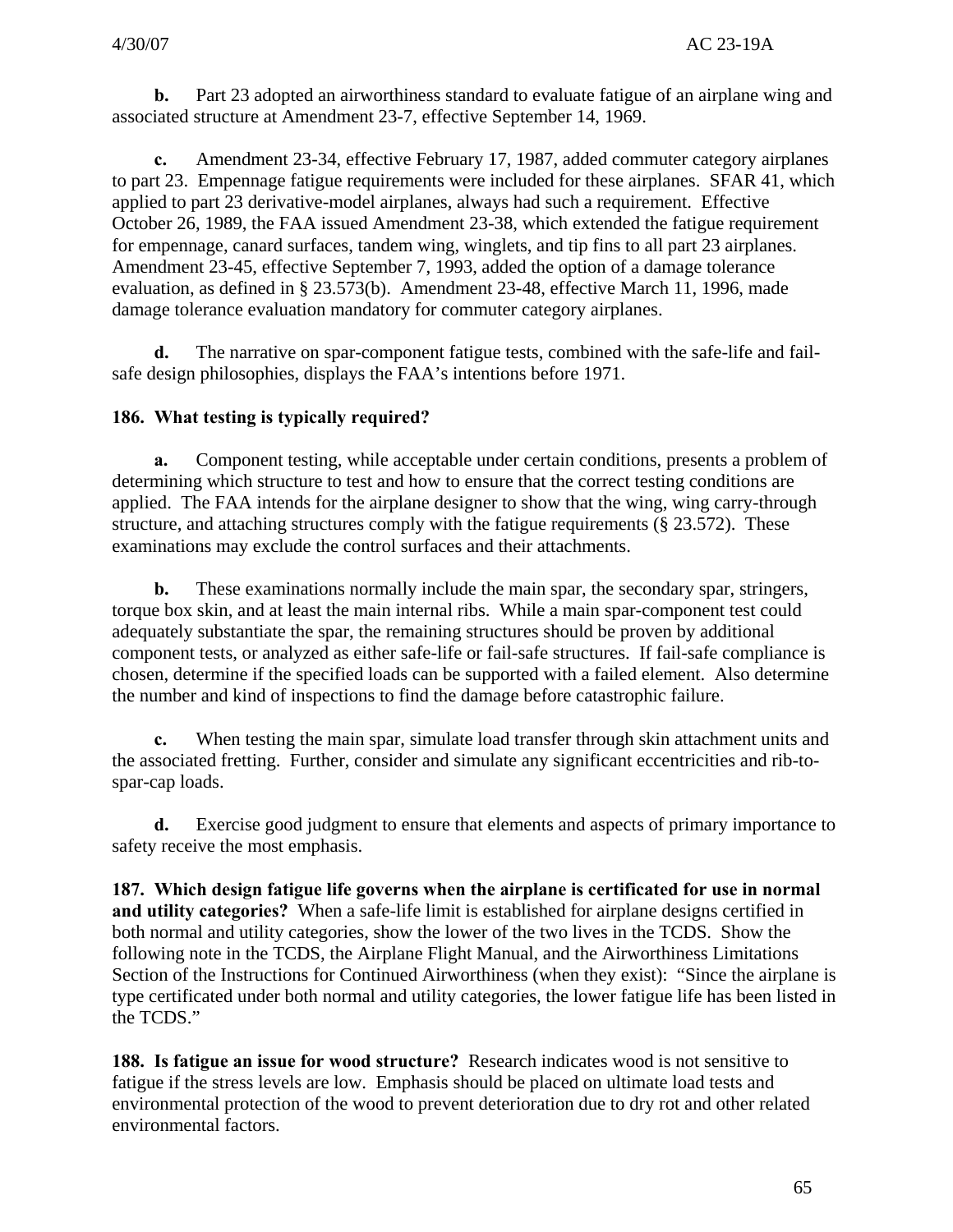**b.** Part 23 adopted an airworthiness standard to evaluate fatigue of an airplane wing and associated structure at Amendment 23-7, effective September 14, 1969.

**c.** Amendment 23-34, effective February 17, 1987, added commuter category airplanes to part 23. Empennage fatigue requirements were included for these airplanes. SFAR 41, which applied to part 23 derivative-model airplanes, always had such a requirement. Effective October 26, 1989, the FAA issued Amendment 23-38, which extended the fatigue requirement for empennage, canard surfaces, tandem wing, winglets, and tip fins to all part 23 airplanes. Amendment 23-45, effective September 7, 1993, added the option of a damage tolerance evaluation, as defined in § 23.573(b). Amendment 23-48, effective March 11, 1996, made damage tolerance evaluation mandatory for commuter category airplanes.

**d.** The narrative on spar-component fatigue tests, combined with the safe-life and failsafe design philosophies, displays the FAA's intentions before 1971.

# **186. What testing is typically required?**

**a.** Component testing, while acceptable under certain conditions, presents a problem of determining which structure to test and how to ensure that the correct testing conditions are applied. The FAA intends for the airplane designer to show that the wing, wing carry-through structure, and attaching structures comply with the fatigue requirements (§ 23.572). These examinations may exclude the control surfaces and their attachments.

**b.** These examinations normally include the main spar, the secondary spar, stringers, torque box skin, and at least the main internal ribs. While a main spar-component test could adequately substantiate the spar, the remaining structures should be proven by additional component tests, or analyzed as either safe-life or fail-safe structures. If fail-safe compliance is chosen, determine if the specified loads can be supported with a failed element. Also determine the number and kind of inspections to find the damage before catastrophic failure.

**c.** When testing the main spar, simulate load transfer through skin attachment units and the associated fretting. Further, consider and simulate any significant eccentricities and rib-tospar-cap loads.

**d.** Exercise good judgment to ensure that elements and aspects of primary importance to safety receive the most emphasis.

**187. Which design fatigue life governs when the airplane is certificated for use in normal and utility categories?** When a safe-life limit is established for airplane designs certified in both normal and utility categories, show the lower of the two lives in the TCDS. Show the following note in the TCDS, the Airplane Flight Manual, and the Airworthiness Limitations Section of the Instructions for Continued Airworthiness (when they exist): "Since the airplane is type certificated under both normal and utility categories, the lower fatigue life has been listed in the TCDS."

**188. Is fatigue an issue for wood structure?** Research indicates wood is not sensitive to fatigue if the stress levels are low. Emphasis should be placed on ultimate load tests and environmental protection of the wood to prevent deterioration due to dry rot and other related environmental factors.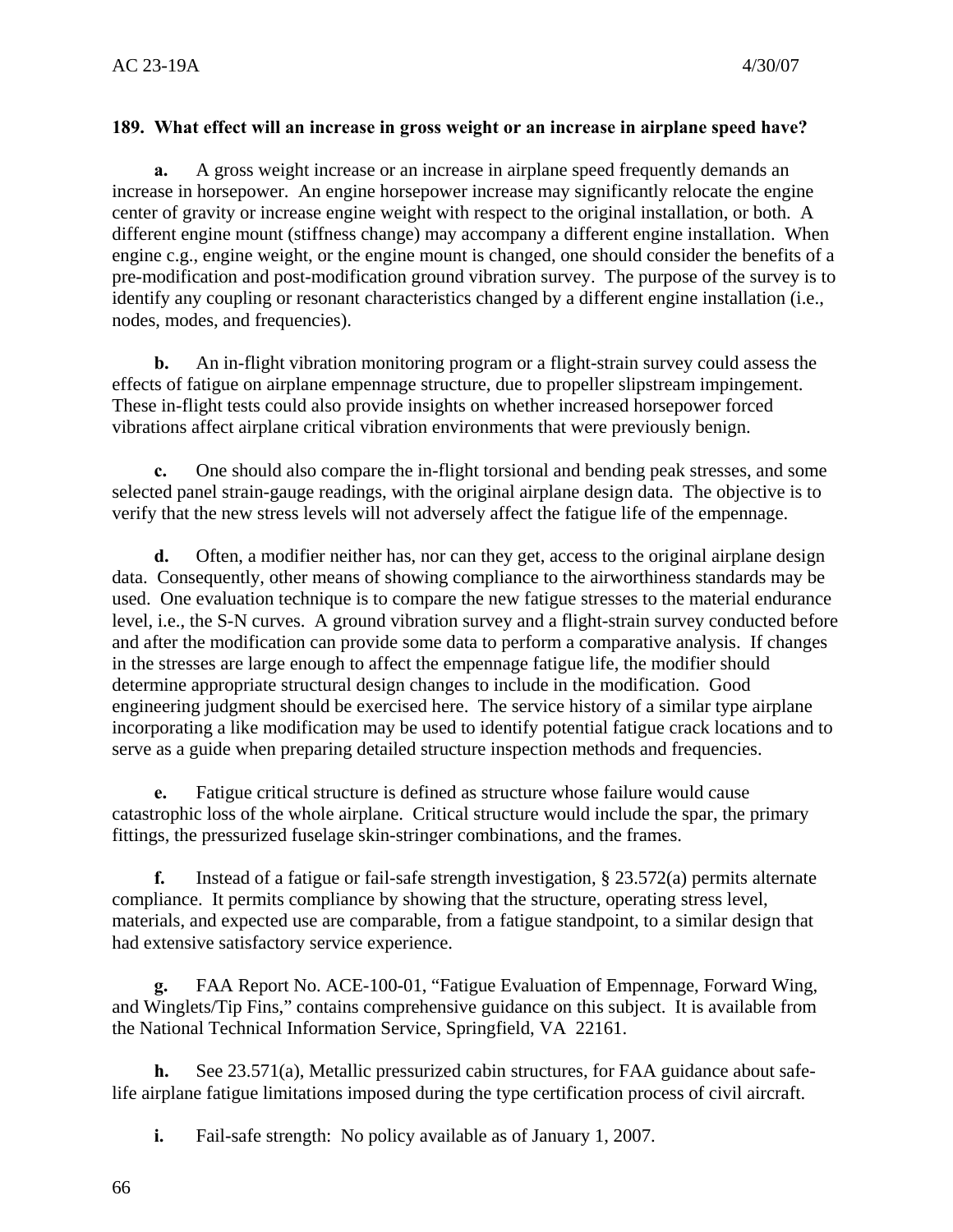#### **189. What effect will an increase in gross weight or an increase in airplane speed have?**

**a.** A gross weight increase or an increase in airplane speed frequently demands an increase in horsepower. An engine horsepower increase may significantly relocate the engine center of gravity or increase engine weight with respect to the original installation, or both. A different engine mount (stiffness change) may accompany a different engine installation. When engine c.g., engine weight, or the engine mount is changed, one should consider the benefits of a pre-modification and post-modification ground vibration survey. The purpose of the survey is to identify any coupling or resonant characteristics changed by a different engine installation (i.e., nodes, modes, and frequencies).

**b.** An in-flight vibration monitoring program or a flight-strain survey could assess the effects of fatigue on airplane empennage structure, due to propeller slipstream impingement. These in-flight tests could also provide insights on whether increased horsepower forced vibrations affect airplane critical vibration environments that were previously benign.

**c.** One should also compare the in-flight torsional and bending peak stresses, and some selected panel strain-gauge readings, with the original airplane design data. The objective is to verify that the new stress levels will not adversely affect the fatigue life of the empennage.

**d.** Often, a modifier neither has, nor can they get, access to the original airplane design data. Consequently, other means of showing compliance to the airworthiness standards may be used. One evaluation technique is to compare the new fatigue stresses to the material endurance level, i.e., the S-N curves. A ground vibration survey and a flight-strain survey conducted before and after the modification can provide some data to perform a comparative analysis. If changes in the stresses are large enough to affect the empennage fatigue life, the modifier should determine appropriate structural design changes to include in the modification. Good engineering judgment should be exercised here. The service history of a similar type airplane incorporating a like modification may be used to identify potential fatigue crack locations and to serve as a guide when preparing detailed structure inspection methods and frequencies.

**e.** Fatigue critical structure is defined as structure whose failure would cause catastrophic loss of the whole airplane. Critical structure would include the spar, the primary fittings, the pressurized fuselage skin-stringer combinations, and the frames.

**f.** Instead of a fatigue or fail-safe strength investigation, § 23.572(a) permits alternate compliance. It permits compliance by showing that the structure, operating stress level, materials, and expected use are comparable, from a fatigue standpoint, to a similar design that had extensive satisfactory service experience.

**g.** FAA Report No. ACE-100-01, "Fatigue Evaluation of Empennage, Forward Wing, and Winglets/Tip Fins," contains comprehensive guidance on this subject. It is available from the National Technical Information Service, Springfield, VA 22161.

**h.** See 23.571(a), Metallic pressurized cabin structures, for FAA guidance about safelife airplane fatigue limitations imposed during the type certification process of civil aircraft.

**i.** Fail-safe strength: No policy available as of January 1, 2007.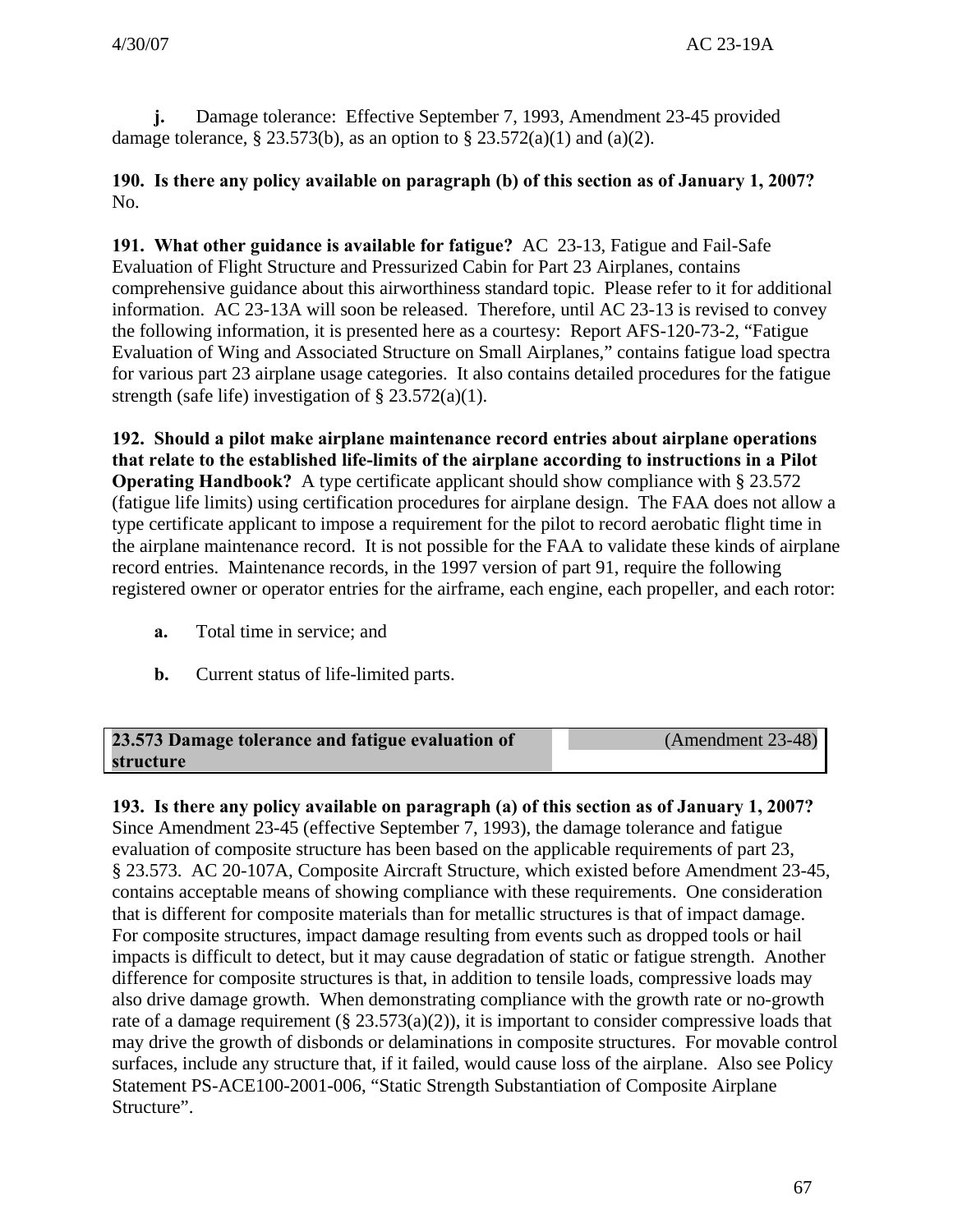**j.** Damage tolerance: Effective September 7, 1993, Amendment 23-45 provided damage tolerance, § 23.573(b), as an option to § 23.572(a)(1) and (a)(2).

**190. Is there any policy available on paragraph (b) of this section as of January 1, 2007?**  No.

**191. What other guidance is available for fatigue?** AC 23-13, Fatigue and Fail-Safe Evaluation of Flight Structure and Pressurized Cabin for Part 23 Airplanes, contains comprehensive guidance about this airworthiness standard topic. Please refer to it for additional information. AC 23-13A will soon be released. Therefore, until AC 23-13 is revised to convey the following information, it is presented here as a courtesy: Report AFS-120-73-2, "Fatigue Evaluation of Wing and Associated Structure on Small Airplanes," contains fatigue load spectra for various part 23 airplane usage categories. It also contains detailed procedures for the fatigue strength (safe life) investigation of  $\S 23.572(a)(1)$ .

**192. Should a pilot make airplane maintenance record entries about airplane operations that relate to the established life-limits of the airplane according to instructions in a Pilot Operating Handbook?** A type certificate applicant should show compliance with § 23.572 (fatigue life limits) using certification procedures for airplane design. The FAA does not allow a type certificate applicant to impose a requirement for the pilot to record aerobatic flight time in the airplane maintenance record. It is not possible for the FAA to validate these kinds of airplane record entries. Maintenance records, in the 1997 version of part 91, require the following registered owner or operator entries for the airframe, each engine, each propeller, and each rotor:

- **a.** Total time in service; and
- **b.** Current status of life-limited parts.

#### **23.573 Damage tolerance and fatigue evaluation of** (Amendment 23-48) **structure**

**193. Is there any policy available on paragraph (a) of this section as of January 1, 2007?**  Since Amendment 23-45 (effective September 7, 1993), the damage tolerance and fatigue evaluation of composite structure has been based on the applicable requirements of part 23, § 23.573. AC 20-107A, Composite Aircraft Structure, which existed before Amendment 23-45, contains acceptable means of showing compliance with these requirements. One consideration that is different for composite materials than for metallic structures is that of impact damage. For composite structures, impact damage resulting from events such as dropped tools or hail impacts is difficult to detect, but it may cause degradation of static or fatigue strength. Another difference for composite structures is that, in addition to tensile loads, compressive loads may also drive damage growth. When demonstrating compliance with the growth rate or no-growth rate of a damage requirement (§  $23.573(a)(2)$ ), it is important to consider compressive loads that may drive the growth of disbonds or delaminations in composite structures. For movable control surfaces, include any structure that, if it failed, would cause loss of the airplane. Also see Policy Statement PS-ACE100-2001-006, "Static Strength Substantiation of Composite Airplane Structure".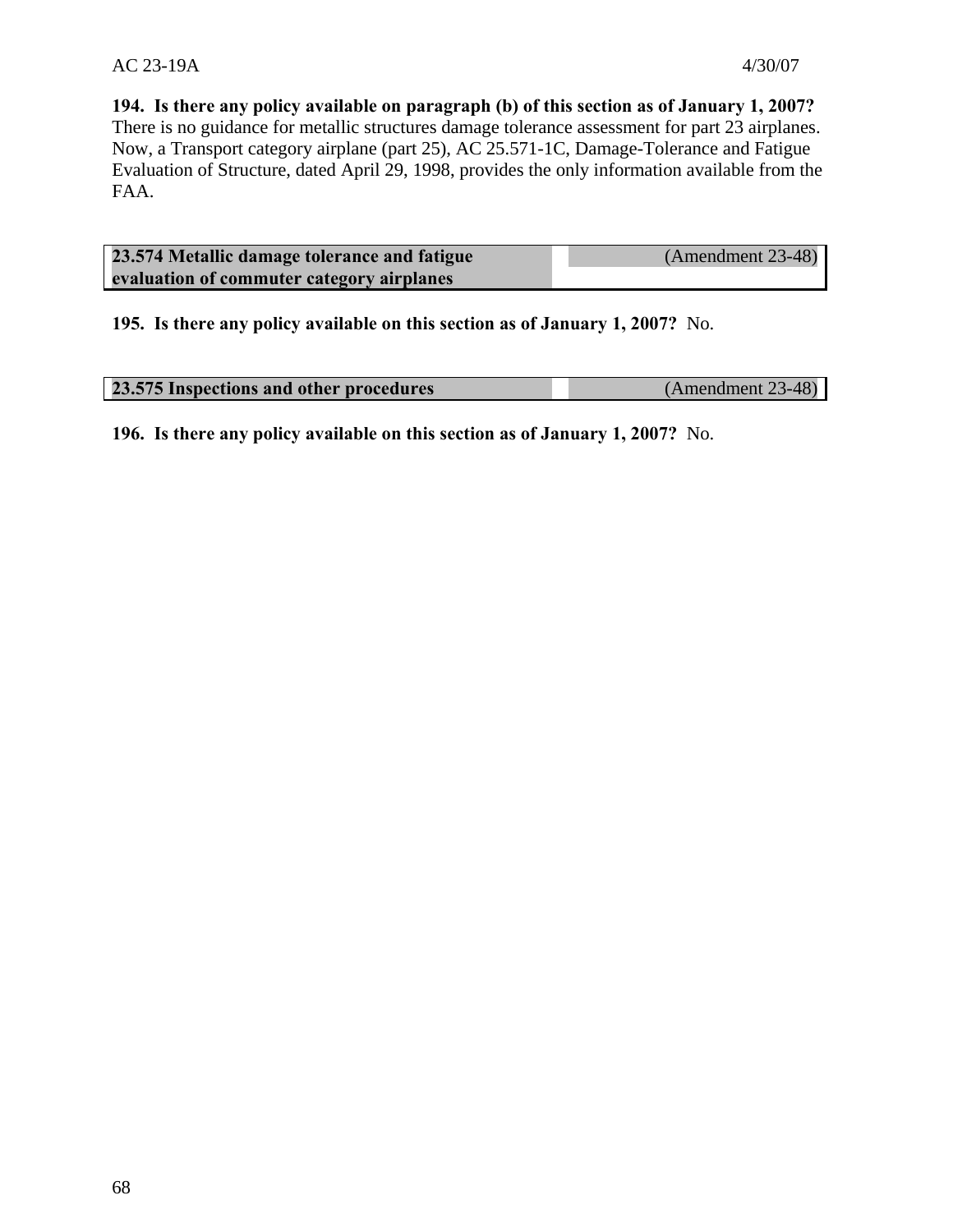**194. Is there any policy available on paragraph (b) of this section as of January 1, 2007?**  There is no guidance for metallic structures damage tolerance assessment for part 23 airplanes. Now, a Transport category airplane (part 25), AC 25.571-1C, Damage-Tolerance and Fatigue Evaluation of Structure, dated April 29, 1998, provides the only information available from the FAA.

| 23.574 Metallic damage tolerance and fatigue | (Amendment 23-48) |
|----------------------------------------------|-------------------|
| evaluation of commuter category airplanes    |                   |

**195. Is there any policy available on this section as of January 1, 2007?** No.

| 23.575 Inspections and other procedures | $(Amendment 23-48)$ |
|-----------------------------------------|---------------------|
|                                         |                     |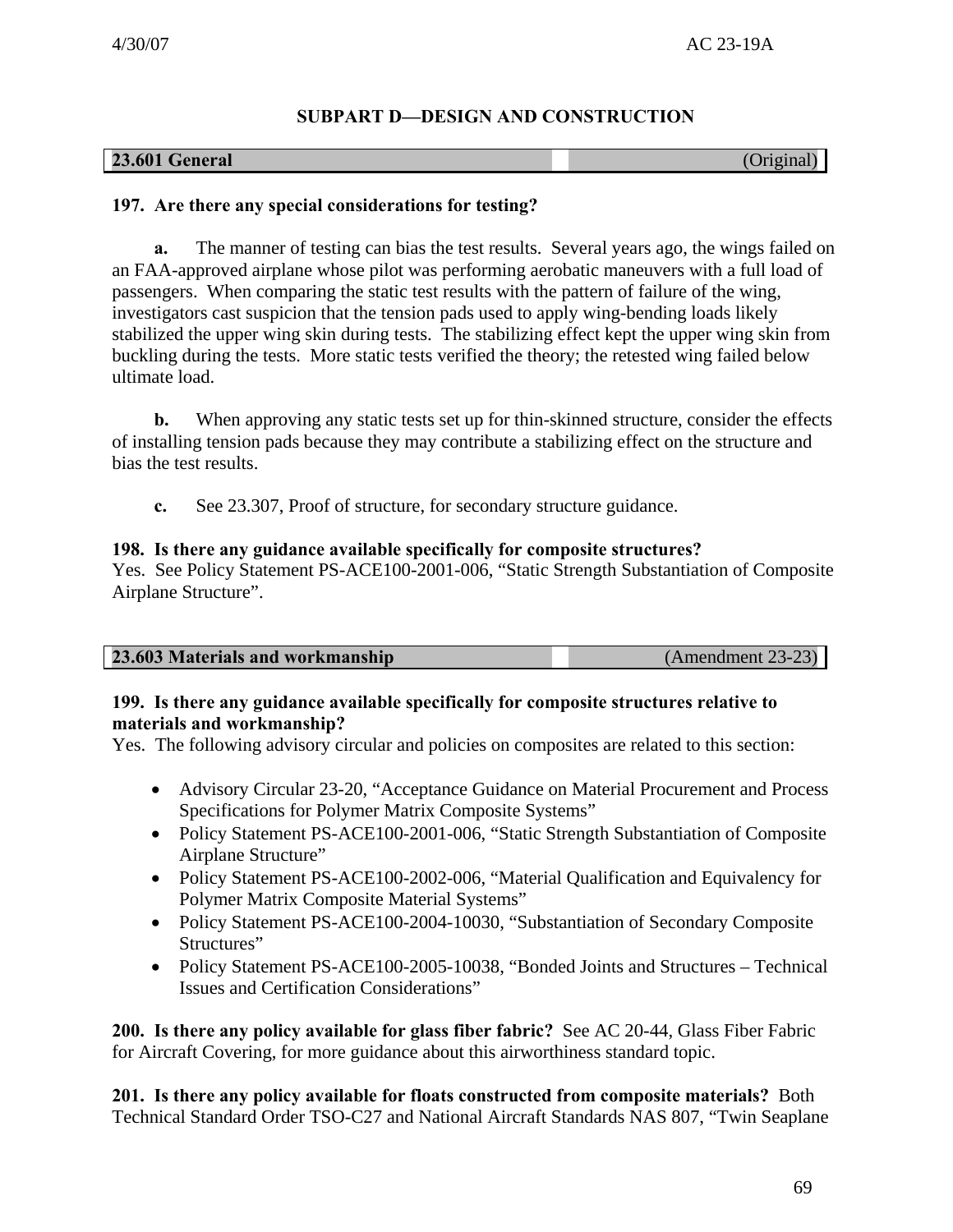# **SUBPART D—DESIGN AND CONSTRUCTION**

| <b>23.601 General</b> | (Original) |
|-----------------------|------------|
|-----------------------|------------|

# **197. Are there any special considerations for testing?**

**a.** The manner of testing can bias the test results. Several years ago, the wings failed on an FAA-approved airplane whose pilot was performing aerobatic maneuvers with a full load of passengers. When comparing the static test results with the pattern of failure of the wing, investigators cast suspicion that the tension pads used to apply wing-bending loads likely stabilized the upper wing skin during tests. The stabilizing effect kept the upper wing skin from buckling during the tests. More static tests verified the theory; the retested wing failed below ultimate load.

**b.** When approving any static tests set up for thin-skinned structure, consider the effects of installing tension pads because they may contribute a stabilizing effect on the structure and bias the test results.

**c.** See 23.307, Proof of structure, for secondary structure guidance.

# **198. Is there any guidance available specifically for composite structures?**

Yes. See Policy Statement PS-ACE100-2001-006, "Static Strength Substantiation of Composite Airplane Structure".

| 23.603 Materials and workmanship | $(Amendment 23-23)$ |
|----------------------------------|---------------------|
|                                  |                     |

# **199. Is there any guidance available specifically for composite structures relative to materials and workmanship?**

Yes. The following advisory circular and policies on composites are related to this section:

- Advisory Circular 23-20, "Acceptance Guidance on Material Procurement and Process Specifications for Polymer Matrix Composite Systems"
- Policy Statement PS-ACE100-2001-006, "Static Strength Substantiation of Composite Airplane Structure"
- Policy Statement PS-ACE100-2002-006, "Material Qualification and Equivalency for Polymer Matrix Composite Material Systems"
- Policy Statement PS-ACE100-2004-10030, "Substantiation of Secondary Composite Structures"
- Policy Statement PS-ACE100-2005-10038, "Bonded Joints and Structures Technical Issues and Certification Considerations"

**200. Is there any policy available for glass fiber fabric?** See AC 20-44, Glass Fiber Fabric for Aircraft Covering, for more guidance about this airworthiness standard topic.

**201. Is there any policy available for floats constructed from composite materials?** Both Technical Standard Order TSO-C27 and National Aircraft Standards NAS 807, "Twin Seaplane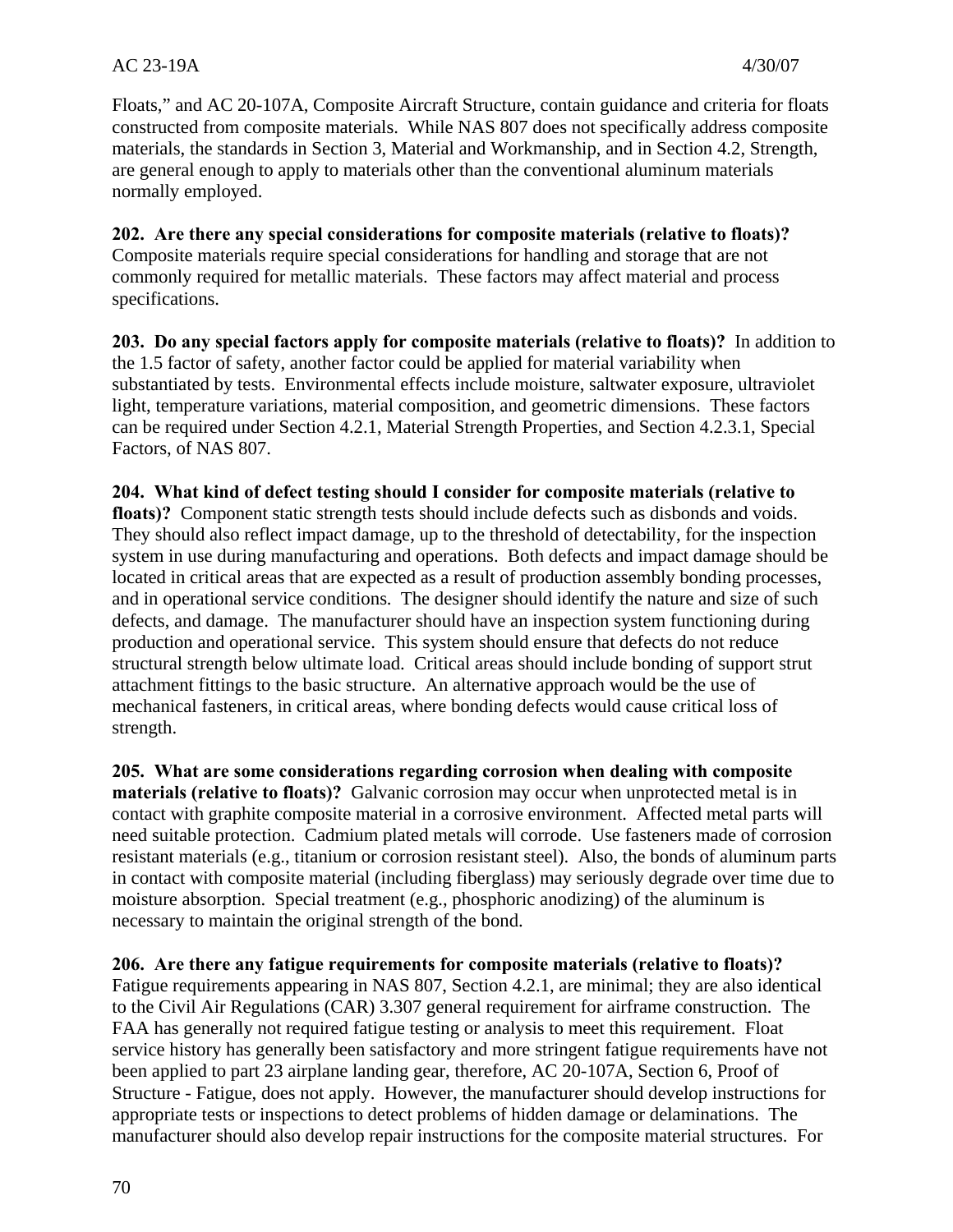Floats," and AC 20-107A, Composite Aircraft Structure, contain guidance and criteria for floats constructed from composite materials. While NAS 807 does not specifically address composite materials, the standards in Section 3, Material and Workmanship, and in Section 4.2, Strength, are general enough to apply to materials other than the conventional aluminum materials normally employed.

**202. Are there any special considerations for composite materials (relative to floats)?**  Composite materials require special considerations for handling and storage that are not commonly required for metallic materials. These factors may affect material and process specifications.

**203. Do any special factors apply for composite materials (relative to floats)?** In addition to the 1.5 factor of safety, another factor could be applied for material variability when substantiated by tests. Environmental effects include moisture, saltwater exposure, ultraviolet light, temperature variations, material composition, and geometric dimensions. These factors can be required under Section 4.2.1, Material Strength Properties, and Section 4.2.3.1, Special Factors, of NAS 807.

**204. What kind of defect testing should I consider for composite materials (relative to** 

**floats)?** Component static strength tests should include defects such as disbonds and voids. They should also reflect impact damage, up to the threshold of detectability, for the inspection system in use during manufacturing and operations. Both defects and impact damage should be located in critical areas that are expected as a result of production assembly bonding processes, and in operational service conditions. The designer should identify the nature and size of such defects, and damage. The manufacturer should have an inspection system functioning during production and operational service. This system should ensure that defects do not reduce structural strength below ultimate load. Critical areas should include bonding of support strut attachment fittings to the basic structure. An alternative approach would be the use of mechanical fasteners, in critical areas, where bonding defects would cause critical loss of strength.

**205. What are some considerations regarding corrosion when dealing with composite materials (relative to floats)?** Galvanic corrosion may occur when unprotected metal is in contact with graphite composite material in a corrosive environment. Affected metal parts will need suitable protection. Cadmium plated metals will corrode. Use fasteners made of corrosion resistant materials (e.g., titanium or corrosion resistant steel). Also, the bonds of aluminum parts in contact with composite material (including fiberglass) may seriously degrade over time due to moisture absorption. Special treatment (e.g., phosphoric anodizing) of the aluminum is necessary to maintain the original strength of the bond.

**206. Are there any fatigue requirements for composite materials (relative to floats)?**  Fatigue requirements appearing in NAS 807, Section 4.2.1, are minimal; they are also identical to the Civil Air Regulations (CAR) 3.307 general requirement for airframe construction. The FAA has generally not required fatigue testing or analysis to meet this requirement. Float service history has generally been satisfactory and more stringent fatigue requirements have not been applied to part 23 airplane landing gear, therefore, AC 20-107A, Section 6, Proof of Structure - Fatigue, does not apply. However, the manufacturer should develop instructions for appropriate tests or inspections to detect problems of hidden damage or delaminations. The manufacturer should also develop repair instructions for the composite material structures. For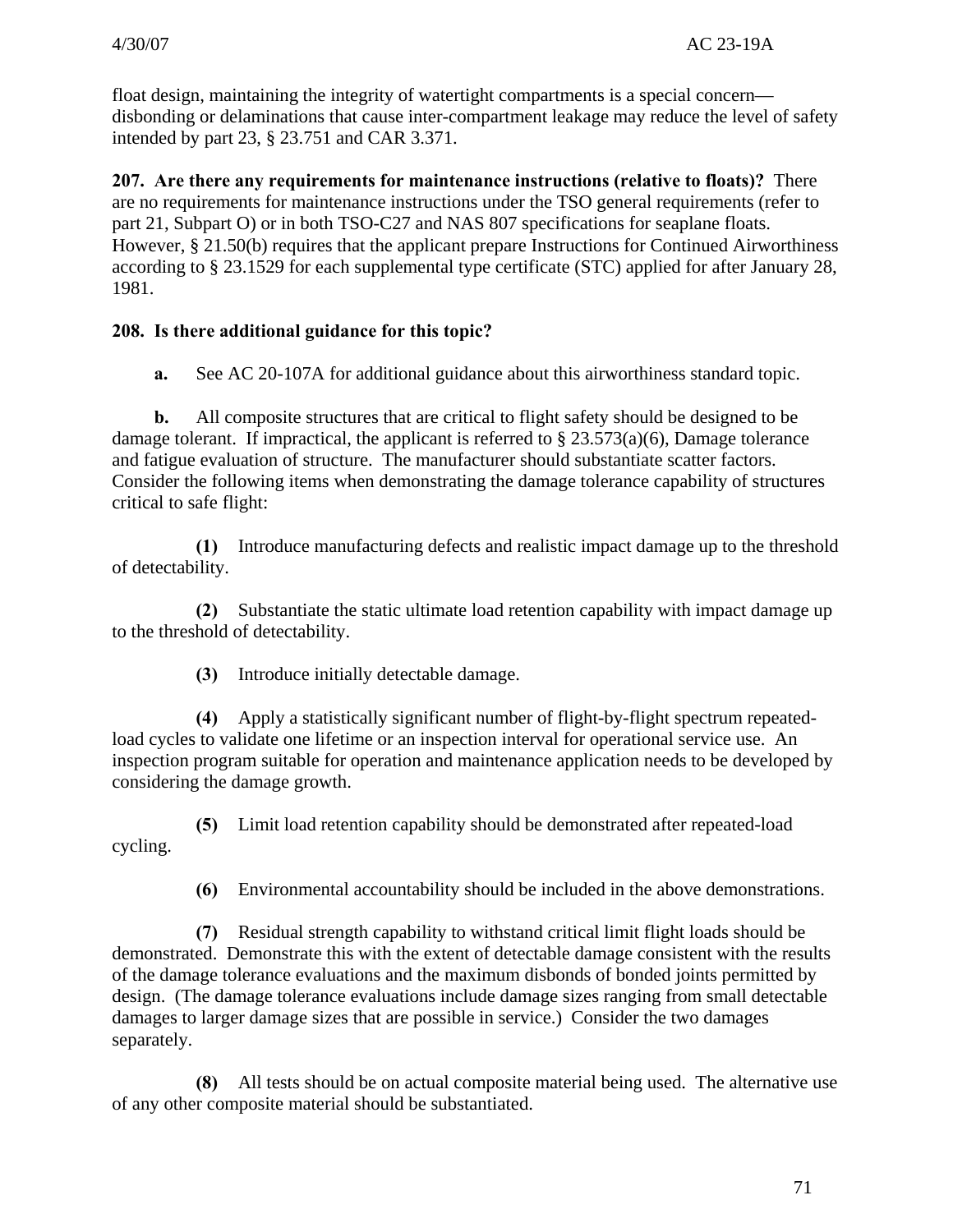float design, maintaining the integrity of watertight compartments is a special concern disbonding or delaminations that cause inter-compartment leakage may reduce the level of safety intended by part 23, § 23.751 and CAR 3.371.

**207. Are there any requirements for maintenance instructions (relative to floats)?** There are no requirements for maintenance instructions under the TSO general requirements (refer to part 21, Subpart O) or in both TSO-C27 and NAS 807 specifications for seaplane floats. However, § 21.50(b) requires that the applicant prepare Instructions for Continued Airworthiness according to § 23.1529 for each supplemental type certificate (STC) applied for after January 28, 1981.

# **208. Is there additional guidance for this topic?**

**a.** See AC 20-107A for additional guidance about this airworthiness standard topic.

**b.** All composite structures that are critical to flight safety should be designed to be damage tolerant. If impractical, the applicant is referred to  $\S 23.573(a)(6)$ , Damage tolerance and fatigue evaluation of structure. The manufacturer should substantiate scatter factors. Consider the following items when demonstrating the damage tolerance capability of structures critical to safe flight:

**(1)** Introduce manufacturing defects and realistic impact damage up to the threshold of detectability.

**(2)** Substantiate the static ultimate load retention capability with impact damage up to the threshold of detectability.

**(3)** Introduce initially detectable damage.

**(4)** Apply a statistically significant number of flight-by-flight spectrum repeatedload cycles to validate one lifetime or an inspection interval for operational service use. An inspection program suitable for operation and maintenance application needs to be developed by considering the damage growth.

cycling. **(5)** Limit load retention capability should be demonstrated after repeated-load

**(6)** Environmental accountability should be included in the above demonstrations.

**(7)** Residual strength capability to withstand critical limit flight loads should be demonstrated. Demonstrate this with the extent of detectable damage consistent with the results of the damage tolerance evaluations and the maximum disbonds of bonded joints permitted by design. (The damage tolerance evaluations include damage sizes ranging from small detectable damages to larger damage sizes that are possible in service.) Consider the two damages separately.

**(8)** All tests should be on actual composite material being used. The alternative use of any other composite material should be substantiated.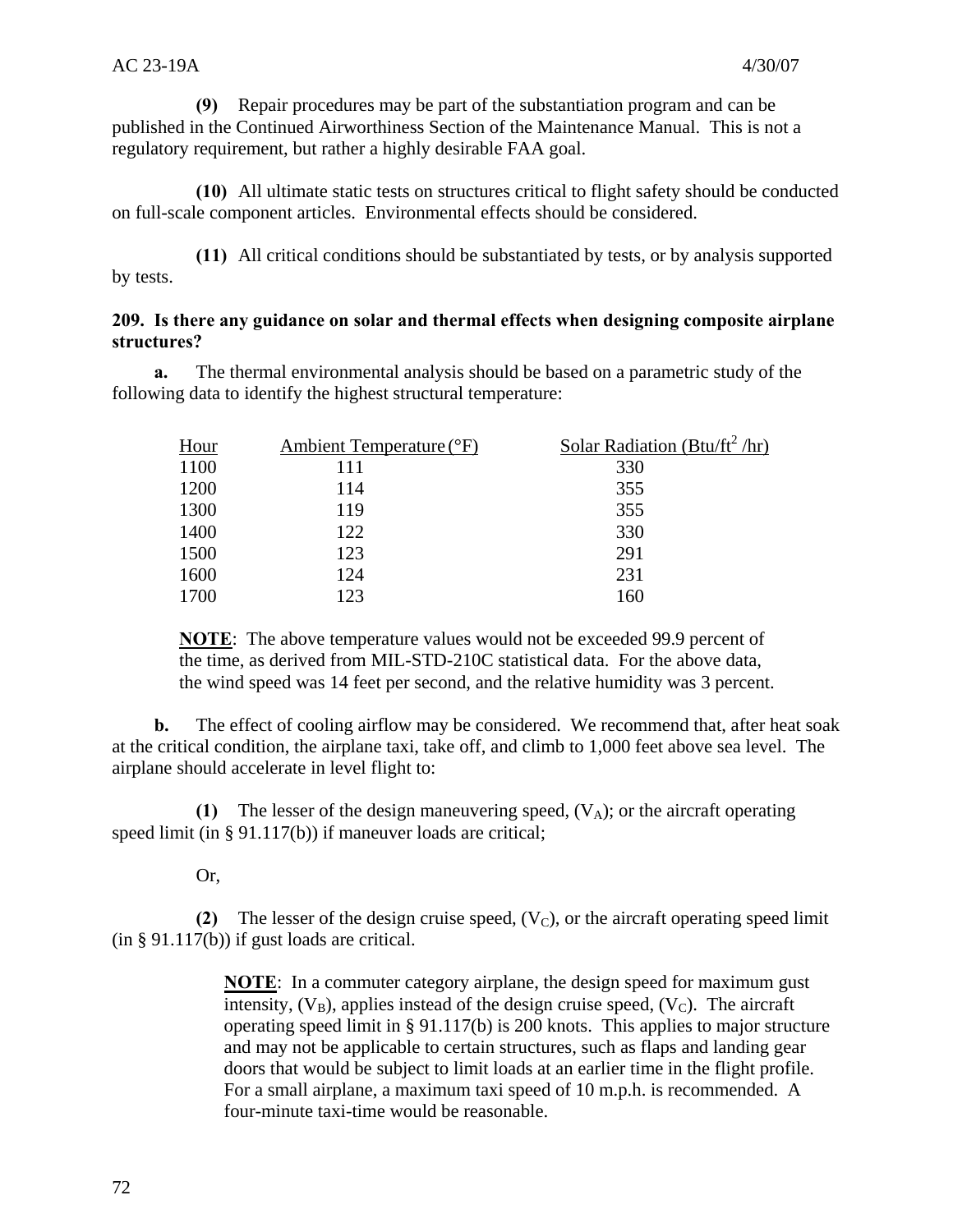**(9)** Repair procedures may be part of the substantiation program and can be published in the Continued Airworthiness Section of the Maintenance Manual. This is not a regulatory requirement, but rather a highly desirable FAA goal.

**(10)** All ultimate static tests on structures critical to flight safety should be conducted on full-scale component articles. Environmental effects should be considered.

**(11)** All critical conditions should be substantiated by tests, or by analysis supported by tests.

# **209. Is there any guidance on solar and thermal effects when designing composite airplane structures?**

**a.** The thermal environmental analysis should be based on a parametric study of the following data to identify the highest structural temperature:

| <b>Hour</b> | Ambient Temperature (°F) | Solar Radiation (Btu/ft <sup>2</sup> /hr) |
|-------------|--------------------------|-------------------------------------------|
| 1100        | 111                      | 330                                       |
| 1200        | 114                      | 355                                       |
| 1300        | 119                      | 355                                       |
| 1400        | 122                      | 330                                       |
| 1500        | 123                      | 291                                       |
| 1600        | 124                      | 231                                       |
| 1700        | 123                      | 160                                       |

**NOTE**: The above temperature values would not be exceeded 99.9 percent of the time, as derived from MIL-STD-210C statistical data. For the above data, the wind speed was 14 feet per second, and the relative humidity was 3 percent.

**b.** The effect of cooling airflow may be considered. We recommend that, after heat soak at the critical condition, the airplane taxi, take off, and climb to 1,000 feet above sea level. The airplane should accelerate in level flight to:

**(1)** The lesser of the design maneuvering speed,  $(V_A)$ ; or the aircraft operating speed limit (in § 91.117(b)) if maneuver loads are critical:

Or,

**(2)** The lesser of the design cruise speed,  $(V<sub>C</sub>)$ , or the aircraft operating speed limit (in § 91.117(b)) if gust loads are critical.

> **NOTE**: In a commuter category airplane, the design speed for maximum gust intensity,  $(V_B)$ , applies instead of the design cruise speed,  $(V_C)$ . The aircraft operating speed limit in § 91.117(b) is 200 knots. This applies to major structure and may not be applicable to certain structures, such as flaps and landing gear doors that would be subject to limit loads at an earlier time in the flight profile. For a small airplane, a maximum taxi speed of 10 m.p.h. is recommended. A four-minute taxi-time would be reasonable.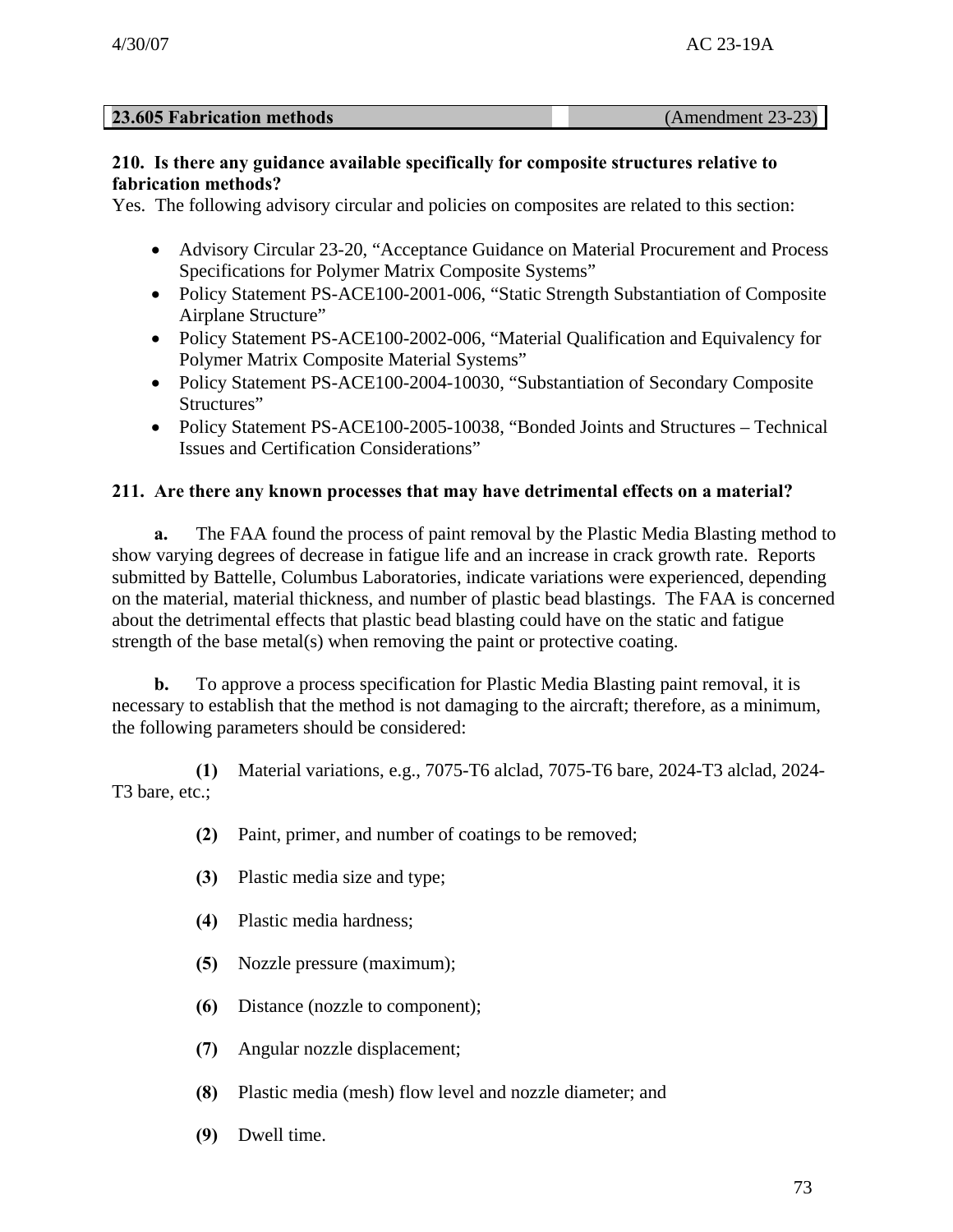| <b>23.605 Fabrication methods</b> | $(Amendment 23-23)$ |
|-----------------------------------|---------------------|
|                                   |                     |

## **210. Is there any guidance available specifically for composite structures relative to fabrication methods?**

Yes. The following advisory circular and policies on composites are related to this section:

- Advisory Circular 23-20, "Acceptance Guidance on Material Procurement and Process Specifications for Polymer Matrix Composite Systems"
- Policy Statement PS-ACE100-2001-006, "Static Strength Substantiation of Composite Airplane Structure"
- Policy Statement PS-ACE100-2002-006, "Material Qualification and Equivalency for Polymer Matrix Composite Material Systems"
- Policy Statement PS-ACE100-2004-10030, "Substantiation of Secondary Composite Structures"
- Policy Statement PS-ACE100-2005-10038, "Bonded Joints and Structures Technical Issues and Certification Considerations"

# **211. Are there any known processes that may have detrimental effects on a material?**

**a.** The FAA found the process of paint removal by the Plastic Media Blasting method to show varying degrees of decrease in fatigue life and an increase in crack growth rate. Reports submitted by Battelle, Columbus Laboratories, indicate variations were experienced, depending on the material, material thickness, and number of plastic bead blastings. The FAA is concerned about the detrimental effects that plastic bead blasting could have on the static and fatigue strength of the base metal(s) when removing the paint or protective coating.

**b.** To approve a process specification for Plastic Media Blasting paint removal, it is necessary to establish that the method is not damaging to the aircraft; therefore, as a minimum, the following parameters should be considered:

**(1)** Material variations, e.g., 7075-T6 alclad, 7075-T6 bare, 2024-T3 alclad, 2024 T3 bare, etc.;

- **(2)** Paint, primer, and number of coatings to be removed;
- **(3)** Plastic media size and type;
- **(4)** Plastic media hardness;
- **(5)** Nozzle pressure (maximum);
- **(6)** Distance (nozzle to component);
- **(7)** Angular nozzle displacement;
- **(8)** Plastic media (mesh) flow level and nozzle diameter; and
- **(9)** Dwell time.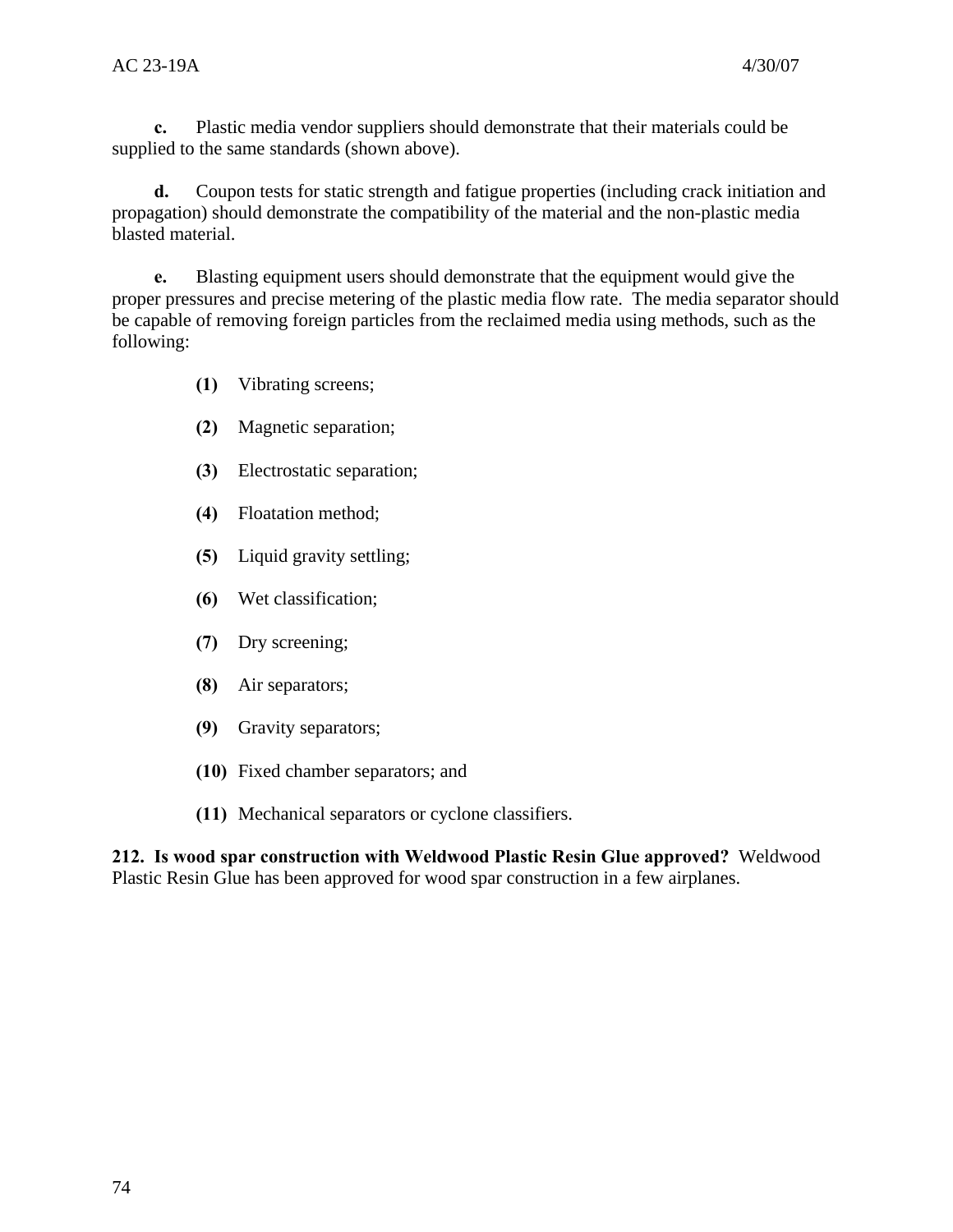**c.** Plastic media vendor suppliers should demonstrate that their materials could be supplied to the same standards (shown above).

**d.** Coupon tests for static strength and fatigue properties (including crack initiation and propagation) should demonstrate the compatibility of the material and the non-plastic media blasted material.

**e.** Blasting equipment users should demonstrate that the equipment would give the proper pressures and precise metering of the plastic media flow rate. The media separator should be capable of removing foreign particles from the reclaimed media using methods, such as the following:

- **(1)** Vibrating screens;
- **(2)** Magnetic separation;
- **(3)** Electrostatic separation;
- **(4)** Floatation method;
- **(5)** Liquid gravity settling;
- **(6)** Wet classification;
- **(7)** Dry screening;
- **(8)** Air separators;
- **(9)** Gravity separators;
- **(10)** Fixed chamber separators; and
- **(11)** Mechanical separators or cyclone classifiers.

**212. Is wood spar construction with Weldwood Plastic Resin Glue approved?** Weldwood Plastic Resin Glue has been approved for wood spar construction in a few airplanes.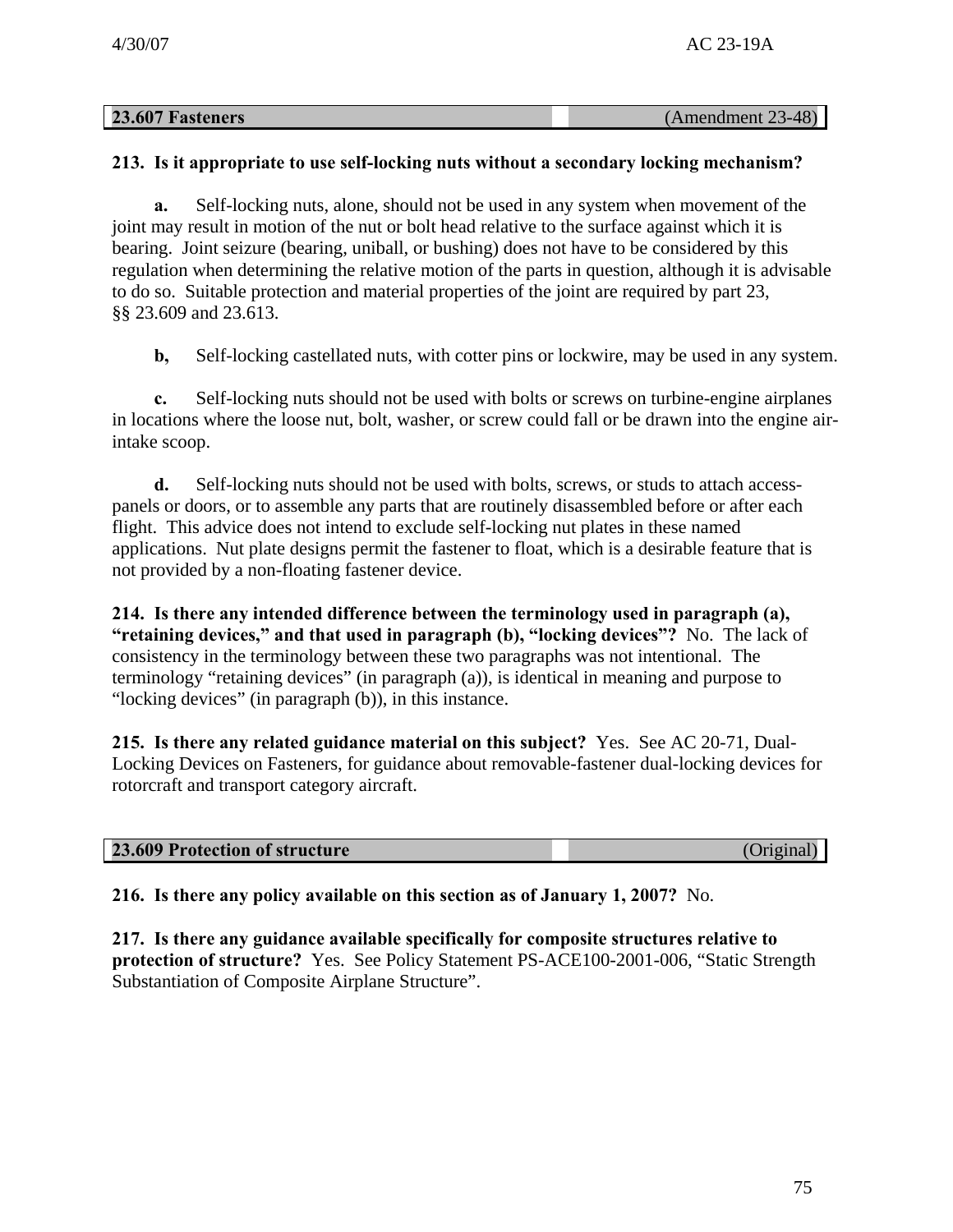| 23.607 Fasteners | (Amendment 23-48) |
|------------------|-------------------|
|                  |                   |

## **213. Is it appropriate to use self-locking nuts without a secondary locking mechanism?**

**a.** Self-locking nuts, alone, should not be used in any system when movement of the joint may result in motion of the nut or bolt head relative to the surface against which it is bearing. Joint seizure (bearing, uniball, or bushing) does not have to be considered by this regulation when determining the relative motion of the parts in question, although it is advisable to do so. Suitable protection and material properties of the joint are required by part 23, §§ 23.609 and 23.613.

**b,** Self-locking castellated nuts, with cotter pins or lockwire, may be used in any system.

**c.** Self-locking nuts should not be used with bolts or screws on turbine-engine airplanes in locations where the loose nut, bolt, washer, or screw could fall or be drawn into the engine airintake scoop.

**d.** Self-locking nuts should not be used with bolts, screws, or studs to attach accesspanels or doors, or to assemble any parts that are routinely disassembled before or after each flight. This advice does not intend to exclude self-locking nut plates in these named applications. Nut plate designs permit the fastener to float, which is a desirable feature that is not provided by a non-floating fastener device.

**214. Is there any intended difference between the terminology used in paragraph (a), "retaining devices," and that used in paragraph (b), "locking devices"?** No. The lack of consistency in the terminology between these two paragraphs was not intentional. The terminology "retaining devices" (in paragraph (a)), is identical in meaning and purpose to "locking devices" (in paragraph (b)), in this instance.

**215. Is there any related guidance material on this subject?** Yes. See AC 20-71, Dual-Locking Devices on Fasteners, for guidance about removable-fastener dual-locking devices for rotorcraft and transport category aircraft.

#### **23.609 Protection of structure** (Original)

**216. Is there any policy available on this section as of January 1, 2007?** No.

**217. Is there any guidance available specifically for composite structures relative to protection of structure?** Yes. See Policy Statement PS-ACE100-2001-006, "Static Strength Substantiation of Composite Airplane Structure".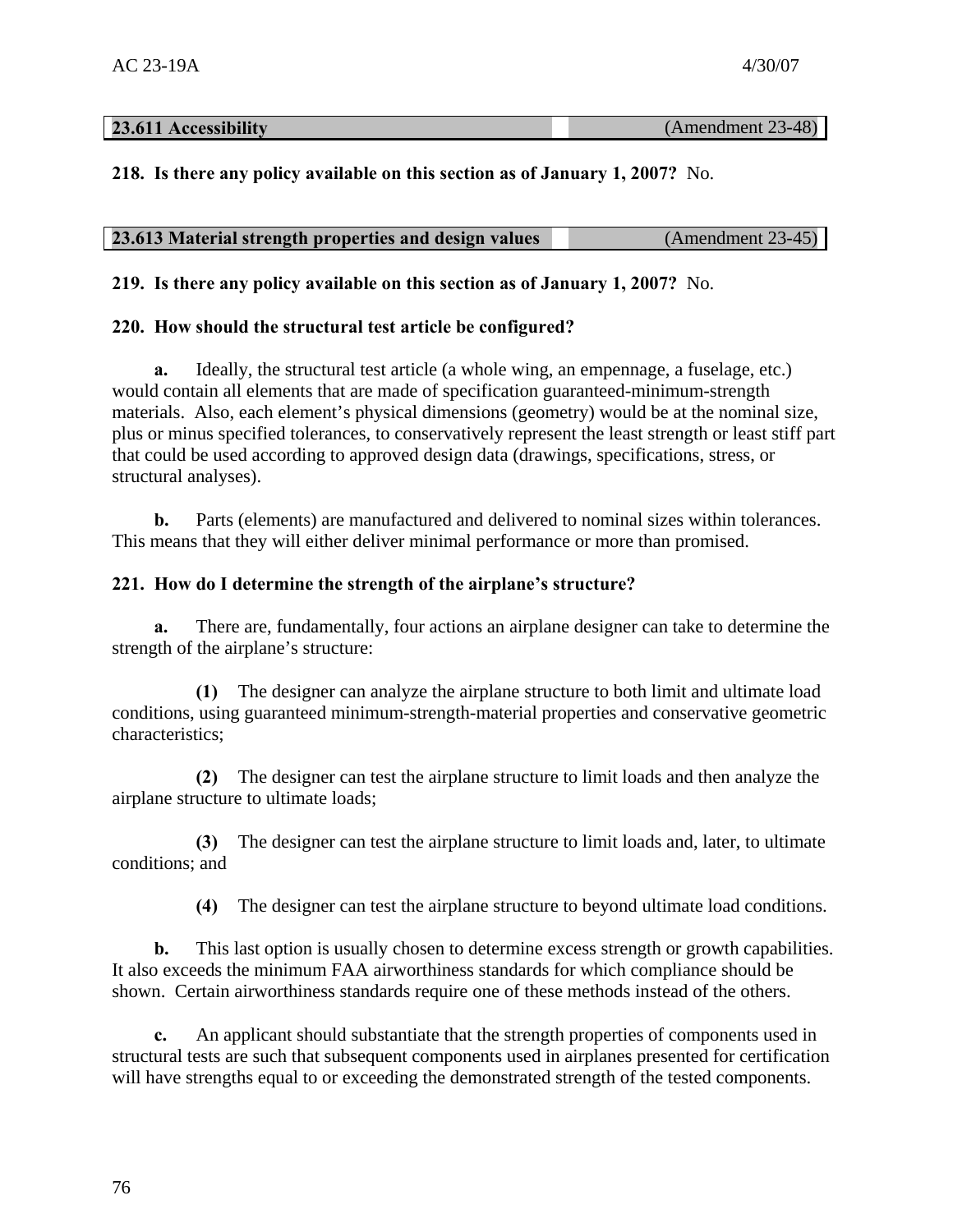## **23.611 Accessibility** (Amendment 23-48)

# **218. Is there any policy available on this section as of January 1, 2007?** No.

| 23.613 Material strength properties and design values | $(Amendment 23-45)$ |
|-------------------------------------------------------|---------------------|
|-------------------------------------------------------|---------------------|

**219. Is there any policy available on this section as of January 1, 2007?** No.

# **220. How should the structural test article be configured?**

**a.** Ideally, the structural test article (a whole wing, an empennage, a fuselage, etc.) would contain all elements that are made of specification guaranteed-minimum-strength materials. Also, each element's physical dimensions (geometry) would be at the nominal size, plus or minus specified tolerances, to conservatively represent the least strength or least stiff part that could be used according to approved design data (drawings, specifications, stress, or structural analyses).

**b.** Parts (elements) are manufactured and delivered to nominal sizes within tolerances. This means that they will either deliver minimal performance or more than promised.

# **221. How do I determine the strength of the airplane's structure?**

**a.** There are, fundamentally, four actions an airplane designer can take to determine the strength of the airplane's structure:

**(1)** The designer can analyze the airplane structure to both limit and ultimate load conditions, using guaranteed minimum-strength-material properties and conservative geometric characteristics;

**(2)** The designer can test the airplane structure to limit loads and then analyze the airplane structure to ultimate loads;

**(3)** The designer can test the airplane structure to limit loads and, later, to ultimate conditions; and

**(4)** The designer can test the airplane structure to beyond ultimate load conditions.

**b.** This last option is usually chosen to determine excess strength or growth capabilities. It also exceeds the minimum FAA airworthiness standards for which compliance should be shown. Certain airworthiness standards require one of these methods instead of the others.

**c.** An applicant should substantiate that the strength properties of components used in structural tests are such that subsequent components used in airplanes presented for certification will have strengths equal to or exceeding the demonstrated strength of the tested components.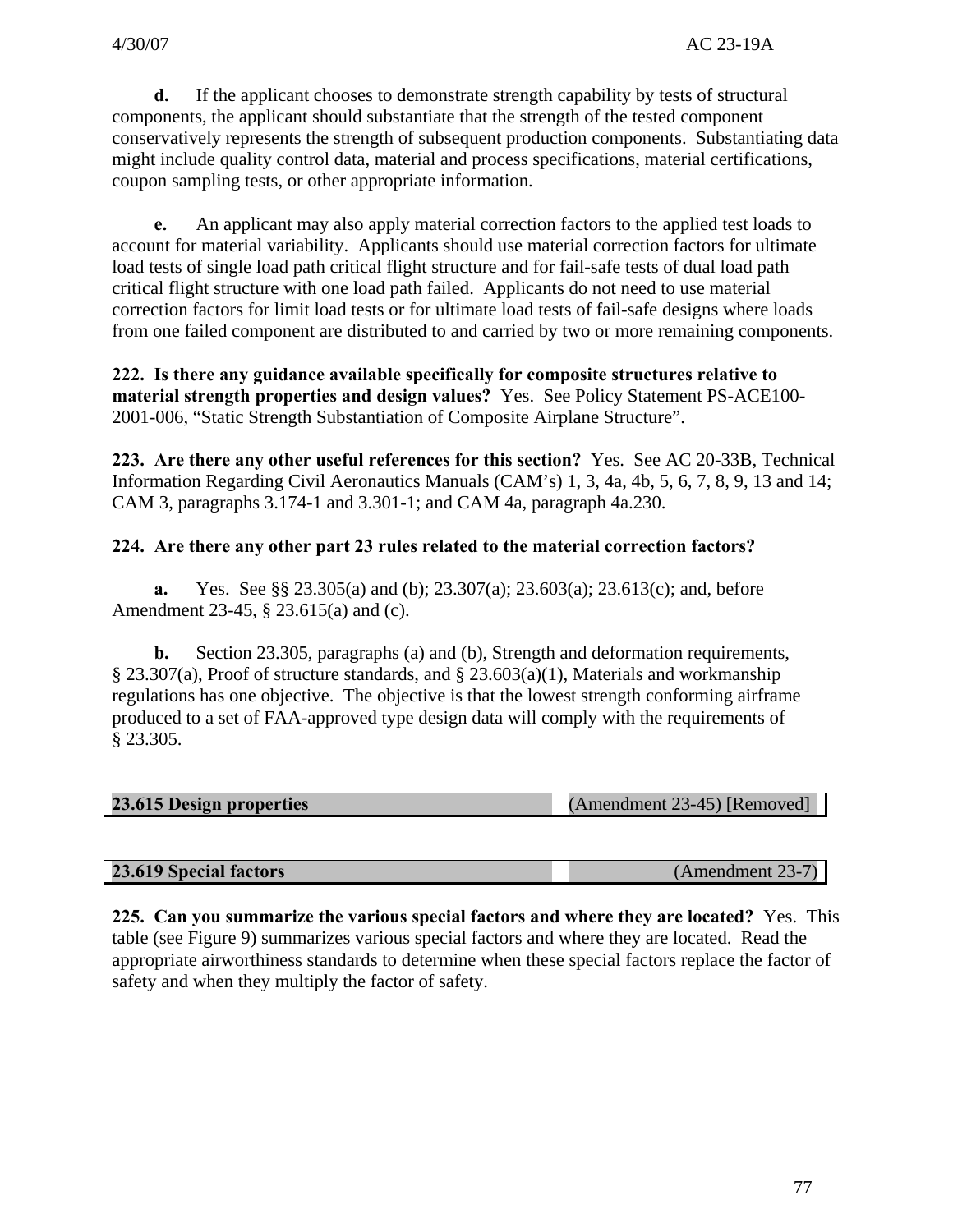**d.** If the applicant chooses to demonstrate strength capability by tests of structural components, the applicant should substantiate that the strength of the tested component conservatively represents the strength of subsequent production components. Substantiating data might include quality control data, material and process specifications, material certifications, coupon sampling tests, or other appropriate information.

**e.** An applicant may also apply material correction factors to the applied test loads to account for material variability. Applicants should use material correction factors for ultimate load tests of single load path critical flight structure and for fail-safe tests of dual load path critical flight structure with one load path failed. Applicants do not need to use material correction factors for limit load tests or for ultimate load tests of fail-safe designs where loads from one failed component are distributed to and carried by two or more remaining components.

**222. Is there any guidance available specifically for composite structures relative to material strength properties and design values?** Yes. See Policy Statement PS-ACE100 2001-006, "Static Strength Substantiation of Composite Airplane Structure".

**223. Are there any other useful references for this section?** Yes. See AC 20-33B, Technical Information Regarding Civil Aeronautics Manuals (CAM's) 1, 3, 4a, 4b, 5, 6, 7, 8, 9, 13 and 14; CAM 3, paragraphs 3.174-1 and 3.301-1; and CAM 4a, paragraph 4a.230.

# **224. Are there any other part 23 rules related to the material correction factors?**

**a.** Yes. See §§ 23.305(a) and (b); 23.307(a); 23.603(a); 23.613(c); and, before Amendment 23-45, § 23.615(a) and (c).

**b.** Section 23.305, paragraphs (a) and (b), Strength and deformation requirements, § 23.307(a), Proof of structure standards, and § 23.603(a)(1), Materials and workmanship regulations has one objective. The objective is that the lowest strength conforming airframe produced to a set of FAA-approved type design data will comply with the requirements of § 23.305.

| 23.615 Design properties<br>(Amendment 23-45) [Removed] |
|---------------------------------------------------------|
|---------------------------------------------------------|

**23.619 Special factors** (Amendment 23-7)

**225. Can you summarize the various special factors and where they are located?** Yes. This table (see Figure 9) summarizes various special factors and where they are located. Read the appropriate airworthiness standards to determine when these special factors replace the factor of safety and when they multiply the factor of safety.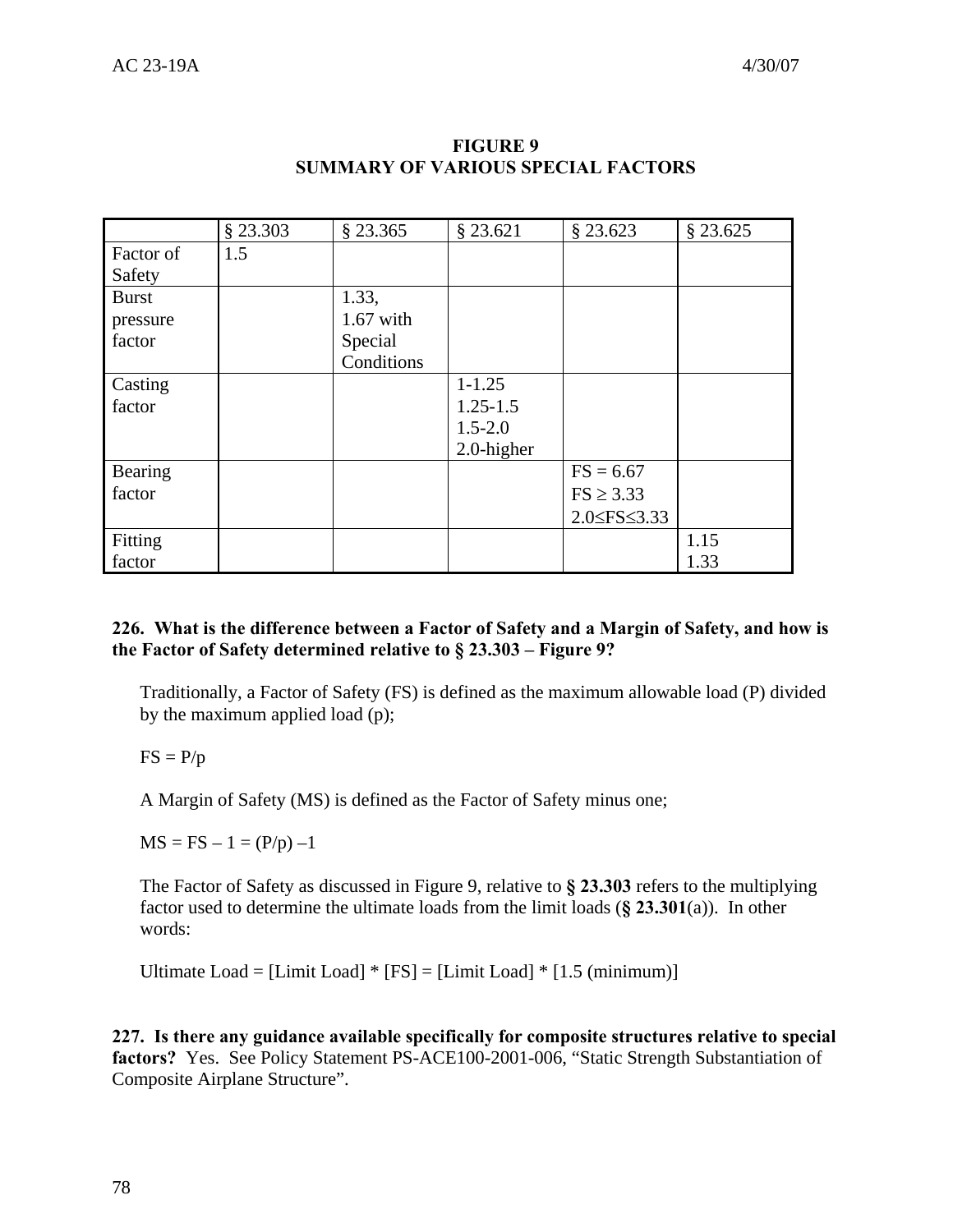|              | $§$ 23.303 | $§$ 23.365  | $§$ 23.621    | $§$ 23.623              | § 23.625 |
|--------------|------------|-------------|---------------|-------------------------|----------|
| Factor of    | 1.5        |             |               |                         |          |
| Safety       |            |             |               |                         |          |
| <b>Burst</b> |            | 1.33,       |               |                         |          |
| pressure     |            | $1.67$ with |               |                         |          |
| factor       |            | Special     |               |                         |          |
|              |            | Conditions  |               |                         |          |
| Casting      |            |             | $1 - 1.25$    |                         |          |
| factor       |            |             | $1.25 - 1.5$  |                         |          |
|              |            |             | $1.5 - 2.0$   |                         |          |
|              |            |             | $2.0$ -higher |                         |          |
| Bearing      |            |             |               | $FS = 6.67$             |          |
| factor       |            |             |               | $FS \geq 3.33$          |          |
|              |            |             |               | $2.0 \leq FS \leq 3.33$ |          |
| Fitting      |            |             |               |                         | 1.15     |
| factor       |            |             |               |                         | 1.33     |

## **FIGURE 9 SUMMARY OF VARIOUS SPECIAL FACTORS**

# **226. What is the difference between a Factor of Safety and a Margin of Safety, and how is the Factor of Safety determined relative to § 23.303 – Figure 9?**

Traditionally, a Factor of Safety (FS) is defined as the maximum allowable load (P) divided by the maximum applied load (p);

 $FS = P/p$ 

A Margin of Safety (MS) is defined as the Factor of Safety minus one;

 $MS = FS - 1 = (P/p) -1$ 

The Factor of Safety as discussed in Figure 9, relative to **§ 23.303** refers to the multiplying factor used to determine the ultimate loads from the limit loads (**§ 23.301**(a)). In other words:

Ultimate Load =  $[Limit Load] * [FS] = [Limit Load] * [1.5 (minimum)]$ 

**227. Is there any guidance available specifically for composite structures relative to special factors?** Yes. See Policy Statement PS-ACE100-2001-006, "Static Strength Substantiation of Composite Airplane Structure".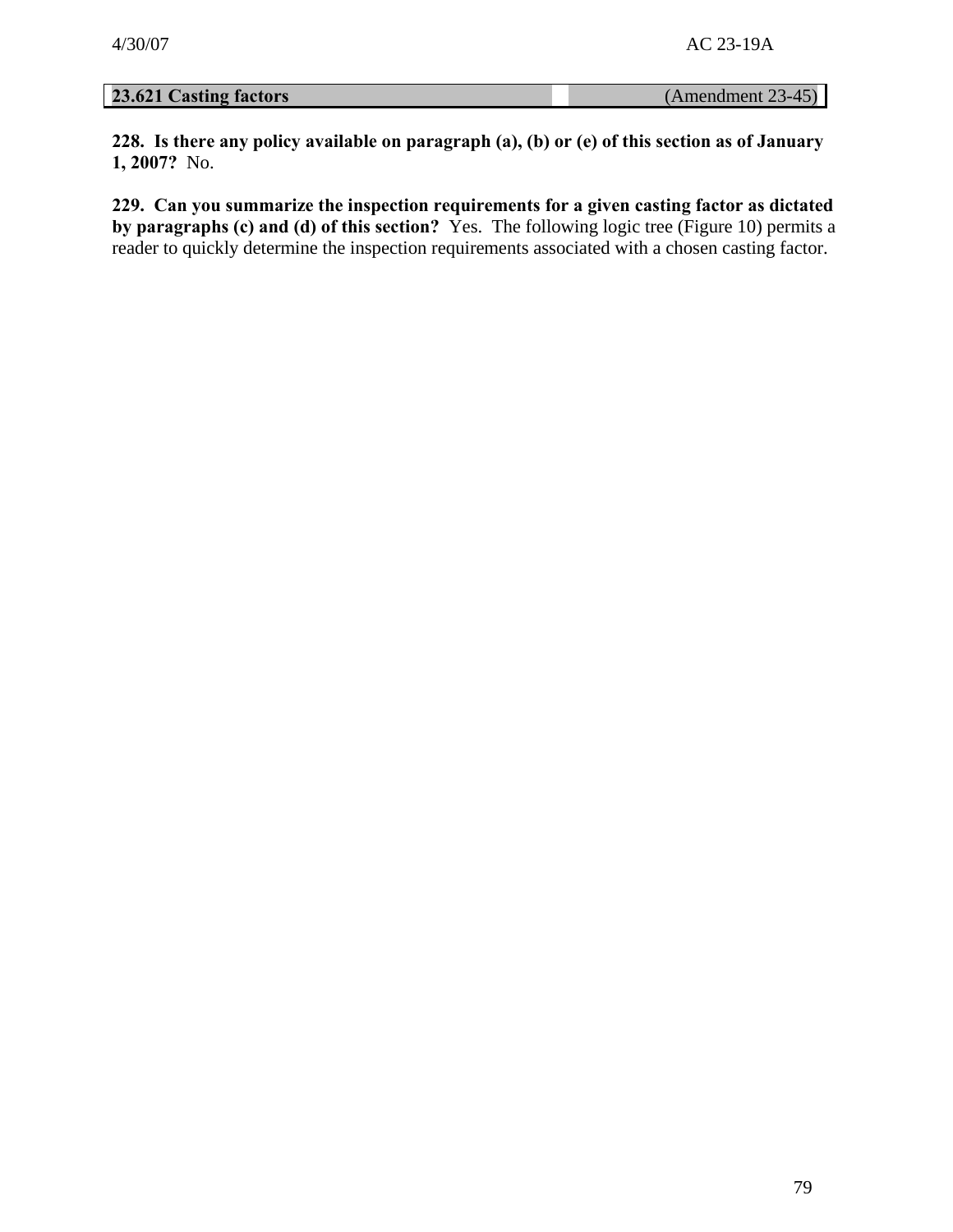**23.621 Casting factors** (Amendment 23-45)

**228. Is there any policy available on paragraph (a), (b) or (e) of this section as of January 1, 2007?** No.

**229. Can you summarize the inspection requirements for a given casting factor as dictated by paragraphs (c) and (d) of this section?** Yes. The following logic tree (Figure 10) permits a reader to quickly determine the inspection requirements associated with a chosen casting factor.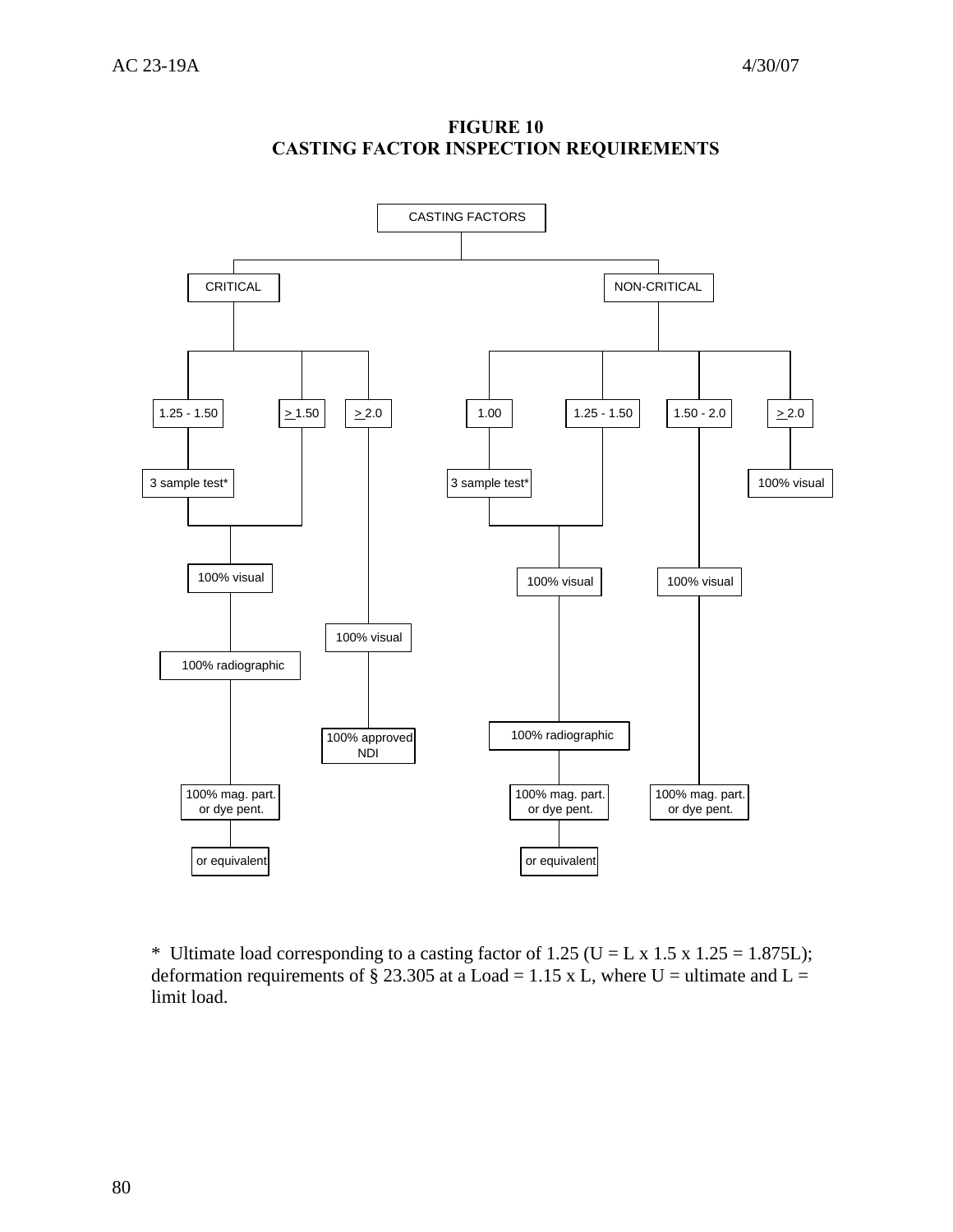

**FIGURE 10 CASTING FACTOR INSPECTION REQUIREMENTS** 

\* Ultimate load corresponding to a casting factor of 1.25 (U = L x 1.5 x 1.25 = 1.875L); deformation requirements of § 23.305 at a Load = 1.15 x L, where U = ultimate and L = limit load.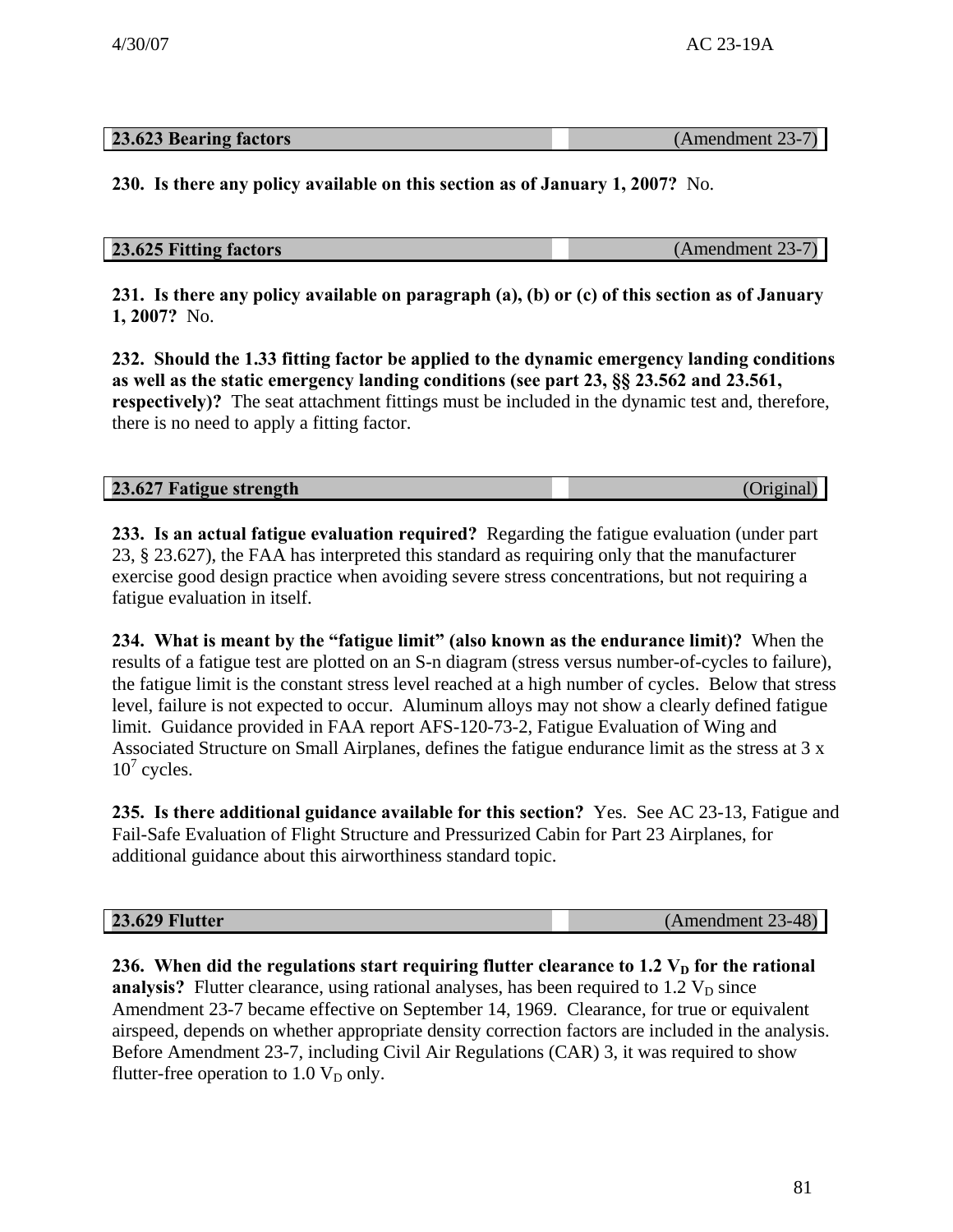| <b>23.623 Bearing factors</b> | (Amendment 23-7) |
|-------------------------------|------------------|

**230. Is there any policy available on this section as of January 1, 2007?** No.

## **23.625 Fitting factors** (Amendment 23-7)

**231. Is there any policy available on paragraph (a), (b) or (c) of this section as of January 1, 2007?** No.

**232. Should the 1.33 fitting factor be applied to the dynamic emergency landing conditions as well as the static emergency landing conditions (see part 23, §§ 23.562 and 23.561, respectively)?** The seat attachment fittings must be included in the dynamic test and, therefore, there is no need to apply a fitting factor.

| 23.627 Fatigue strength | (Original) |
|-------------------------|------------|
|                         |            |

**233. Is an actual fatigue evaluation required?** Regarding the fatigue evaluation (under part 23, § 23.627), the FAA has interpreted this standard as requiring only that the manufacturer exercise good design practice when avoiding severe stress concentrations, but not requiring a fatigue evaluation in itself.

**234. What is meant by the "fatigue limit" (also known as the endurance limit)?** When the results of a fatigue test are plotted on an S-n diagram (stress versus number-of-cycles to failure), the fatigue limit is the constant stress level reached at a high number of cycles. Below that stress level, failure is not expected to occur. Aluminum alloys may not show a clearly defined fatigue limit. Guidance provided in FAA report AFS-120-73-2, Fatigue Evaluation of Wing and Associated Structure on Small Airplanes, defines the fatigue endurance limit as the stress at 3 x  $10^7$  cycles.

**235. Is there additional guidance available for this section?** Yes. See AC 23-13, Fatigue and Fail-Safe Evaluation of Flight Structure and Pressurized Cabin for Part 23 Airplanes, for additional guidance about this airworthiness standard topic.

**23.629 Flutter** (Amendment 23-48)

236. When did the regulations start requiring flutter clearance to 1.2 V<sub>D</sub> for the rational **analysis?** Flutter clearance, using rational analyses, has been required to  $1.2 V<sub>D</sub>$  since Amendment 23-7 became effective on September 14, 1969. Clearance, for true or equivalent airspeed, depends on whether appropriate density correction factors are included in the analysis. Before Amendment 23-7, including Civil Air Regulations (CAR) 3, it was required to show flutter-free operation to  $1.0 V_D$  only.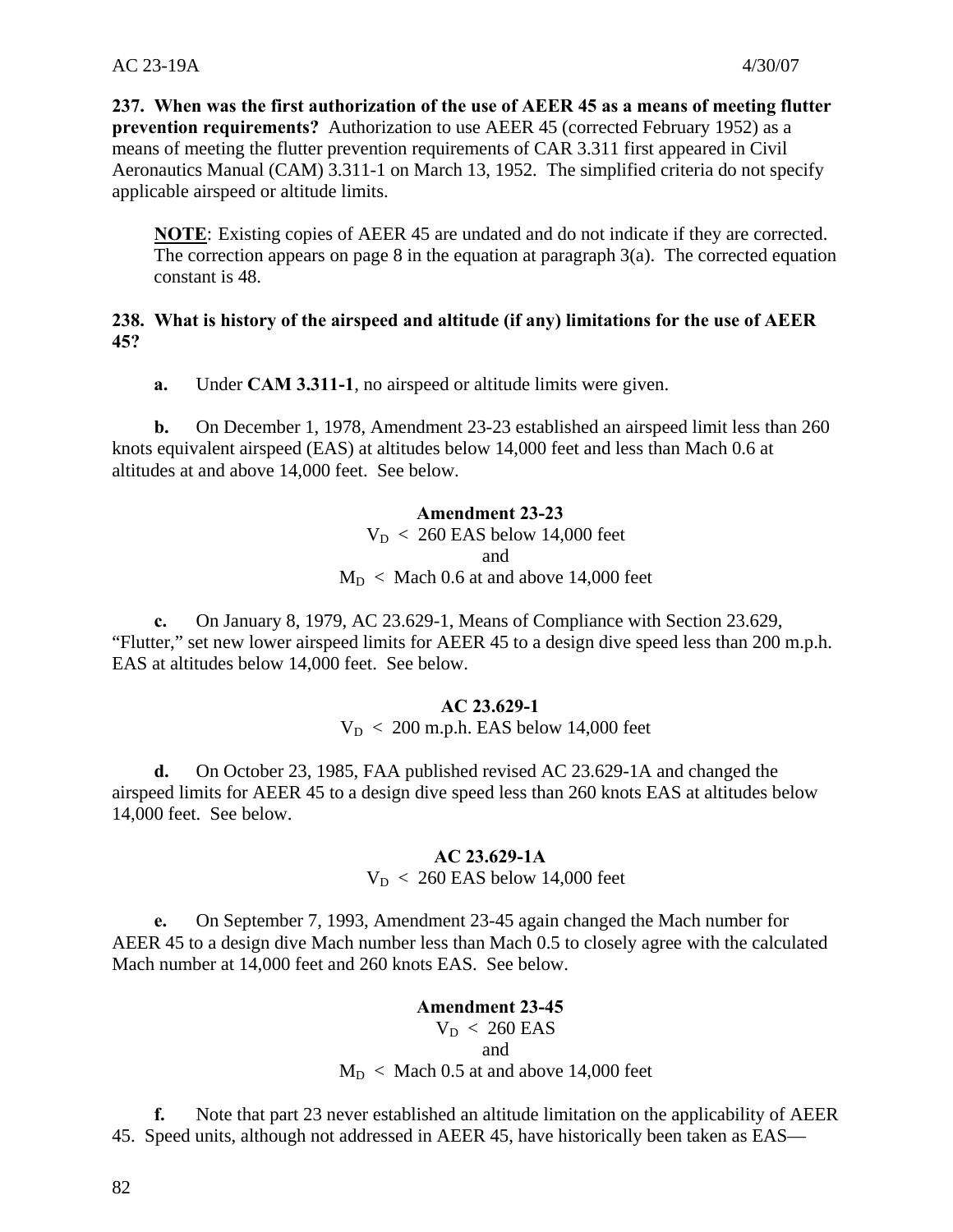**237. When was the first authorization of the use of AEER 45 as a means of meeting flutter prevention requirements?** Authorization to use AEER 45 (corrected February 1952) as a means of meeting the flutter prevention requirements of CAR 3.311 first appeared in Civil Aeronautics Manual (CAM) 3.311-1 on March 13, 1952. The simplified criteria do not specify applicable airspeed or altitude limits.

 **NOTE**: Existing copies of AEER 45 are undated and do not indicate if they are corrected. The correction appears on page 8 in the equation at paragraph  $3(a)$ . The corrected equation constant is 48.

## **238. What is history of the airspeed and altitude (if any) limitations for the use of AEER 45?**

**a.** Under **CAM 3.311-1**, no airspeed or altitude limits were given.

**b.** On December 1, 1978, Amendment 23-23 established an airspeed limit less than 260 knots equivalent airspeed (EAS) at altitudes below 14,000 feet and less than Mach 0.6 at altitudes at and above 14,000 feet. See below.

# **Amendment 23-23**

 $V_D < 260$  EAS below 14,000 feet and  $M_D <$  Mach 0.6 at and above 14,000 feet

**c.** On January 8, 1979, AC 23.629-1, Means of Compliance with Section 23.629, "Flutter," set new lower airspeed limits for AEER 45 to a design dive speed less than 200 m.p.h. EAS at altitudes below 14,000 feet. See below.

## **AC 23.629-1**

 $V_D < 200$  m.p.h. EAS below 14,000 feet

**d.** On October 23, 1985, FAA published revised AC 23.629-1A and changed the airspeed limits for AEER 45 to a design dive speed less than 260 knots EAS at altitudes below 14,000 feet. See below.

#### **AC 23.629-1A**

 $V_D < 260$  EAS below 14,000 feet

**e.** On September 7, 1993, Amendment 23-45 again changed the Mach number for AEER 45 to a design dive Mach number less than Mach 0.5 to closely agree with the calculated Mach number at 14,000 feet and 260 knots EAS. See below.

# **Amendment 23-45**   $V_D < 260$  EAS

#### and

 $M_D <$  Mach 0.5 at and above 14,000 feet

**f.** Note that part 23 never established an altitude limitation on the applicability of AEER 45. Speed units, although not addressed in AEER 45, have historically been taken as EAS—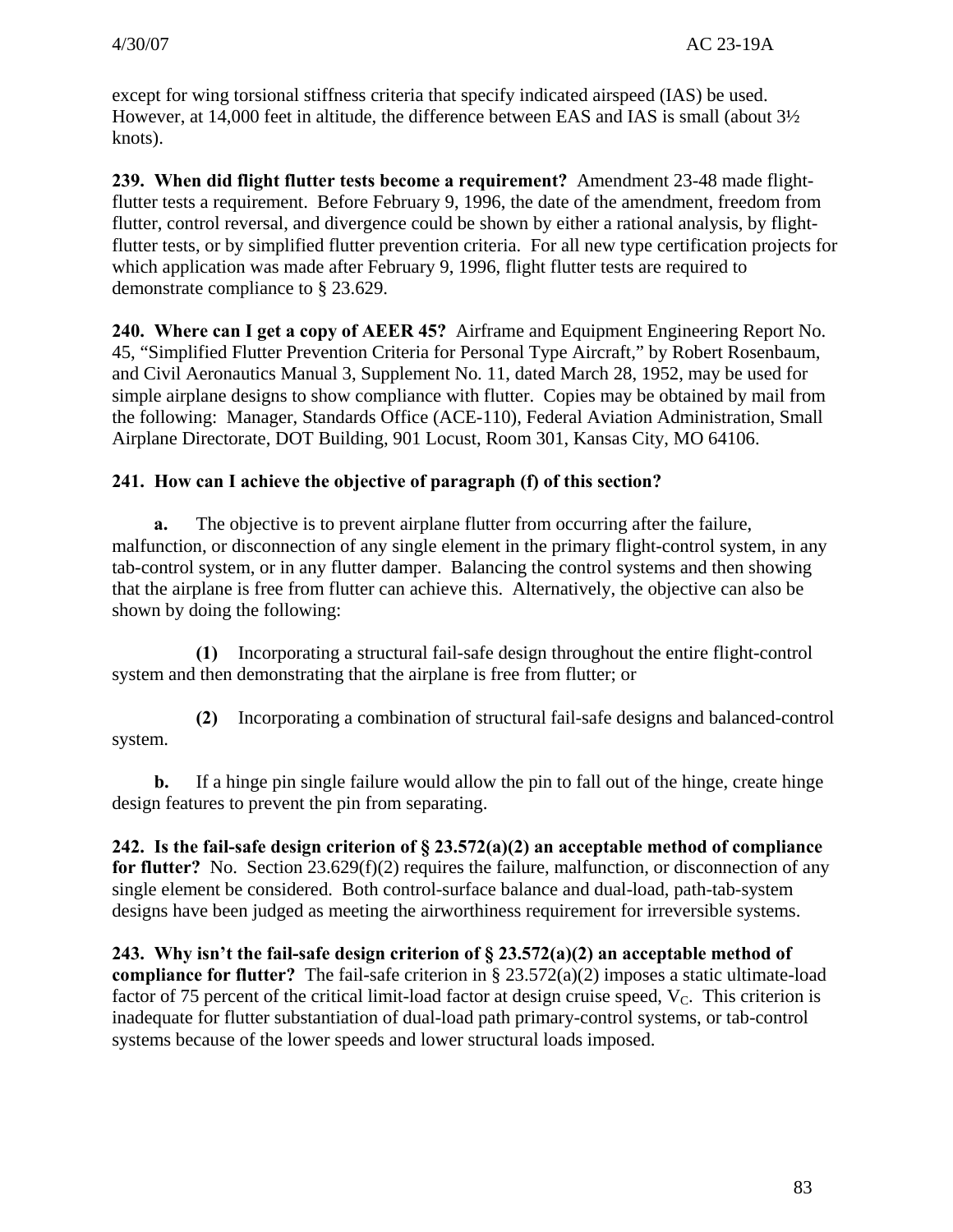except for wing torsional stiffness criteria that specify indicated airspeed (IAS) be used. However, at 14,000 feet in altitude, the difference between EAS and IAS is small (about 3½ knots).

**239. When did flight flutter tests become a requirement?** Amendment 23-48 made flightflutter tests a requirement. Before February 9, 1996, the date of the amendment, freedom from flutter, control reversal, and divergence could be shown by either a rational analysis, by flightflutter tests, or by simplified flutter prevention criteria. For all new type certification projects for which application was made after February 9, 1996, flight flutter tests are required to demonstrate compliance to § 23.629.

**240. Where can I get a copy of AEER 45?** Airframe and Equipment Engineering Report No. 45, "Simplified Flutter Prevention Criteria for Personal Type Aircraft," by Robert Rosenbaum, and Civil Aeronautics Manual 3, Supplement No. 11, dated March 28, 1952, may be used for simple airplane designs to show compliance with flutter. Copies may be obtained by mail from the following: Manager, Standards Office (ACE-110), Federal Aviation Administration, Small Airplane Directorate, DOT Building, 901 Locust, Room 301, Kansas City, MO 64106.

# **241. How can I achieve the objective of paragraph (f) of this section?**

**a.** The objective is to prevent airplane flutter from occurring after the failure, malfunction, or disconnection of any single element in the primary flight-control system, in any tab-control system, or in any flutter damper. Balancing the control systems and then showing that the airplane is free from flutter can achieve this. Alternatively, the objective can also be shown by doing the following:

**(1)** Incorporating a structural fail-safe design throughout the entire flight-control system and then demonstrating that the airplane is free from flutter; or

**(2)** Incorporating a combination of structural fail-safe designs and balanced-control system.

**b.** If a hinge pin single failure would allow the pin to fall out of the hinge, create hinge design features to prevent the pin from separating.

**242. Is the fail-safe design criterion of § 23.572(a)(2) an acceptable method of compliance for flutter?** No. Section 23.629(f)(2) requires the failure, malfunction, or disconnection of any single element be considered. Both control-surface balance and dual-load, path-tab-system designs have been judged as meeting the airworthiness requirement for irreversible systems.

**243. Why isn't the fail-safe design criterion of § 23.572(a)(2) an acceptable method of compliance for flutter?** The fail-safe criterion in § 23.572(a)(2) imposes a static ultimate-load factor of 75 percent of the critical limit-load factor at design cruise speed,  $V_c$ . This criterion is inadequate for flutter substantiation of dual-load path primary-control systems, or tab-control systems because of the lower speeds and lower structural loads imposed.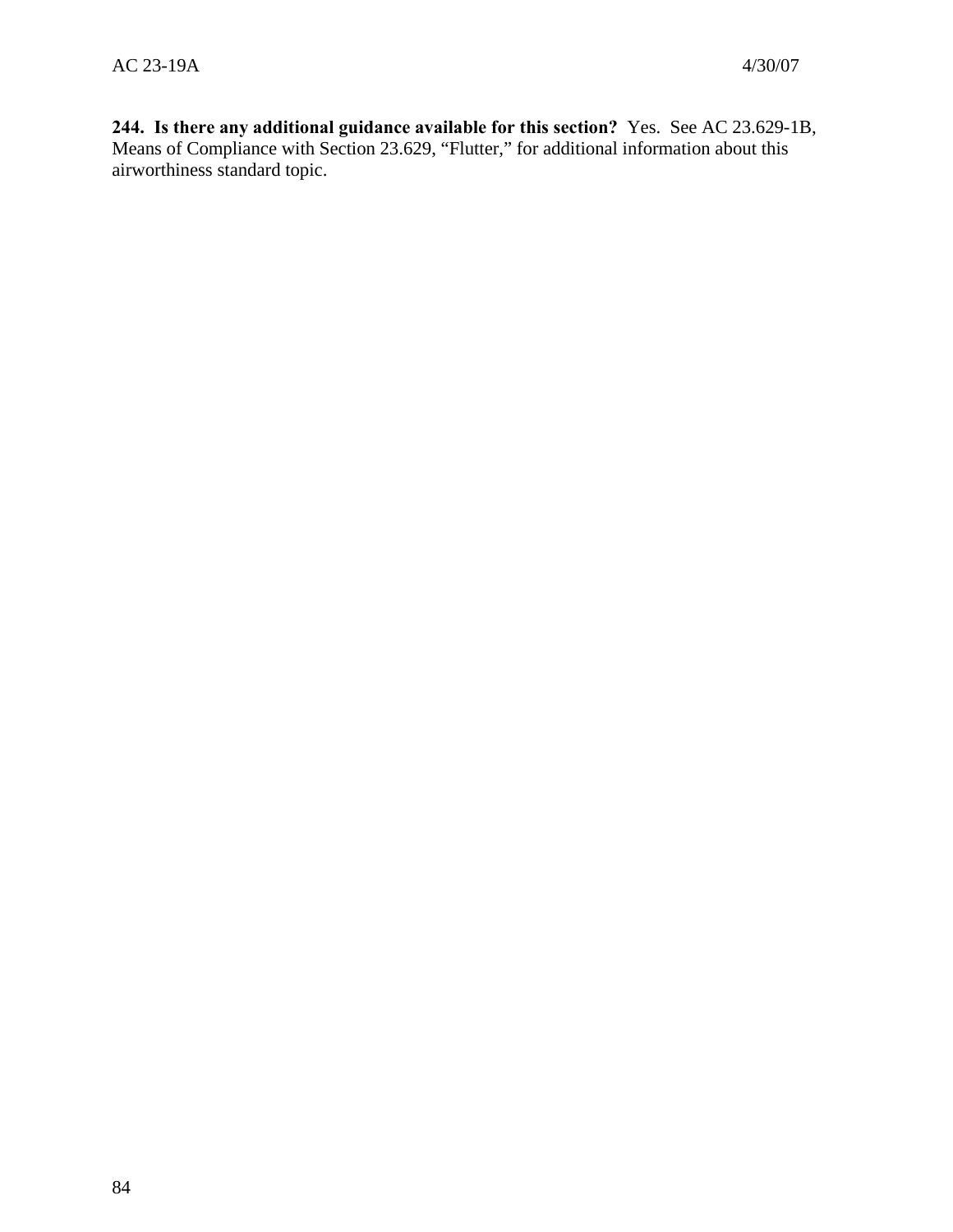**244. Is there any additional guidance available for this section?** Yes. See AC 23.629-1B, Means of Compliance with Section 23.629, "Flutter," for additional information about this airworthiness standard topic.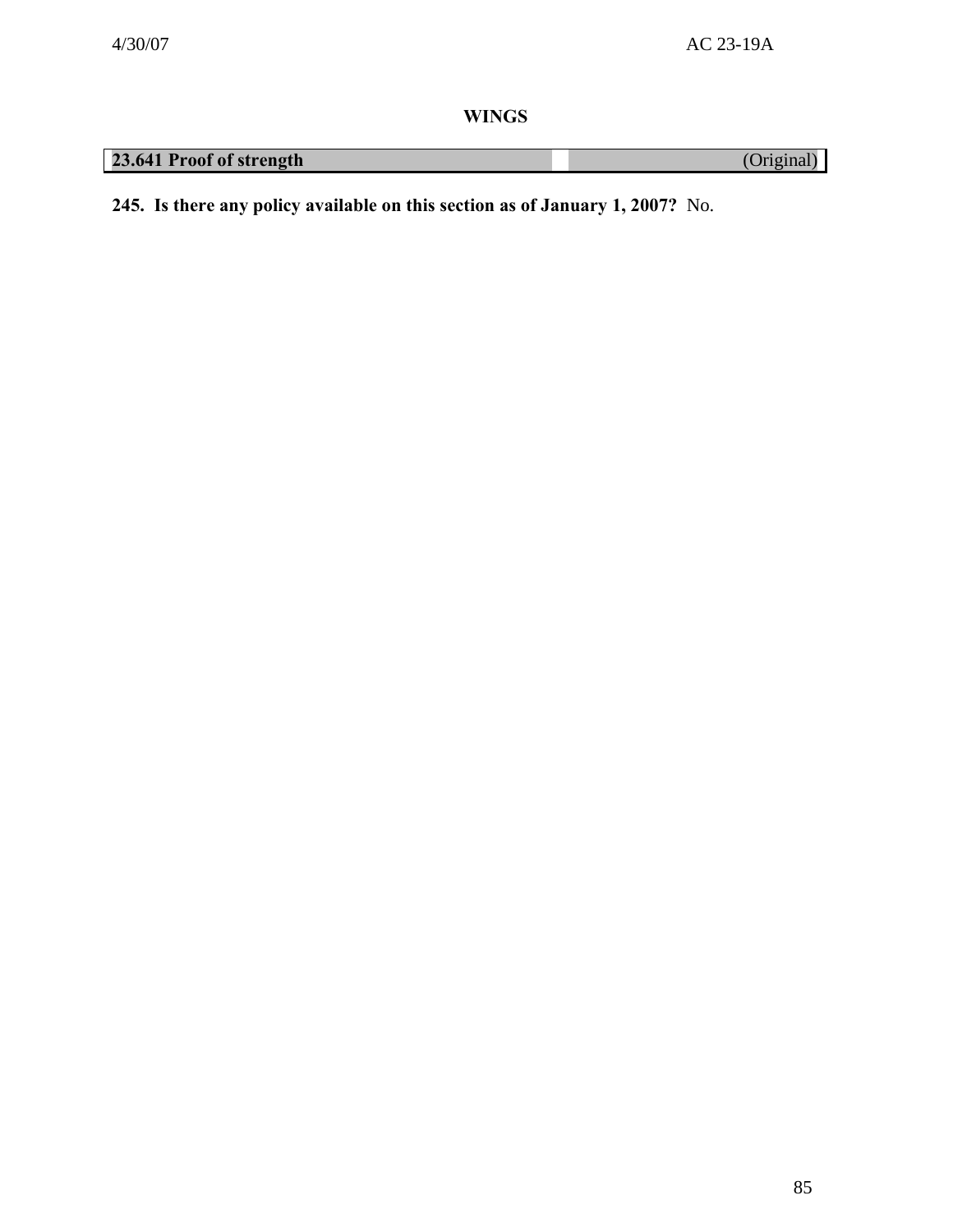**WINGS** 

| 23.641 Proof of strength |
|--------------------------|
|--------------------------|

**245. Is there any policy available on this section as of January 1, 2007?** No.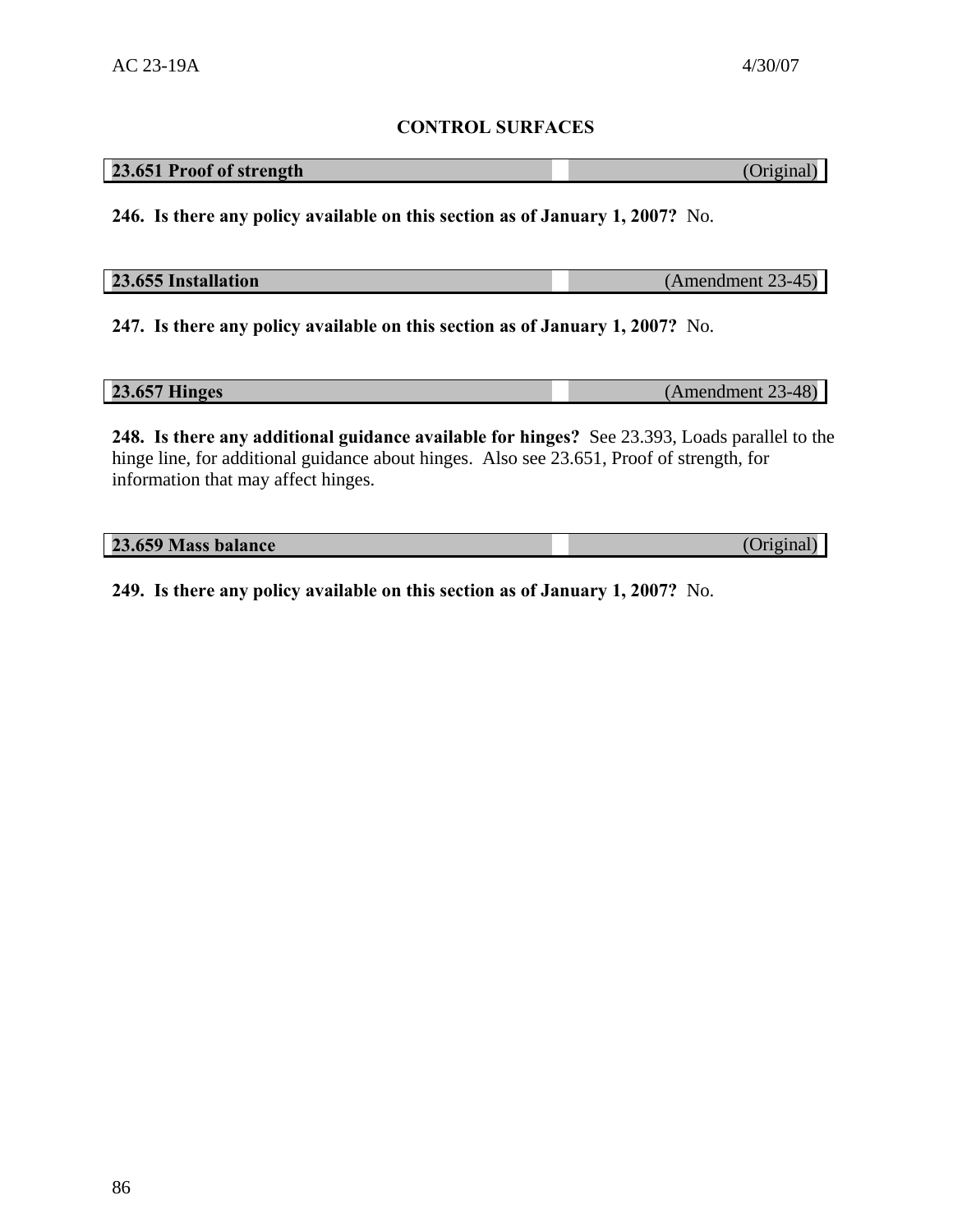# **CONTROL SURFACES**

# **23.651 Proof of strength** (Original)

**246. Is there any policy available on this section as of January 1, 2007?** No.

| 23.655 Installation | $(Amendment 23-45)$ |
|---------------------|---------------------|
|                     |                     |

**247. Is there any policy available on this section as of January 1, 2007?** No.

| <b>23.657 Hinges</b> |  | $(Amendment 23-48)$ |
|----------------------|--|---------------------|
|----------------------|--|---------------------|

**248. Is there any additional guidance available for hinges?** See 23.393, Loads parallel to the hinge line, for additional guidance about hinges. Also see 23.651, Proof of strength, for information that may affect hinges.

| 23.659 Mass balance |  | (Original) |
|---------------------|--|------------|
|---------------------|--|------------|

**249. Is there any policy available on this section as of January 1, 2007?** No.